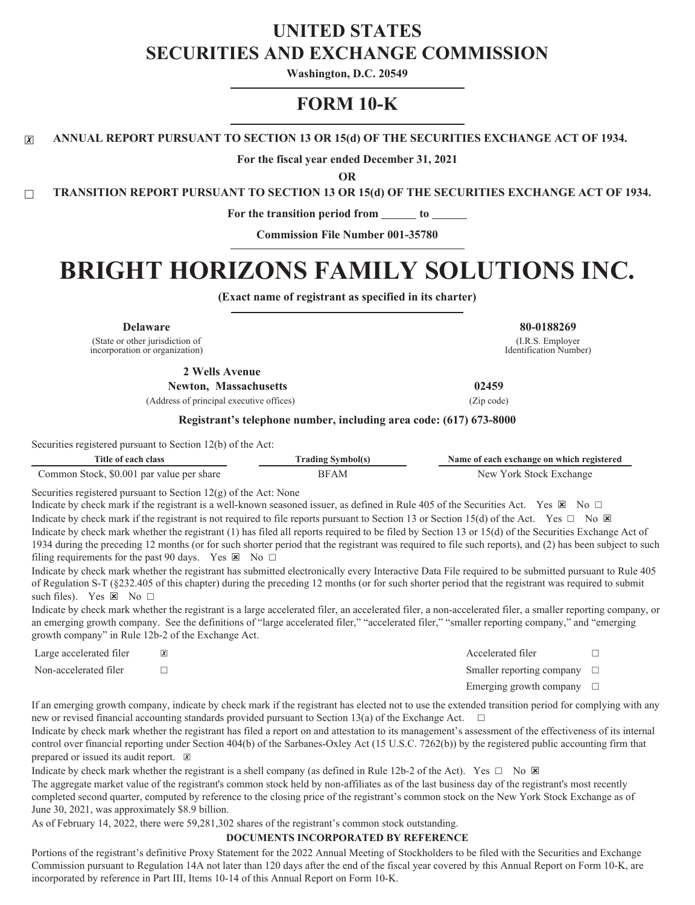# **UNITED STATES SECURITIES AND EXCHANGE COMMISSION**

**Washington, D.C. 20549**

# **FORM 10-K**

☒ **ANNUAL REPORT PURSUANT TO SECTION 13 OR 15(d) OF THE SECURITIES EXCHANGE ACT OF 1934.**

**For the fiscal year ended December 31, 2021**

**OR**

☐ **TRANSITION REPORT PURSUANT TO SECTION 13 OR 15(d) OF THE SECURITIES EXCHANGE ACT OF 1934.**

**For the transition period from to**

**Commission File Number 001-35780**

# **BRIGHT HORIZONS FAMILY SOLUTIONS INC.**

**(Exact name of registrant as specified in its charter)**

**Delaware 80-0188269**

(State or other jurisdiction of incorporation or organization)

**2 Wells Avenue**

Newton, Massachusetts 02459

(Address of principal executive offices) (Zip code)

(I.R.S. Employer Identification Number)

#### **Registrant's telephone number, including area code: (617) 673-8000**

Securities registered pursuant to Section 12(b) of the Act:

| Title of each class                       | rading<br>' Symbol(s | Name of each exchange on which registered |  |  |  |  |  |
|-------------------------------------------|----------------------|-------------------------------------------|--|--|--|--|--|
| Common Stock, \$0.001 par value per share |                      | √ York Stock Exchange<br>New              |  |  |  |  |  |

Securities registered pursuant to Section 12(g) of the Act: None

Indicate by check mark if the registrant is a well-known seasoned issuer, as defined in Rule 405 of the Securities Act. Yes  $\boxtimes$  No  $\Box$ Indicate by check mark if the registrant is not required to file reports pursuant to Section 13 or Section 15(d) of the Act. Yes  $\Box$  No  $\boxtimes$ Indicate by check mark whether the registrant (1) has filed all reports required to be filed by Section 13 or 15(d) of the Securities Exchange Act of 1934 during the preceding 12 months (or for such shorter period that the registrant was required to file such reports), and (2) has been subject to such filing requirements for the past 90 days. Yes  $\boxtimes$  No  $\Box$ 

Indicate by check mark whether the registrant has submitted electronically every Interactive Data File required to be submitted pursuant to Rule 405 of Regulation S-T (§232.405 of this chapter) during the preceding 12 months (or for such shorter period that the registrant was required to submit such files). Yes  $\boxtimes$  No  $\Box$ 

Indicate by check mark whether the registrant is a large accelerated filer, an accelerated filer, a non-accelerated filer, a smaller reporting company, or an emerging growth company. See the definitions of "large accelerated filer," "accelerated filer," "smaller reporting company," and "emerging growth company" in Rule 12b-2 of the Exchange Act.

| Large accelerated filer | $\overline{\mathbf{x}}$ | Accelerated filer                   |  |
|-------------------------|-------------------------|-------------------------------------|--|
| Non-accelerated filer   |                         | Smaller reporting company $\square$ |  |
|                         |                         | Emerging growth company $\Box$      |  |

If an emerging growth company, indicate by check mark if the registrant has elected not to use the extended transition period for complying with any new or revised financial accounting standards provided pursuant to Section 13(a) of the Exchange Act.  $\Box$ 

Indicate by check mark whether the registrant has filed a report on and attestation to its management's assessment of the effectiveness of its internal control over financial reporting under Section 404(b) of the Sarbanes-Oxley Act (15 U.S.C. 7262(b)) by the registered public accounting firm that prepared or issued its audit report.  $\boxed{\mathbb{X}}$ 

Indicate by check mark whether the registrant is a shell company (as defined in Rule 12b-2 of the Act). Yes  $\Box$  No  $\boxtimes$ 

The aggregate market value of the registrant's common stock held by non-affiliates as of the last business day of the registrant's most recently completed second quarter, computed by reference to the closing price of the registrant's common stock on the New York Stock Exchange as of June 30, 2021, was approximately \$8.9 billion.

As of February 14, 2022, there were 59,281,302 shares of the registrant's common stock outstanding.

#### **DOCUMENTS INCORPORATED BY REFERENCE**

Portions of the registrant's definitive Proxy Statement for the 2022 Annual Meeting of Stockholders to be filed with the Securities and Exchange Commission pursuant to Regulation 14A not later than 120 days after the end of the fiscal year covered by this Annual Report on Form 10-K, are incorporated by reference in Part III, Items 10-14 of this Annual Report on Form 10-K.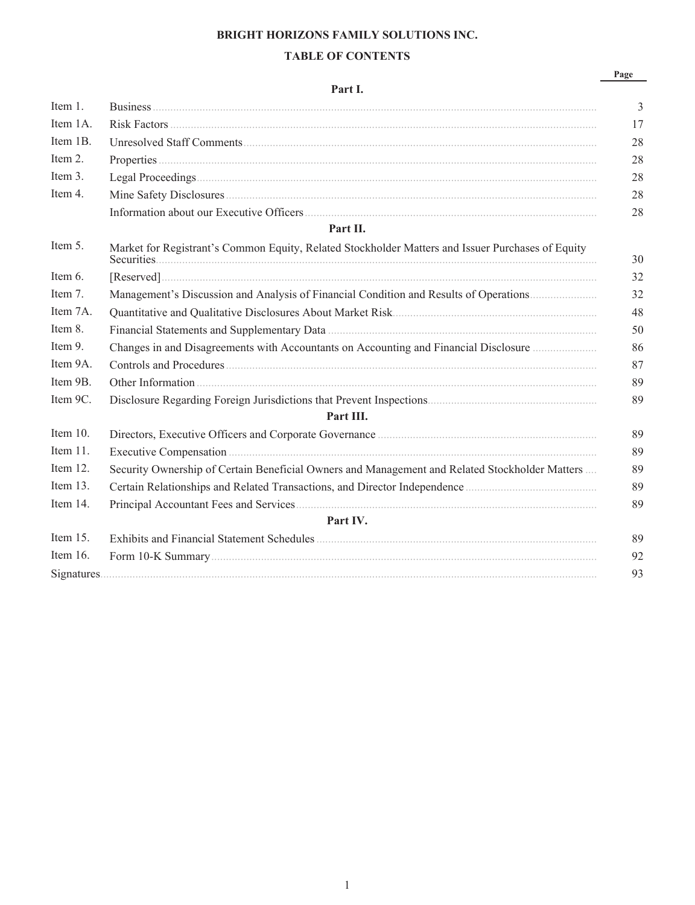# **BRIGHT HORIZONS FAMILY SOLUTIONS INC.**

# **TABLE OF CONTENTS**

# **Part I.**

|--|

| Item 1.     |                                                                                                                                                                                                                                                                                                                                                                                                                                                              | $\overline{3}$ |
|-------------|--------------------------------------------------------------------------------------------------------------------------------------------------------------------------------------------------------------------------------------------------------------------------------------------------------------------------------------------------------------------------------------------------------------------------------------------------------------|----------------|
| Item 1A.    |                                                                                                                                                                                                                                                                                                                                                                                                                                                              | 17             |
| Item 1B.    |                                                                                                                                                                                                                                                                                                                                                                                                                                                              | 28             |
| Item 2.     |                                                                                                                                                                                                                                                                                                                                                                                                                                                              | 28             |
| Item 3.     |                                                                                                                                                                                                                                                                                                                                                                                                                                                              | 28             |
| Item 4.     |                                                                                                                                                                                                                                                                                                                                                                                                                                                              | 28             |
|             |                                                                                                                                                                                                                                                                                                                                                                                                                                                              | 28             |
|             | Part II.                                                                                                                                                                                                                                                                                                                                                                                                                                                     |                |
| Item 5.     | Market for Registrant's Common Equity, Related Stockholder Matters and Issuer Purchases of Equity                                                                                                                                                                                                                                                                                                                                                            | 30             |
| Item 6.     | $[Reserved] \hspace{1cm} \ldots \hspace{1cm} \ldots \hspace{1cm} \ldots \hspace{1cm} \ldots \hspace{1cm} \ldots \hspace{1cm} \ldots \hspace{1cm} \ldots \hspace{1cm} \ldots \hspace{1cm} \ldots \hspace{1cm} \ldots \hspace{1cm} \ldots \hspace{1cm} \ldots \hspace{1cm} \ldots \hspace{1cm} \ldots \hspace{1cm} \ldots \hspace{1cm} \ldots \hspace{1cm} \ldots \hspace{1cm} \ldots \hspace{1cm} \ldots \hspace{1cm} \ldots \hspace{1cm} \ldots \hspace{1cm$ | 32             |
| Item 7.     | Management's Discussion and Analysis of Financial Condition and Results of Operations                                                                                                                                                                                                                                                                                                                                                                        | 32             |
| Item 7A.    |                                                                                                                                                                                                                                                                                                                                                                                                                                                              | 48             |
| Item 8.     |                                                                                                                                                                                                                                                                                                                                                                                                                                                              | 50             |
| Item 9.     | Changes in and Disagreements with Accountants on Accounting and Financial Disclosure                                                                                                                                                                                                                                                                                                                                                                         | 86             |
| Item 9A.    |                                                                                                                                                                                                                                                                                                                                                                                                                                                              | 87             |
| Item 9B.    |                                                                                                                                                                                                                                                                                                                                                                                                                                                              | 89             |
| Item 9C.    |                                                                                                                                                                                                                                                                                                                                                                                                                                                              | 89             |
|             | Part III.                                                                                                                                                                                                                                                                                                                                                                                                                                                    |                |
| Item $10$ . |                                                                                                                                                                                                                                                                                                                                                                                                                                                              | 89             |
| Item 11.    |                                                                                                                                                                                                                                                                                                                                                                                                                                                              | 89             |
| Item 12.    | Security Ownership of Certain Beneficial Owners and Management and Related Stockholder Matters                                                                                                                                                                                                                                                                                                                                                               | 89             |
| Item $13$ . |                                                                                                                                                                                                                                                                                                                                                                                                                                                              | 89             |
| Item $14$ . |                                                                                                                                                                                                                                                                                                                                                                                                                                                              | 89             |
|             | Part IV.                                                                                                                                                                                                                                                                                                                                                                                                                                                     |                |
| Item $15$ . |                                                                                                                                                                                                                                                                                                                                                                                                                                                              | 89             |
| Item $16$ . |                                                                                                                                                                                                                                                                                                                                                                                                                                                              | 92             |
|             |                                                                                                                                                                                                                                                                                                                                                                                                                                                              | 93             |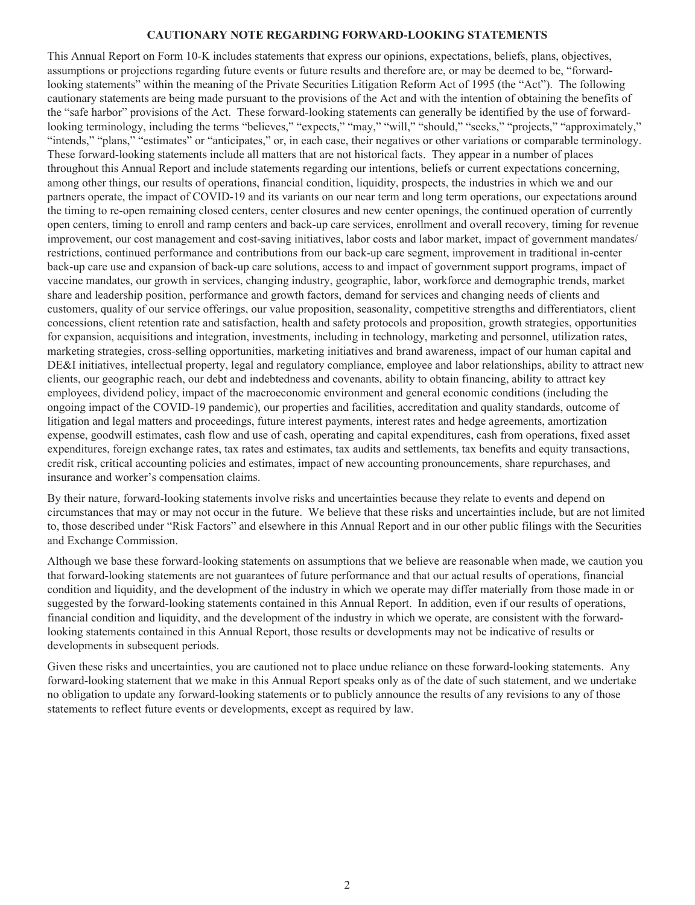#### **CAUTIONARY NOTE REGARDING FORWARD-LOOKING STATEMENTS**

This Annual Report on Form 10-K includes statements that express our opinions, expectations, beliefs, plans, objectives, assumptions or projections regarding future events or future results and therefore are, or may be deemed to be, "forwardlooking statements" within the meaning of the Private Securities Litigation Reform Act of 1995 (the "Act"). The following cautionary statements are being made pursuant to the provisions of the Act and with the intention of obtaining the benefits of the "safe harbor" provisions of the Act. These forward-looking statements can generally be identified by the use of forwardlooking terminology, including the terms "believes," "expects," "may," "will," "should," "seeks," "projects," "approximately," "intends," "plans," "estimates" or "anticipates," or, in each case, their negatives or other variations or comparable terminology. These forward-looking statements include all matters that are not historical facts. They appear in a number of places throughout this Annual Report and include statements regarding our intentions, beliefs or current expectations concerning, among other things, our results of operations, financial condition, liquidity, prospects, the industries in which we and our partners operate, the impact of COVID-19 and its variants on our near term and long term operations, our expectations around the timing to re-open remaining closed centers, center closures and new center openings, the continued operation of currently open centers, timing to enroll and ramp centers and back-up care services, enrollment and overall recovery, timing for revenue improvement, our cost management and cost-saving initiatives, labor costs and labor market, impact of government mandates/ restrictions, continued performance and contributions from our back-up care segment, improvement in traditional in-center back-up care use and expansion of back-up care solutions, access to and impact of government support programs, impact of vaccine mandates, our growth in services, changing industry, geographic, labor, workforce and demographic trends, market share and leadership position, performance and growth factors, demand for services and changing needs of clients and customers, quality of our service offerings, our value proposition, seasonality, competitive strengths and differentiators, client concessions, client retention rate and satisfaction, health and safety protocols and proposition, growth strategies, opportunities for expansion, acquisitions and integration, investments, including in technology, marketing and personnel, utilization rates, marketing strategies, cross-selling opportunities, marketing initiatives and brand awareness, impact of our human capital and DE&I initiatives, intellectual property, legal and regulatory compliance, employee and labor relationships, ability to attract new clients, our geographic reach, our debt and indebtedness and covenants, ability to obtain financing, ability to attract key employees, dividend policy, impact of the macroeconomic environment and general economic conditions (including the ongoing impact of the COVID-19 pandemic), our properties and facilities, accreditation and quality standards, outcome of litigation and legal matters and proceedings, future interest payments, interest rates and hedge agreements, amortization expense, goodwill estimates, cash flow and use of cash, operating and capital expenditures, cash from operations, fixed asset expenditures, foreign exchange rates, tax rates and estimates, tax audits and settlements, tax benefits and equity transactions, credit risk, critical accounting policies and estimates, impact of new accounting pronouncements, share repurchases, and insurance and worker's compensation claims.

By their nature, forward-looking statements involve risks and uncertainties because they relate to events and depend on circumstances that may or may not occur in the future. We believe that these risks and uncertainties include, but are not limited to, those described under "Risk Factors" and elsewhere in this Annual Report and in our other public filings with the Securities and Exchange Commission.

Although we base these forward-looking statements on assumptions that we believe are reasonable when made, we caution you that forward-looking statements are not guarantees of future performance and that our actual results of operations, financial condition and liquidity, and the development of the industry in which we operate may differ materially from those made in or suggested by the forward-looking statements contained in this Annual Report. In addition, even if our results of operations, financial condition and liquidity, and the development of the industry in which we operate, are consistent with the forwardlooking statements contained in this Annual Report, those results or developments may not be indicative of results or developments in subsequent periods.

Given these risks and uncertainties, you are cautioned not to place undue reliance on these forward-looking statements. Any forward-looking statement that we make in this Annual Report speaks only as of the date of such statement, and we undertake no obligation to update any forward-looking statements or to publicly announce the results of any revisions to any of those statements to reflect future events or developments, except as required by law.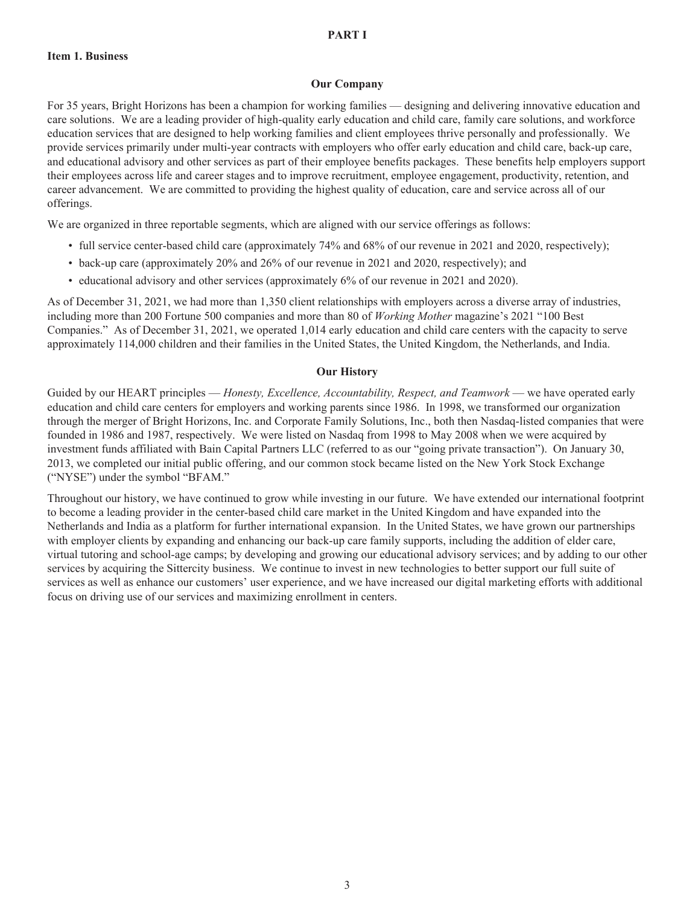#### **Our Company**

For 35 years, Bright Horizons has been a champion for working families — designing and delivering innovative education and care solutions. We are a leading provider of high-quality early education and child care, family care solutions, and workforce education services that are designed to help working families and client employees thrive personally and professionally. We provide services primarily under multi-year contracts with employers who offer early education and child care, back-up care, and educational advisory and other services as part of their employee benefits packages. These benefits help employers support their employees across life and career stages and to improve recruitment, employee engagement, productivity, retention, and career advancement. We are committed to providing the highest quality of education, care and service across all of our offerings.

We are organized in three reportable segments, which are aligned with our service offerings as follows:

- full service center-based child care (approximately 74% and 68% of our revenue in 2021 and 2020, respectively);
- back-up care (approximately 20% and 26% of our revenue in 2021 and 2020, respectively); and
- educational advisory and other services (approximately 6% of our revenue in 2021 and 2020).

As of December 31, 2021, we had more than 1,350 client relationships with employers across a diverse array of industries, including more than 200 Fortune 500 companies and more than 80 of *Working Mother* magazine's 2021 "100 Best Companies." As of December 31, 2021, we operated 1,014 early education and child care centers with the capacity to serve approximately 114,000 children and their families in the United States, the United Kingdom, the Netherlands, and India.

#### **Our History**

Guided by our HEART principles — *Honesty, Excellence, Accountability, Respect, and Teamwork* — we have operated early education and child care centers for employers and working parents since 1986. In 1998, we transformed our organization through the merger of Bright Horizons, Inc. and Corporate Family Solutions, Inc., both then Nasdaq-listed companies that were founded in 1986 and 1987, respectively. We were listed on Nasdaq from 1998 to May 2008 when we were acquired by investment funds affiliated with Bain Capital Partners LLC (referred to as our "going private transaction"). On January 30, 2013, we completed our initial public offering, and our common stock became listed on the New York Stock Exchange ("NYSE") under the symbol "BFAM."

Throughout our history, we have continued to grow while investing in our future. We have extended our international footprint to become a leading provider in the center-based child care market in the United Kingdom and have expanded into the Netherlands and India as a platform for further international expansion. In the United States, we have grown our partnerships with employer clients by expanding and enhancing our back-up care family supports, including the addition of elder care, virtual tutoring and school-age camps; by developing and growing our educational advisory services; and by adding to our other services by acquiring the Sittercity business. We continue to invest in new technologies to better support our full suite of services as well as enhance our customers' user experience, and we have increased our digital marketing efforts with additional focus on driving use of our services and maximizing enrollment in centers.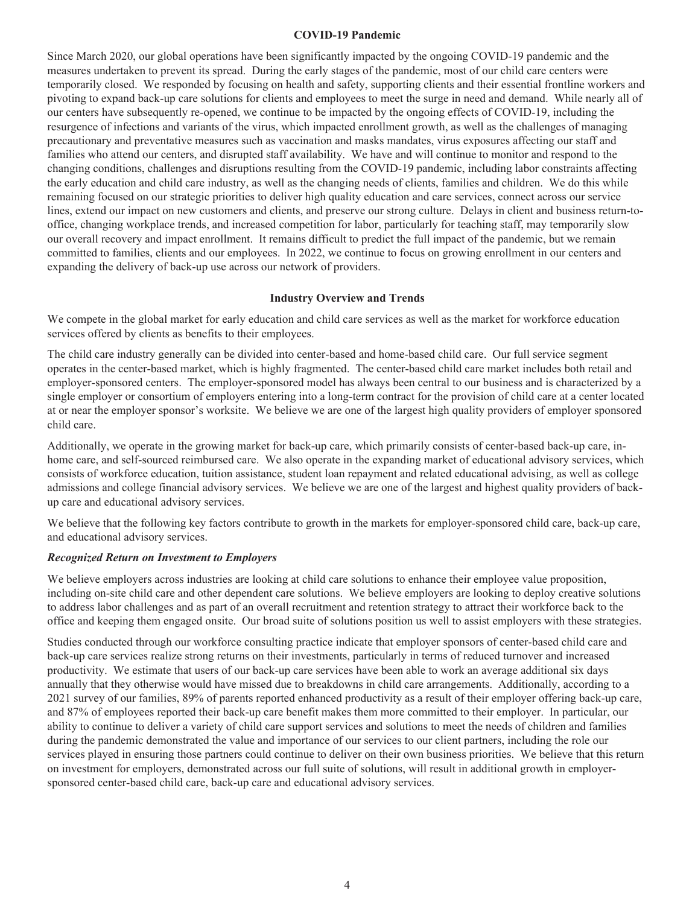#### **COVID-19 Pandemic**

Since March 2020, our global operations have been significantly impacted by the ongoing COVID-19 pandemic and the measures undertaken to prevent its spread. During the early stages of the pandemic, most of our child care centers were temporarily closed. We responded by focusing on health and safety, supporting clients and their essential frontline workers and pivoting to expand back-up care solutions for clients and employees to meet the surge in need and demand. While nearly all of our centers have subsequently re-opened, we continue to be impacted by the ongoing effects of COVID-19, including the resurgence of infections and variants of the virus, which impacted enrollment growth, as well as the challenges of managing precautionary and preventative measures such as vaccination and masks mandates, virus exposures affecting our staff and families who attend our centers, and disrupted staff availability. We have and will continue to monitor and respond to the changing conditions, challenges and disruptions resulting from the COVID-19 pandemic, including labor constraints affecting the early education and child care industry, as well as the changing needs of clients, families and children. We do this while remaining focused on our strategic priorities to deliver high quality education and care services, connect across our service lines, extend our impact on new customers and clients, and preserve our strong culture. Delays in client and business return-tooffice, changing workplace trends, and increased competition for labor, particularly for teaching staff, may temporarily slow our overall recovery and impact enrollment. It remains difficult to predict the full impact of the pandemic, but we remain committed to families, clients and our employees. In 2022, we continue to focus on growing enrollment in our centers and expanding the delivery of back-up use across our network of providers.

#### **Industry Overview and Trends**

We compete in the global market for early education and child care services as well as the market for workforce education services offered by clients as benefits to their employees.

The child care industry generally can be divided into center-based and home-based child care. Our full service segment operates in the center-based market, which is highly fragmented. The center-based child care market includes both retail and employer-sponsored centers. The employer-sponsored model has always been central to our business and is characterized by a single employer or consortium of employers entering into a long-term contract for the provision of child care at a center located at or near the employer sponsor's worksite. We believe we are one of the largest high quality providers of employer sponsored child care.

Additionally, we operate in the growing market for back-up care, which primarily consists of center-based back-up care, inhome care, and self-sourced reimbursed care. We also operate in the expanding market of educational advisory services, which consists of workforce education, tuition assistance, student loan repayment and related educational advising, as well as college admissions and college financial advisory services. We believe we are one of the largest and highest quality providers of backup care and educational advisory services.

We believe that the following key factors contribute to growth in the markets for employer-sponsored child care, back-up care, and educational advisory services.

#### *Recognized Return on Investment to Employers*

We believe employers across industries are looking at child care solutions to enhance their employee value proposition, including on-site child care and other dependent care solutions. We believe employers are looking to deploy creative solutions to address labor challenges and as part of an overall recruitment and retention strategy to attract their workforce back to the office and keeping them engaged onsite. Our broad suite of solutions position us well to assist employers with these strategies.

Studies conducted through our workforce consulting practice indicate that employer sponsors of center-based child care and back-up care services realize strong returns on their investments, particularly in terms of reduced turnover and increased productivity. We estimate that users of our back-up care services have been able to work an average additional six days annually that they otherwise would have missed due to breakdowns in child care arrangements. Additionally, according to a 2021 survey of our families, 89% of parents reported enhanced productivity as a result of their employer offering back-up care, and 87% of employees reported their back-up care benefit makes them more committed to their employer. In particular, our ability to continue to deliver a variety of child care support services and solutions to meet the needs of children and families during the pandemic demonstrated the value and importance of our services to our client partners, including the role our services played in ensuring those partners could continue to deliver on their own business priorities. We believe that this return on investment for employers, demonstrated across our full suite of solutions, will result in additional growth in employersponsored center-based child care, back-up care and educational advisory services.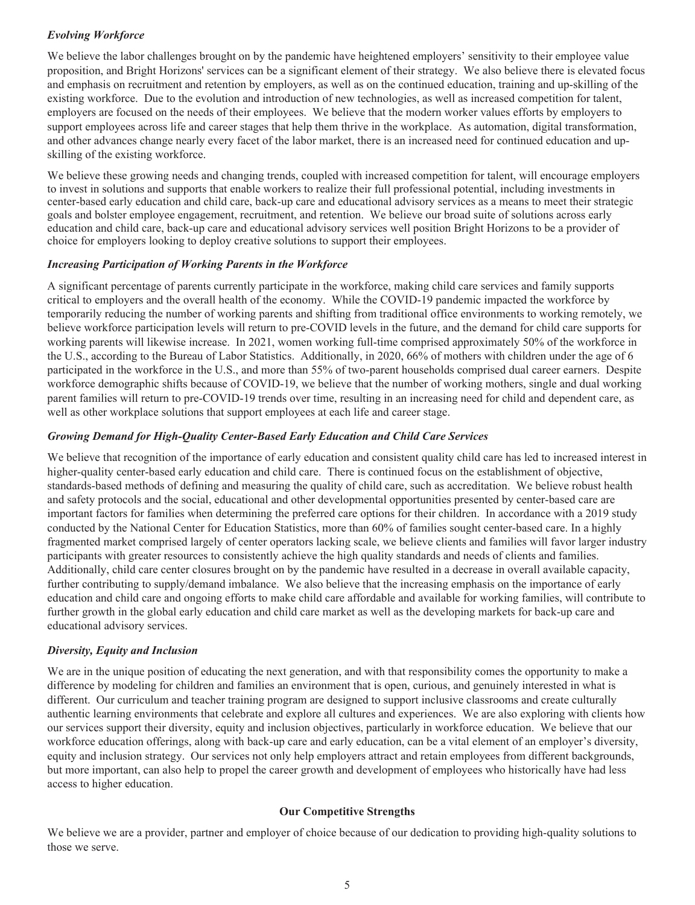# *Evolving Workforce*

We believe the labor challenges brought on by the pandemic have heightened employers' sensitivity to their employee value proposition, and Bright Horizons' services can be a significant element of their strategy. We also believe there is elevated focus and emphasis on recruitment and retention by employers, as well as on the continued education, training and up-skilling of the existing workforce. Due to the evolution and introduction of new technologies, as well as increased competition for talent, employers are focused on the needs of their employees. We believe that the modern worker values efforts by employers to support employees across life and career stages that help them thrive in the workplace. As automation, digital transformation, and other advances change nearly every facet of the labor market, there is an increased need for continued education and upskilling of the existing workforce.

We believe these growing needs and changing trends, coupled with increased competition for talent, will encourage employers to invest in solutions and supports that enable workers to realize their full professional potential, including investments in center-based early education and child care, back-up care and educational advisory services as a means to meet their strategic goals and bolster employee engagement, recruitment, and retention. We believe our broad suite of solutions across early education and child care, back-up care and educational advisory services well position Bright Horizons to be a provider of choice for employers looking to deploy creative solutions to support their employees.

# *Increasing Participation of Working Parents in the Workforce*

A significant percentage of parents currently participate in the workforce, making child care services and family supports critical to employers and the overall health of the economy. While the COVID-19 pandemic impacted the workforce by temporarily reducing the number of working parents and shifting from traditional office environments to working remotely, we believe workforce participation levels will return to pre-COVID levels in the future, and the demand for child care supports for working parents will likewise increase. In 2021, women working full-time comprised approximately 50% of the workforce in the U.S., according to the Bureau of Labor Statistics. Additionally, in 2020, 66% of mothers with children under the age of 6 participated in the workforce in the U.S., and more than 55% of two-parent households comprised dual career earners. Despite workforce demographic shifts because of COVID-19, we believe that the number of working mothers, single and dual working parent families will return to pre-COVID-19 trends over time, resulting in an increasing need for child and dependent care, as well as other workplace solutions that support employees at each life and career stage.

# *Growing Demand for High-Quality Center-Based Early Education and Child Care Services*

We believe that recognition of the importance of early education and consistent quality child care has led to increased interest in higher-quality center-based early education and child care. There is continued focus on the establishment of objective, standards-based methods of defining and measuring the quality of child care, such as accreditation. We believe robust health and safety protocols and the social, educational and other developmental opportunities presented by center-based care are important factors for families when determining the preferred care options for their children. In accordance with a 2019 study conducted by the National Center for Education Statistics, more than 60% of families sought center-based care. In a highly fragmented market comprised largely of center operators lacking scale, we believe clients and families will favor larger industry participants with greater resources to consistently achieve the high quality standards and needs of clients and families. Additionally, child care center closures brought on by the pandemic have resulted in a decrease in overall available capacity, further contributing to supply/demand imbalance. We also believe that the increasing emphasis on the importance of early education and child care and ongoing efforts to make child care affordable and available for working families, will contribute to further growth in the global early education and child care market as well as the developing markets for back-up care and educational advisory services.

# *Diversity, Equity and Inclusion*

We are in the unique position of educating the next generation, and with that responsibility comes the opportunity to make a difference by modeling for children and families an environment that is open, curious, and genuinely interested in what is different. Our curriculum and teacher training program are designed to support inclusive classrooms and create culturally authentic learning environments that celebrate and explore all cultures and experiences. We are also exploring with clients how our services support their diversity, equity and inclusion objectives, particularly in workforce education. We believe that our workforce education offerings, along with back-up care and early education, can be a vital element of an employer's diversity, equity and inclusion strategy. Our services not only help employers attract and retain employees from different backgrounds, but more important, can also help to propel the career growth and development of employees who historically have had less access to higher education.

# **Our Competitive Strengths**

We believe we are a provider, partner and employer of choice because of our dedication to providing high-quality solutions to those we serve.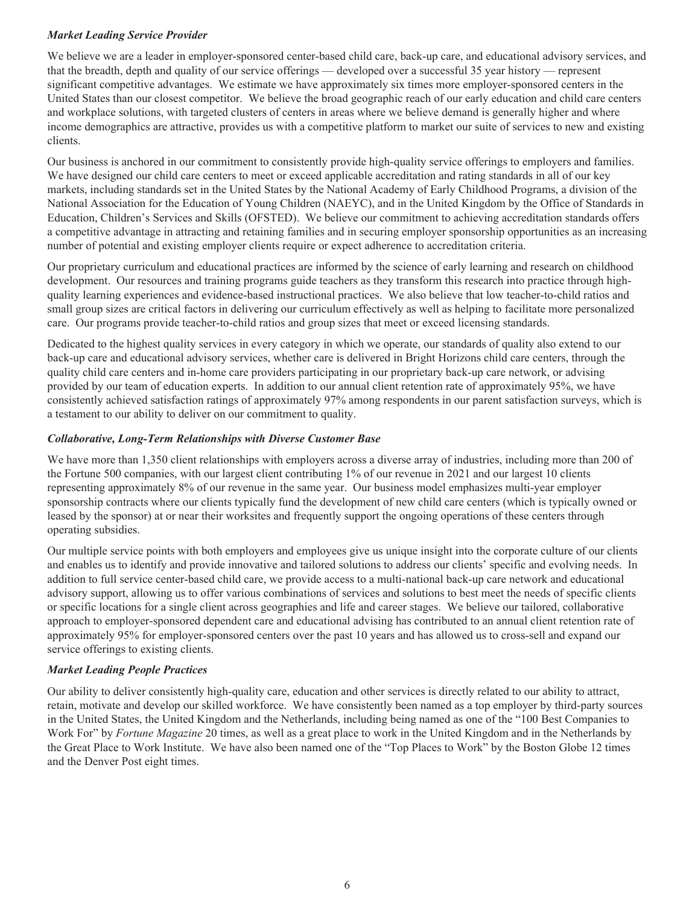# *Market Leading Service Provider*

We believe we are a leader in employer-sponsored center-based child care, back-up care, and educational advisory services, and that the breadth, depth and quality of our service offerings — developed over a successful 35 year history — represent significant competitive advantages. We estimate we have approximately six times more employer-sponsored centers in the United States than our closest competitor. We believe the broad geographic reach of our early education and child care centers and workplace solutions, with targeted clusters of centers in areas where we believe demand is generally higher and where income demographics are attractive, provides us with a competitive platform to market our suite of services to new and existing clients.

Our business is anchored in our commitment to consistently provide high-quality service offerings to employers and families. We have designed our child care centers to meet or exceed applicable accreditation and rating standards in all of our key markets, including standards set in the United States by the National Academy of Early Childhood Programs, a division of the National Association for the Education of Young Children (NAEYC), and in the United Kingdom by the Office of Standards in Education, Children's Services and Skills (OFSTED). We believe our commitment to achieving accreditation standards offers a competitive advantage in attracting and retaining families and in securing employer sponsorship opportunities as an increasing number of potential and existing employer clients require or expect adherence to accreditation criteria.

Our proprietary curriculum and educational practices are informed by the science of early learning and research on childhood development. Our resources and training programs guide teachers as they transform this research into practice through highquality learning experiences and evidence-based instructional practices. We also believe that low teacher-to-child ratios and small group sizes are critical factors in delivering our curriculum effectively as well as helping to facilitate more personalized care. Our programs provide teacher-to-child ratios and group sizes that meet or exceed licensing standards.

Dedicated to the highest quality services in every category in which we operate, our standards of quality also extend to our back-up care and educational advisory services, whether care is delivered in Bright Horizons child care centers, through the quality child care centers and in-home care providers participating in our proprietary back-up care network, or advising provided by our team of education experts. In addition to our annual client retention rate of approximately 95%, we have consistently achieved satisfaction ratings of approximately 97% among respondents in our parent satisfaction surveys, which is a testament to our ability to deliver on our commitment to quality.

## *Collaborative, Long-Term Relationships with Diverse Customer Base*

We have more than 1,350 client relationships with employers across a diverse array of industries, including more than 200 of the Fortune 500 companies, with our largest client contributing 1% of our revenue in 2021 and our largest 10 clients representing approximately 8% of our revenue in the same year. Our business model emphasizes multi-year employer sponsorship contracts where our clients typically fund the development of new child care centers (which is typically owned or leased by the sponsor) at or near their worksites and frequently support the ongoing operations of these centers through operating subsidies.

Our multiple service points with both employers and employees give us unique insight into the corporate culture of our clients and enables us to identify and provide innovative and tailored solutions to address our clients' specific and evolving needs. In addition to full service center-based child care, we provide access to a multi-national back-up care network and educational advisory support, allowing us to offer various combinations of services and solutions to best meet the needs of specific clients or specific locations for a single client across geographies and life and career stages. We believe our tailored, collaborative approach to employer-sponsored dependent care and educational advising has contributed to an annual client retention rate of approximately 95% for employer-sponsored centers over the past 10 years and has allowed us to cross-sell and expand our service offerings to existing clients.

# *Market Leading People Practices*

Our ability to deliver consistently high-quality care, education and other services is directly related to our ability to attract, retain, motivate and develop our skilled workforce. We have consistently been named as a top employer by third-party sources in the United States, the United Kingdom and the Netherlands, including being named as one of the "100 Best Companies to Work For" by *Fortune Magazine* 20 times, as well as a great place to work in the United Kingdom and in the Netherlands by the Great Place to Work Institute. We have also been named one of the "Top Places to Work" by the Boston Globe 12 times and the Denver Post eight times.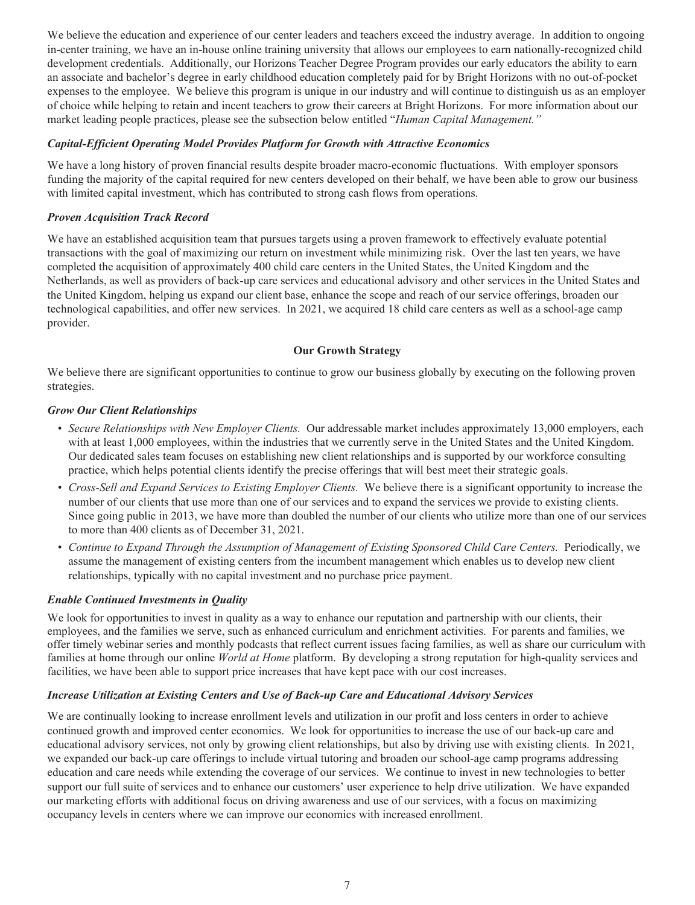We believe the education and experience of our center leaders and teachers exceed the industry average. In addition to ongoing in-center training, we have an in-house online training university that allows our employees to earn nationally-recognized child development credentials. Additionally, our Horizons Teacher Degree Program provides our early educators the ability to earn an associate and bachelor's degree in early childhood education completely paid for by Bright Horizons with no out-of-pocket expenses to the employee. We believe this program is unique in our industry and will continue to distinguish us as an employer of choice while helping to retain and incent teachers to grow their careers at Bright Horizons. For more information about our market leading people practices, please see the subsection below entitled "*Human Capital Management."*

# *Capital-Efficient Operating Model Provides Platform for Growth with Attractive Economics*

We have a long history of proven financial results despite broader macro-economic fluctuations. With employer sponsors funding the majority of the capital required for new centers developed on their behalf, we have been able to grow our business with limited capital investment, which has contributed to strong cash flows from operations.

## *Proven Acquisition Track Record*

We have an established acquisition team that pursues targets using a proven framework to effectively evaluate potential transactions with the goal of maximizing our return on investment while minimizing risk. Over the last ten years, we have completed the acquisition of approximately 400 child care centers in the United States, the United Kingdom and the Netherlands, as well as providers of back-up care services and educational advisory and other services in the United States and the United Kingdom, helping us expand our client base, enhance the scope and reach of our service offerings, broaden our technological capabilities, and offer new services. In 2021, we acquired 18 child care centers as well as a school-age camp provider.

## **Our Growth Strategy**

We believe there are significant opportunities to continue to grow our business globally by executing on the following proven strategies.

#### *Grow Our Client Relationships*

- *Secure Relationships with New Employer Clients.* Our addressable market includes approximately 13,000 employers, each with at least 1,000 employees, within the industries that we currently serve in the United States and the United Kingdom. Our dedicated sales team focuses on establishing new client relationships and is supported by our workforce consulting practice, which helps potential clients identify the precise offerings that will best meet their strategic goals.
- *Cross-Sell and Expand Services to Existing Employer Clients.* We believe there is a significant opportunity to increase the number of our clients that use more than one of our services and to expand the services we provide to existing clients. Since going public in 2013, we have more than doubled the number of our clients who utilize more than one of our services to more than 400 clients as of December 31, 2021.
- *Continue to Expand Through the Assumption of Management of Existing Sponsored Child Care Centers.* Periodically, we assume the management of existing centers from the incumbent management which enables us to develop new client relationships, typically with no capital investment and no purchase price payment.

# *Enable Continued Investments in Quality*

We look for opportunities to invest in quality as a way to enhance our reputation and partnership with our clients, their employees, and the families we serve, such as enhanced curriculum and enrichment activities. For parents and families, we offer timely webinar series and monthly podcasts that reflect current issues facing families, as well as share our curriculum with families at home through our online *World at Home* platform. By developing a strong reputation for high-quality services and facilities, we have been able to support price increases that have kept pace with our cost increases.

#### *Increase Utilization at Existing Centers and Use of Back-up Care and Educational Advisory Services*

We are continually looking to increase enrollment levels and utilization in our profit and loss centers in order to achieve continued growth and improved center economics. We look for opportunities to increase the use of our back-up care and educational advisory services, not only by growing client relationships, but also by driving use with existing clients. In 2021, we expanded our back-up care offerings to include virtual tutoring and broaden our school-age camp programs addressing education and care needs while extending the coverage of our services. We continue to invest in new technologies to better support our full suite of services and to enhance our customers' user experience to help drive utilization. We have expanded our marketing efforts with additional focus on driving awareness and use of our services, with a focus on maximizing occupancy levels in centers where we can improve our economics with increased enrollment.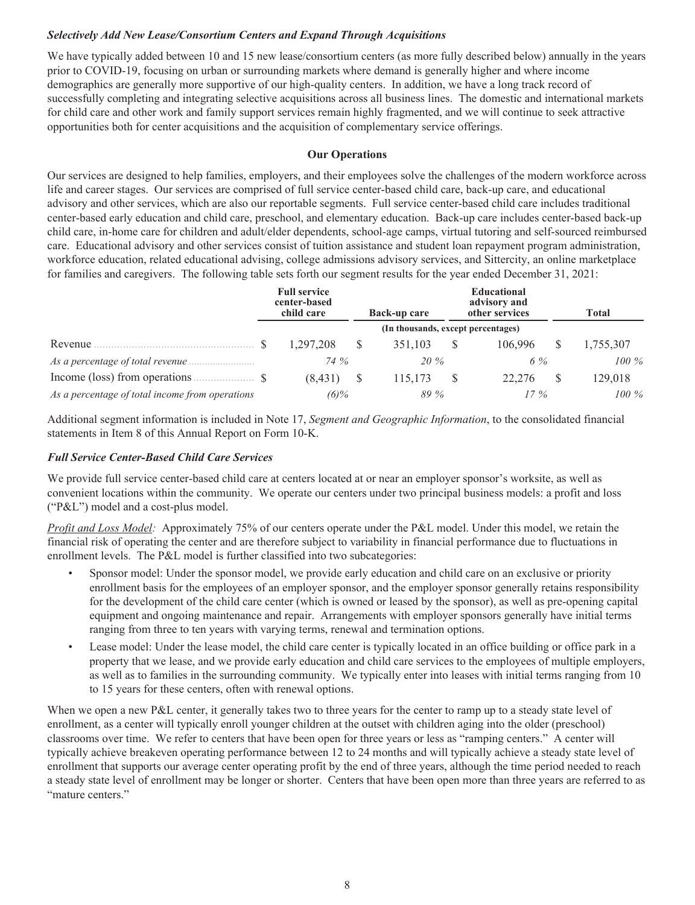# *Selectively Add New Lease/Consortium Centers and Expand Through Acquisitions*

We have typically added between 10 and 15 new lease/consortium centers (as more fully described below) annually in the years prior to COVID-19, focusing on urban or surrounding markets where demand is generally higher and where income demographics are generally more supportive of our high-quality centers. In addition, we have a long track record of successfully completing and integrating selective acquisitions across all business lines. The domestic and international markets for child care and other work and family support services remain highly fragmented, and we will continue to seek attractive opportunities both for center acquisitions and the acquisition of complementary service offerings.

## **Our Operations**

Our services are designed to help families, employers, and their employees solve the challenges of the modern workforce across life and career stages. Our services are comprised of full service center-based child care, back-up care, and educational advisory and other services, which are also our reportable segments. Full service center-based child care includes traditional center-based early education and child care, preschool, and elementary education. Back-up care includes center-based back-up child care, in-home care for children and adult/elder dependents, school-age camps, virtual tutoring and self-sourced reimbursed care. Educational advisory and other services consist of tuition assistance and student loan repayment program administration, workforce education, related educational advising, college admissions advisory services, and Sittercity, an online marketplace for families and caregivers. The following table sets forth our segment results for the year ended December 31, 2021:

|                                                 | <b>Full service</b><br>center-based<br>child care | Back-up care                       | <b>Total</b> |           |
|-------------------------------------------------|---------------------------------------------------|------------------------------------|--------------|-----------|
|                                                 |                                                   | (In thousands, except percentages) |              |           |
|                                                 | 1.297.208                                         | 351.103                            | 106.996      | 1,755,307 |
|                                                 | 74 %                                              | $20\%$                             | 6%           | $100\%$   |
|                                                 | (8.431)                                           | 115.173                            | 22,276       | 129,018   |
| As a percentage of total income from operations | $(6)\%$                                           | 89 %                               | $17\%$       | $100\%$   |

Additional segment information is included in Note 17, *Segment and Geographic Information*, to the consolidated financial statements in Item 8 of this Annual Report on Form 10-K.

# *Full Service Center-Based Child Care Services*

We provide full service center-based child care at centers located at or near an employer sponsor's worksite, as well as convenient locations within the community. We operate our centers under two principal business models: a profit and loss ("P&L") model and a cost-plus model.

*Profit and Loss Model:* Approximately 75% of our centers operate under the P&L model. Under this model, we retain the financial risk of operating the center and are therefore subject to variability in financial performance due to fluctuations in enrollment levels. The P&L model is further classified into two subcategories:

- Sponsor model: Under the sponsor model, we provide early education and child care on an exclusive or priority enrollment basis for the employees of an employer sponsor, and the employer sponsor generally retains responsibility for the development of the child care center (which is owned or leased by the sponsor), as well as pre-opening capital equipment and ongoing maintenance and repair. Arrangements with employer sponsors generally have initial terms ranging from three to ten years with varying terms, renewal and termination options.
- Lease model: Under the lease model, the child care center is typically located in an office building or office park in a property that we lease, and we provide early education and child care services to the employees of multiple employers, as well as to families in the surrounding community. We typically enter into leases with initial terms ranging from 10 to 15 years for these centers, often with renewal options.

When we open a new P&L center, it generally takes two to three years for the center to ramp up to a steady state level of enrollment, as a center will typically enroll younger children at the outset with children aging into the older (preschool) classrooms over time. We refer to centers that have been open for three years or less as "ramping centers." A center will typically achieve breakeven operating performance between 12 to 24 months and will typically achieve a steady state level of enrollment that supports our average center operating profit by the end of three years, although the time period needed to reach a steady state level of enrollment may be longer or shorter. Centers that have been open more than three years are referred to as "mature centers"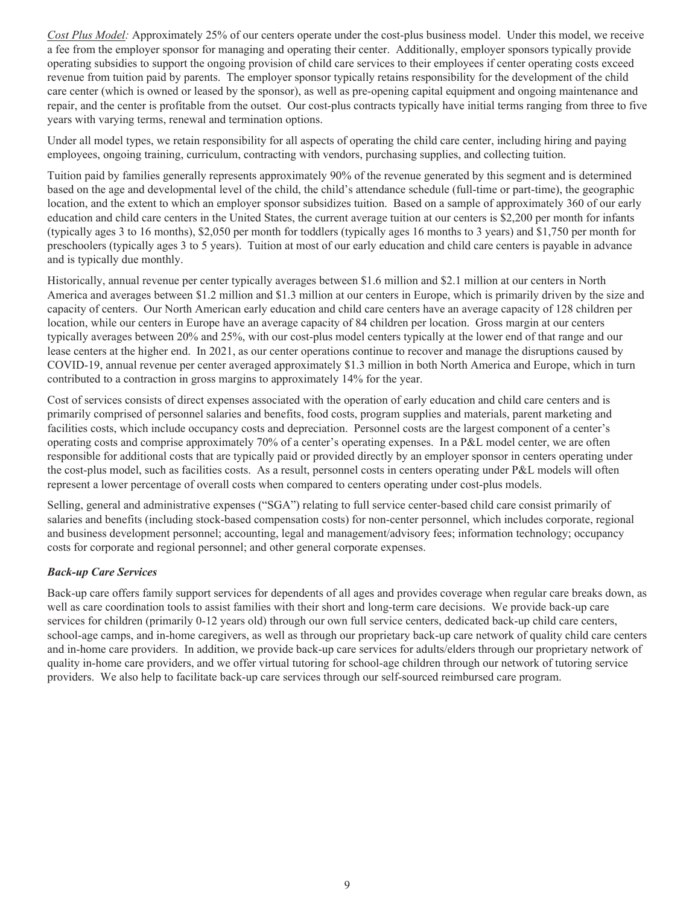*Cost Plus Model:* Approximately 25% of our centers operate under the cost-plus business model. Under this model, we receive a fee from the employer sponsor for managing and operating their center. Additionally, employer sponsors typically provide operating subsidies to support the ongoing provision of child care services to their employees if center operating costs exceed revenue from tuition paid by parents. The employer sponsor typically retains responsibility for the development of the child care center (which is owned or leased by the sponsor), as well as pre-opening capital equipment and ongoing maintenance and repair, and the center is profitable from the outset. Our cost-plus contracts typically have initial terms ranging from three to five years with varying terms, renewal and termination options.

Under all model types, we retain responsibility for all aspects of operating the child care center, including hiring and paying employees, ongoing training, curriculum, contracting with vendors, purchasing supplies, and collecting tuition.

Tuition paid by families generally represents approximately 90% of the revenue generated by this segment and is determined based on the age and developmental level of the child, the child's attendance schedule (full-time or part-time), the geographic location, and the extent to which an employer sponsor subsidizes tuition. Based on a sample of approximately 360 of our early education and child care centers in the United States, the current average tuition at our centers is \$2,200 per month for infants (typically ages 3 to 16 months), \$2,050 per month for toddlers (typically ages 16 months to 3 years) and \$1,750 per month for preschoolers (typically ages 3 to 5 years). Tuition at most of our early education and child care centers is payable in advance and is typically due monthly.

Historically, annual revenue per center typically averages between \$1.6 million and \$2.1 million at our centers in North America and averages between \$1.2 million and \$1.3 million at our centers in Europe, which is primarily driven by the size and capacity of centers. Our North American early education and child care centers have an average capacity of 128 children per location, while our centers in Europe have an average capacity of 84 children per location. Gross margin at our centers typically averages between 20% and 25%, with our cost-plus model centers typically at the lower end of that range and our lease centers at the higher end. In 2021, as our center operations continue to recover and manage the disruptions caused by COVID-19, annual revenue per center averaged approximately \$1.3 million in both North America and Europe, which in turn contributed to a contraction in gross margins to approximately 14% for the year.

Cost of services consists of direct expenses associated with the operation of early education and child care centers and is primarily comprised of personnel salaries and benefits, food costs, program supplies and materials, parent marketing and facilities costs, which include occupancy costs and depreciation. Personnel costs are the largest component of a center's operating costs and comprise approximately 70% of a center's operating expenses. In a P&L model center, we are often responsible for additional costs that are typically paid or provided directly by an employer sponsor in centers operating under the cost-plus model, such as facilities costs. As a result, personnel costs in centers operating under P&L models will often represent a lower percentage of overall costs when compared to centers operating under cost-plus models.

Selling, general and administrative expenses ("SGA") relating to full service center-based child care consist primarily of salaries and benefits (including stock-based compensation costs) for non-center personnel, which includes corporate, regional and business development personnel; accounting, legal and management/advisory fees; information technology; occupancy costs for corporate and regional personnel; and other general corporate expenses.

# *Back-up Care Services*

Back-up care offers family support services for dependents of all ages and provides coverage when regular care breaks down, as well as care coordination tools to assist families with their short and long-term care decisions. We provide back-up care services for children (primarily 0-12 years old) through our own full service centers, dedicated back-up child care centers, school-age camps, and in-home caregivers, as well as through our proprietary back-up care network of quality child care centers and in-home care providers. In addition, we provide back-up care services for adults/elders through our proprietary network of quality in-home care providers, and we offer virtual tutoring for school-age children through our network of tutoring service providers. We also help to facilitate back-up care services through our self-sourced reimbursed care program.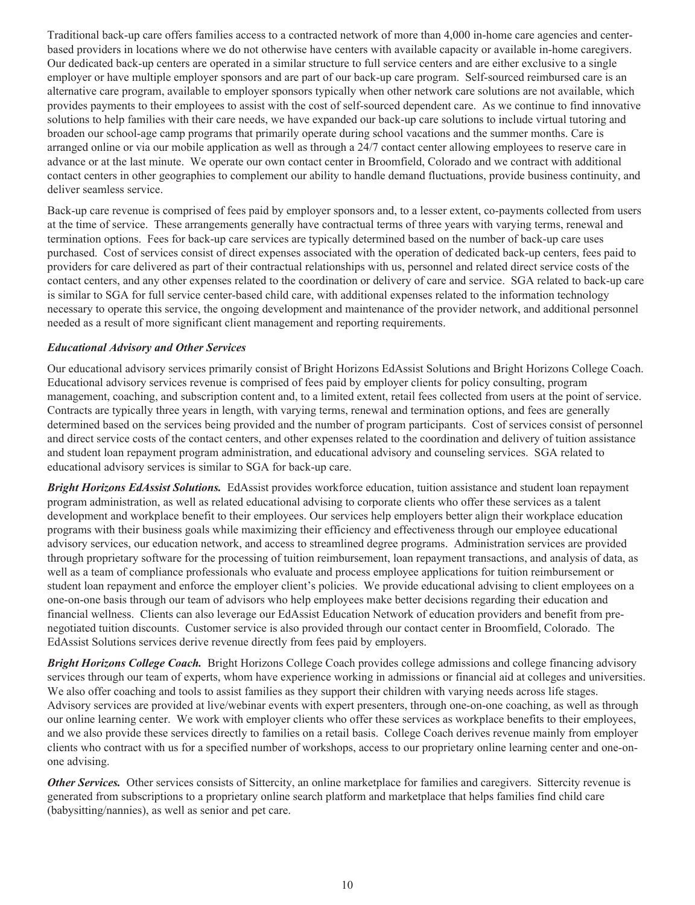Traditional back-up care offers families access to a contracted network of more than 4,000 in-home care agencies and centerbased providers in locations where we do not otherwise have centers with available capacity or available in-home caregivers. Our dedicated back-up centers are operated in a similar structure to full service centers and are either exclusive to a single employer or have multiple employer sponsors and are part of our back-up care program. Self-sourced reimbursed care is an alternative care program, available to employer sponsors typically when other network care solutions are not available, which provides payments to their employees to assist with the cost of self-sourced dependent care. As we continue to find innovative solutions to help families with their care needs, we have expanded our back-up care solutions to include virtual tutoring and broaden our school-age camp programs that primarily operate during school vacations and the summer months. Care is arranged online or via our mobile application as well as through a 24/7 contact center allowing employees to reserve care in advance or at the last minute. We operate our own contact center in Broomfield, Colorado and we contract with additional contact centers in other geographies to complement our ability to handle demand fluctuations, provide business continuity, and deliver seamless service.

Back-up care revenue is comprised of fees paid by employer sponsors and, to a lesser extent, co-payments collected from users at the time of service. These arrangements generally have contractual terms of three years with varying terms, renewal and termination options. Fees for back-up care services are typically determined based on the number of back-up care uses purchased. Cost of services consist of direct expenses associated with the operation of dedicated back-up centers, fees paid to providers for care delivered as part of their contractual relationships with us, personnel and related direct service costs of the contact centers, and any other expenses related to the coordination or delivery of care and service. SGA related to back-up care is similar to SGA for full service center-based child care, with additional expenses related to the information technology necessary to operate this service, the ongoing development and maintenance of the provider network, and additional personnel needed as a result of more significant client management and reporting requirements.

## *Educational Advisory and Other Services*

Our educational advisory services primarily consist of Bright Horizons EdAssist Solutions and Bright Horizons College Coach. Educational advisory services revenue is comprised of fees paid by employer clients for policy consulting, program management, coaching, and subscription content and, to a limited extent, retail fees collected from users at the point of service. Contracts are typically three years in length, with varying terms, renewal and termination options, and fees are generally determined based on the services being provided and the number of program participants. Cost of services consist of personnel and direct service costs of the contact centers, and other expenses related to the coordination and delivery of tuition assistance and student loan repayment program administration, and educational advisory and counseling services. SGA related to educational advisory services is similar to SGA for back-up care.

*Bright Horizons EdAssist Solutions.* EdAssist provides workforce education, tuition assistance and student loan repayment program administration, as well as related educational advising to corporate clients who offer these services as a talent development and workplace benefit to their employees. Our services help employers better align their workplace education programs with their business goals while maximizing their efficiency and effectiveness through our employee educational advisory services, our education network, and access to streamlined degree programs. Administration services are provided through proprietary software for the processing of tuition reimbursement, loan repayment transactions, and analysis of data, as well as a team of compliance professionals who evaluate and process employee applications for tuition reimbursement or student loan repayment and enforce the employer client's policies. We provide educational advising to client employees on a one-on-one basis through our team of advisors who help employees make better decisions regarding their education and financial wellness. Clients can also leverage our EdAssist Education Network of education providers and benefit from prenegotiated tuition discounts. Customer service is also provided through our contact center in Broomfield, Colorado. The EdAssist Solutions services derive revenue directly from fees paid by employers.

*Bright Horizons College Coach.* Bright Horizons College Coach provides college admissions and college financing advisory services through our team of experts, whom have experience working in admissions or financial aid at colleges and universities. We also offer coaching and tools to assist families as they support their children with varying needs across life stages. Advisory services are provided at live/webinar events with expert presenters, through one-on-one coaching, as well as through our online learning center. We work with employer clients who offer these services as workplace benefits to their employees, and we also provide these services directly to families on a retail basis. College Coach derives revenue mainly from employer clients who contract with us for a specified number of workshops, access to our proprietary online learning center and one-onone advising.

**Other Services.** Other services consists of Sittercity, an online marketplace for families and caregivers. Sittercity revenue is generated from subscriptions to a proprietary online search platform and marketplace that helps families find child care (babysitting/nannies), as well as senior and pet care.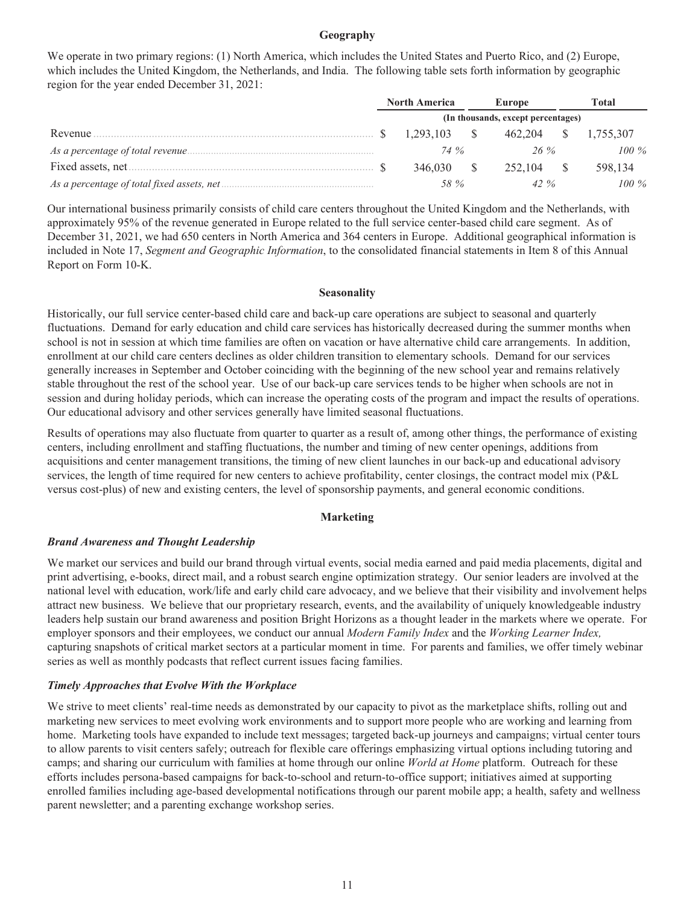#### **Geography**

We operate in two primary regions: (1) North America, which includes the United States and Puerto Rico, and (2) Europe, which includes the United Kingdom, the Netherlands, and India. The following table sets forth information by geographic region for the year ended December 31, 2021:

|          | <b>North America</b> |              | Europe                             | Total |           |  |  |
|----------|----------------------|--------------|------------------------------------|-------|-----------|--|--|
|          |                      |              | (In thousands, except percentages) |       |           |  |  |
| Revenue. |                      | 1.293.103 \$ | 462.204 \$                         |       | 1,755,307 |  |  |
|          |                      | 74 %         | $26\%$                             |       | $100\%$   |  |  |
|          |                      | 346,030 \$   | 252.104 \$                         |       | 598.134   |  |  |
|          |                      | 58 %         | 42 $\%$                            |       | $100\%$   |  |  |

Our international business primarily consists of child care centers throughout the United Kingdom and the Netherlands, with approximately 95% of the revenue generated in Europe related to the full service center-based child care segment. As of December 31, 2021, we had 650 centers in North America and 364 centers in Europe. Additional geographical information is included in Note 17, *Segment and Geographic Information*, to the consolidated financial statements in Item 8 of this Annual Report on Form 10-K.

#### **Seasonality**

Historically, our full service center-based child care and back-up care operations are subject to seasonal and quarterly fluctuations. Demand for early education and child care services has historically decreased during the summer months when school is not in session at which time families are often on vacation or have alternative child care arrangements. In addition, enrollment at our child care centers declines as older children transition to elementary schools. Demand for our services generally increases in September and October coinciding with the beginning of the new school year and remains relatively stable throughout the rest of the school year. Use of our back-up care services tends to be higher when schools are not in session and during holiday periods, which can increase the operating costs of the program and impact the results of operations. Our educational advisory and other services generally have limited seasonal fluctuations.

Results of operations may also fluctuate from quarter to quarter as a result of, among other things, the performance of existing centers, including enrollment and staffing fluctuations, the number and timing of new center openings, additions from acquisitions and center management transitions, the timing of new client launches in our back-up and educational advisory services, the length of time required for new centers to achieve profitability, center closings, the contract model mix (P&L versus cost-plus) of new and existing centers, the level of sponsorship payments, and general economic conditions.

#### **Marketing**

#### *Brand Awareness and Thought Leadership*

We market our services and build our brand through virtual events, social media earned and paid media placements, digital and print advertising, e-books, direct mail, and a robust search engine optimization strategy. Our senior leaders are involved at the national level with education, work/life and early child care advocacy, and we believe that their visibility and involvement helps attract new business. We believe that our proprietary research, events, and the availability of uniquely knowledgeable industry leaders help sustain our brand awareness and position Bright Horizons as a thought leader in the markets where we operate. For employer sponsors and their employees, we conduct our annual *Modern Family Index* and the *Working Learner Index,* capturing snapshots of critical market sectors at a particular moment in time. For parents and families, we offer timely webinar series as well as monthly podcasts that reflect current issues facing families.

#### *Timely Approaches that Evolve With the Workplace*

We strive to meet clients' real-time needs as demonstrated by our capacity to pivot as the marketplace shifts, rolling out and marketing new services to meet evolving work environments and to support more people who are working and learning from home. Marketing tools have expanded to include text messages; targeted back-up journeys and campaigns; virtual center tours to allow parents to visit centers safely; outreach for flexible care offerings emphasizing virtual options including tutoring and camps; and sharing our curriculum with families at home through our online *World at Home* platform. Outreach for these efforts includes persona-based campaigns for back-to-school and return-to-office support; initiatives aimed at supporting enrolled families including age-based developmental notifications through our parent mobile app; a health, safety and wellness parent newsletter; and a parenting exchange workshop series.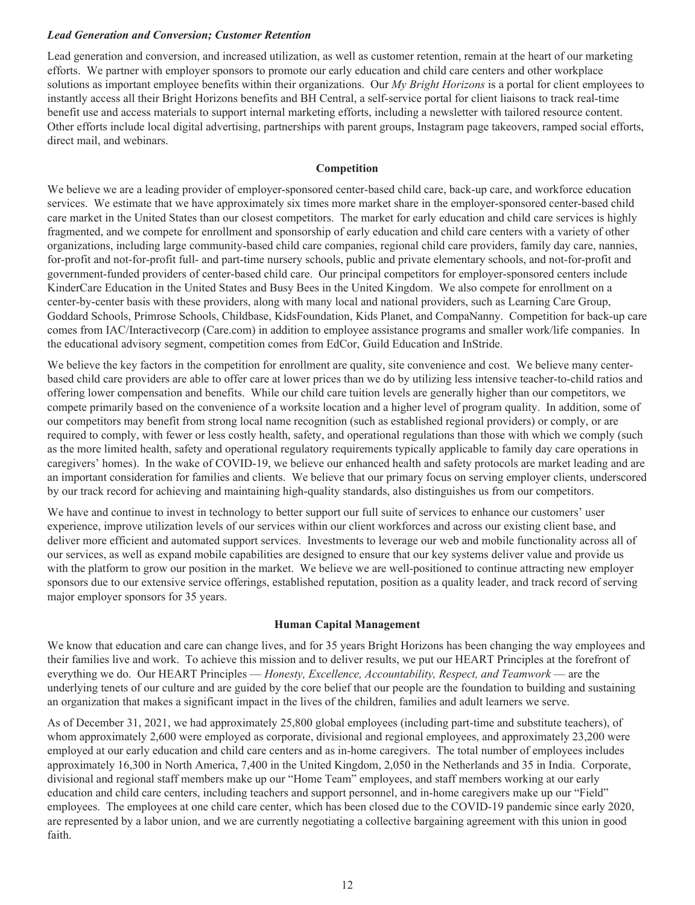# *Lead Generation and Conversion; Customer Retention*

Lead generation and conversion, and increased utilization, as well as customer retention, remain at the heart of our marketing efforts. We partner with employer sponsors to promote our early education and child care centers and other workplace solutions as important employee benefits within their organizations. Our *My Bright Horizons* is a portal for client employees to instantly access all their Bright Horizons benefits and BH Central, a self-service portal for client liaisons to track real-time benefit use and access materials to support internal marketing efforts, including a newsletter with tailored resource content. Other efforts include local digital advertising, partnerships with parent groups, Instagram page takeovers, ramped social efforts, direct mail, and webinars.

## **Competition**

We believe we are a leading provider of employer-sponsored center-based child care, back-up care, and workforce education services. We estimate that we have approximately six times more market share in the employer-sponsored center-based child care market in the United States than our closest competitors. The market for early education and child care services is highly fragmented, and we compete for enrollment and sponsorship of early education and child care centers with a variety of other organizations, including large community-based child care companies, regional child care providers, family day care, nannies, for-profit and not-for-profit full- and part-time nursery schools, public and private elementary schools, and not-for-profit and government-funded providers of center-based child care. Our principal competitors for employer-sponsored centers include KinderCare Education in the United States and Busy Bees in the United Kingdom. We also compete for enrollment on a center-by-center basis with these providers, along with many local and national providers, such as Learning Care Group, Goddard Schools, Primrose Schools, Childbase, KidsFoundation, Kids Planet, and CompaNanny. Competition for back-up care comes from IAC/Interactivecorp (Care.com) in addition to employee assistance programs and smaller work/life companies. In the educational advisory segment, competition comes from EdCor, Guild Education and InStride.

We believe the key factors in the competition for enrollment are quality, site convenience and cost. We believe many centerbased child care providers are able to offer care at lower prices than we do by utilizing less intensive teacher-to-child ratios and offering lower compensation and benefits. While our child care tuition levels are generally higher than our competitors, we compete primarily based on the convenience of a worksite location and a higher level of program quality. In addition, some of our competitors may benefit from strong local name recognition (such as established regional providers) or comply, or are required to comply, with fewer or less costly health, safety, and operational regulations than those with which we comply (such as the more limited health, safety and operational regulatory requirements typically applicable to family day care operations in caregivers' homes). In the wake of COVID-19, we believe our enhanced health and safety protocols are market leading and are an important consideration for families and clients. We believe that our primary focus on serving employer clients, underscored by our track record for achieving and maintaining high-quality standards, also distinguishes us from our competitors.

We have and continue to invest in technology to better support our full suite of services to enhance our customers' user experience, improve utilization levels of our services within our client workforces and across our existing client base, and deliver more efficient and automated support services. Investments to leverage our web and mobile functionality across all of our services, as well as expand mobile capabilities are designed to ensure that our key systems deliver value and provide us with the platform to grow our position in the market. We believe we are well-positioned to continue attracting new employer sponsors due to our extensive service offerings, established reputation, position as a quality leader, and track record of serving major employer sponsors for 35 years.

#### **Human Capital Management**

We know that education and care can change lives, and for 35 years Bright Horizons has been changing the way employees and their families live and work. To achieve this mission and to deliver results, we put our HEART Principles at the forefront of everything we do. Our HEART Principles — *Honesty, Excellence, Accountability, Respect, and Teamwork* — are the underlying tenets of our culture and are guided by the core belief that our people are the foundation to building and sustaining an organization that makes a significant impact in the lives of the children, families and adult learners we serve.

As of December 31, 2021, we had approximately 25,800 global employees (including part-time and substitute teachers), of whom approximately 2,600 were employed as corporate, divisional and regional employees, and approximately 23,200 were employed at our early education and child care centers and as in-home caregivers. The total number of employees includes approximately 16,300 in North America, 7,400 in the United Kingdom, 2,050 in the Netherlands and 35 in India. Corporate, divisional and regional staff members make up our "Home Team" employees, and staff members working at our early education and child care centers, including teachers and support personnel, and in-home caregivers make up our "Field" employees. The employees at one child care center, which has been closed due to the COVID-19 pandemic since early 2020, are represented by a labor union, and we are currently negotiating a collective bargaining agreement with this union in good faith.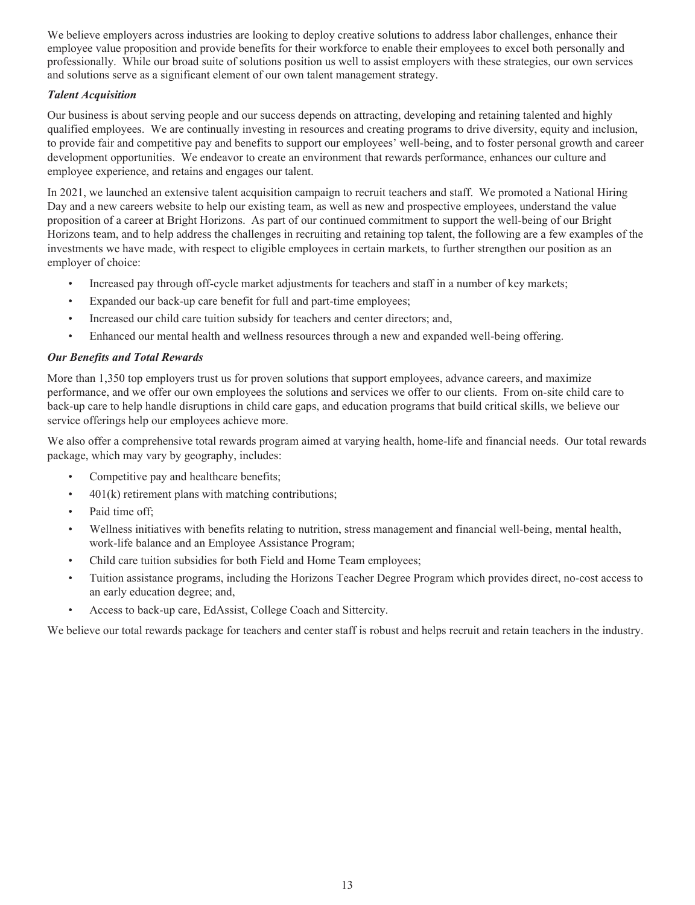We believe employers across industries are looking to deploy creative solutions to address labor challenges, enhance their employee value proposition and provide benefits for their workforce to enable their employees to excel both personally and professionally. While our broad suite of solutions position us well to assist employers with these strategies, our own services and solutions serve as a significant element of our own talent management strategy.

# *Talent Acquisition*

Our business is about serving people and our success depends on attracting, developing and retaining talented and highly qualified employees. We are continually investing in resources and creating programs to drive diversity, equity and inclusion, to provide fair and competitive pay and benefits to support our employees' well-being, and to foster personal growth and career development opportunities. We endeavor to create an environment that rewards performance, enhances our culture and employee experience, and retains and engages our talent.

In 2021, we launched an extensive talent acquisition campaign to recruit teachers and staff. We promoted a National Hiring Day and a new careers website to help our existing team, as well as new and prospective employees, understand the value proposition of a career at Bright Horizons. As part of our continued commitment to support the well-being of our Bright Horizons team, and to help address the challenges in recruiting and retaining top talent, the following are a few examples of the investments we have made, with respect to eligible employees in certain markets, to further strengthen our position as an employer of choice:

- Increased pay through off-cycle market adjustments for teachers and staff in a number of key markets;
- Expanded our back-up care benefit for full and part-time employees;
- Increased our child care tuition subsidy for teachers and center directors; and,
- Enhanced our mental health and wellness resources through a new and expanded well-being offering.

## *Our Benefits and Total Rewards*

More than 1,350 top employers trust us for proven solutions that support employees, advance careers, and maximize performance, and we offer our own employees the solutions and services we offer to our clients. From on-site child care to back-up care to help handle disruptions in child care gaps, and education programs that build critical skills, we believe our service offerings help our employees achieve more.

We also offer a comprehensive total rewards program aimed at varying health, home-life and financial needs. Our total rewards package, which may vary by geography, includes:

- Competitive pay and healthcare benefits;
- 401(k) retirement plans with matching contributions;
- Paid time off;
- Wellness initiatives with benefits relating to nutrition, stress management and financial well-being, mental health, work-life balance and an Employee Assistance Program;
- Child care tuition subsidies for both Field and Home Team employees;
- Tuition assistance programs, including the Horizons Teacher Degree Program which provides direct, no-cost access to an early education degree; and,
- Access to back-up care, EdAssist, College Coach and Sittercity.

We believe our total rewards package for teachers and center staff is robust and helps recruit and retain teachers in the industry.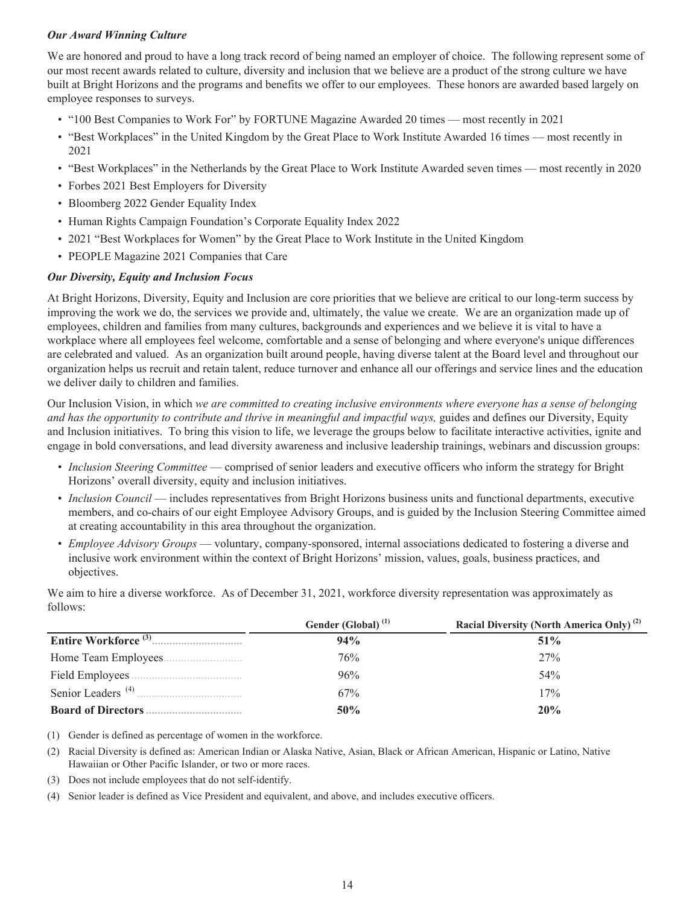# *Our Award Winning Culture*

We are honored and proud to have a long track record of being named an employer of choice. The following represent some of our most recent awards related to culture, diversity and inclusion that we believe are a product of the strong culture we have built at Bright Horizons and the programs and benefits we offer to our employees. These honors are awarded based largely on employee responses to surveys.

- "100 Best Companies to Work For" by FORTUNE Magazine Awarded 20 times most recently in 2021
- "Best Workplaces" in the United Kingdom by the Great Place to Work Institute Awarded 16 times most recently in 2021
- "Best Workplaces" in the Netherlands by the Great Place to Work Institute Awarded seven times most recently in 2020
- Forbes 2021 Best Employers for Diversity
- Bloomberg 2022 Gender Equality Index
- Human Rights Campaign Foundation's Corporate Equality Index 2022
- 2021 "Best Workplaces for Women" by the Great Place to Work Institute in the United Kingdom
- PEOPLE Magazine 2021 Companies that Care

## *Our Diversity, Equity and Inclusion Focus*

At Bright Horizons, Diversity, Equity and Inclusion are core priorities that we believe are critical to our long-term success by improving the work we do, the services we provide and, ultimately, the value we create. We are an organization made up of employees, children and families from many cultures, backgrounds and experiences and we believe it is vital to have a workplace where all employees feel welcome, comfortable and a sense of belonging and where everyone's unique differences are celebrated and valued. As an organization built around people, having diverse talent at the Board level and throughout our organization helps us recruit and retain talent, reduce turnover and enhance all our offerings and service lines and the education we deliver daily to children and families.

Our Inclusion Vision, in which *we are committed to creating inclusive environments where everyone has a sense of belonging and has the opportunity to contribute and thrive in meaningful and impactful ways,* guides and defines our Diversity, Equity and Inclusion initiatives. To bring this vision to life, we leverage the groups below to facilitate interactive activities, ignite and engage in bold conversations, and lead diversity awareness and inclusive leadership trainings, webinars and discussion groups:

- *Inclusion Steering Committee* comprised of senior leaders and executive officers who inform the strategy for Bright Horizons' overall diversity, equity and inclusion initiatives.
- *Inclusion Council* includes representatives from Bright Horizons business units and functional departments, executive members, and co-chairs of our eight Employee Advisory Groups, and is guided by the Inclusion Steering Committee aimed at creating accountability in this area throughout the organization.
- *Employee Advisory Groups* voluntary, company-sponsored, internal associations dedicated to fostering a diverse and inclusive work environment within the context of Bright Horizons' mission, values, goals, business practices, and objectives.

We aim to hire a diverse workforce. As of December 31, 2021, workforce diversity representation was approximately as follows:

|                               | Gender (Global) <sup>(1)</sup> | Racial Diversity (North America Only) <sup>(2)</sup> |
|-------------------------------|--------------------------------|------------------------------------------------------|
|                               | 94%                            | $51\%$                                               |
|                               | 76%                            | 27%                                                  |
|                               | 96%                            | 54%                                                  |
| Senior Leaders <sup>(4)</sup> | 67%                            | 17%                                                  |
|                               | 50%                            | 20%                                                  |

(1) Gender is defined as percentage of women in the workforce.

(2) Racial Diversity is defined as: American Indian or Alaska Native, Asian, Black or African American, Hispanic or Latino, Native Hawaiian or Other Pacific Islander, or two or more races.

(3) Does not include employees that do not self-identify.

(4) Senior leader is defined as Vice President and equivalent, and above, and includes executive officers.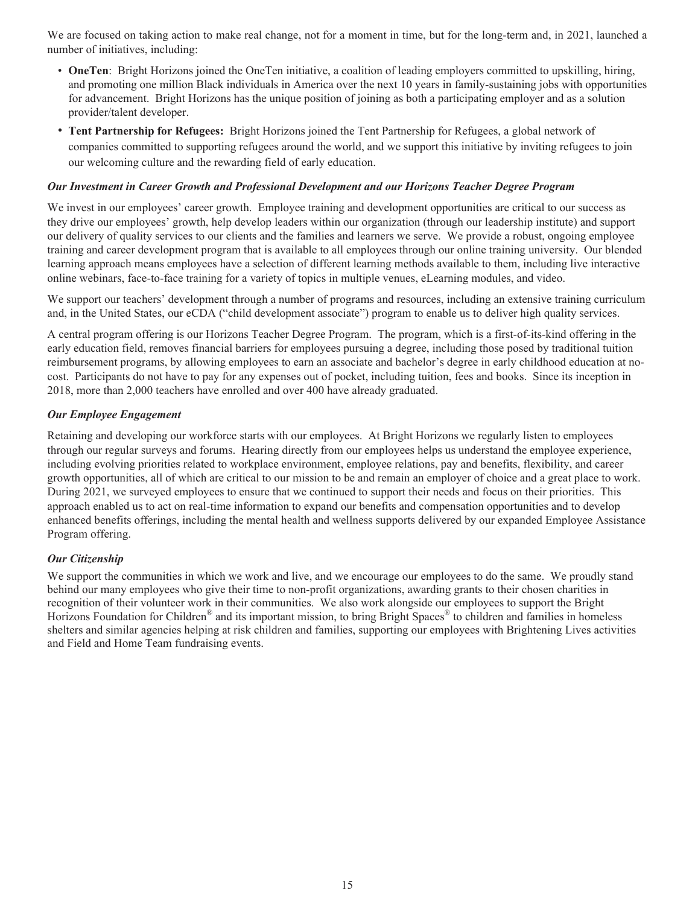We are focused on taking action to make real change, not for a moment in time, but for the long-term and, in 2021, launched a number of initiatives, including:

- **OneTen**: Bright Horizons joined the OneTen initiative, a coalition of leading employers committed to upskilling, hiring, and promoting one million Black individuals in America over the next 10 years in family-sustaining jobs with opportunities for advancement. Bright Horizons has the unique position of joining as both a participating employer and as a solution provider/talent developer.
- **Tent Partnership for Refugees:** Bright Horizons joined the Tent Partnership for Refugees, a global network of companies committed to supporting refugees around the world, and we support this initiative by inviting refugees to join our welcoming culture and the rewarding field of early education.

#### *Our Investment in Career Growth and Professional Development and our Horizons Teacher Degree Program*

We invest in our employees' career growth. Employee training and development opportunities are critical to our success as they drive our employees' growth, help develop leaders within our organization (through our leadership institute) and support our delivery of quality services to our clients and the families and learners we serve. We provide a robust, ongoing employee training and career development program that is available to all employees through our online training university. Our blended learning approach means employees have a selection of different learning methods available to them, including live interactive online webinars, face-to-face training for a variety of topics in multiple venues, eLearning modules, and video.

We support our teachers' development through a number of programs and resources, including an extensive training curriculum and, in the United States, our eCDA ("child development associate") program to enable us to deliver high quality services.

A central program offering is our Horizons Teacher Degree Program. The program, which is a first-of-its-kind offering in the early education field, removes financial barriers for employees pursuing a degree, including those posed by traditional tuition reimbursement programs, by allowing employees to earn an associate and bachelor's degree in early childhood education at nocost. Participants do not have to pay for any expenses out of pocket, including tuition, fees and books. Since its inception in 2018, more than 2,000 teachers have enrolled and over 400 have already graduated.

## *Our Employee Engagement*

Retaining and developing our workforce starts with our employees. At Bright Horizons we regularly listen to employees through our regular surveys and forums. Hearing directly from our employees helps us understand the employee experience, including evolving priorities related to workplace environment, employee relations, pay and benefits, flexibility, and career growth opportunities, all of which are critical to our mission to be and remain an employer of choice and a great place to work. During 2021, we surveyed employees to ensure that we continued to support their needs and focus on their priorities. This approach enabled us to act on real-time information to expand our benefits and compensation opportunities and to develop enhanced benefits offerings, including the mental health and wellness supports delivered by our expanded Employee Assistance Program offering.

# *Our Citizenship*

We support the communities in which we work and live, and we encourage our employees to do the same. We proudly stand behind our many employees who give their time to non-profit organizations, awarding grants to their chosen charities in recognition of their volunteer work in their communities. We also work alongside our employees to support the Bright Horizons Foundation for Children<sup>®</sup> and its important mission, to bring Bright Spaces<sup>®</sup> to children and families in homeless shelters and similar agencies helping at risk children and families, supporting our employees with Brightening Lives activities and Field and Home Team fundraising events.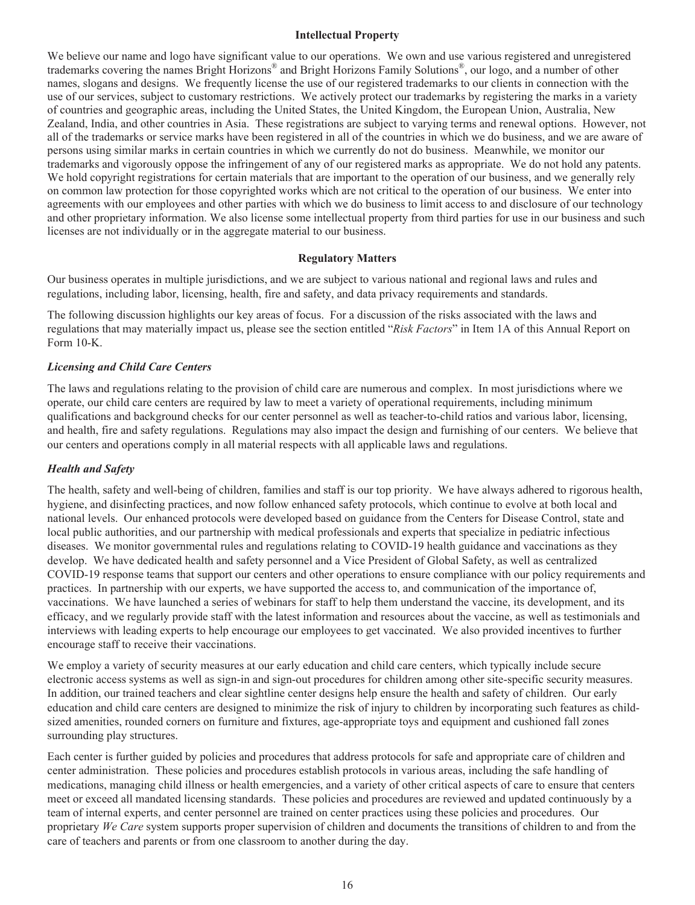#### **Intellectual Property**

We believe our name and logo have significant value to our operations. We own and use various registered and unregistered trademarks covering the names Bright Horizons® and Bright Horizons Family Solutions®, our logo, and a number of other names, slogans and designs. We frequently license the use of our registered trademarks to our clients in connection with the use of our services, subject to customary restrictions. We actively protect our trademarks by registering the marks in a variety of countries and geographic areas, including the United States, the United Kingdom, the European Union, Australia, New Zealand, India, and other countries in Asia. These registrations are subject to varying terms and renewal options. However, not all of the trademarks or service marks have been registered in all of the countries in which we do business, and we are aware of persons using similar marks in certain countries in which we currently do not do business. Meanwhile, we monitor our trademarks and vigorously oppose the infringement of any of our registered marks as appropriate. We do not hold any patents. We hold copyright registrations for certain materials that are important to the operation of our business, and we generally rely on common law protection for those copyrighted works which are not critical to the operation of our business. We enter into agreements with our employees and other parties with which we do business to limit access to and disclosure of our technology and other proprietary information. We also license some intellectual property from third parties for use in our business and such licenses are not individually or in the aggregate material to our business.

## **Regulatory Matters**

Our business operates in multiple jurisdictions, and we are subject to various national and regional laws and rules and regulations, including labor, licensing, health, fire and safety, and data privacy requirements and standards.

The following discussion highlights our key areas of focus. For a discussion of the risks associated with the laws and regulations that may materially impact us, please see the section entitled "*Risk Factors*" in Item 1A of this Annual Report on Form 10-K.

# *Licensing and Child Care Centers*

The laws and regulations relating to the provision of child care are numerous and complex. In most jurisdictions where we operate, our child care centers are required by law to meet a variety of operational requirements, including minimum qualifications and background checks for our center personnel as well as teacher-to-child ratios and various labor, licensing, and health, fire and safety regulations. Regulations may also impact the design and furnishing of our centers. We believe that our centers and operations comply in all material respects with all applicable laws and regulations.

# *Health and Safety*

The health, safety and well-being of children, families and staff is our top priority. We have always adhered to rigorous health, hygiene, and disinfecting practices, and now follow enhanced safety protocols, which continue to evolve at both local and national levels. Our enhanced protocols were developed based on guidance from the Centers for Disease Control, state and local public authorities, and our partnership with medical professionals and experts that specialize in pediatric infectious diseases. We monitor governmental rules and regulations relating to COVID-19 health guidance and vaccinations as they develop. We have dedicated health and safety personnel and a Vice President of Global Safety, as well as centralized COVID-19 response teams that support our centers and other operations to ensure compliance with our policy requirements and practices. In partnership with our experts, we have supported the access to, and communication of the importance of, vaccinations. We have launched a series of webinars for staff to help them understand the vaccine, its development, and its efficacy, and we regularly provide staff with the latest information and resources about the vaccine, as well as testimonials and interviews with leading experts to help encourage our employees to get vaccinated. We also provided incentives to further encourage staff to receive their vaccinations.

We employ a variety of security measures at our early education and child care centers, which typically include secure electronic access systems as well as sign-in and sign-out procedures for children among other site-specific security measures. In addition, our trained teachers and clear sightline center designs help ensure the health and safety of children. Our early education and child care centers are designed to minimize the risk of injury to children by incorporating such features as childsized amenities, rounded corners on furniture and fixtures, age-appropriate toys and equipment and cushioned fall zones surrounding play structures.

Each center is further guided by policies and procedures that address protocols for safe and appropriate care of children and center administration. These policies and procedures establish protocols in various areas, including the safe handling of medications, managing child illness or health emergencies, and a variety of other critical aspects of care to ensure that centers meet or exceed all mandated licensing standards. These policies and procedures are reviewed and updated continuously by a team of internal experts, and center personnel are trained on center practices using these policies and procedures. Our proprietary *We Care* system supports proper supervision of children and documents the transitions of children to and from the care of teachers and parents or from one classroom to another during the day.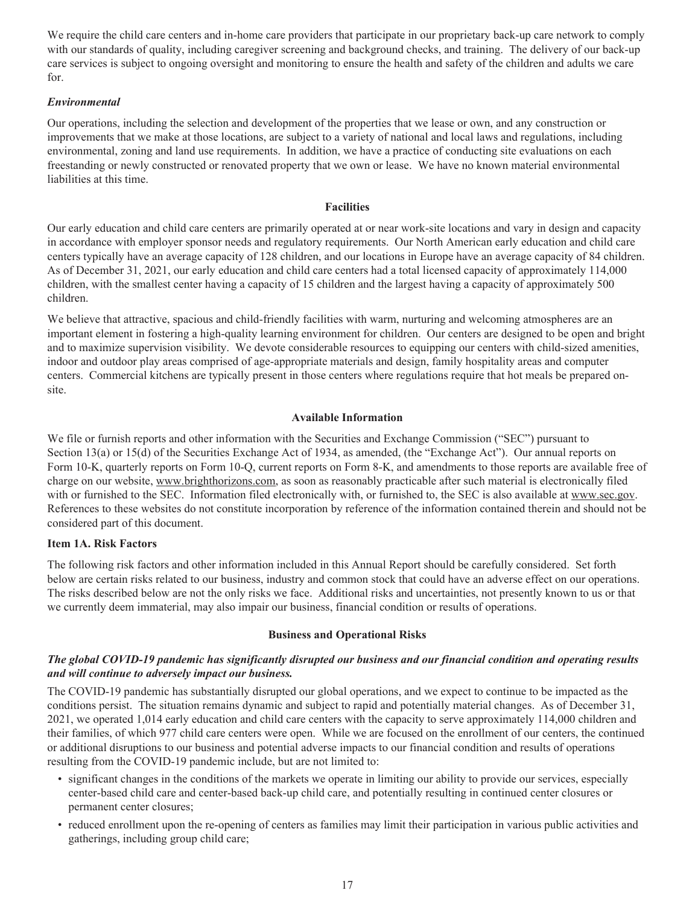We require the child care centers and in-home care providers that participate in our proprietary back-up care network to comply with our standards of quality, including caregiver screening and background checks, and training. The delivery of our back-up care services is subject to ongoing oversight and monitoring to ensure the health and safety of the children and adults we care for.

# *Environmental*

Our operations, including the selection and development of the properties that we lease or own, and any construction or improvements that we make at those locations, are subject to a variety of national and local laws and regulations, including environmental, zoning and land use requirements. In addition, we have a practice of conducting site evaluations on each freestanding or newly constructed or renovated property that we own or lease. We have no known material environmental liabilities at this time.

#### **Facilities**

Our early education and child care centers are primarily operated at or near work-site locations and vary in design and capacity in accordance with employer sponsor needs and regulatory requirements. Our North American early education and child care centers typically have an average capacity of 128 children, and our locations in Europe have an average capacity of 84 children. As of December 31, 2021, our early education and child care centers had a total licensed capacity of approximately 114,000 children, with the smallest center having a capacity of 15 children and the largest having a capacity of approximately 500 children.

We believe that attractive, spacious and child-friendly facilities with warm, nurturing and welcoming atmospheres are an important element in fostering a high-quality learning environment for children. Our centers are designed to be open and bright and to maximize supervision visibility. We devote considerable resources to equipping our centers with child-sized amenities, indoor and outdoor play areas comprised of age-appropriate materials and design, family hospitality areas and computer centers. Commercial kitchens are typically present in those centers where regulations require that hot meals be prepared onsite.

## **Available Information**

We file or furnish reports and other information with the Securities and Exchange Commission ("SEC") pursuant to Section 13(a) or 15(d) of the Securities Exchange Act of 1934, as amended, (the "Exchange Act"). Our annual reports on Form 10-K, quarterly reports on Form 10-Q, current reports on Form 8-K, and amendments to those reports are available free of charge on our website, www.brighthorizons.com, as soon as reasonably practicable after such material is electronically filed with or furnished to the SEC. Information filed electronically with, or furnished to, the SEC is also available at www.sec.gov. References to these websites do not constitute incorporation by reference of the information contained therein and should not be considered part of this document.

#### **Item 1A. Risk Factors**

The following risk factors and other information included in this Annual Report should be carefully considered. Set forth below are certain risks related to our business, industry and common stock that could have an adverse effect on our operations. The risks described below are not the only risks we face. Additional risks and uncertainties, not presently known to us or that we currently deem immaterial, may also impair our business, financial condition or results of operations.

#### **Business and Operational Risks**

## *The global COVID-19 pandemic has significantly disrupted our business and our financial condition and operating results and will continue to adversely impact our business.*

The COVID-19 pandemic has substantially disrupted our global operations, and we expect to continue to be impacted as the conditions persist. The situation remains dynamic and subject to rapid and potentially material changes. As of December 31, 2021, we operated 1,014 early education and child care centers with the capacity to serve approximately 114,000 children and their families, of which 977 child care centers were open. While we are focused on the enrollment of our centers, the continued or additional disruptions to our business and potential adverse impacts to our financial condition and results of operations resulting from the COVID-19 pandemic include, but are not limited to:

- significant changes in the conditions of the markets we operate in limiting our ability to provide our services, especially center-based child care and center-based back-up child care, and potentially resulting in continued center closures or permanent center closures;
- reduced enrollment upon the re-opening of centers as families may limit their participation in various public activities and gatherings, including group child care;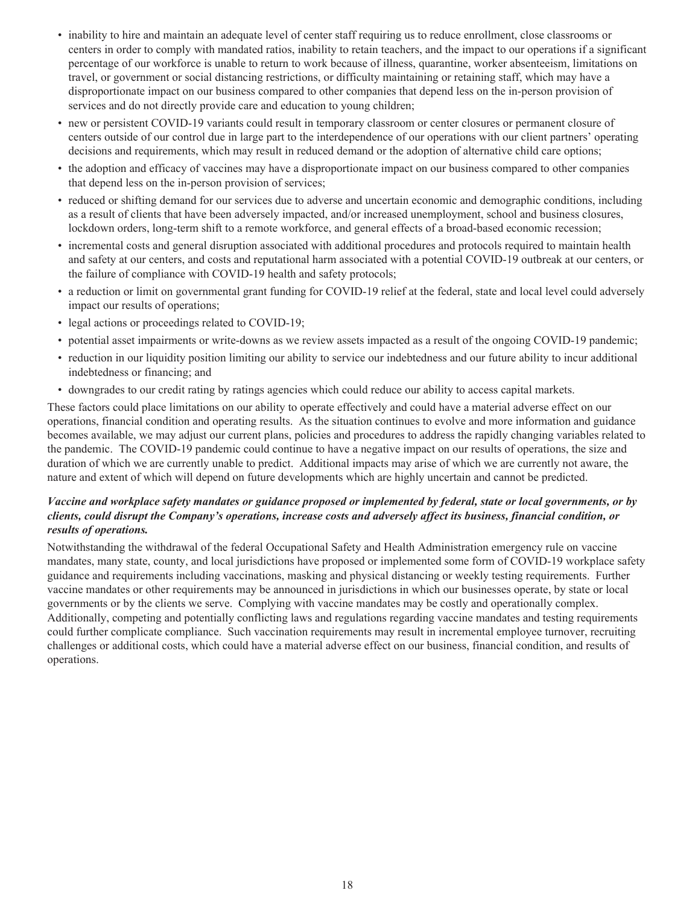- inability to hire and maintain an adequate level of center staff requiring us to reduce enrollment, close classrooms or centers in order to comply with mandated ratios, inability to retain teachers, and the impact to our operations if a significant percentage of our workforce is unable to return to work because of illness, quarantine, worker absenteeism, limitations on travel, or government or social distancing restrictions, or difficulty maintaining or retaining staff, which may have a disproportionate impact on our business compared to other companies that depend less on the in-person provision of services and do not directly provide care and education to young children;
- new or persistent COVID-19 variants could result in temporary classroom or center closures or permanent closure of centers outside of our control due in large part to the interdependence of our operations with our client partners' operating decisions and requirements, which may result in reduced demand or the adoption of alternative child care options;
- the adoption and efficacy of vaccines may have a disproportionate impact on our business compared to other companies that depend less on the in-person provision of services;
- reduced or shifting demand for our services due to adverse and uncertain economic and demographic conditions, including as a result of clients that have been adversely impacted, and/or increased unemployment, school and business closures, lockdown orders, long-term shift to a remote workforce, and general effects of a broad-based economic recession;
- incremental costs and general disruption associated with additional procedures and protocols required to maintain health and safety at our centers, and costs and reputational harm associated with a potential COVID-19 outbreak at our centers, or the failure of compliance with COVID-19 health and safety protocols;
- a reduction or limit on governmental grant funding for COVID-19 relief at the federal, state and local level could adversely impact our results of operations;
- legal actions or proceedings related to COVID-19;
- potential asset impairments or write-downs as we review assets impacted as a result of the ongoing COVID-19 pandemic;
- reduction in our liquidity position limiting our ability to service our indebtedness and our future ability to incur additional indebtedness or financing; and
- downgrades to our credit rating by ratings agencies which could reduce our ability to access capital markets.

These factors could place limitations on our ability to operate effectively and could have a material adverse effect on our operations, financial condition and operating results. As the situation continues to evolve and more information and guidance becomes available, we may adjust our current plans, policies and procedures to address the rapidly changing variables related to the pandemic. The COVID-19 pandemic could continue to have a negative impact on our results of operations, the size and duration of which we are currently unable to predict. Additional impacts may arise of which we are currently not aware, the nature and extent of which will depend on future developments which are highly uncertain and cannot be predicted.

# *Vaccine and workplace safety mandates or guidance proposed or implemented by federal, state or local governments, or by clients, could disrupt the Company's operations, increase costs and adversely affect its business, financial condition, or results of operations.*

Notwithstanding the withdrawal of the federal Occupational Safety and Health Administration emergency rule on vaccine mandates, many state, county, and local jurisdictions have proposed or implemented some form of COVID-19 workplace safety guidance and requirements including vaccinations, masking and physical distancing or weekly testing requirements. Further vaccine mandates or other requirements may be announced in jurisdictions in which our businesses operate, by state or local governments or by the clients we serve. Complying with vaccine mandates may be costly and operationally complex. Additionally, competing and potentially conflicting laws and regulations regarding vaccine mandates and testing requirements could further complicate compliance. Such vaccination requirements may result in incremental employee turnover, recruiting challenges or additional costs, which could have a material adverse effect on our business, financial condition, and results of operations.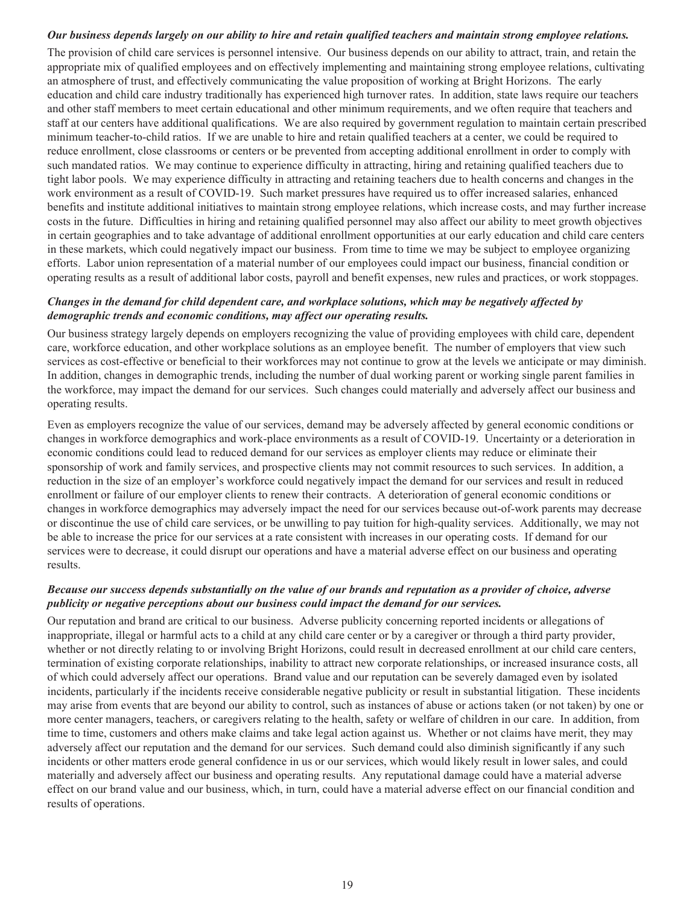# *Our business depends largely on our ability to hire and retain qualified teachers and maintain strong employee relations.*

The provision of child care services is personnel intensive. Our business depends on our ability to attract, train, and retain the appropriate mix of qualified employees and on effectively implementing and maintaining strong employee relations, cultivating an atmosphere of trust, and effectively communicating the value proposition of working at Bright Horizons. The early education and child care industry traditionally has experienced high turnover rates. In addition, state laws require our teachers and other staff members to meet certain educational and other minimum requirements, and we often require that teachers and staff at our centers have additional qualifications. We are also required by government regulation to maintain certain prescribed minimum teacher-to-child ratios. If we are unable to hire and retain qualified teachers at a center, we could be required to reduce enrollment, close classrooms or centers or be prevented from accepting additional enrollment in order to comply with such mandated ratios. We may continue to experience difficulty in attracting, hiring and retaining qualified teachers due to tight labor pools. We may experience difficulty in attracting and retaining teachers due to health concerns and changes in the work environment as a result of COVID-19. Such market pressures have required us to offer increased salaries, enhanced benefits and institute additional initiatives to maintain strong employee relations, which increase costs, and may further increase costs in the future. Difficulties in hiring and retaining qualified personnel may also affect our ability to meet growth objectives in certain geographies and to take advantage of additional enrollment opportunities at our early education and child care centers in these markets, which could negatively impact our business. From time to time we may be subject to employee organizing efforts. Labor union representation of a material number of our employees could impact our business, financial condition or operating results as a result of additional labor costs, payroll and benefit expenses, new rules and practices, or work stoppages.

#### *Changes in the demand for child dependent care, and workplace solutions, which may be negatively affected by demographic trends and economic conditions, may affect our operating results.*

Our business strategy largely depends on employers recognizing the value of providing employees with child care, dependent care, workforce education, and other workplace solutions as an employee benefit. The number of employers that view such services as cost-effective or beneficial to their workforces may not continue to grow at the levels we anticipate or may diminish. In addition, changes in demographic trends, including the number of dual working parent or working single parent families in the workforce, may impact the demand for our services. Such changes could materially and adversely affect our business and operating results.

Even as employers recognize the value of our services, demand may be adversely affected by general economic conditions or changes in workforce demographics and work-place environments as a result of COVID-19. Uncertainty or a deterioration in economic conditions could lead to reduced demand for our services as employer clients may reduce or eliminate their sponsorship of work and family services, and prospective clients may not commit resources to such services. In addition, a reduction in the size of an employer's workforce could negatively impact the demand for our services and result in reduced enrollment or failure of our employer clients to renew their contracts. A deterioration of general economic conditions or changes in workforce demographics may adversely impact the need for our services because out-of-work parents may decrease or discontinue the use of child care services, or be unwilling to pay tuition for high-quality services. Additionally, we may not be able to increase the price for our services at a rate consistent with increases in our operating costs. If demand for our services were to decrease, it could disrupt our operations and have a material adverse effect on our business and operating results.

## *Because our success depends substantially on the value of our brands and reputation as a provider of choice, adverse publicity or negative perceptions about our business could impact the demand for our services.*

Our reputation and brand are critical to our business. Adverse publicity concerning reported incidents or allegations of inappropriate, illegal or harmful acts to a child at any child care center or by a caregiver or through a third party provider, whether or not directly relating to or involving Bright Horizons, could result in decreased enrollment at our child care centers, termination of existing corporate relationships, inability to attract new corporate relationships, or increased insurance costs, all of which could adversely affect our operations. Brand value and our reputation can be severely damaged even by isolated incidents, particularly if the incidents receive considerable negative publicity or result in substantial litigation. These incidents may arise from events that are beyond our ability to control, such as instances of abuse or actions taken (or not taken) by one or more center managers, teachers, or caregivers relating to the health, safety or welfare of children in our care. In addition, from time to time, customers and others make claims and take legal action against us. Whether or not claims have merit, they may adversely affect our reputation and the demand for our services. Such demand could also diminish significantly if any such incidents or other matters erode general confidence in us or our services, which would likely result in lower sales, and could materially and adversely affect our business and operating results. Any reputational damage could have a material adverse effect on our brand value and our business, which, in turn, could have a material adverse effect on our financial condition and results of operations.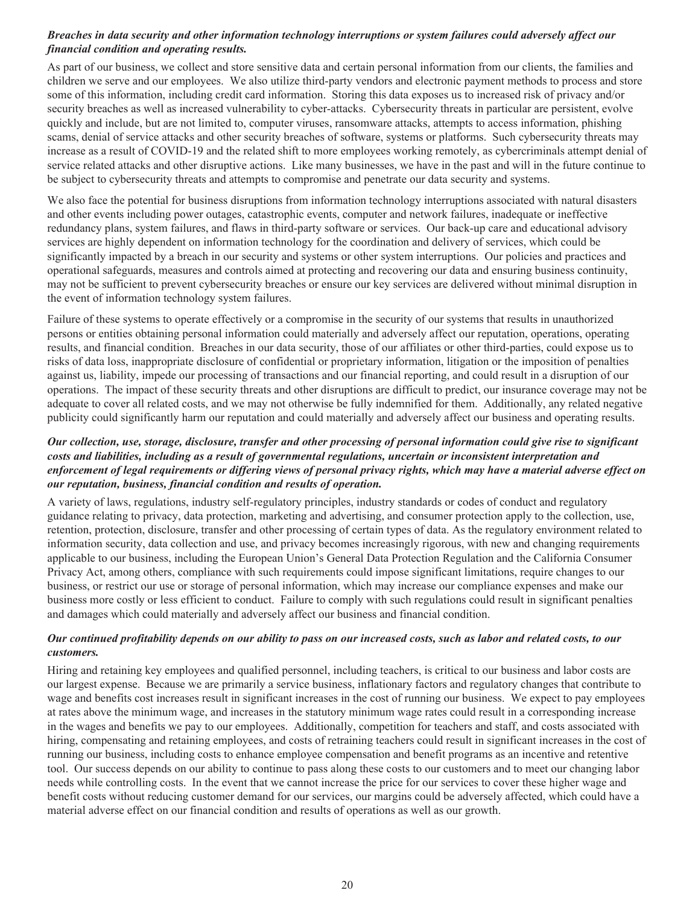# *Breaches in data security and other information technology interruptions or system failures could adversely affect our financial condition and operating results.*

As part of our business, we collect and store sensitive data and certain personal information from our clients, the families and children we serve and our employees. We also utilize third-party vendors and electronic payment methods to process and store some of this information, including credit card information. Storing this data exposes us to increased risk of privacy and/or security breaches as well as increased vulnerability to cyber-attacks. Cybersecurity threats in particular are persistent, evolve quickly and include, but are not limited to, computer viruses, ransomware attacks, attempts to access information, phishing scams, denial of service attacks and other security breaches of software, systems or platforms. Such cybersecurity threats may increase as a result of COVID-19 and the related shift to more employees working remotely, as cybercriminals attempt denial of service related attacks and other disruptive actions. Like many businesses, we have in the past and will in the future continue to be subject to cybersecurity threats and attempts to compromise and penetrate our data security and systems.

We also face the potential for business disruptions from information technology interruptions associated with natural disasters and other events including power outages, catastrophic events, computer and network failures, inadequate or ineffective redundancy plans, system failures, and flaws in third-party software or services. Our back-up care and educational advisory services are highly dependent on information technology for the coordination and delivery of services, which could be significantly impacted by a breach in our security and systems or other system interruptions. Our policies and practices and operational safeguards, measures and controls aimed at protecting and recovering our data and ensuring business continuity, may not be sufficient to prevent cybersecurity breaches or ensure our key services are delivered without minimal disruption in the event of information technology system failures.

Failure of these systems to operate effectively or a compromise in the security of our systems that results in unauthorized persons or entities obtaining personal information could materially and adversely affect our reputation, operations, operating results, and financial condition. Breaches in our data security, those of our affiliates or other third-parties, could expose us to risks of data loss, inappropriate disclosure of confidential or proprietary information, litigation or the imposition of penalties against us, liability, impede our processing of transactions and our financial reporting, and could result in a disruption of our operations. The impact of these security threats and other disruptions are difficult to predict, our insurance coverage may not be adequate to cover all related costs, and we may not otherwise be fully indemnified for them. Additionally, any related negative publicity could significantly harm our reputation and could materially and adversely affect our business and operating results.

# *Our collection, use, storage, disclosure, transfer and other processing of personal information could give rise to significant costs and liabilities, including as a result of governmental regulations, uncertain or inconsistent interpretation and enforcement of legal requirements or differing views of personal privacy rights, which may have a material adverse effect on our reputation, business, financial condition and results of operation.*

A variety of laws, regulations, industry self-regulatory principles, industry standards or codes of conduct and regulatory guidance relating to privacy, data protection, marketing and advertising, and consumer protection apply to the collection, use, retention, protection, disclosure, transfer and other processing of certain types of data. As the regulatory environment related to information security, data collection and use, and privacy becomes increasingly rigorous, with new and changing requirements applicable to our business, including the European Union's General Data Protection Regulation and the California Consumer Privacy Act, among others, compliance with such requirements could impose significant limitations, require changes to our business, or restrict our use or storage of personal information, which may increase our compliance expenses and make our business more costly or less efficient to conduct. Failure to comply with such regulations could result in significant penalties and damages which could materially and adversely affect our business and financial condition.

# *Our continued profitability depends on our ability to pass on our increased costs, such as labor and related costs, to our customers.*

Hiring and retaining key employees and qualified personnel, including teachers, is critical to our business and labor costs are our largest expense. Because we are primarily a service business, inflationary factors and regulatory changes that contribute to wage and benefits cost increases result in significant increases in the cost of running our business. We expect to pay employees at rates above the minimum wage, and increases in the statutory minimum wage rates could result in a corresponding increase in the wages and benefits we pay to our employees. Additionally, competition for teachers and staff, and costs associated with hiring, compensating and retaining employees, and costs of retraining teachers could result in significant increases in the cost of running our business, including costs to enhance employee compensation and benefit programs as an incentive and retentive tool. Our success depends on our ability to continue to pass along these costs to our customers and to meet our changing labor needs while controlling costs. In the event that we cannot increase the price for our services to cover these higher wage and benefit costs without reducing customer demand for our services, our margins could be adversely affected, which could have a material adverse effect on our financial condition and results of operations as well as our growth.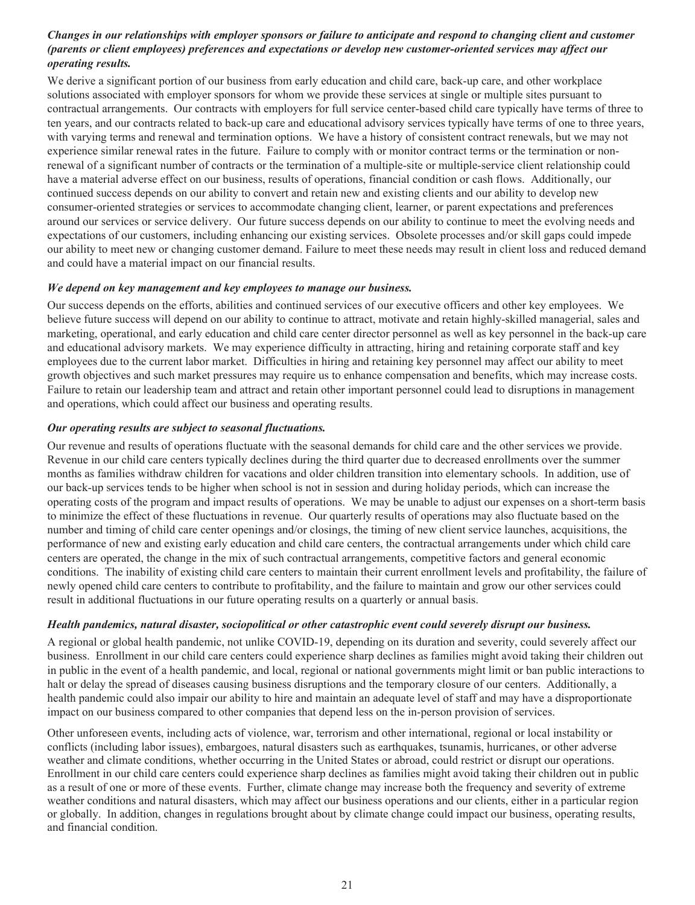# *Changes in our relationships with employer sponsors or failure to anticipate and respond to changing client and customer (parents or client employees) preferences and expectations or develop new customer-oriented services may affect our operating results.*

We derive a significant portion of our business from early education and child care, back-up care, and other workplace solutions associated with employer sponsors for whom we provide these services at single or multiple sites pursuant to contractual arrangements. Our contracts with employers for full service center-based child care typically have terms of three to ten years, and our contracts related to back-up care and educational advisory services typically have terms of one to three years, with varying terms and renewal and termination options. We have a history of consistent contract renewals, but we may not experience similar renewal rates in the future. Failure to comply with or monitor contract terms or the termination or nonrenewal of a significant number of contracts or the termination of a multiple-site or multiple-service client relationship could have a material adverse effect on our business, results of operations, financial condition or cash flows. Additionally, our continued success depends on our ability to convert and retain new and existing clients and our ability to develop new consumer-oriented strategies or services to accommodate changing client, learner, or parent expectations and preferences around our services or service delivery. Our future success depends on our ability to continue to meet the evolving needs and expectations of our customers, including enhancing our existing services. Obsolete processes and/or skill gaps could impede our ability to meet new or changing customer demand. Failure to meet these needs may result in client loss and reduced demand and could have a material impact on our financial results.

#### *We depend on key management and key employees to manage our business.*

Our success depends on the efforts, abilities and continued services of our executive officers and other key employees. We believe future success will depend on our ability to continue to attract, motivate and retain highly-skilled managerial, sales and marketing, operational, and early education and child care center director personnel as well as key personnel in the back-up care and educational advisory markets. We may experience difficulty in attracting, hiring and retaining corporate staff and key employees due to the current labor market. Difficulties in hiring and retaining key personnel may affect our ability to meet growth objectives and such market pressures may require us to enhance compensation and benefits, which may increase costs. Failure to retain our leadership team and attract and retain other important personnel could lead to disruptions in management and operations, which could affect our business and operating results.

# *Our operating results are subject to seasonal fluctuations.*

Our revenue and results of operations fluctuate with the seasonal demands for child care and the other services we provide. Revenue in our child care centers typically declines during the third quarter due to decreased enrollments over the summer months as families withdraw children for vacations and older children transition into elementary schools. In addition, use of our back-up services tends to be higher when school is not in session and during holiday periods, which can increase the operating costs of the program and impact results of operations. We may be unable to adjust our expenses on a short-term basis to minimize the effect of these fluctuations in revenue. Our quarterly results of operations may also fluctuate based on the number and timing of child care center openings and/or closings, the timing of new client service launches, acquisitions, the performance of new and existing early education and child care centers, the contractual arrangements under which child care centers are operated, the change in the mix of such contractual arrangements, competitive factors and general economic conditions. The inability of existing child care centers to maintain their current enrollment levels and profitability, the failure of newly opened child care centers to contribute to profitability, and the failure to maintain and grow our other services could result in additional fluctuations in our future operating results on a quarterly or annual basis.

# *Health pandemics, natural disaster, sociopolitical or other catastrophic event could severely disrupt our business.*

A regional or global health pandemic, not unlike COVID-19, depending on its duration and severity, could severely affect our business. Enrollment in our child care centers could experience sharp declines as families might avoid taking their children out in public in the event of a health pandemic, and local, regional or national governments might limit or ban public interactions to halt or delay the spread of diseases causing business disruptions and the temporary closure of our centers. Additionally, a health pandemic could also impair our ability to hire and maintain an adequate level of staff and may have a disproportionate impact on our business compared to other companies that depend less on the in-person provision of services.

Other unforeseen events, including acts of violence, war, terrorism and other international, regional or local instability or conflicts (including labor issues), embargoes, natural disasters such as earthquakes, tsunamis, hurricanes, or other adverse weather and climate conditions, whether occurring in the United States or abroad, could restrict or disrupt our operations. Enrollment in our child care centers could experience sharp declines as families might avoid taking their children out in public as a result of one or more of these events. Further, climate change may increase both the frequency and severity of extreme weather conditions and natural disasters, which may affect our business operations and our clients, either in a particular region or globally. In addition, changes in regulations brought about by climate change could impact our business, operating results, and financial condition.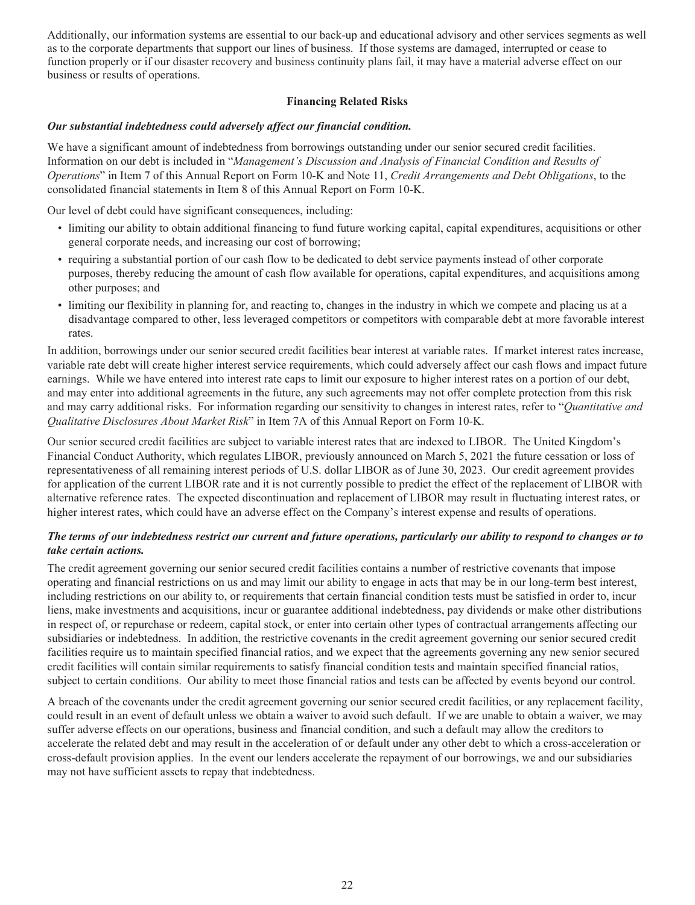Additionally, our information systems are essential to our back-up and educational advisory and other services segments as well as to the corporate departments that support our lines of business. If those systems are damaged, interrupted or cease to function properly or if our disaster recovery and business continuity plans fail, it may have a material adverse effect on our business or results of operations.

# **Financing Related Risks**

# *Our substantial indebtedness could adversely affect our financial condition.*

We have a significant amount of indebtedness from borrowings outstanding under our senior secured credit facilities. Information on our debt is included in "*Management's Discussion and Analysis of Financial Condition and Results of Operations*" in Item 7 of this Annual Report on Form 10-K and Note 11, *Credit Arrangements and Debt Obligations*, to the consolidated financial statements in Item 8 of this Annual Report on Form 10-K.

Our level of debt could have significant consequences, including:

- limiting our ability to obtain additional financing to fund future working capital, capital expenditures, acquisitions or other general corporate needs, and increasing our cost of borrowing;
- requiring a substantial portion of our cash flow to be dedicated to debt service payments instead of other corporate purposes, thereby reducing the amount of cash flow available for operations, capital expenditures, and acquisitions among other purposes; and
- limiting our flexibility in planning for, and reacting to, changes in the industry in which we compete and placing us at a disadvantage compared to other, less leveraged competitors or competitors with comparable debt at more favorable interest rates.

In addition, borrowings under our senior secured credit facilities bear interest at variable rates. If market interest rates increase, variable rate debt will create higher interest service requirements, which could adversely affect our cash flows and impact future earnings. While we have entered into interest rate caps to limit our exposure to higher interest rates on a portion of our debt, and may enter into additional agreements in the future, any such agreements may not offer complete protection from this risk and may carry additional risks. For information regarding our sensitivity to changes in interest rates, refer to "*Quantitative and Qualitative Disclosures About Market Risk*" in Item 7A of this Annual Report on Form 10-K.

Our senior secured credit facilities are subject to variable interest rates that are indexed to LIBOR. The United Kingdom's Financial Conduct Authority, which regulates LIBOR, previously announced on March 5, 2021 the future cessation or loss of representativeness of all remaining interest periods of U.S. dollar LIBOR as of June 30, 2023. Our credit agreement provides for application of the current LIBOR rate and it is not currently possible to predict the effect of the replacement of LIBOR with alternative reference rates. The expected discontinuation and replacement of LIBOR may result in fluctuating interest rates, or higher interest rates, which could have an adverse effect on the Company's interest expense and results of operations.

# *The terms of our indebtedness restrict our current and future operations, particularly our ability to respond to changes or to take certain actions.*

The credit agreement governing our senior secured credit facilities contains a number of restrictive covenants that impose operating and financial restrictions on us and may limit our ability to engage in acts that may be in our long-term best interest, including restrictions on our ability to, or requirements that certain financial condition tests must be satisfied in order to, incur liens, make investments and acquisitions, incur or guarantee additional indebtedness, pay dividends or make other distributions in respect of, or repurchase or redeem, capital stock, or enter into certain other types of contractual arrangements affecting our subsidiaries or indebtedness. In addition, the restrictive covenants in the credit agreement governing our senior secured credit facilities require us to maintain specified financial ratios, and we expect that the agreements governing any new senior secured credit facilities will contain similar requirements to satisfy financial condition tests and maintain specified financial ratios, subject to certain conditions. Our ability to meet those financial ratios and tests can be affected by events beyond our control.

A breach of the covenants under the credit agreement governing our senior secured credit facilities, or any replacement facility, could result in an event of default unless we obtain a waiver to avoid such default. If we are unable to obtain a waiver, we may suffer adverse effects on our operations, business and financial condition, and such a default may allow the creditors to accelerate the related debt and may result in the acceleration of or default under any other debt to which a cross-acceleration or cross-default provision applies. In the event our lenders accelerate the repayment of our borrowings, we and our subsidiaries may not have sufficient assets to repay that indebtedness.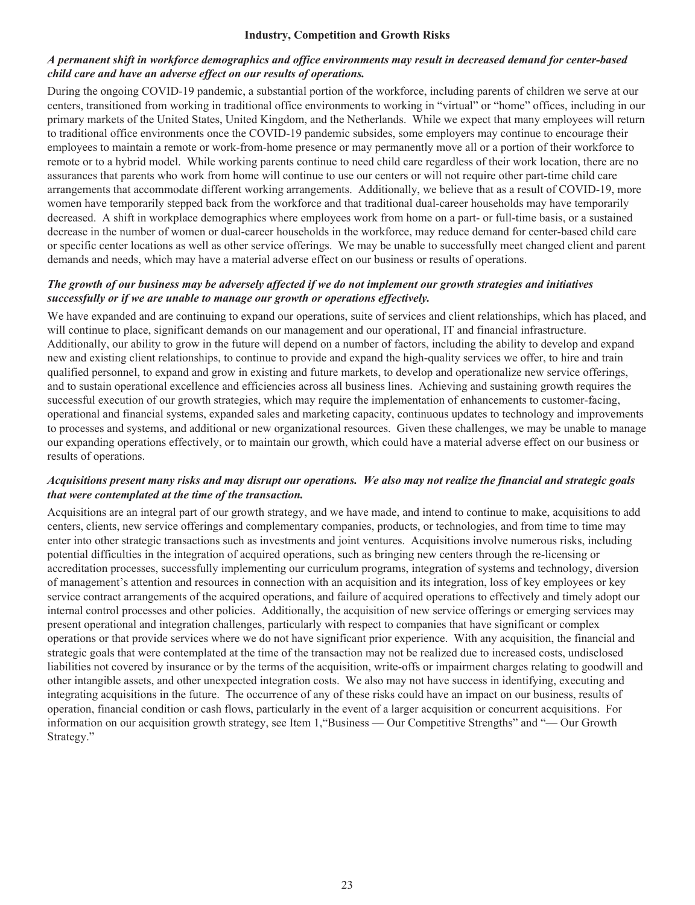#### **Industry, Competition and Growth Risks**

# *A permanent shift in workforce demographics and office environments may result in decreased demand for center-based child care and have an adverse effect on our results of operations.*

During the ongoing COVID-19 pandemic, a substantial portion of the workforce, including parents of children we serve at our centers, transitioned from working in traditional office environments to working in "virtual" or "home" offices, including in our primary markets of the United States, United Kingdom, and the Netherlands. While we expect that many employees will return to traditional office environments once the COVID-19 pandemic subsides, some employers may continue to encourage their employees to maintain a remote or work-from-home presence or may permanently move all or a portion of their workforce to remote or to a hybrid model. While working parents continue to need child care regardless of their work location, there are no assurances that parents who work from home will continue to use our centers or will not require other part-time child care arrangements that accommodate different working arrangements. Additionally, we believe that as a result of COVID-19, more women have temporarily stepped back from the workforce and that traditional dual-career households may have temporarily decreased. A shift in workplace demographics where employees work from home on a part- or full-time basis, or a sustained decrease in the number of women or dual-career households in the workforce, may reduce demand for center-based child care or specific center locations as well as other service offerings. We may be unable to successfully meet changed client and parent demands and needs, which may have a material adverse effect on our business or results of operations.

# *The growth of our business may be adversely affected if we do not implement our growth strategies and initiatives successfully or if we are unable to manage our growth or operations effectively.*

We have expanded and are continuing to expand our operations, suite of services and client relationships, which has placed, and will continue to place, significant demands on our management and our operational, IT and financial infrastructure. Additionally, our ability to grow in the future will depend on a number of factors, including the ability to develop and expand new and existing client relationships, to continue to provide and expand the high-quality services we offer, to hire and train qualified personnel, to expand and grow in existing and future markets, to develop and operationalize new service offerings, and to sustain operational excellence and efficiencies across all business lines. Achieving and sustaining growth requires the successful execution of our growth strategies, which may require the implementation of enhancements to customer-facing, operational and financial systems, expanded sales and marketing capacity, continuous updates to technology and improvements to processes and systems, and additional or new organizational resources. Given these challenges, we may be unable to manage our expanding operations effectively, or to maintain our growth, which could have a material adverse effect on our business or results of operations.

## *Acquisitions present many risks and may disrupt our operations. We also may not realize the financial and strategic goals that were contemplated at the time of the transaction.*

Acquisitions are an integral part of our growth strategy, and we have made, and intend to continue to make, acquisitions to add centers, clients, new service offerings and complementary companies, products, or technologies, and from time to time may enter into other strategic transactions such as investments and joint ventures. Acquisitions involve numerous risks, including potential difficulties in the integration of acquired operations, such as bringing new centers through the re-licensing or accreditation processes, successfully implementing our curriculum programs, integration of systems and technology, diversion of management's attention and resources in connection with an acquisition and its integration, loss of key employees or key service contract arrangements of the acquired operations, and failure of acquired operations to effectively and timely adopt our internal control processes and other policies. Additionally, the acquisition of new service offerings or emerging services may present operational and integration challenges, particularly with respect to companies that have significant or complex operations or that provide services where we do not have significant prior experience. With any acquisition, the financial and strategic goals that were contemplated at the time of the transaction may not be realized due to increased costs, undisclosed liabilities not covered by insurance or by the terms of the acquisition, write-offs or impairment charges relating to goodwill and other intangible assets, and other unexpected integration costs. We also may not have success in identifying, executing and integrating acquisitions in the future. The occurrence of any of these risks could have an impact on our business, results of operation, financial condition or cash flows, particularly in the event of a larger acquisition or concurrent acquisitions. For information on our acquisition growth strategy, see Item 1,"Business — Our Competitive Strengths" and "— Our Growth Strategy."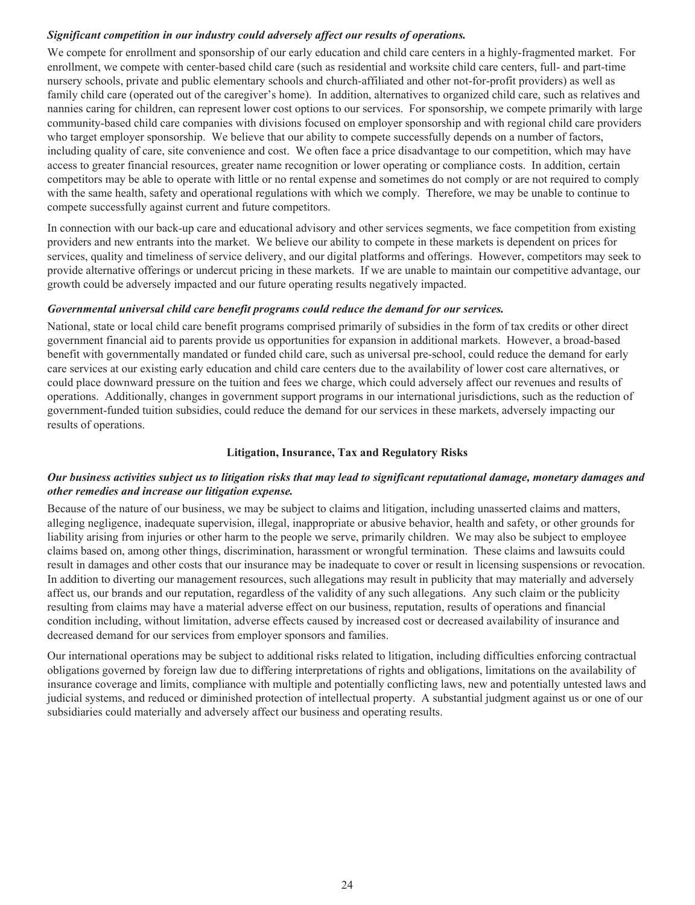# *Significant competition in our industry could adversely affect our results of operations.*

We compete for enrollment and sponsorship of our early education and child care centers in a highly-fragmented market. For enrollment, we compete with center-based child care (such as residential and worksite child care centers, full- and part-time nursery schools, private and public elementary schools and church-affiliated and other not-for-profit providers) as well as family child care (operated out of the caregiver's home). In addition, alternatives to organized child care, such as relatives and nannies caring for children, can represent lower cost options to our services. For sponsorship, we compete primarily with large community-based child care companies with divisions focused on employer sponsorship and with regional child care providers who target employer sponsorship. We believe that our ability to compete successfully depends on a number of factors, including quality of care, site convenience and cost. We often face a price disadvantage to our competition, which may have access to greater financial resources, greater name recognition or lower operating or compliance costs. In addition, certain competitors may be able to operate with little or no rental expense and sometimes do not comply or are not required to comply with the same health, safety and operational regulations with which we comply. Therefore, we may be unable to continue to compete successfully against current and future competitors.

In connection with our back-up care and educational advisory and other services segments, we face competition from existing providers and new entrants into the market. We believe our ability to compete in these markets is dependent on prices for services, quality and timeliness of service delivery, and our digital platforms and offerings. However, competitors may seek to provide alternative offerings or undercut pricing in these markets. If we are unable to maintain our competitive advantage, our growth could be adversely impacted and our future operating results negatively impacted.

# *Governmental universal child care benefit programs could reduce the demand for our services.*

National, state or local child care benefit programs comprised primarily of subsidies in the form of tax credits or other direct government financial aid to parents provide us opportunities for expansion in additional markets. However, a broad-based benefit with governmentally mandated or funded child care, such as universal pre-school, could reduce the demand for early care services at our existing early education and child care centers due to the availability of lower cost care alternatives, or could place downward pressure on the tuition and fees we charge, which could adversely affect our revenues and results of operations. Additionally, changes in government support programs in our international jurisdictions, such as the reduction of government-funded tuition subsidies, could reduce the demand for our services in these markets, adversely impacting our results of operations.

# **Litigation, Insurance, Tax and Regulatory Risks**

# *Our business activities subject us to litigation risks that may lead to significant reputational damage, monetary damages and other remedies and increase our litigation expense.*

Because of the nature of our business, we may be subject to claims and litigation, including unasserted claims and matters, alleging negligence, inadequate supervision, illegal, inappropriate or abusive behavior, health and safety, or other grounds for liability arising from injuries or other harm to the people we serve, primarily children. We may also be subject to employee claims based on, among other things, discrimination, harassment or wrongful termination. These claims and lawsuits could result in damages and other costs that our insurance may be inadequate to cover or result in licensing suspensions or revocation. In addition to diverting our management resources, such allegations may result in publicity that may materially and adversely affect us, our brands and our reputation, regardless of the validity of any such allegations. Any such claim or the publicity resulting from claims may have a material adverse effect on our business, reputation, results of operations and financial condition including, without limitation, adverse effects caused by increased cost or decreased availability of insurance and decreased demand for our services from employer sponsors and families.

Our international operations may be subject to additional risks related to litigation, including difficulties enforcing contractual obligations governed by foreign law due to differing interpretations of rights and obligations, limitations on the availability of insurance coverage and limits, compliance with multiple and potentially conflicting laws, new and potentially untested laws and judicial systems, and reduced or diminished protection of intellectual property. A substantial judgment against us or one of our subsidiaries could materially and adversely affect our business and operating results.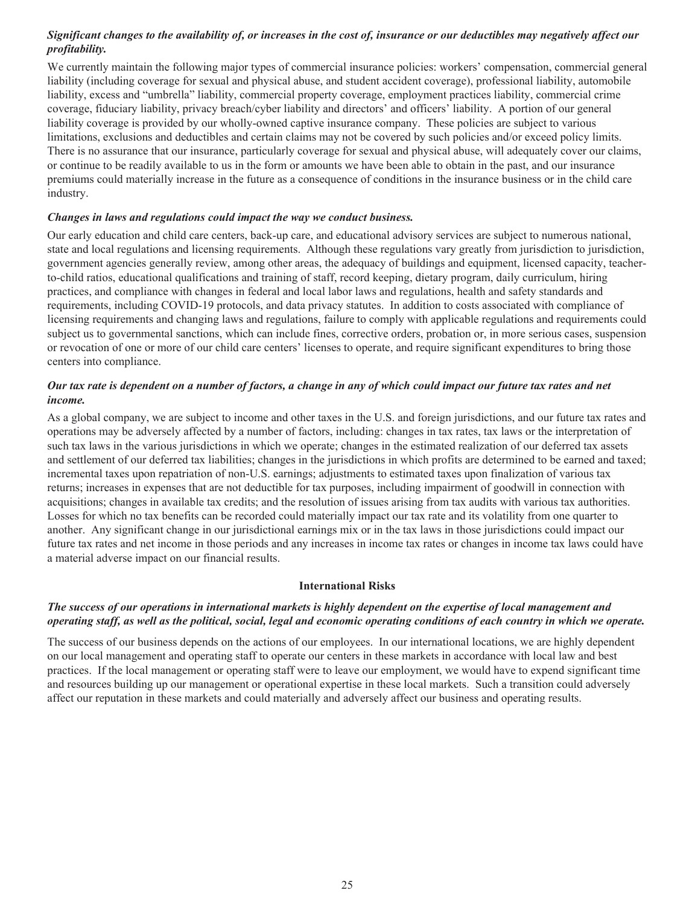# *Significant changes to the availability of, or increases in the cost of, insurance or our deductibles may negatively affect our profitability.*

We currently maintain the following major types of commercial insurance policies: workers' compensation, commercial general liability (including coverage for sexual and physical abuse, and student accident coverage), professional liability, automobile liability, excess and "umbrella" liability, commercial property coverage, employment practices liability, commercial crime coverage, fiduciary liability, privacy breach/cyber liability and directors' and officers' liability. A portion of our general liability coverage is provided by our wholly-owned captive insurance company. These policies are subject to various limitations, exclusions and deductibles and certain claims may not be covered by such policies and/or exceed policy limits. There is no assurance that our insurance, particularly coverage for sexual and physical abuse, will adequately cover our claims, or continue to be readily available to us in the form or amounts we have been able to obtain in the past, and our insurance premiums could materially increase in the future as a consequence of conditions in the insurance business or in the child care industry.

## *Changes in laws and regulations could impact the way we conduct business.*

Our early education and child care centers, back-up care, and educational advisory services are subject to numerous national, state and local regulations and licensing requirements. Although these regulations vary greatly from jurisdiction to jurisdiction, government agencies generally review, among other areas, the adequacy of buildings and equipment, licensed capacity, teacherto-child ratios, educational qualifications and training of staff, record keeping, dietary program, daily curriculum, hiring practices, and compliance with changes in federal and local labor laws and regulations, health and safety standards and requirements, including COVID-19 protocols, and data privacy statutes. In addition to costs associated with compliance of licensing requirements and changing laws and regulations, failure to comply with applicable regulations and requirements could subject us to governmental sanctions, which can include fines, corrective orders, probation or, in more serious cases, suspension or revocation of one or more of our child care centers' licenses to operate, and require significant expenditures to bring those centers into compliance.

# *Our tax rate is dependent on a number of factors, a change in any of which could impact our future tax rates and net income.*

As a global company, we are subject to income and other taxes in the U.S. and foreign jurisdictions, and our future tax rates and operations may be adversely affected by a number of factors, including: changes in tax rates, tax laws or the interpretation of such tax laws in the various jurisdictions in which we operate; changes in the estimated realization of our deferred tax assets and settlement of our deferred tax liabilities; changes in the jurisdictions in which profits are determined to be earned and taxed; incremental taxes upon repatriation of non-U.S. earnings; adjustments to estimated taxes upon finalization of various tax returns; increases in expenses that are not deductible for tax purposes, including impairment of goodwill in connection with acquisitions; changes in available tax credits; and the resolution of issues arising from tax audits with various tax authorities. Losses for which no tax benefits can be recorded could materially impact our tax rate and its volatility from one quarter to another. Any significant change in our jurisdictional earnings mix or in the tax laws in those jurisdictions could impact our future tax rates and net income in those periods and any increases in income tax rates or changes in income tax laws could have a material adverse impact on our financial results.

# **International Risks**

# *The success of our operations in international markets is highly dependent on the expertise of local management and operating staff, as well as the political, social, legal and economic operating conditions of each country in which we operate.*

The success of our business depends on the actions of our employees. In our international locations, we are highly dependent on our local management and operating staff to operate our centers in these markets in accordance with local law and best practices. If the local management or operating staff were to leave our employment, we would have to expend significant time and resources building up our management or operational expertise in these local markets. Such a transition could adversely affect our reputation in these markets and could materially and adversely affect our business and operating results.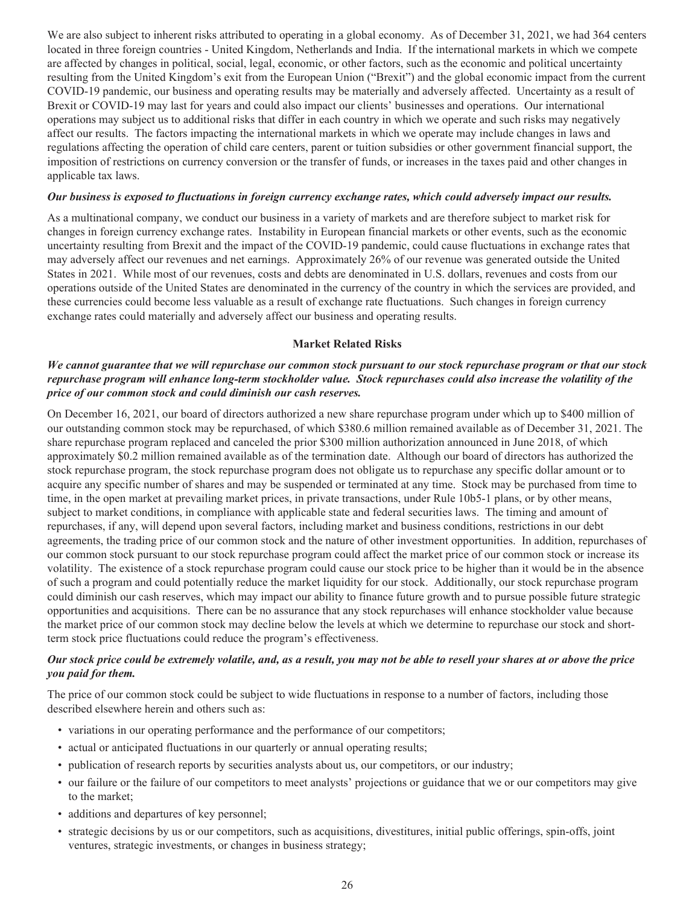We are also subject to inherent risks attributed to operating in a global economy. As of December 31, 2021, we had 364 centers located in three foreign countries - United Kingdom, Netherlands and India. If the international markets in which we compete are affected by changes in political, social, legal, economic, or other factors, such as the economic and political uncertainty resulting from the United Kingdom's exit from the European Union ("Brexit") and the global economic impact from the current COVID-19 pandemic, our business and operating results may be materially and adversely affected. Uncertainty as a result of Brexit or COVID-19 may last for years and could also impact our clients' businesses and operations. Our international operations may subject us to additional risks that differ in each country in which we operate and such risks may negatively affect our results. The factors impacting the international markets in which we operate may include changes in laws and regulations affecting the operation of child care centers, parent or tuition subsidies or other government financial support, the imposition of restrictions on currency conversion or the transfer of funds, or increases in the taxes paid and other changes in applicable tax laws.

#### *Our business is exposed to fluctuations in foreign currency exchange rates, which could adversely impact our results.*

As a multinational company, we conduct our business in a variety of markets and are therefore subject to market risk for changes in foreign currency exchange rates. Instability in European financial markets or other events, such as the economic uncertainty resulting from Brexit and the impact of the COVID-19 pandemic, could cause fluctuations in exchange rates that may adversely affect our revenues and net earnings. Approximately 26% of our revenue was generated outside the United States in 2021. While most of our revenues, costs and debts are denominated in U.S. dollars, revenues and costs from our operations outside of the United States are denominated in the currency of the country in which the services are provided, and these currencies could become less valuable as a result of exchange rate fluctuations. Such changes in foreign currency exchange rates could materially and adversely affect our business and operating results.

## **Market Related Risks**

# *We cannot guarantee that we will repurchase our common stock pursuant to our stock repurchase program or that our stock repurchase program will enhance long-term stockholder value. Stock repurchases could also increase the volatility of the price of our common stock and could diminish our cash reserves.*

On December 16, 2021, our board of directors authorized a new share repurchase program under which up to \$400 million of our outstanding common stock may be repurchased, of which \$380.6 million remained available as of December 31, 2021. The share repurchase program replaced and canceled the prior \$300 million authorization announced in June 2018, of which approximately \$0.2 million remained available as of the termination date. Although our board of directors has authorized the stock repurchase program, the stock repurchase program does not obligate us to repurchase any specific dollar amount or to acquire any specific number of shares and may be suspended or terminated at any time. Stock may be purchased from time to time, in the open market at prevailing market prices, in private transactions, under Rule 10b5-1 plans, or by other means, subject to market conditions, in compliance with applicable state and federal securities laws. The timing and amount of repurchases, if any, will depend upon several factors, including market and business conditions, restrictions in our debt agreements, the trading price of our common stock and the nature of other investment opportunities. In addition, repurchases of our common stock pursuant to our stock repurchase program could affect the market price of our common stock or increase its volatility. The existence of a stock repurchase program could cause our stock price to be higher than it would be in the absence of such a program and could potentially reduce the market liquidity for our stock. Additionally, our stock repurchase program could diminish our cash reserves, which may impact our ability to finance future growth and to pursue possible future strategic opportunities and acquisitions. There can be no assurance that any stock repurchases will enhance stockholder value because the market price of our common stock may decline below the levels at which we determine to repurchase our stock and shortterm stock price fluctuations could reduce the program's effectiveness.

## *Our stock price could be extremely volatile, and, as a result, you may not be able to resell your shares at or above the price you paid for them.*

The price of our common stock could be subject to wide fluctuations in response to a number of factors, including those described elsewhere herein and others such as:

- variations in our operating performance and the performance of our competitors;
- actual or anticipated fluctuations in our quarterly or annual operating results;
- publication of research reports by securities analysts about us, our competitors, or our industry;
- our failure or the failure of our competitors to meet analysts' projections or guidance that we or our competitors may give to the market;
- additions and departures of key personnel;
- strategic decisions by us or our competitors, such as acquisitions, divestitures, initial public offerings, spin-offs, joint ventures, strategic investments, or changes in business strategy;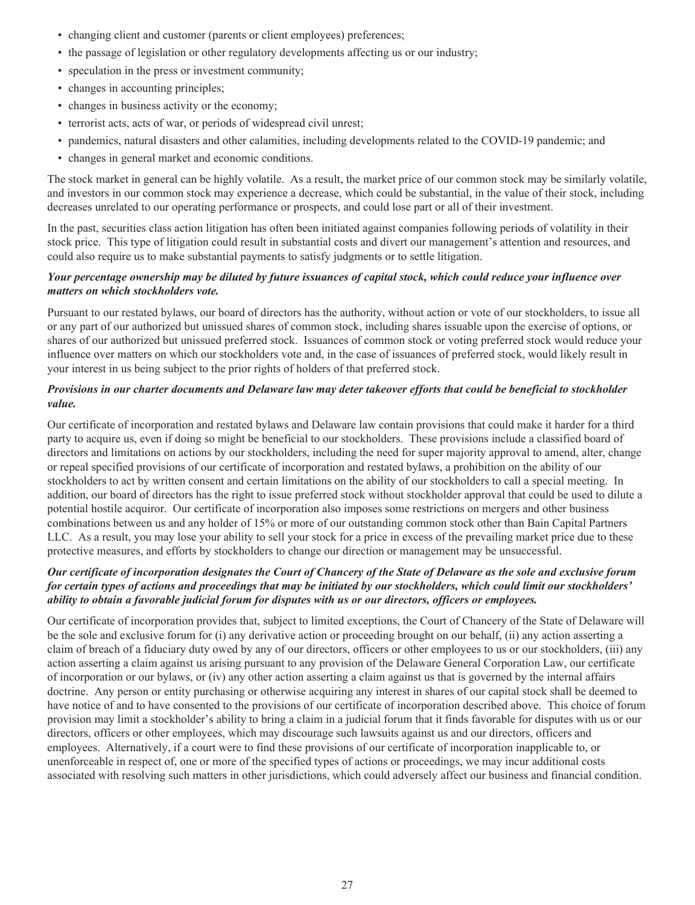- changing client and customer (parents or client employees) preferences;
- the passage of legislation or other regulatory developments affecting us or our industry;
- speculation in the press or investment community;
- changes in accounting principles;
- changes in business activity or the economy;
- terrorist acts, acts of war, or periods of widespread civil unrest;
- pandemics, natural disasters and other calamities, including developments related to the COVID-19 pandemic; and
- changes in general market and economic conditions.

The stock market in general can be highly volatile. As a result, the market price of our common stock may be similarly volatile, and investors in our common stock may experience a decrease, which could be substantial, in the value of their stock, including decreases unrelated to our operating performance or prospects, and could lose part or all of their investment.

In the past, securities class action litigation has often been initiated against companies following periods of volatility in their stock price. This type of litigation could result in substantial costs and divert our management's attention and resources, and could also require us to make substantial payments to satisfy judgments or to settle litigation.

## *Your percentage ownership may be diluted by future issuances of capital stock, which could reduce your influence over matters on which stockholders vote.*

Pursuant to our restated bylaws, our board of directors has the authority, without action or vote of our stockholders, to issue all or any part of our authorized but unissued shares of common stock, including shares issuable upon the exercise of options, or shares of our authorized but unissued preferred stock. Issuances of common stock or voting preferred stock would reduce your influence over matters on which our stockholders vote and, in the case of issuances of preferred stock, would likely result in your interest in us being subject to the prior rights of holders of that preferred stock.

## *Provisions in our charter documents and Delaware law may deter takeover efforts that could be beneficial to stockholder value.*

Our certificate of incorporation and restated bylaws and Delaware law contain provisions that could make it harder for a third party to acquire us, even if doing so might be beneficial to our stockholders. These provisions include a classified board of directors and limitations on actions by our stockholders, including the need for super majority approval to amend, alter, change or repeal specified provisions of our certificate of incorporation and restated bylaws, a prohibition on the ability of our stockholders to act by written consent and certain limitations on the ability of our stockholders to call a special meeting. In addition, our board of directors has the right to issue preferred stock without stockholder approval that could be used to dilute a potential hostile acquiror. Our certificate of incorporation also imposes some restrictions on mergers and other business combinations between us and any holder of 15% or more of our outstanding common stock other than Bain Capital Partners LLC. As a result, you may lose your ability to sell your stock for a price in excess of the prevailing market price due to these protective measures, and efforts by stockholders to change our direction or management may be unsuccessful.

# *Our certificate of incorporation designates the Court of Chancery of the State of Delaware as the sole and exclusive forum for certain types of actions and proceedings that may be initiated by our stockholders, which could limit our stockholders' ability to obtain a favorable judicial forum for disputes with us or our directors, officers or employees.*

Our certificate of incorporation provides that, subject to limited exceptions, the Court of Chancery of the State of Delaware will be the sole and exclusive forum for (i) any derivative action or proceeding brought on our behalf, (ii) any action asserting a claim of breach of a fiduciary duty owed by any of our directors, officers or other employees to us or our stockholders, (iii) any action asserting a claim against us arising pursuant to any provision of the Delaware General Corporation Law, our certificate of incorporation or our bylaws, or (iv) any other action asserting a claim against us that is governed by the internal affairs doctrine. Any person or entity purchasing or otherwise acquiring any interest in shares of our capital stock shall be deemed to have notice of and to have consented to the provisions of our certificate of incorporation described above. This choice of forum provision may limit a stockholder's ability to bring a claim in a judicial forum that it finds favorable for disputes with us or our directors, officers or other employees, which may discourage such lawsuits against us and our directors, officers and employees. Alternatively, if a court were to find these provisions of our certificate of incorporation inapplicable to, or unenforceable in respect of, one or more of the specified types of actions or proceedings, we may incur additional costs associated with resolving such matters in other jurisdictions, which could adversely affect our business and financial condition.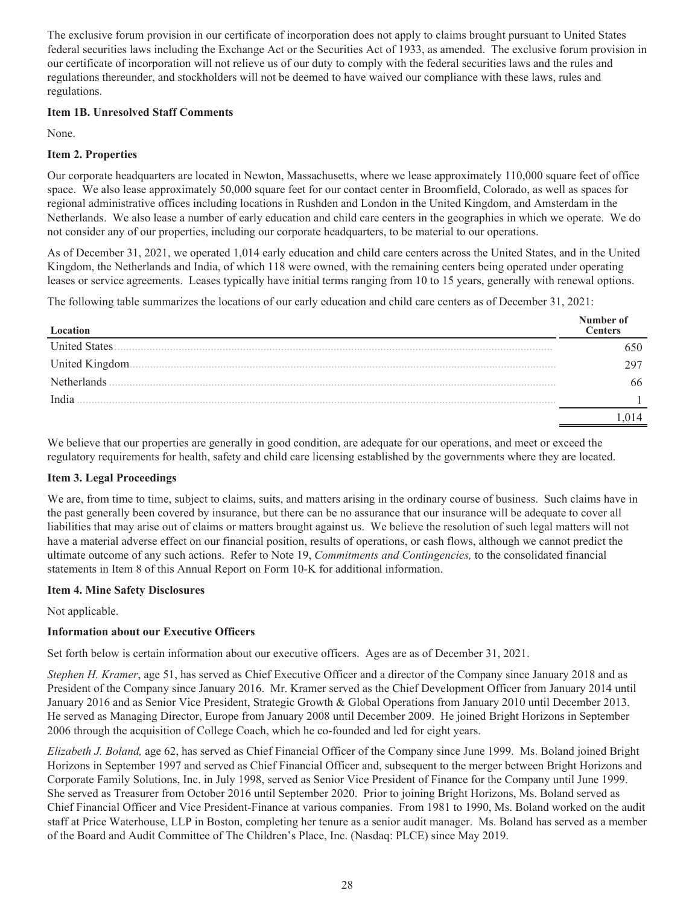The exclusive forum provision in our certificate of incorporation does not apply to claims brought pursuant to United States federal securities laws including the Exchange Act or the Securities Act of 1933, as amended. The exclusive forum provision in our certificate of incorporation will not relieve us of our duty to comply with the federal securities laws and the rules and regulations thereunder, and stockholders will not be deemed to have waived our compliance with these laws, rules and regulations.

## **Item 1B. Unresolved Staff Comments**

None.

# **Item 2. Properties**

Our corporate headquarters are located in Newton, Massachusetts, where we lease approximately 110,000 square feet of office space. We also lease approximately 50,000 square feet for our contact center in Broomfield, Colorado, as well as spaces for regional administrative offices including locations in Rushden and London in the United Kingdom, and Amsterdam in the Netherlands. We also lease a number of early education and child care centers in the geographies in which we operate. We do not consider any of our properties, including our corporate headquarters, to be material to our operations.

As of December 31, 2021, we operated 1,014 early education and child care centers across the United States, and in the United Kingdom, the Netherlands and India, of which 118 were owned, with the remaining centers being operated under operating leases or service agreements. Leases typically have initial terms ranging from 10 to 15 years, generally with renewal options.

The following table summarizes the locations of our early education and child care centers as of December 31, 2021:

| Location             | Number of<br>Centers |
|----------------------|----------------------|
| <b>United States</b> |                      |
| United Kingdom.      |                      |
| Netherlands          | 66                   |
| India                |                      |
|                      |                      |

We believe that our properties are generally in good condition, are adequate for our operations, and meet or exceed the regulatory requirements for health, safety and child care licensing established by the governments where they are located.

# **Item 3. Legal Proceedings**

We are, from time to time, subject to claims, suits, and matters arising in the ordinary course of business. Such claims have in the past generally been covered by insurance, but there can be no assurance that our insurance will be adequate to cover all liabilities that may arise out of claims or matters brought against us. We believe the resolution of such legal matters will not have a material adverse effect on our financial position, results of operations, or cash flows, although we cannot predict the ultimate outcome of any such actions. Refer to Note 19, *Commitments and Contingencies,* to the consolidated financial statements in Item 8 of this Annual Report on Form 10-K for additional information.

# **Item 4. Mine Safety Disclosures**

Not applicable.

# **Information about our Executive Officers**

Set forth below is certain information about our executive officers. Ages are as of December 31, 2021.

*Stephen H. Kramer*, age 51, has served as Chief Executive Officer and a director of the Company since January 2018 and as President of the Company since January 2016. Mr. Kramer served as the Chief Development Officer from January 2014 until January 2016 and as Senior Vice President, Strategic Growth & Global Operations from January 2010 until December 2013. He served as Managing Director, Europe from January 2008 until December 2009. He joined Bright Horizons in September 2006 through the acquisition of College Coach, which he co-founded and led for eight years.

*Elizabeth J. Boland,* age 62, has served as Chief Financial Officer of the Company since June 1999. Ms. Boland joined Bright Horizons in September 1997 and served as Chief Financial Officer and, subsequent to the merger between Bright Horizons and Corporate Family Solutions, Inc. in July 1998, served as Senior Vice President of Finance for the Company until June 1999. She served as Treasurer from October 2016 until September 2020. Prior to joining Bright Horizons, Ms. Boland served as Chief Financial Officer and Vice President-Finance at various companies. From 1981 to 1990, Ms. Boland worked on the audit staff at Price Waterhouse, LLP in Boston, completing her tenure as a senior audit manager. Ms. Boland has served as a member of the Board and Audit Committee of The Children's Place, Inc. (Nasdaq: PLCE) since May 2019.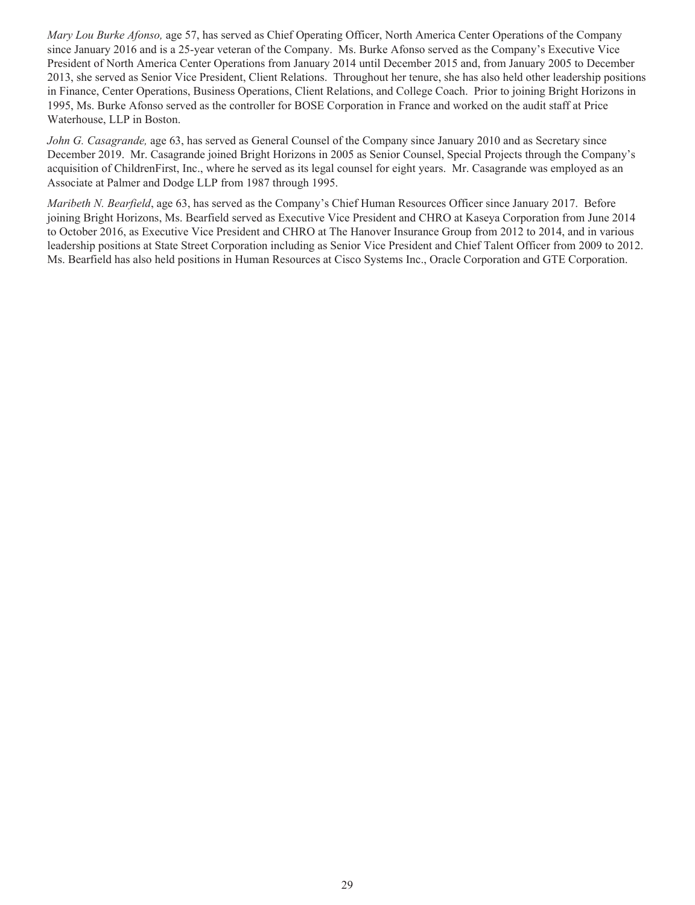*Mary Lou Burke Afonso,* age 57, has served as Chief Operating Officer, North America Center Operations of the Company since January 2016 and is a 25-year veteran of the Company. Ms. Burke Afonso served as the Company's Executive Vice President of North America Center Operations from January 2014 until December 2015 and, from January 2005 to December 2013, she served as Senior Vice President, Client Relations. Throughout her tenure, she has also held other leadership positions in Finance, Center Operations, Business Operations, Client Relations, and College Coach. Prior to joining Bright Horizons in 1995, Ms. Burke Afonso served as the controller for BOSE Corporation in France and worked on the audit staff at Price Waterhouse, LLP in Boston.

*John G. Casagrande,* age 63, has served as General Counsel of the Company since January 2010 and as Secretary since December 2019. Mr. Casagrande joined Bright Horizons in 2005 as Senior Counsel, Special Projects through the Company's acquisition of ChildrenFirst, Inc., where he served as its legal counsel for eight years. Mr. Casagrande was employed as an Associate at Palmer and Dodge LLP from 1987 through 1995.

*Maribeth N. Bearfield*, age 63, has served as the Company's Chief Human Resources Officer since January 2017. Before joining Bright Horizons, Ms. Bearfield served as Executive Vice President and CHRO at Kaseya Corporation from June 2014 to October 2016, as Executive Vice President and CHRO at The Hanover Insurance Group from 2012 to 2014, and in various leadership positions at State Street Corporation including as Senior Vice President and Chief Talent Officer from 2009 to 2012. Ms. Bearfield has also held positions in Human Resources at Cisco Systems Inc., Oracle Corporation and GTE Corporation.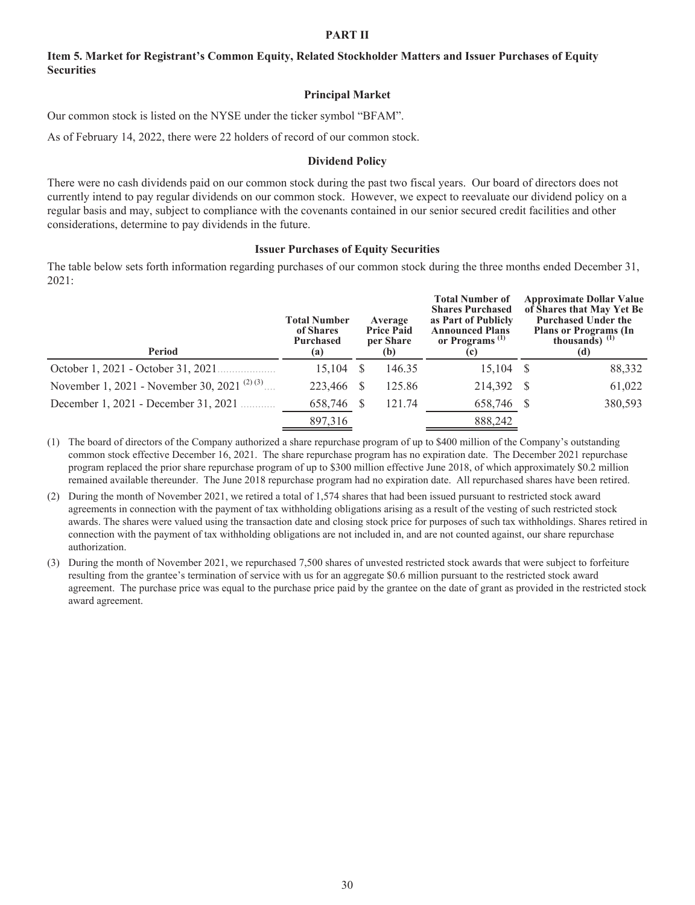#### **PART II**

## **Item 5. Market for Registrant's Common Equity, Related Stockholder Matters and Issuer Purchases of Equity Securities**

#### **Principal Market**

Our common stock is listed on the NYSE under the ticker symbol "BFAM".

As of February 14, 2022, there were 22 holders of record of our common stock.

#### **Dividend Policy**

There were no cash dividends paid on our common stock during the past two fiscal years. Our board of directors does not currently intend to pay regular dividends on our common stock. However, we expect to reevaluate our dividend policy on a regular basis and may, subject to compliance with the covenants contained in our senior secured credit facilities and other considerations, determine to pay dividends in the future.

#### **Issuer Purchases of Equity Securities**

The table below sets forth information regarding purchases of our common stock during the three months ended December 31, 2021:

| Period                                                   | <b>Total Number</b><br>of Shares<br>Purchased<br>(a) | Average<br><b>Price Paid</b><br>per Share<br>(b) |        | <b>Total Number of</b><br><b>Shares Purchased</b><br>as Part of Publicly<br><b>Announced Plans</b><br>or Programs <sup>(1)</sup><br>(c) | <b>Approximate Dollar Value</b><br>of Shares that May Yet Be<br><b>Purchased Under the</b><br><b>Plans or Programs (In</b><br>thousands) $^{(1)}$<br>(d) |         |  |
|----------------------------------------------------------|------------------------------------------------------|--------------------------------------------------|--------|-----------------------------------------------------------------------------------------------------------------------------------------|----------------------------------------------------------------------------------------------------------------------------------------------------------|---------|--|
| October 1, 2021 - October 31, 2021.                      | 15.104                                               |                                                  | 146.35 | $15,104$ \$                                                                                                                             |                                                                                                                                                          | 88,332  |  |
| November 1, 2021 - November 30, 2021 <sup>(2)(3)</sup> . | 223,466                                              |                                                  | 125.86 | 214,392 \$                                                                                                                              |                                                                                                                                                          | 61,022  |  |
| December 1, 2021 - December 31, 2021                     | 658,746                                              |                                                  | 121.74 | 658,746 \$                                                                                                                              |                                                                                                                                                          | 380,593 |  |
|                                                          | 897,316                                              |                                                  |        | 888,242                                                                                                                                 |                                                                                                                                                          |         |  |

(1) The board of directors of the Company authorized a share repurchase program of up to \$400 million of the Company's outstanding common stock effective December 16, 2021. The share repurchase program has no expiration date. The December 2021 repurchase program replaced the prior share repurchase program of up to \$300 million effective June 2018, of which approximately \$0.2 million remained available thereunder. The June 2018 repurchase program had no expiration date. All repurchased shares have been retired.

(2) During the month of November 2021, we retired a total of 1,574 shares that had been issued pursuant to restricted stock award agreements in connection with the payment of tax withholding obligations arising as a result of the vesting of such restricted stock awards. The shares were valued using the transaction date and closing stock price for purposes of such tax withholdings. Shares retired in connection with the payment of tax withholding obligations are not included in, and are not counted against, our share repurchase authorization.

(3) During the month of November 2021, we repurchased 7,500 shares of unvested restricted stock awards that were subject to forfeiture resulting from the grantee's termination of service with us for an aggregate \$0.6 million pursuant to the restricted stock award agreement. The purchase price was equal to the purchase price paid by the grantee on the date of grant as provided in the restricted stock award agreement.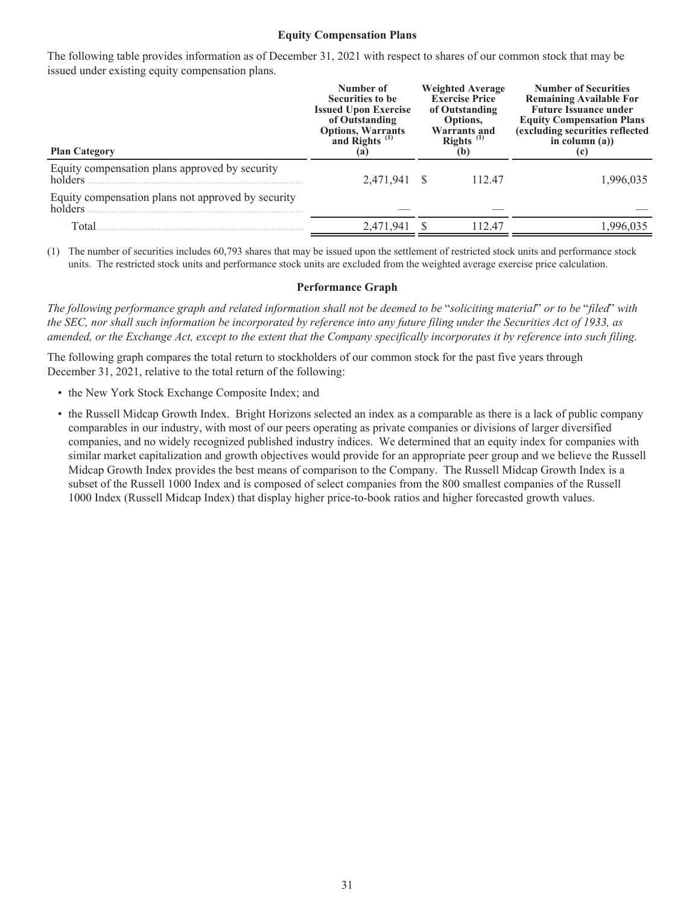#### **Equity Compensation Plans**

The following table provides information as of December 31, 2021 with respect to shares of our common stock that may be issued under existing equity compensation plans.

| <b>Plan Category</b>                                          | Number of<br>Securities to be<br><b>Issued Upon Exercise</b><br>of Outstanding<br>Options, Warrants<br>and Rights <sup>(1)</sup><br>(a) | <b>Weighted Average</b><br><b>Exercise Price</b><br>of Outstanding<br>Options,<br><b>Warrants and</b><br>Rights <sup><math>(1)</math></sup><br>(b) | <b>Number of Securities</b><br><b>Remaining Available For</b><br><b>Future Issuance under</b><br><b>Equity Compensation Plans</b><br>(excluding securities reflected<br>in column $(a)$ )<br>(c) |
|---------------------------------------------------------------|-----------------------------------------------------------------------------------------------------------------------------------------|----------------------------------------------------------------------------------------------------------------------------------------------------|--------------------------------------------------------------------------------------------------------------------------------------------------------------------------------------------------|
| Equity compensation plans approved by security<br>holders     | 2,471,941 \$                                                                                                                            | 112.47                                                                                                                                             | 1,996,035                                                                                                                                                                                        |
| Equity compensation plans not approved by security<br>holders |                                                                                                                                         |                                                                                                                                                    |                                                                                                                                                                                                  |
| Total                                                         | 2,471,941                                                                                                                               | 112.47                                                                                                                                             | 1,996,035                                                                                                                                                                                        |

(1) The number of securities includes 60,793 shares that may be issued upon the settlement of restricted stock units and performance stock units. The restricted stock units and performance stock units are excluded from the weighted average exercise price calculation.

#### **Performance Graph**

*The following performance graph and related information shall not be deemed to be* "*soliciting material*" *or to be* "*filed*" *with the SEC, nor shall such information be incorporated by reference into any future filing under the Securities Act of 1933, as amended, or the Exchange Act, except to the extent that the Company specifically incorporates it by reference into such filing.*

The following graph compares the total return to stockholders of our common stock for the past five years through December 31, 2021, relative to the total return of the following:

- the New York Stock Exchange Composite Index; and
- the Russell Midcap Growth Index. Bright Horizons selected an index as a comparable as there is a lack of public company comparables in our industry, with most of our peers operating as private companies or divisions of larger diversified companies, and no widely recognized published industry indices. We determined that an equity index for companies with similar market capitalization and growth objectives would provide for an appropriate peer group and we believe the Russell Midcap Growth Index provides the best means of comparison to the Company. The Russell Midcap Growth Index is a subset of the Russell 1000 Index and is composed of select companies from the 800 smallest companies of the Russell 1000 Index (Russell Midcap Index) that display higher price-to-book ratios and higher forecasted growth values.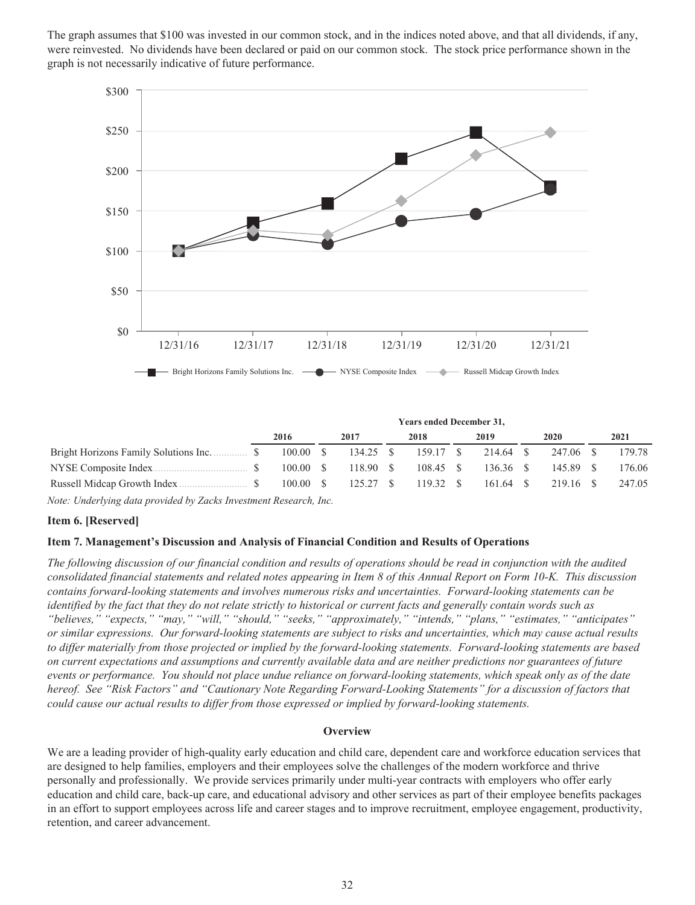The graph assumes that \$100 was invested in our common stock, and in the indices noted above, and that all dividends, if any, were reinvested. No dividends have been declared or paid on our common stock. The stock price performance shown in the graph is not necessarily indicative of future performance.



|                                       | <b>Years ended December 31,</b> |          |  |           |  |           |  |             |  |           |        |
|---------------------------------------|---------------------------------|----------|--|-----------|--|-----------|--|-------------|--|-----------|--------|
|                                       |                                 | 2016     |  | 2017      |  | 2018      |  | 2019        |  | 2020      | 2021   |
| Bright Horizons Family Solutions Inc. |                                 | 100.00 S |  | 134.25 \$ |  | 159.17 \$ |  | 214.64 \$   |  | 247.06 \$ | 179.78 |
|                                       |                                 | 100.00 S |  | 118.90 S  |  | 108.45 \$ |  | $136.36$ \$ |  | 145.89 \$ | 176.06 |
|                                       |                                 | 100.00 S |  | 125.27 S  |  | 119.32 S  |  | $161.64$ S  |  | 219.16 \$ | 247.05 |

*Note: Underlying data provided by Zacks Investment Research, Inc.*

#### **Item 6. [Reserved]**

#### **Item 7. Management's Discussion and Analysis of Financial Condition and Results of Operations**

*The following discussion of our financial condition and results of operations should be read in conjunction with the audited consolidated financial statements and related notes appearing in Item 8 of this Annual Report on Form 10-K. This discussion contains forward-looking statements and involves numerous risks and uncertainties. Forward-looking statements can be identified by the fact that they do not relate strictly to historical or current facts and generally contain words such as "believes," "expects," "may," "will," "should," "seeks," "approximately," "intends," "plans," "estimates," "anticipates" or similar expressions. Our forward-looking statements are subject to risks and uncertainties, which may cause actual results to differ materially from those projected or implied by the forward-looking statements. Forward-looking statements are based on current expectations and assumptions and currently available data and are neither predictions nor guarantees of future events or performance. You should not place undue reliance on forward-looking statements, which speak only as of the date hereof. See "Risk Factors" and "Cautionary Note Regarding Forward-Looking Statements" for a discussion of factors that could cause our actual results to differ from those expressed or implied by forward-looking statements.*

#### **Overview**

We are a leading provider of high-quality early education and child care, dependent care and workforce education services that are designed to help families, employers and their employees solve the challenges of the modern workforce and thrive personally and professionally. We provide services primarily under multi-year contracts with employers who offer early education and child care, back-up care, and educational advisory and other services as part of their employee benefits packages in an effort to support employees across life and career stages and to improve recruitment, employee engagement, productivity, retention, and career advancement.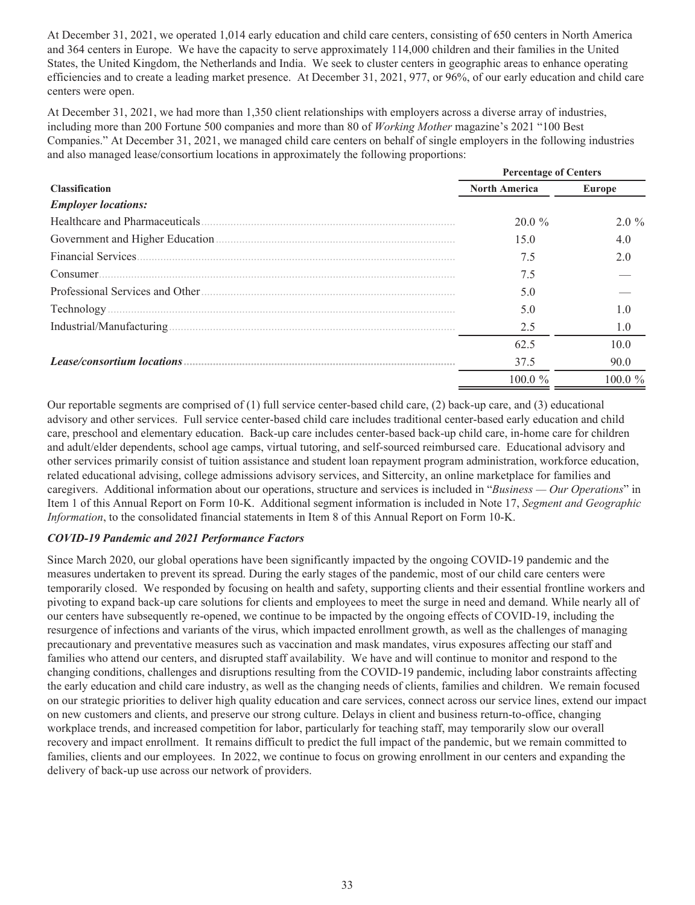At December 31, 2021, we operated 1,014 early education and child care centers, consisting of 650 centers in North America and 364 centers in Europe. We have the capacity to serve approximately 114,000 children and their families in the United States, the United Kingdom, the Netherlands and India. We seek to cluster centers in geographic areas to enhance operating efficiencies and to create a leading market presence. At December 31, 2021, 977, or 96%, of our early education and child care centers were open.

At December 31, 2021, we had more than 1,350 client relationships with employers across a diverse array of industries, including more than 200 Fortune 500 companies and more than 80 of *Working Mother* magazine's 2021 "100 Best Companies." At December 31, 2021, we managed child care centers on behalf of single employers in the following industries and also managed lease/consortium locations in approximately the following proportions:

|                                                                                                                                                                                                                               | <b>Percentage of Centers</b> |            |  |  |  |
|-------------------------------------------------------------------------------------------------------------------------------------------------------------------------------------------------------------------------------|------------------------------|------------|--|--|--|
| <b>Classification</b>                                                                                                                                                                                                         | <b>North America</b>         | Europe     |  |  |  |
| <b>Employer locations:</b>                                                                                                                                                                                                    |                              |            |  |  |  |
| Healthcare and Pharmaceuticals.                                                                                                                                                                                               | $20.0 \%$                    | $2.0 \%$   |  |  |  |
|                                                                                                                                                                                                                               | 15.0                         | 4.0        |  |  |  |
|                                                                                                                                                                                                                               | 7.5                          | 20         |  |  |  |
| Consumer.                                                                                                                                                                                                                     | 7.5                          |            |  |  |  |
| Professional Services and Other (1996) and the context of the service of the professional services and Other (1996) and the service of the service of the service of the service of the service of the service of the service | 5.0                          |            |  |  |  |
|                                                                                                                                                                                                                               | 5.0                          | າ ດ        |  |  |  |
|                                                                                                                                                                                                                               | 2.5                          | 1.0        |  |  |  |
|                                                                                                                                                                                                                               | 62.5                         | 10.0       |  |  |  |
|                                                                                                                                                                                                                               | 37.5                         | 90.0       |  |  |  |
|                                                                                                                                                                                                                               | 100.0 %                      | $100.0 \%$ |  |  |  |

Our reportable segments are comprised of (1) full service center-based child care, (2) back-up care, and (3) educational advisory and other services. Full service center-based child care includes traditional center-based early education and child care, preschool and elementary education. Back-up care includes center-based back-up child care, in-home care for children and adult/elder dependents, school age camps, virtual tutoring, and self-sourced reimbursed care. Educational advisory and other services primarily consist of tuition assistance and student loan repayment program administration, workforce education, related educational advising, college admissions advisory services, and Sittercity, an online marketplace for families and caregivers. Additional information about our operations, structure and services is included in "*Business — Our Operations*" in Item 1 of this Annual Report on Form 10-K. Additional segment information is included in Note 17, *Segment and Geographic Information*, to the consolidated financial statements in Item 8 of this Annual Report on Form 10-K.

# *COVID-19 Pandemic and 2021 Performance Factors*

Since March 2020, our global operations have been significantly impacted by the ongoing COVID-19 pandemic and the measures undertaken to prevent its spread. During the early stages of the pandemic, most of our child care centers were temporarily closed. We responded by focusing on health and safety, supporting clients and their essential frontline workers and pivoting to expand back-up care solutions for clients and employees to meet the surge in need and demand. While nearly all of our centers have subsequently re-opened, we continue to be impacted by the ongoing effects of COVID-19, including the resurgence of infections and variants of the virus, which impacted enrollment growth, as well as the challenges of managing precautionary and preventative measures such as vaccination and mask mandates, virus exposures affecting our staff and families who attend our centers, and disrupted staff availability. We have and will continue to monitor and respond to the changing conditions, challenges and disruptions resulting from the COVID-19 pandemic, including labor constraints affecting the early education and child care industry, as well as the changing needs of clients, families and children. We remain focused on our strategic priorities to deliver high quality education and care services, connect across our service lines, extend our impact on new customers and clients, and preserve our strong culture. Delays in client and business return-to-office, changing workplace trends, and increased competition for labor, particularly for teaching staff, may temporarily slow our overall recovery and impact enrollment. It remains difficult to predict the full impact of the pandemic, but we remain committed to families, clients and our employees. In 2022, we continue to focus on growing enrollment in our centers and expanding the delivery of back-up use across our network of providers.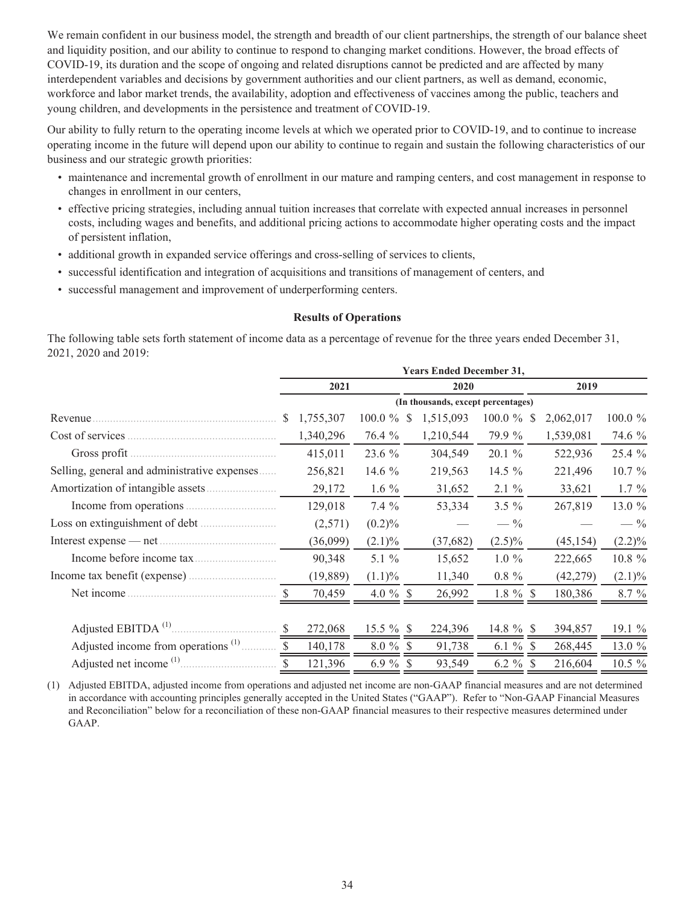We remain confident in our business model, the strength and breadth of our client partnerships, the strength of our balance sheet and liquidity position, and our ability to continue to respond to changing market conditions. However, the broad effects of COVID-19, its duration and the scope of ongoing and related disruptions cannot be predicted and are affected by many interdependent variables and decisions by government authorities and our client partners, as well as demand, economic, workforce and labor market trends, the availability, adoption and effectiveness of vaccines among the public, teachers and young children, and developments in the persistence and treatment of COVID-19.

Our ability to fully return to the operating income levels at which we operated prior to COVID-19, and to continue to increase operating income in the future will depend upon our ability to continue to regain and sustain the following characteristics of our business and our strategic growth priorities:

- maintenance and incremental growth of enrollment in our mature and ramping centers, and cost management in response to changes in enrollment in our centers,
- effective pricing strategies, including annual tuition increases that correlate with expected annual increases in personnel costs, including wages and benefits, and additional pricing actions to accommodate higher operating costs and the impact of persistent inflation,
- additional growth in expanded service offerings and cross-selling of services to clients,
- successful identification and integration of acquisitions and transitions of management of centers, and
- successful management and improvement of underperforming centers.

#### **Results of Operations**

The following table sets forth statement of income data as a percentage of revenue for the three years ended December 31, 2021, 2020 and 2019:

|                                                                | <b>Years Ended December 31,</b>    |           |              |              |           |             |      |           |                 |  |  |  |
|----------------------------------------------------------------|------------------------------------|-----------|--------------|--------------|-----------|-------------|------|-----------|-----------------|--|--|--|
|                                                                | 2021                               |           |              | 2020         |           |             | 2019 |           |                 |  |  |  |
|                                                                | (In thousands, except percentages) |           |              |              |           |             |      |           |                 |  |  |  |
| Revenue.                                                       | <sup>\$</sup>                      | 1,755,307 | 100.0 $\%$   | <sup>S</sup> | 1,515,093 | $100.0 \%$  | S    | 2,062,017 | 100.0 $%$       |  |  |  |
| Cost of services                                               |                                    | 1,340,296 | 76.4 %       |              | 1,210,544 | 79.9 %      |      | 1,539,081 | 74.6 %          |  |  |  |
| Gross profit.                                                  |                                    | 415,011   | 23.6 %       |              | 304,549   | 20.1 %      |      | 522,936   | 25.4 %          |  |  |  |
| Selling, general and administrative expenses                   |                                    | 256,821   | 14.6 $%$     |              | 219,563   | 14.5 %      |      | 221,496   | $10.7 \%$       |  |  |  |
|                                                                |                                    | 29,172    | 1.6 $%$      |              | 31,652    | $2.1 \%$    |      | 33,621    | $1.7\%$         |  |  |  |
|                                                                |                                    | 129,018   | $7.4\%$      |              | 53,334    | $3.5 \%$    |      | 267,819   | 13.0 %          |  |  |  |
|                                                                |                                    | (2,571)   | $(0.2)\%$    |              |           | $-$ %       |      |           | $- \frac{9}{6}$ |  |  |  |
|                                                                |                                    | (36,099)  | $(2.1)\%$    |              | (37,682)  | $(2.5)\%$   |      | (45, 154) | $(2.2)\%$       |  |  |  |
|                                                                |                                    | 90,348    | 5.1 $%$      |              | 15,652    | $1.0\%$     |      | 222,665   | 10.8 %          |  |  |  |
|                                                                |                                    | (19,889)  | $(1.1)\%$    |              | 11,340    | $0.8 \%$    |      | (42, 279) | $(2.1)\%$       |  |  |  |
| Net income.                                                    |                                    | 70,459    | 4.0 $%$ \$   |              | 26,992    | $1.8 \%$ \$ |      | 180,386   | $8.7 \%$        |  |  |  |
|                                                                |                                    |           |              |              |           |             |      |           |                 |  |  |  |
| Adjusted EBITDA <sup>(1)</sup> .                               |                                    | 272,068   | $15.5 \%$ \$ |              | 224,396   | 14.8 $%$ \$ |      | 394,857   | 19.1%           |  |  |  |
| Adjusted income from operations <sup>(1)</sup> $\overline{\$}$ |                                    | 140,178   | $8.0 \%$ \$  |              | 91,738    | 6.1 $%$ \$  |      | 268,445   | 13.0 %          |  |  |  |
| Adjusted net income $(1)$ $\qquad \qquad$ \$                   |                                    | 121,396   | $6.9 \%$ \$  |              | 93,549    | 6.2 $%$ \$  |      | 216,604   | $10.5 \%$       |  |  |  |

(1) Adjusted EBITDA, adjusted income from operations and adjusted net income are non-GAAP financial measures and are not determined in accordance with accounting principles generally accepted in the United States ("GAAP"). Refer to "Non-GAAP Financial Measures and Reconciliation" below for a reconciliation of these non-GAAP financial measures to their respective measures determined under GAAP.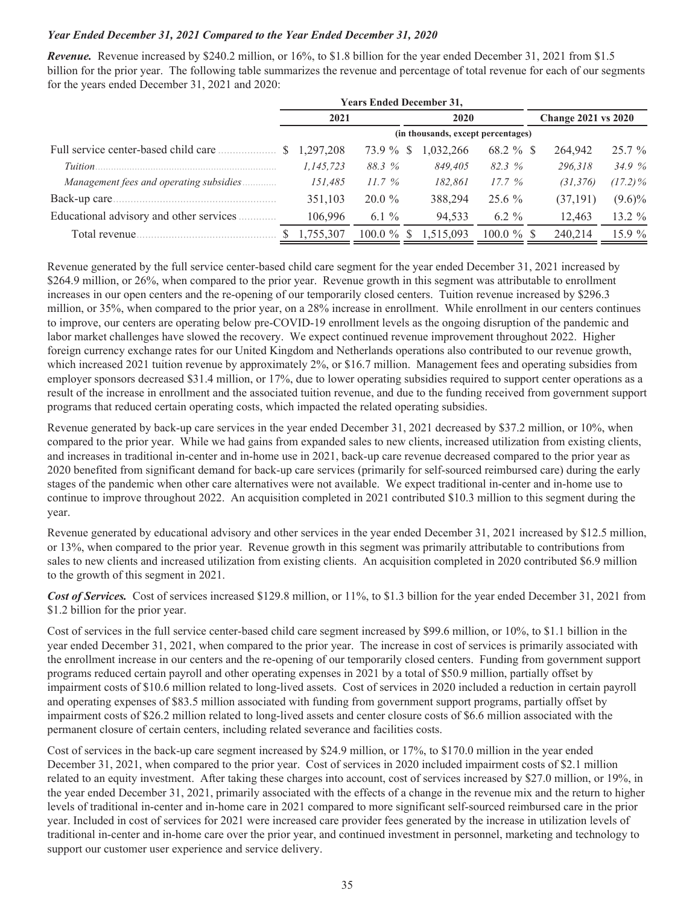## *Year Ended December 31, 2021 Compared to the Year Ended December 31, 2020*

*Revenue.* Revenue increased by \$240.2 million, or 16%, to \$1.8 billion for the year ended December 31, 2021 from \$1.5 billion for the prior year. The following table summarizes the revenue and percentage of total revenue for each of our segments for the years ended December 31, 2021 and 2020:

|                                          | <b>Years Ended December 31,</b>    |                        |           |               |                            |            |  |  |  |
|------------------------------------------|------------------------------------|------------------------|-----------|---------------|----------------------------|------------|--|--|--|
|                                          | 2021                               |                        | 2020      |               | <b>Change 2021 vs 2020</b> |            |  |  |  |
|                                          | (in thousands, except percentages) |                        |           |               |                            |            |  |  |  |
|                                          | 1,297,208                          | 73.9 %<br><sup>S</sup> | 1,032,266 | $68.2 \%$ \$  | 264,942                    | $25.7\%$   |  |  |  |
| Tuition.                                 | 1,145,723                          | 88.3 %                 | 849.405   | 82.3 %        | 296.318                    | 34.9%      |  |  |  |
| Management fees and operating subsidies  | 151.485                            | 11.7%                  | 182,861   | 17.7%         | (31, 376)                  | $(17.2)\%$ |  |  |  |
| Back-up care.                            | 351,103                            | $20.0 \%$              | 388,294   | $25.6\%$      | (37, 191)                  | $(9.6)\%$  |  |  |  |
| Educational advisory and other services. | 106.996                            | $6.1\%$                | 94,533    | $6.2 \%$      | 12,463                     | 13.2 %     |  |  |  |
| Total revenue.                           | 1,755,307                          | $100.0 \%$<br>-S       | 1,515,093 | $100.0 \%$ \$ | 240,214                    | $15.9\%$   |  |  |  |

Revenue generated by the full service center-based child care segment for the year ended December 31, 2021 increased by \$264.9 million, or 26%, when compared to the prior year. Revenue growth in this segment was attributable to enrollment increases in our open centers and the re-opening of our temporarily closed centers. Tuition revenue increased by \$296.3 million, or 35%, when compared to the prior year, on a 28% increase in enrollment. While enrollment in our centers continues to improve, our centers are operating below pre-COVID-19 enrollment levels as the ongoing disruption of the pandemic and labor market challenges have slowed the recovery. We expect continued revenue improvement throughout 2022. Higher foreign currency exchange rates for our United Kingdom and Netherlands operations also contributed to our revenue growth, which increased 2021 tuition revenue by approximately 2%, or \$16.7 million. Management fees and operating subsidies from employer sponsors decreased \$31.4 million, or 17%, due to lower operating subsidies required to support center operations as a result of the increase in enrollment and the associated tuition revenue, and due to the funding received from government support programs that reduced certain operating costs, which impacted the related operating subsidies.

Revenue generated by back-up care services in the year ended December 31, 2021 decreased by \$37.2 million, or 10%, when compared to the prior year. While we had gains from expanded sales to new clients, increased utilization from existing clients, and increases in traditional in-center and in-home use in 2021, back-up care revenue decreased compared to the prior year as 2020 benefited from significant demand for back-up care services (primarily for self-sourced reimbursed care) during the early stages of the pandemic when other care alternatives were not available. We expect traditional in-center and in-home use to continue to improve throughout 2022. An acquisition completed in 2021 contributed \$10.3 million to this segment during the year.

Revenue generated by educational advisory and other services in the year ended December 31, 2021 increased by \$12.5 million, or 13%, when compared to the prior year. Revenue growth in this segment was primarily attributable to contributions from sales to new clients and increased utilization from existing clients. An acquisition completed in 2020 contributed \$6.9 million to the growth of this segment in 2021.

*Cost of Services.* Cost of services increased \$129.8 million, or 11%, to \$1.3 billion for the year ended December 31, 2021 from \$1.2 billion for the prior year.

Cost of services in the full service center-based child care segment increased by \$99.6 million, or 10%, to \$1.1 billion in the year ended December 31, 2021, when compared to the prior year. The increase in cost of services is primarily associated with the enrollment increase in our centers and the re-opening of our temporarily closed centers. Funding from government support programs reduced certain payroll and other operating expenses in 2021 by a total of \$50.9 million, partially offset by impairment costs of \$10.6 million related to long-lived assets. Cost of services in 2020 included a reduction in certain payroll and operating expenses of \$83.5 million associated with funding from government support programs, partially offset by impairment costs of \$26.2 million related to long-lived assets and center closure costs of \$6.6 million associated with the permanent closure of certain centers, including related severance and facilities costs.

Cost of services in the back-up care segment increased by \$24.9 million, or 17%, to \$170.0 million in the year ended December 31, 2021, when compared to the prior year. Cost of services in 2020 included impairment costs of \$2.1 million related to an equity investment. After taking these charges into account, cost of services increased by \$27.0 million, or 19%, in the year ended December 31, 2021, primarily associated with the effects of a change in the revenue mix and the return to higher levels of traditional in-center and in-home care in 2021 compared to more significant self-sourced reimbursed care in the prior year. Included in cost of services for 2021 were increased care provider fees generated by the increase in utilization levels of traditional in-center and in-home care over the prior year, and continued investment in personnel, marketing and technology to support our customer user experience and service delivery.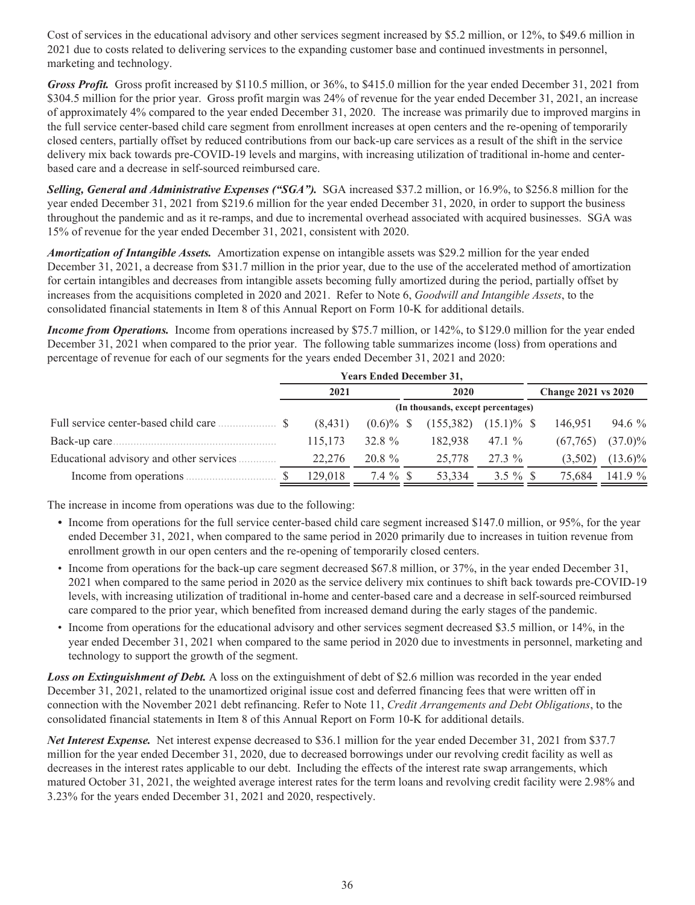Cost of services in the educational advisory and other services segment increased by \$5.2 million, or 12%, to \$49.6 million in 2021 due to costs related to delivering services to the expanding customer base and continued investments in personnel, marketing and technology.

*Gross Profit.* Gross profit increased by \$110.5 million, or 36%, to \$415.0 million for the year ended December 31, 2021 from \$304.5 million for the prior year. Gross profit margin was 24% of revenue for the year ended December 31, 2021, an increase of approximately 4% compared to the year ended December 31, 2020. The increase was primarily due to improved margins in the full service center-based child care segment from enrollment increases at open centers and the re-opening of temporarily closed centers, partially offset by reduced contributions from our back-up care services as a result of the shift in the service delivery mix back towards pre-COVID-19 levels and margins, with increasing utilization of traditional in-home and centerbased care and a decrease in self-sourced reimbursed care.

*Selling, General and Administrative Expenses ("SGA").* SGA increased \$37.2 million, or 16.9%, to \$256.8 million for the year ended December 31, 2021 from \$219.6 million for the year ended December 31, 2020, in order to support the business throughout the pandemic and as it re-ramps, and due to incremental overhead associated with acquired businesses. SGA was 15% of revenue for the year ended December 31, 2021, consistent with 2020.

*Amortization of Intangible Assets.* Amortization expense on intangible assets was \$29.2 million for the year ended December 31, 2021, a decrease from \$31.7 million in the prior year, due to the use of the accelerated method of amortization for certain intangibles and decreases from intangible assets becoming fully amortized during the period, partially offset by increases from the acquisitions completed in 2020 and 2021. Refer to Note 6, *Goodwill and Intangible Assets*, to the consolidated financial statements in Item 8 of this Annual Report on Form 10-K for additional details.

*Income from Operations.* Income from operations increased by \$75.7 million, or 142%, to \$129.0 million for the year ended December 31, 2021 when compared to the prior year. The following table summarizes income (loss) from operations and percentage of revenue for each of our segments for the years ended December 31, 2021 and 2020:

|                                          | <b>Years Ended December 31,</b>    |              |            |               |                            |            |  |  |  |  |
|------------------------------------------|------------------------------------|--------------|------------|---------------|----------------------------|------------|--|--|--|--|
|                                          | 2021                               |              | 2020       |               | <b>Change 2021 vs 2020</b> |            |  |  |  |  |
|                                          | (In thousands, except percentages) |              |            |               |                            |            |  |  |  |  |
| Full service center-based child care     | (8, 431)                           | $(0.6)\%$ \$ | (155, 382) | $(15.1)\%$ \$ | 146,951                    | 94.6 %     |  |  |  |  |
| Back-up care.                            | 115,173                            | 32.8 $%$     | 182.938    | 47.1 $\%$     | (67,765)                   | $(37.0)\%$ |  |  |  |  |
| Educational advisory and other services. | 22.276                             | $20.8 \%$    | 25,778     | $27.3\%$      | (3,502)                    | $(13.6)\%$ |  |  |  |  |
| Income from operations.                  | 129.018                            | $7.4 \%$ \$  | 53.334     | $3.5 \%$ \$   | 75.684                     | 141.9%     |  |  |  |  |

The increase in income from operations was due to the following:

- Income from operations for the full service center-based child care segment increased \$147.0 million, or 95%, for the year ended December 31, 2021, when compared to the same period in 2020 primarily due to increases in tuition revenue from enrollment growth in our open centers and the re-opening of temporarily closed centers.
- Income from operations for the back-up care segment decreased \$67.8 million, or 37%, in the year ended December 31, 2021 when compared to the same period in 2020 as the service delivery mix continues to shift back towards pre-COVID-19 levels, with increasing utilization of traditional in-home and center-based care and a decrease in self-sourced reimbursed care compared to the prior year, which benefited from increased demand during the early stages of the pandemic.
- Income from operations for the educational advisory and other services segment decreased \$3.5 million, or 14%, in the year ended December 31, 2021 when compared to the same period in 2020 due to investments in personnel, marketing and technology to support the growth of the segment.

*Loss on Extinguishment of Debt.* A loss on the extinguishment of debt of \$2.6 million was recorded in the year ended December 31, 2021, related to the unamortized original issue cost and deferred financing fees that were written off in connection with the November 2021 debt refinancing. Refer to Note 11, *Credit Arrangements and Debt Obligations*, to the consolidated financial statements in Item 8 of this Annual Report on Form 10-K for additional details.

*Net Interest Expense.* Net interest expense decreased to \$36.1 million for the year ended December 31, 2021 from \$37.7 million for the year ended December 31, 2020, due to decreased borrowings under our revolving credit facility as well as decreases in the interest rates applicable to our debt. Including the effects of the interest rate swap arrangements, which matured October 31, 2021, the weighted average interest rates for the term loans and revolving credit facility were 2.98% and 3.23% for the years ended December 31, 2021 and 2020, respectively.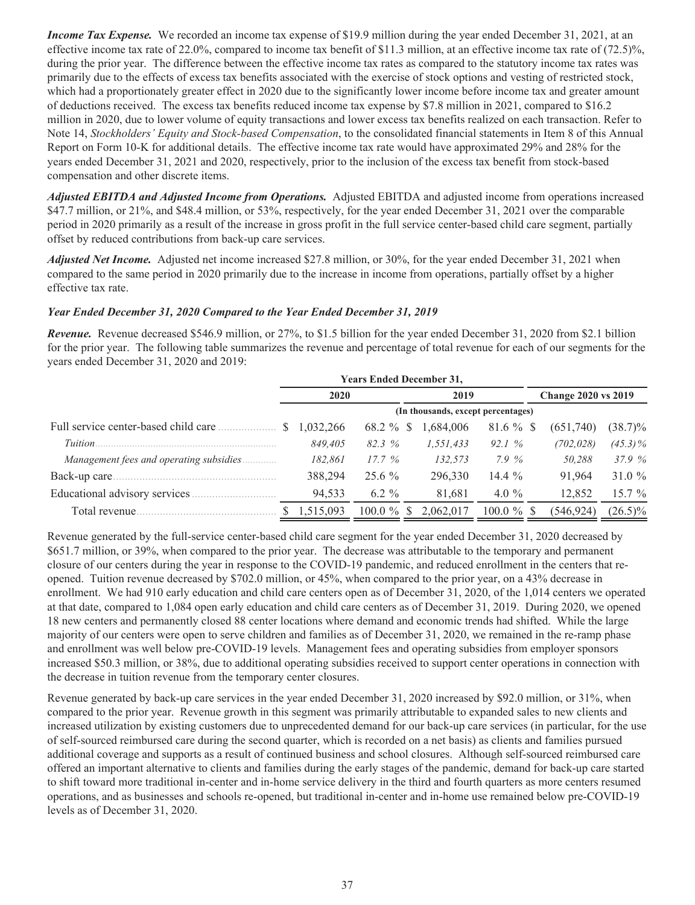*Income Tax Expense.* We recorded an income tax expense of \$19.9 million during the year ended December 31, 2021, at an effective income tax rate of 22.0%, compared to income tax benefit of \$11.3 million, at an effective income tax rate of  $(72.5)$ %, during the prior year. The difference between the effective income tax rates as compared to the statutory income tax rates was primarily due to the effects of excess tax benefits associated with the exercise of stock options and vesting of restricted stock, which had a proportionately greater effect in 2020 due to the significantly lower income before income tax and greater amount of deductions received. The excess tax benefits reduced income tax expense by \$7.8 million in 2021, compared to \$16.2 million in 2020, due to lower volume of equity transactions and lower excess tax benefits realized on each transaction. Refer to Note 14, *Stockholders' Equity and Stock-based Compensation*, to the consolidated financial statements in Item 8 of this Annual Report on Form 10-K for additional details. The effective income tax rate would have approximated 29% and 28% for the years ended December 31, 2021 and 2020, respectively, prior to the inclusion of the excess tax benefit from stock-based compensation and other discrete items.

*Adjusted EBITDA and Adjusted Income from Operations.* Adjusted EBITDA and adjusted income from operations increased \$47.7 million, or 21%, and \$48.4 million, or 53%, respectively, for the year ended December 31, 2021 over the comparable period in 2020 primarily as a result of the increase in gross profit in the full service center-based child care segment, partially offset by reduced contributions from back-up care services.

*Adjusted Net Income.* Adjusted net income increased \$27.8 million, or 30%, for the year ended December 31, 2021 when compared to the same period in 2020 primarily due to the increase in income from operations, partially offset by a higher effective tax rate.

## *Year Ended December 31, 2020 Compared to the Year Ended December 31, 2019*

*Revenue.* Revenue decreased \$546.9 million, or 27%, to \$1.5 billion for the year ended December 31, 2020 from \$2.1 billion for the prior year. The following table summarizes the revenue and percentage of total revenue for each of our segments for the years ended December 31, 2020 and 2019:

|                                         | <b>Years Ended December 31,</b>    |                            |           |               |                            |            |  |  |  |  |
|-----------------------------------------|------------------------------------|----------------------------|-----------|---------------|----------------------------|------------|--|--|--|--|
|                                         | 2020                               |                            | 2019      |               | <b>Change 2020 vs 2019</b> |            |  |  |  |  |
|                                         | (In thousands, except percentages) |                            |           |               |                            |            |  |  |  |  |
|                                         | 1,032,266                          | 68.2 %<br>-S               | 1,684,006 | $81.6 \%$ \$  | (651,740)                  | $(38.7)\%$ |  |  |  |  |
| <i>Tuition</i>                          | 849.405                            | 82.3%                      | 1,551,433 | 92.1%         | (702, 028)                 | $(45.3)\%$ |  |  |  |  |
| Management fees and operating subsidies | 182,861                            | 17.7%                      | 132,573   | 7.9 %         | 50,288                     | 37.9%      |  |  |  |  |
| Back-up care.                           | 388,294                            | $25.6\%$                   | 296,330   | 14.4 $%$      | 91,964                     | 31.0 $%$   |  |  |  |  |
| Educational advisory services.          | 94,533                             | $6.2 \%$                   | 81,681    | 4.0 $\%$      | 12,852                     | $15.7\%$   |  |  |  |  |
| Total revenue.                          | 1,515,093                          | $100.0 \%$<br><sup>S</sup> | 2,062,017 | $100.0 \%$ \$ | (546,924)                  | $(26.5)\%$ |  |  |  |  |

Revenue generated by the full-service center-based child care segment for the year ended December 31, 2020 decreased by \$651.7 million, or 39%, when compared to the prior year. The decrease was attributable to the temporary and permanent closure of our centers during the year in response to the COVID-19 pandemic, and reduced enrollment in the centers that reopened. Tuition revenue decreased by \$702.0 million, or 45%, when compared to the prior year, on a 43% decrease in enrollment. We had 910 early education and child care centers open as of December 31, 2020, of the 1,014 centers we operated at that date, compared to 1,084 open early education and child care centers as of December 31, 2019. During 2020, we opened 18 new centers and permanently closed 88 center locations where demand and economic trends had shifted. While the large majority of our centers were open to serve children and families as of December 31, 2020, we remained in the re-ramp phase and enrollment was well below pre-COVID-19 levels. Management fees and operating subsidies from employer sponsors increased \$50.3 million, or 38%, due to additional operating subsidies received to support center operations in connection with the decrease in tuition revenue from the temporary center closures.

Revenue generated by back-up care services in the year ended December 31, 2020 increased by \$92.0 million, or 31%, when compared to the prior year. Revenue growth in this segment was primarily attributable to expanded sales to new clients and increased utilization by existing customers due to unprecedented demand for our back-up care services (in particular, for the use of self-sourced reimbursed care during the second quarter, which is recorded on a net basis) as clients and families pursued additional coverage and supports as a result of continued business and school closures. Although self-sourced reimbursed care offered an important alternative to clients and families during the early stages of the pandemic, demand for back-up care started to shift toward more traditional in-center and in-home service delivery in the third and fourth quarters as more centers resumed operations, and as businesses and schools re-opened, but traditional in-center and in-home use remained below pre-COVID-19 levels as of December 31, 2020.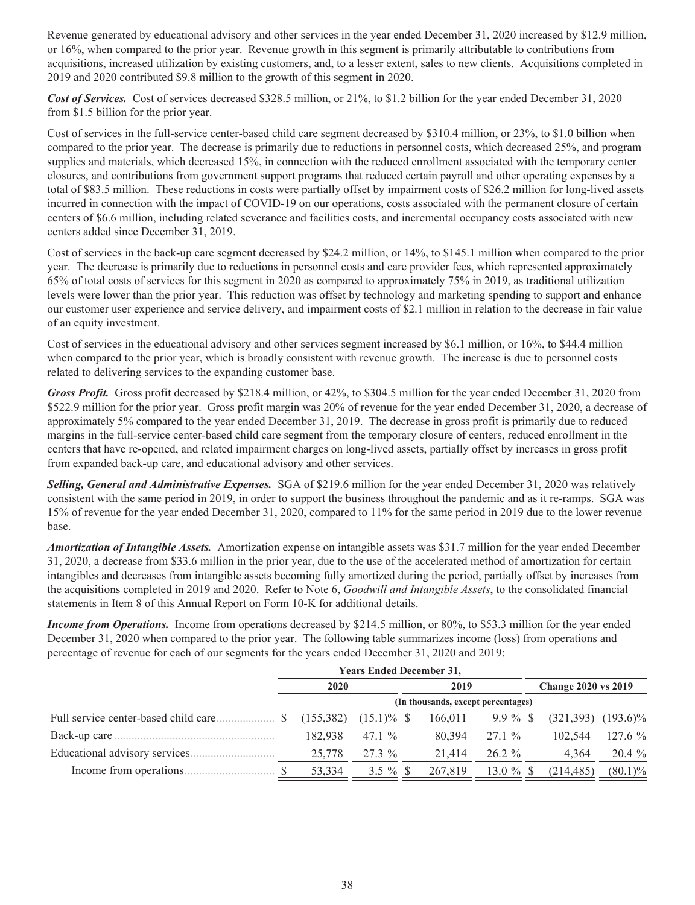Revenue generated by educational advisory and other services in the year ended December 31, 2020 increased by \$12.9 million, or 16%, when compared to the prior year. Revenue growth in this segment is primarily attributable to contributions from acquisitions, increased utilization by existing customers, and, to a lesser extent, sales to new clients. Acquisitions completed in 2019 and 2020 contributed \$9.8 million to the growth of this segment in 2020.

*Cost of Services.* Cost of services decreased \$328.5 million, or 21%, to \$1.2 billion for the year ended December 31, 2020 from \$1.5 billion for the prior year.

Cost of services in the full-service center-based child care segment decreased by \$310.4 million, or 23%, to \$1.0 billion when compared to the prior year. The decrease is primarily due to reductions in personnel costs, which decreased 25%, and program supplies and materials, which decreased 15%, in connection with the reduced enrollment associated with the temporary center closures, and contributions from government support programs that reduced certain payroll and other operating expenses by a total of \$83.5 million. These reductions in costs were partially offset by impairment costs of \$26.2 million for long-lived assets incurred in connection with the impact of COVID-19 on our operations, costs associated with the permanent closure of certain centers of \$6.6 million, including related severance and facilities costs, and incremental occupancy costs associated with new centers added since December 31, 2019.

Cost of services in the back-up care segment decreased by \$24.2 million, or 14%, to \$145.1 million when compared to the prior year. The decrease is primarily due to reductions in personnel costs and care provider fees, which represented approximately 65% of total costs of services for this segment in 2020 as compared to approximately 75% in 2019, as traditional utilization levels were lower than the prior year. This reduction was offset by technology and marketing spending to support and enhance our customer user experience and service delivery, and impairment costs of \$2.1 million in relation to the decrease in fair value of an equity investment.

Cost of services in the educational advisory and other services segment increased by \$6.1 million, or 16%, to \$44.4 million when compared to the prior year, which is broadly consistent with revenue growth. The increase is due to personnel costs related to delivering services to the expanding customer base.

*Gross Profit.* Gross profit decreased by \$218.4 million, or 42%, to \$304.5 million for the year ended December 31, 2020 from \$522.9 million for the prior year. Gross profit margin was 20% of revenue for the year ended December 31, 2020, a decrease of approximately 5% compared to the year ended December 31, 2019. The decrease in gross profit is primarily due to reduced margins in the full-service center-based child care segment from the temporary closure of centers, reduced enrollment in the centers that have re-opened, and related impairment charges on long-lived assets, partially offset by increases in gross profit from expanded back-up care, and educational advisory and other services.

*Selling, General and Administrative Expenses.* SGA of \$219.6 million for the year ended December 31, 2020 was relatively consistent with the same period in 2019, in order to support the business throughout the pandemic and as it re-ramps. SGA was 15% of revenue for the year ended December 31, 2020, compared to 11% for the same period in 2019 due to the lower revenue base.

*Amortization of Intangible Assets.* Amortization expense on intangible assets was \$31.7 million for the year ended December 31, 2020, a decrease from \$33.6 million in the prior year, due to the use of the accelerated method of amortization for certain intangibles and decreases from intangible assets becoming fully amortized during the period, partially offset by increases from the acquisitions completed in 2019 and 2020. Refer to Note 6, *Goodwill and Intangible Assets*, to the consolidated financial statements in Item 8 of this Annual Report on Form 10-K for additional details.

*Income from Operations.* Income from operations decreased by \$214.5 million, or 80%, to \$53.3 million for the year ended December 31, 2020 when compared to the prior year. The following table summarizes income (loss) from operations and percentage of revenue for each of our segments for the years ended December 31, 2020 and 2019:

|                                      | <b>Years Ended December 31,</b> |               |                                    |             |                            |            |
|--------------------------------------|---------------------------------|---------------|------------------------------------|-------------|----------------------------|------------|
|                                      | 2020                            |               | 2019                               |             | <b>Change 2020 vs 2019</b> |            |
|                                      |                                 |               | (In thousands, except percentages) |             |                            |            |
| Full service center-based child care | (155, 382)                      | $(15.1)\%$ \$ | 166.011                            | $9.9\%$ \$  | $(321,393)$ $(193.6)\%$    |            |
| Back-up care.                        | 182.938                         | 47.1 $\%$     | 80.394                             | $27.1 \%$   | 102.544                    | 127.6 %    |
| Educational advisory services.       | 25,778                          | $27.3\%$      | 21.414                             | $26.2 \%$   | 4,364                      | $20.4\%$   |
| Income from operations.              | 53,334                          | $3.5 \%$ \$   | 267,819                            | 13.0 $%$ \$ | (214, 485)                 | $(80.1)\%$ |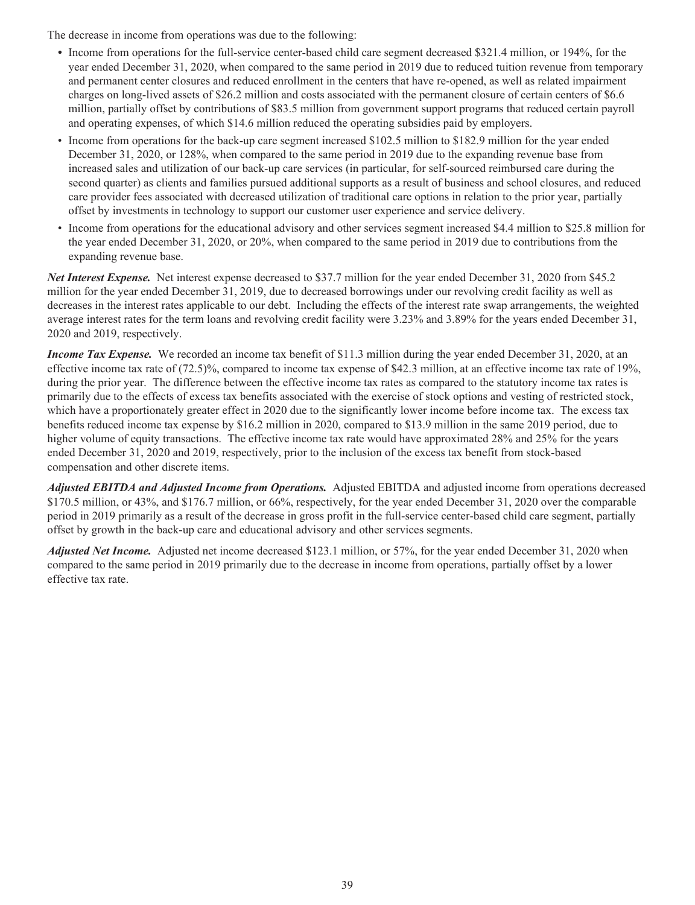The decrease in income from operations was due to the following:

- *•* Income from operations for the full-service center-based child care segment decreased \$321.4 million, or 194%, for the year ended December 31, 2020, when compared to the same period in 2019 due to reduced tuition revenue from temporary and permanent center closures and reduced enrollment in the centers that have re-opened, as well as related impairment charges on long-lived assets of \$26.2 million and costs associated with the permanent closure of certain centers of \$6.6 million, partially offset by contributions of \$83.5 million from government support programs that reduced certain payroll and operating expenses, of which \$14.6 million reduced the operating subsidies paid by employers.
- Income from operations for the back-up care segment increased \$102.5 million to \$182.9 million for the year ended December 31, 2020, or 128%, when compared to the same period in 2019 due to the expanding revenue base from increased sales and utilization of our back-up care services (in particular, for self-sourced reimbursed care during the second quarter) as clients and families pursued additional supports as a result of business and school closures, and reduced care provider fees associated with decreased utilization of traditional care options in relation to the prior year, partially offset by investments in technology to support our customer user experience and service delivery.
- Income from operations for the educational advisory and other services segment increased \$4.4 million to \$25.8 million for the year ended December 31, 2020, or 20%, when compared to the same period in 2019 due to contributions from the expanding revenue base.

*Net Interest Expense.* Net interest expense decreased to \$37.7 million for the year ended December 31, 2020 from \$45.2 million for the year ended December 31, 2019, due to decreased borrowings under our revolving credit facility as well as decreases in the interest rates applicable to our debt. Including the effects of the interest rate swap arrangements, the weighted average interest rates for the term loans and revolving credit facility were 3.23% and 3.89% for the years ended December 31, 2020 and 2019, respectively.

*Income Tax Expense.* We recorded an income tax benefit of \$11.3 million during the year ended December 31, 2020, at an effective income tax rate of (72.5)%, compared to income tax expense of \$42.3 million, at an effective income tax rate of 19%, during the prior year. The difference between the effective income tax rates as compared to the statutory income tax rates is primarily due to the effects of excess tax benefits associated with the exercise of stock options and vesting of restricted stock, which have a proportionately greater effect in 2020 due to the significantly lower income before income tax. The excess tax benefits reduced income tax expense by \$16.2 million in 2020, compared to \$13.9 million in the same 2019 period, due to higher volume of equity transactions. The effective income tax rate would have approximated 28% and 25% for the years ended December 31, 2020 and 2019, respectively, prior to the inclusion of the excess tax benefit from stock-based compensation and other discrete items.

*Adjusted EBITDA and Adjusted Income from Operations.* Adjusted EBITDA and adjusted income from operations decreased \$170.5 million, or 43%, and \$176.7 million, or 66%, respectively, for the year ended December 31, 2020 over the comparable period in 2019 primarily as a result of the decrease in gross profit in the full-service center-based child care segment, partially offset by growth in the back-up care and educational advisory and other services segments.

*Adjusted Net Income.* Adjusted net income decreased \$123.1 million, or 57%, for the year ended December 31, 2020 when compared to the same period in 2019 primarily due to the decrease in income from operations, partially offset by a lower effective tax rate.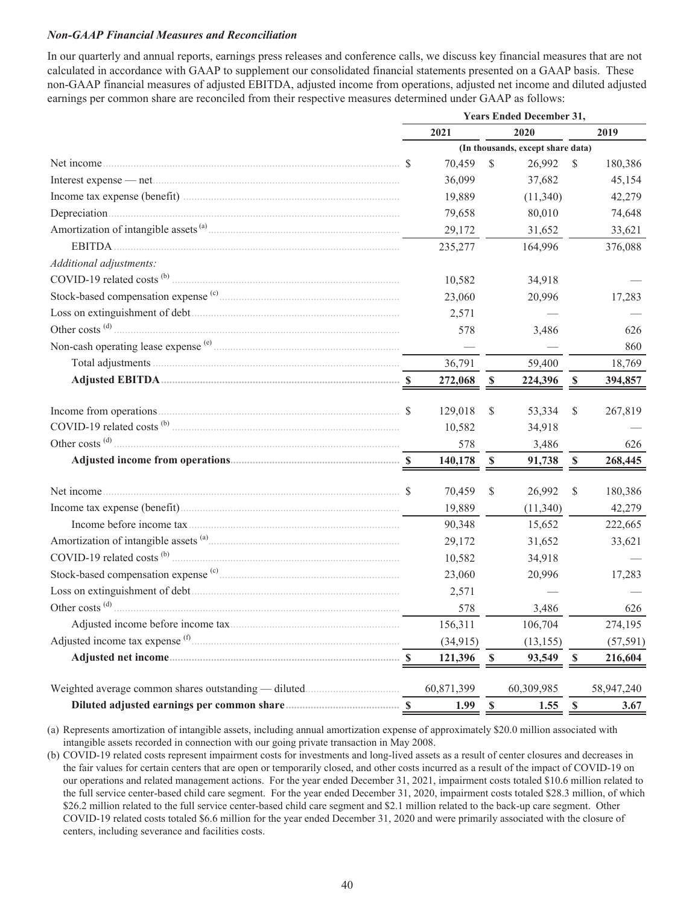## *Non-GAAP Financial Measures and Reconciliation*

In our quarterly and annual reports, earnings press releases and conference calls, we discuss key financial measures that are not calculated in accordance with GAAP to supplement our consolidated financial statements presented on a GAAP basis. These non-GAAP financial measures of adjusted EBITDA, adjusted income from operations, adjusted net income and diluted adjusted earnings per common share are reconciled from their respective measures determined under GAAP as follows:

|                                         | <b>Years Ended December 31,</b> |                          |              |                                   |              |            |  |
|-----------------------------------------|---------------------------------|--------------------------|--------------|-----------------------------------|--------------|------------|--|
|                                         |                                 | 2021                     |              | 2020                              |              | 2019       |  |
|                                         |                                 |                          |              | (In thousands, except share data) |              |            |  |
|                                         |                                 | 70,459                   | \$           | 26,992                            | \$           | 180,386    |  |
|                                         |                                 | 36,099                   |              | 37,682                            |              | 45,154     |  |
|                                         |                                 | 19,889                   |              | (11,340)                          |              | 42,279     |  |
|                                         |                                 | 79,658                   |              | 80,010                            |              | 74,648     |  |
|                                         |                                 | 29,172                   |              | 31,652                            |              | 33,621     |  |
|                                         |                                 | 235,277                  |              | 164,996                           |              | 376,088    |  |
| Additional adjustments:                 |                                 |                          |              |                                   |              |            |  |
| COVID-19 related costs <sup>(b)</sup> . |                                 | 10,582                   |              | 34,918                            |              |            |  |
|                                         |                                 | 23,060                   |              | 20,996                            |              | 17,283     |  |
|                                         |                                 | 2,571                    |              |                                   |              |            |  |
| Other costs <sup>(d)</sup> .            |                                 | 578                      |              | 3,486                             |              | 626        |  |
|                                         |                                 | $\overline{\phantom{m}}$ |              |                                   |              | 860        |  |
|                                         |                                 | 36,791                   |              | 59,400                            |              | 18,769     |  |
|                                         |                                 | 272,068                  | $\mathbb{S}$ | 224,396                           | $\mathbb{S}$ | 394,857    |  |
|                                         |                                 | 129,018                  | \$           | 53,334                            | \$           | 267,819    |  |
|                                         |                                 | 10,582                   |              | 34,918                            |              |            |  |
| Other costs <sup>(d)</sup> .            |                                 | 578                      |              | 3,486                             |              | 626        |  |
|                                         |                                 | 140,178                  | $\mathbb S$  | 91,738                            | $\mathbb S$  | 268,445    |  |
|                                         |                                 |                          |              |                                   |              |            |  |
|                                         |                                 | 70,459                   | $\mathbf S$  | 26,992                            | $\mathbf S$  | 180,386    |  |
|                                         |                                 | 19,889                   |              | (11,340)                          |              | 42,279     |  |
|                                         |                                 | 90,348                   |              | 15,652                            |              | 222,665    |  |
|                                         |                                 | 29,172                   |              | 31,652                            |              | 33,621     |  |
|                                         |                                 | 10,582                   |              | 34,918                            |              |            |  |
|                                         |                                 | 23,060                   |              | 20,996                            |              | 17,283     |  |
|                                         |                                 | 2,571                    |              |                                   |              |            |  |
| Other costs <sup>(d)</sup> .            |                                 | 578                      |              | 3,486                             |              | 626        |  |
|                                         |                                 | 156,311                  |              | 106,704                           |              | 274,195    |  |
|                                         |                                 | (34, 915)                |              | (13, 155)                         |              | (57, 591)  |  |
|                                         |                                 | 121,396                  | \$           | 93,549                            | <b>S</b>     | 216,604    |  |
|                                         |                                 | 60,871,399               |              | 60,309,985                        |              | 58,947,240 |  |
|                                         |                                 | 1.99                     | $\mathbf S$  | 1.55                              | $\mathbf S$  | 3.67       |  |

(a) Represents amortization of intangible assets, including annual amortization expense of approximately \$20.0 million associated with intangible assets recorded in connection with our going private transaction in May 2008.

(b) COVID-19 related costs represent impairment costs for investments and long-lived assets as a result of center closures and decreases in the fair values for certain centers that are open or temporarily closed, and other costs incurred as a result of the impact of COVID-19 on our operations and related management actions. For the year ended December 31, 2021, impairment costs totaled \$10.6 million related to the full service center-based child care segment. For the year ended December 31, 2020, impairment costs totaled \$28.3 million, of which \$26.2 million related to the full service center-based child care segment and \$2.1 million related to the back-up care segment. Other COVID-19 related costs totaled \$6.6 million for the year ended December 31, 2020 and were primarily associated with the closure of centers, including severance and facilities costs.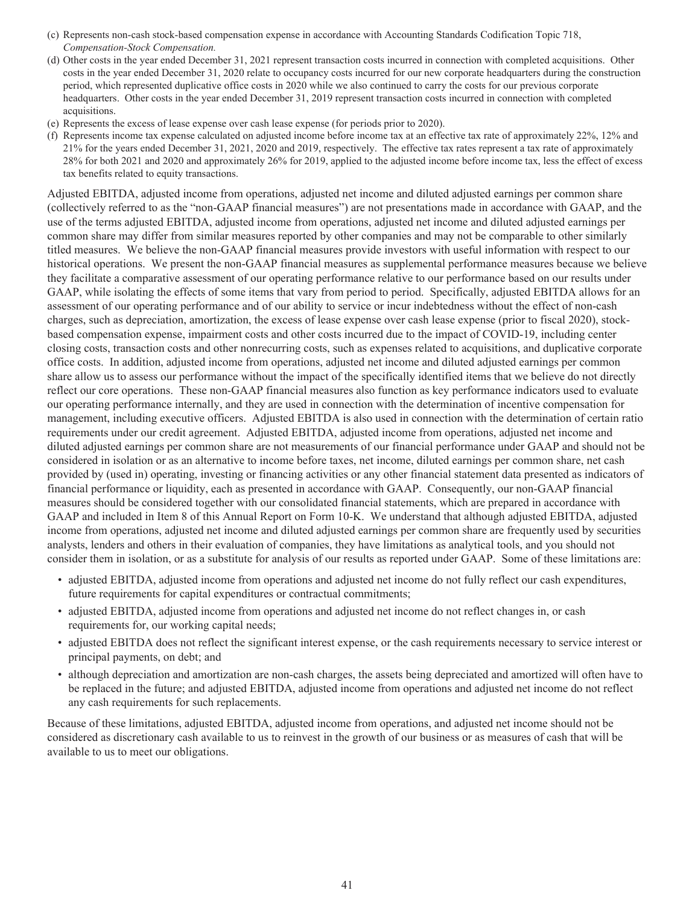- (c) Represents non-cash stock-based compensation expense in accordance with Accounting Standards Codification Topic 718, *Compensation-Stock Compensation.*
- (d) Other costs in the year ended December 31, 2021 represent transaction costs incurred in connection with completed acquisitions. Other costs in the year ended December 31, 2020 relate to occupancy costs incurred for our new corporate headquarters during the construction period, which represented duplicative office costs in 2020 while we also continued to carry the costs for our previous corporate headquarters. Other costs in the year ended December 31, 2019 represent transaction costs incurred in connection with completed acquisitions.
- (e) Represents the excess of lease expense over cash lease expense (for periods prior to 2020).
- (f) Represents income tax expense calculated on adjusted income before income tax at an effective tax rate of approximately 22%, 12% and 21% for the years ended December 31, 2021, 2020 and 2019, respectively. The effective tax rates represent a tax rate of approximately 28% for both 2021 and 2020 and approximately 26% for 2019, applied to the adjusted income before income tax, less the effect of excess tax benefits related to equity transactions.

Adjusted EBITDA, adjusted income from operations, adjusted net income and diluted adjusted earnings per common share (collectively referred to as the "non-GAAP financial measures") are not presentations made in accordance with GAAP, and the use of the terms adjusted EBITDA, adjusted income from operations, adjusted net income and diluted adjusted earnings per common share may differ from similar measures reported by other companies and may not be comparable to other similarly titled measures. We believe the non-GAAP financial measures provide investors with useful information with respect to our historical operations. We present the non-GAAP financial measures as supplemental performance measures because we believe they facilitate a comparative assessment of our operating performance relative to our performance based on our results under GAAP, while isolating the effects of some items that vary from period to period. Specifically, adjusted EBITDA allows for an assessment of our operating performance and of our ability to service or incur indebtedness without the effect of non-cash charges, such as depreciation, amortization, the excess of lease expense over cash lease expense (prior to fiscal 2020), stockbased compensation expense, impairment costs and other costs incurred due to the impact of COVID-19, including center closing costs, transaction costs and other nonrecurring costs, such as expenses related to acquisitions, and duplicative corporate office costs. In addition, adjusted income from operations, adjusted net income and diluted adjusted earnings per common share allow us to assess our performance without the impact of the specifically identified items that we believe do not directly reflect our core operations. These non-GAAP financial measures also function as key performance indicators used to evaluate our operating performance internally, and they are used in connection with the determination of incentive compensation for management, including executive officers. Adjusted EBITDA is also used in connection with the determination of certain ratio requirements under our credit agreement. Adjusted EBITDA, adjusted income from operations, adjusted net income and diluted adjusted earnings per common share are not measurements of our financial performance under GAAP and should not be considered in isolation or as an alternative to income before taxes, net income, diluted earnings per common share, net cash provided by (used in) operating, investing or financing activities or any other financial statement data presented as indicators of financial performance or liquidity, each as presented in accordance with GAAP. Consequently, our non-GAAP financial measures should be considered together with our consolidated financial statements, which are prepared in accordance with GAAP and included in Item 8 of this Annual Report on Form 10-K. We understand that although adjusted EBITDA, adjusted income from operations, adjusted net income and diluted adjusted earnings per common share are frequently used by securities analysts, lenders and others in their evaluation of companies, they have limitations as analytical tools, and you should not consider them in isolation, or as a substitute for analysis of our results as reported under GAAP. Some of these limitations are:

- adjusted EBITDA, adjusted income from operations and adjusted net income do not fully reflect our cash expenditures, future requirements for capital expenditures or contractual commitments;
- adjusted EBITDA, adjusted income from operations and adjusted net income do not reflect changes in, or cash requirements for, our working capital needs;
- adjusted EBITDA does not reflect the significant interest expense, or the cash requirements necessary to service interest or principal payments, on debt; and
- although depreciation and amortization are non-cash charges, the assets being depreciated and amortized will often have to be replaced in the future; and adjusted EBITDA, adjusted income from operations and adjusted net income do not reflect any cash requirements for such replacements.

Because of these limitations, adjusted EBITDA, adjusted income from operations, and adjusted net income should not be considered as discretionary cash available to us to reinvest in the growth of our business or as measures of cash that will be available to us to meet our obligations.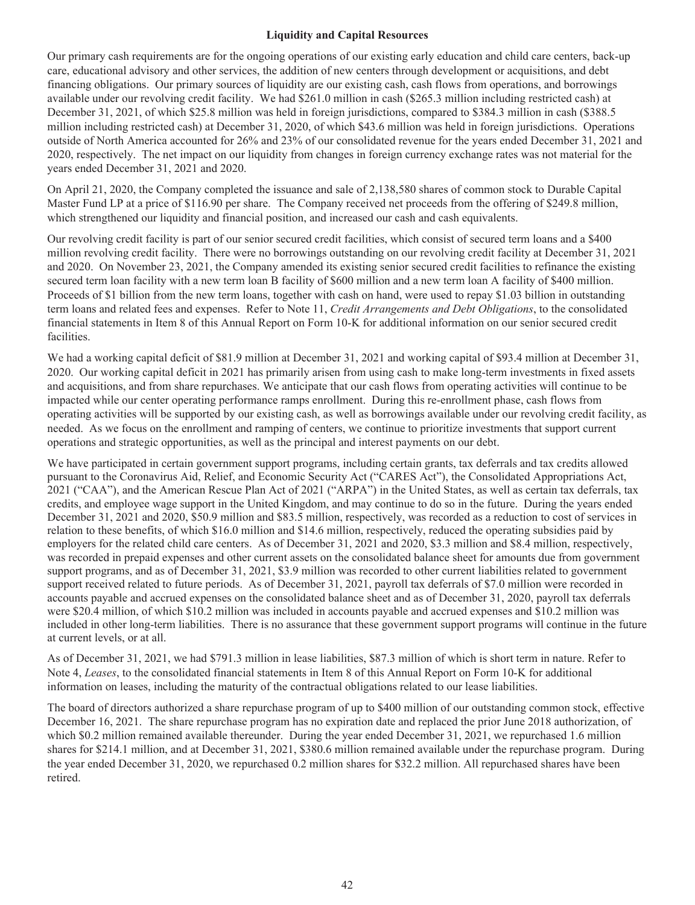## **Liquidity and Capital Resources**

Our primary cash requirements are for the ongoing operations of our existing early education and child care centers, back-up care, educational advisory and other services, the addition of new centers through development or acquisitions, and debt financing obligations. Our primary sources of liquidity are our existing cash, cash flows from operations, and borrowings available under our revolving credit facility. We had \$261.0 million in cash (\$265.3 million including restricted cash) at December 31, 2021, of which \$25.8 million was held in foreign jurisdictions, compared to \$384.3 million in cash (\$388.5 million including restricted cash) at December 31, 2020, of which \$43.6 million was held in foreign jurisdictions. Operations outside of North America accounted for 26% and 23% of our consolidated revenue for the years ended December 31, 2021 and 2020, respectively. The net impact on our liquidity from changes in foreign currency exchange rates was not material for the years ended December 31, 2021 and 2020.

On April 21, 2020, the Company completed the issuance and sale of 2,138,580 shares of common stock to Durable Capital Master Fund LP at a price of \$116.90 per share. The Company received net proceeds from the offering of \$249.8 million, which strengthened our liquidity and financial position, and increased our cash and cash equivalents.

Our revolving credit facility is part of our senior secured credit facilities, which consist of secured term loans and a \$400 million revolving credit facility. There were no borrowings outstanding on our revolving credit facility at December 31, 2021 and 2020. On November 23, 2021, the Company amended its existing senior secured credit facilities to refinance the existing secured term loan facility with a new term loan B facility of \$600 million and a new term loan A facility of \$400 million. Proceeds of \$1 billion from the new term loans, together with cash on hand, were used to repay \$1.03 billion in outstanding term loans and related fees and expenses. Refer to Note 11, *Credit Arrangements and Debt Obligations*, to the consolidated financial statements in Item 8 of this Annual Report on Form 10-K for additional information on our senior secured credit facilities.

We had a working capital deficit of \$81.9 million at December 31, 2021 and working capital of \$93.4 million at December 31, 2020. Our working capital deficit in 2021 has primarily arisen from using cash to make long-term investments in fixed assets and acquisitions, and from share repurchases. We anticipate that our cash flows from operating activities will continue to be impacted while our center operating performance ramps enrollment. During this re-enrollment phase, cash flows from operating activities will be supported by our existing cash, as well as borrowings available under our revolving credit facility, as needed. As we focus on the enrollment and ramping of centers, we continue to prioritize investments that support current operations and strategic opportunities, as well as the principal and interest payments on our debt.

We have participated in certain government support programs, including certain grants, tax deferrals and tax credits allowed pursuant to the Coronavirus Aid, Relief, and Economic Security Act ("CARES Act"), the Consolidated Appropriations Act, 2021 ("CAA"), and the American Rescue Plan Act of 2021 ("ARPA") in the United States, as well as certain tax deferrals, tax credits, and employee wage support in the United Kingdom, and may continue to do so in the future. During the years ended December 31, 2021 and 2020, \$50.9 million and \$83.5 million, respectively, was recorded as a reduction to cost of services in relation to these benefits, of which \$16.0 million and \$14.6 million, respectively, reduced the operating subsidies paid by employers for the related child care centers. As of December 31, 2021 and 2020, \$3.3 million and \$8.4 million, respectively, was recorded in prepaid expenses and other current assets on the consolidated balance sheet for amounts due from government support programs, and as of December 31, 2021, \$3.9 million was recorded to other current liabilities related to government support received related to future periods. As of December 31, 2021, payroll tax deferrals of \$7.0 million were recorded in accounts payable and accrued expenses on the consolidated balance sheet and as of December 31, 2020, payroll tax deferrals were \$20.4 million, of which \$10.2 million was included in accounts payable and accrued expenses and \$10.2 million was included in other long-term liabilities. There is no assurance that these government support programs will continue in the future at current levels, or at all.

As of December 31, 2021, we had \$791.3 million in lease liabilities, \$87.3 million of which is short term in nature. Refer to Note 4, *Leases*, to the consolidated financial statements in Item 8 of this Annual Report on Form 10-K for additional information on leases, including the maturity of the contractual obligations related to our lease liabilities.

The board of directors authorized a share repurchase program of up to \$400 million of our outstanding common stock, effective December 16, 2021. The share repurchase program has no expiration date and replaced the prior June 2018 authorization, of which \$0.2 million remained available thereunder. During the year ended December 31, 2021, we repurchased 1.6 million shares for \$214.1 million, and at December 31, 2021, \$380.6 million remained available under the repurchase program. During the year ended December 31, 2020, we repurchased 0.2 million shares for \$32.2 million. All repurchased shares have been retired.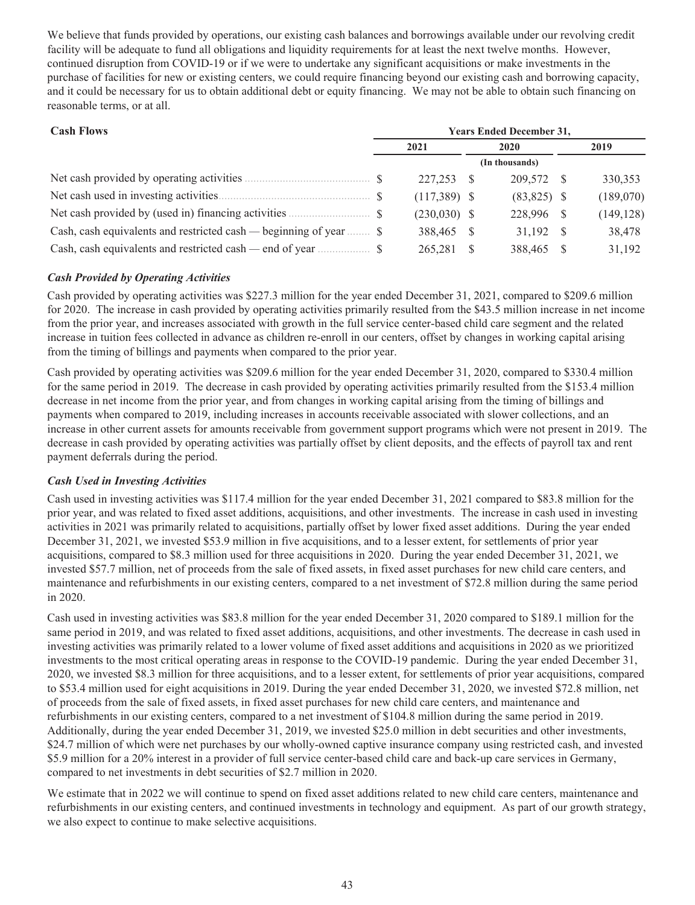We believe that funds provided by operations, our existing cash balances and borrowings available under our revolving credit facility will be adequate to fund all obligations and liquidity requirements for at least the next twelve months. However, continued disruption from COVID-19 or if we were to undertake any significant acquisitions or make investments in the purchase of facilities for new or existing centers, we could require financing beyond our existing cash and borrowing capacity, and it could be necessary for us to obtain additional debt or equity financing. We may not be able to obtain such financing on reasonable terms, or at all.

| <b>Cash Flows</b>                                                         |  |                |      | <b>Years Ended December 31,</b> |      |            |  |  |  |  |  |  |
|---------------------------------------------------------------------------|--|----------------|------|---------------------------------|------|------------|--|--|--|--|--|--|
|                                                                           |  | 2021           | 2020 |                                 | 2019 |            |  |  |  |  |  |  |
|                                                                           |  |                |      | (In thousands)                  |      |            |  |  |  |  |  |  |
|                                                                           |  | 227,253        |      | 209,572                         |      | 330,353    |  |  |  |  |  |  |
|                                                                           |  | $(117,389)$ \$ |      | $(83,825)$ \$                   |      | (189,070)  |  |  |  |  |  |  |
| Net cash provided by (used in) financing activities <b>SECULAR</b> S      |  | $(230,030)$ \$ |      | 228,996                         | -S   | (149, 128) |  |  |  |  |  |  |
| Cash, cash equivalents and restricted cash — beginning of year $\dots$ \$ |  | 388,465 \$     |      | 31.192                          | - S  | 38,478     |  |  |  |  |  |  |
| Cash, cash equivalents and restricted cash — end of year $\dots$          |  | 265,281        |      | 388,465                         |      | 31,192     |  |  |  |  |  |  |

## *Cash Provided by Operating Activities*

Cash provided by operating activities was \$227.3 million for the year ended December 31, 2021, compared to \$209.6 million for 2020. The increase in cash provided by operating activities primarily resulted from the \$43.5 million increase in net income from the prior year, and increases associated with growth in the full service center-based child care segment and the related increase in tuition fees collected in advance as children re-enroll in our centers, offset by changes in working capital arising from the timing of billings and payments when compared to the prior year.

Cash provided by operating activities was \$209.6 million for the year ended December 31, 2020, compared to \$330.4 million for the same period in 2019. The decrease in cash provided by operating activities primarily resulted from the \$153.4 million decrease in net income from the prior year, and from changes in working capital arising from the timing of billings and payments when compared to 2019, including increases in accounts receivable associated with slower collections, and an increase in other current assets for amounts receivable from government support programs which were not present in 2019. The decrease in cash provided by operating activities was partially offset by client deposits, and the effects of payroll tax and rent payment deferrals during the period.

## *Cash Used in Investing Activities*

Cash used in investing activities was \$117.4 million for the year ended December 31, 2021 compared to \$83.8 million for the prior year, and was related to fixed asset additions, acquisitions, and other investments. The increase in cash used in investing activities in 2021 was primarily related to acquisitions, partially offset by lower fixed asset additions. During the year ended December 31, 2021, we invested \$53.9 million in five acquisitions, and to a lesser extent, for settlements of prior year acquisitions, compared to \$8.3 million used for three acquisitions in 2020. During the year ended December 31, 2021, we invested \$57.7 million, net of proceeds from the sale of fixed assets, in fixed asset purchases for new child care centers, and maintenance and refurbishments in our existing centers, compared to a net investment of \$72.8 million during the same period in 2020.

Cash used in investing activities was \$83.8 million for the year ended December 31, 2020 compared to \$189.1 million for the same period in 2019, and was related to fixed asset additions, acquisitions, and other investments. The decrease in cash used in investing activities was primarily related to a lower volume of fixed asset additions and acquisitions in 2020 as we prioritized investments to the most critical operating areas in response to the COVID-19 pandemic. During the year ended December 31, 2020, we invested \$8.3 million for three acquisitions, and to a lesser extent, for settlements of prior year acquisitions, compared to \$53.4 million used for eight acquisitions in 2019. During the year ended December 31, 2020, we invested \$72.8 million, net of proceeds from the sale of fixed assets, in fixed asset purchases for new child care centers, and maintenance and refurbishments in our existing centers, compared to a net investment of \$104.8 million during the same period in 2019. Additionally, during the year ended December 31, 2019, we invested \$25.0 million in debt securities and other investments, \$24.7 million of which were net purchases by our wholly-owned captive insurance company using restricted cash, and invested \$5.9 million for a 20% interest in a provider of full service center-based child care and back-up care services in Germany, compared to net investments in debt securities of \$2.7 million in 2020.

We estimate that in 2022 we will continue to spend on fixed asset additions related to new child care centers, maintenance and refurbishments in our existing centers, and continued investments in technology and equipment. As part of our growth strategy, we also expect to continue to make selective acquisitions.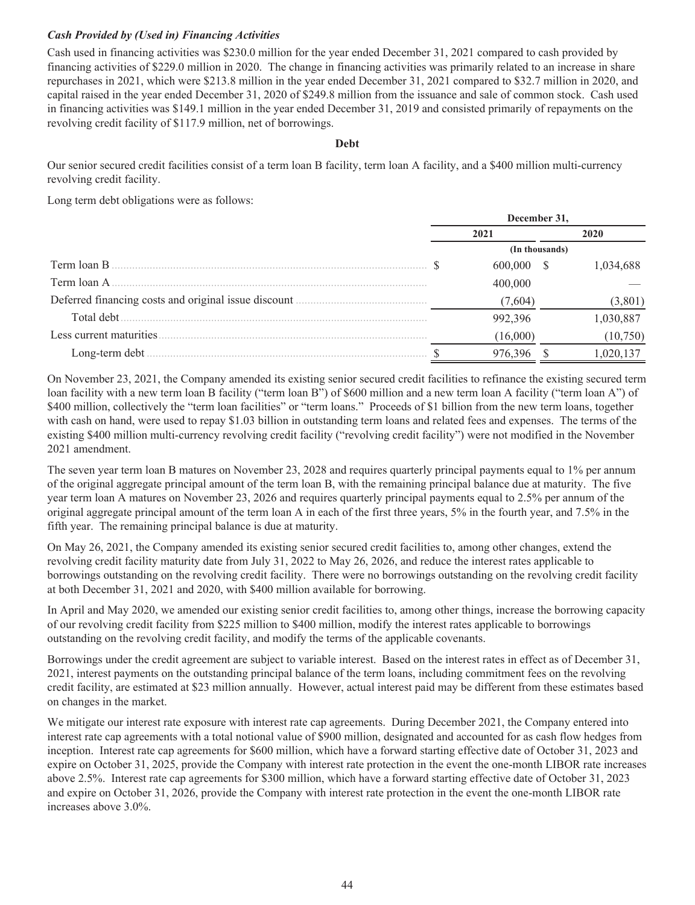## *Cash Provided by (Used in) Financing Activities*

Cash used in financing activities was \$230.0 million for the year ended December 31, 2021 compared to cash provided by financing activities of \$229.0 million in 2020. The change in financing activities was primarily related to an increase in share repurchases in 2021, which were \$213.8 million in the year ended December 31, 2021 compared to \$32.7 million in 2020, and capital raised in the year ended December 31, 2020 of \$249.8 million from the issuance and sale of common stock. Cash used in financing activities was \$149.1 million in the year ended December 31, 2019 and consisted primarily of repayments on the revolving credit facility of \$117.9 million, net of borrowings.

## **Debt**

Our senior secured credit facilities consist of a term loan B facility, term loan A facility, and a \$400 million multi-currency revolving credit facility.

Long term debt obligations were as follows:

|                          | December 31, |          |                |           |  |  |
|--------------------------|--------------|----------|----------------|-----------|--|--|
|                          | 2021         |          |                | 2020      |  |  |
|                          |              |          | (In thousands) |           |  |  |
| Term loan B              |              | 600,000  |                | 1.034.688 |  |  |
| Term loan A              |              | 400,000  |                |           |  |  |
|                          |              | (7,604)  |                | (3,801)   |  |  |
| Total debt.              |              | 992.396  |                | ,030,887  |  |  |
| Less current maturities. |              | (16,000) |                | (10,750)  |  |  |
| Long-term debt           |              |          |                | l,020.    |  |  |

On November 23, 2021, the Company amended its existing senior secured credit facilities to refinance the existing secured term loan facility with a new term loan B facility ("term loan B") of \$600 million and a new term loan A facility ("term loan A") of \$400 million, collectively the "term loan facilities" or "term loans." Proceeds of \$1 billion from the new term loans, together with cash on hand, were used to repay \$1.03 billion in outstanding term loans and related fees and expenses. The terms of the existing \$400 million multi-currency revolving credit facility ("revolving credit facility") were not modified in the November 2021 amendment.

The seven year term loan B matures on November 23, 2028 and requires quarterly principal payments equal to 1% per annum of the original aggregate principal amount of the term loan B, with the remaining principal balance due at maturity. The five year term loan A matures on November 23, 2026 and requires quarterly principal payments equal to 2.5% per annum of the original aggregate principal amount of the term loan A in each of the first three years, 5% in the fourth year, and 7.5% in the fifth year. The remaining principal balance is due at maturity.

On May 26, 2021, the Company amended its existing senior secured credit facilities to, among other changes, extend the revolving credit facility maturity date from July 31, 2022 to May 26, 2026, and reduce the interest rates applicable to borrowings outstanding on the revolving credit facility. There were no borrowings outstanding on the revolving credit facility at both December 31, 2021 and 2020, with \$400 million available for borrowing.

In April and May 2020, we amended our existing senior credit facilities to, among other things, increase the borrowing capacity of our revolving credit facility from \$225 million to \$400 million, modify the interest rates applicable to borrowings outstanding on the revolving credit facility, and modify the terms of the applicable covenants.

Borrowings under the credit agreement are subject to variable interest. Based on the interest rates in effect as of December 31, 2021, interest payments on the outstanding principal balance of the term loans, including commitment fees on the revolving credit facility, are estimated at \$23 million annually. However, actual interest paid may be different from these estimates based on changes in the market.

We mitigate our interest rate exposure with interest rate cap agreements. During December 2021, the Company entered into interest rate cap agreements with a total notional value of \$900 million, designated and accounted for as cash flow hedges from inception. Interest rate cap agreements for \$600 million, which have a forward starting effective date of October 31, 2023 and expire on October 31, 2025, provide the Company with interest rate protection in the event the one-month LIBOR rate increases above 2.5%. Interest rate cap agreements for \$300 million, which have a forward starting effective date of October 31, 2023 and expire on October 31, 2026, provide the Company with interest rate protection in the event the one-month LIBOR rate increases above 3.0%.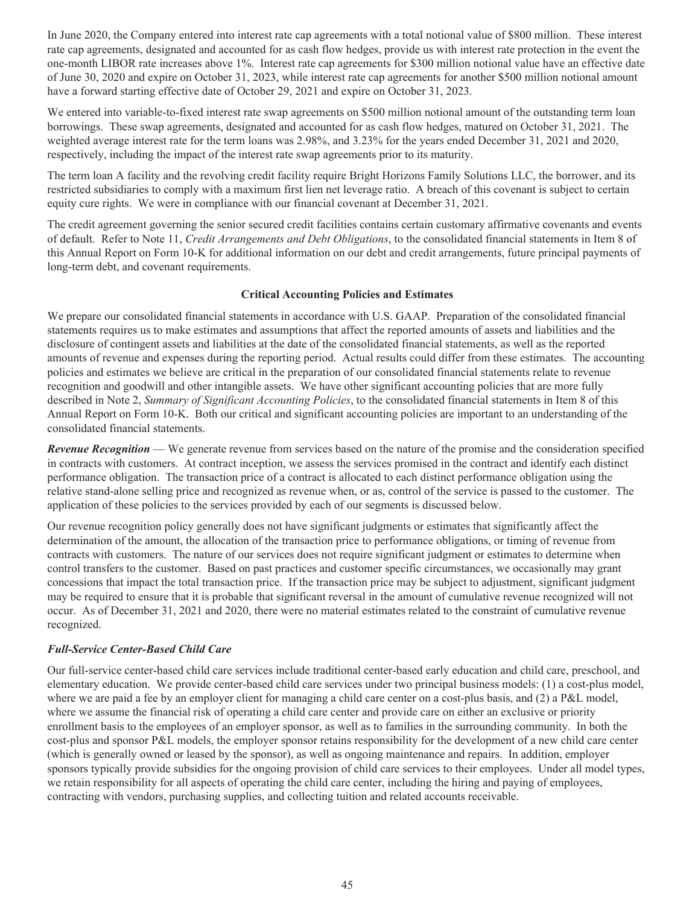In June 2020, the Company entered into interest rate cap agreements with a total notional value of \$800 million. These interest rate cap agreements, designated and accounted for as cash flow hedges, provide us with interest rate protection in the event the one-month LIBOR rate increases above 1%. Interest rate cap agreements for \$300 million notional value have an effective date of June 30, 2020 and expire on October 31, 2023, while interest rate cap agreements for another \$500 million notional amount have a forward starting effective date of October 29, 2021 and expire on October 31, 2023.

We entered into variable-to-fixed interest rate swap agreements on \$500 million notional amount of the outstanding term loan borrowings. These swap agreements, designated and accounted for as cash flow hedges, matured on October 31, 2021. The weighted average interest rate for the term loans was 2.98%, and 3.23% for the years ended December 31, 2021 and 2020, respectively, including the impact of the interest rate swap agreements prior to its maturity.

The term loan A facility and the revolving credit facility require Bright Horizons Family Solutions LLC, the borrower, and its restricted subsidiaries to comply with a maximum first lien net leverage ratio. A breach of this covenant is subject to certain equity cure rights. We were in compliance with our financial covenant at December 31, 2021.

The credit agreement governing the senior secured credit facilities contains certain customary affirmative covenants and events of default. Refer to Note 11, *Credit Arrangements and Debt Obligations*, to the consolidated financial statements in Item 8 of this Annual Report on Form 10-K for additional information on our debt and credit arrangements, future principal payments of long-term debt, and covenant requirements.

## **Critical Accounting Policies and Estimates**

We prepare our consolidated financial statements in accordance with U.S. GAAP. Preparation of the consolidated financial statements requires us to make estimates and assumptions that affect the reported amounts of assets and liabilities and the disclosure of contingent assets and liabilities at the date of the consolidated financial statements, as well as the reported amounts of revenue and expenses during the reporting period. Actual results could differ from these estimates. The accounting policies and estimates we believe are critical in the preparation of our consolidated financial statements relate to revenue recognition and goodwill and other intangible assets. We have other significant accounting policies that are more fully described in Note 2, *Summary of Significant Accounting Policies*, to the consolidated financial statements in Item 8 of this Annual Report on Form 10-K. Both our critical and significant accounting policies are important to an understanding of the consolidated financial statements.

*Revenue Recognition* — We generate revenue from services based on the nature of the promise and the consideration specified in contracts with customers. At contract inception, we assess the services promised in the contract and identify each distinct performance obligation. The transaction price of a contract is allocated to each distinct performance obligation using the relative stand-alone selling price and recognized as revenue when, or as, control of the service is passed to the customer. The application of these policies to the services provided by each of our segments is discussed below.

Our revenue recognition policy generally does not have significant judgments or estimates that significantly affect the determination of the amount, the allocation of the transaction price to performance obligations, or timing of revenue from contracts with customers. The nature of our services does not require significant judgment or estimates to determine when control transfers to the customer. Based on past practices and customer specific circumstances, we occasionally may grant concessions that impact the total transaction price. If the transaction price may be subject to adjustment, significant judgment may be required to ensure that it is probable that significant reversal in the amount of cumulative revenue recognized will not occur. As of December 31, 2021 and 2020, there were no material estimates related to the constraint of cumulative revenue recognized.

## *Full-Service Center-Based Child Care*

Our full-service center-based child care services include traditional center-based early education and child care, preschool, and elementary education. We provide center-based child care services under two principal business models: (1) a cost-plus model, where we are paid a fee by an employer client for managing a child care center on a cost-plus basis, and (2) a P&L model, where we assume the financial risk of operating a child care center and provide care on either an exclusive or priority enrollment basis to the employees of an employer sponsor, as well as to families in the surrounding community. In both the cost-plus and sponsor P&L models, the employer sponsor retains responsibility for the development of a new child care center (which is generally owned or leased by the sponsor), as well as ongoing maintenance and repairs. In addition, employer sponsors typically provide subsidies for the ongoing provision of child care services to their employees. Under all model types, we retain responsibility for all aspects of operating the child care center, including the hiring and paying of employees, contracting with vendors, purchasing supplies, and collecting tuition and related accounts receivable.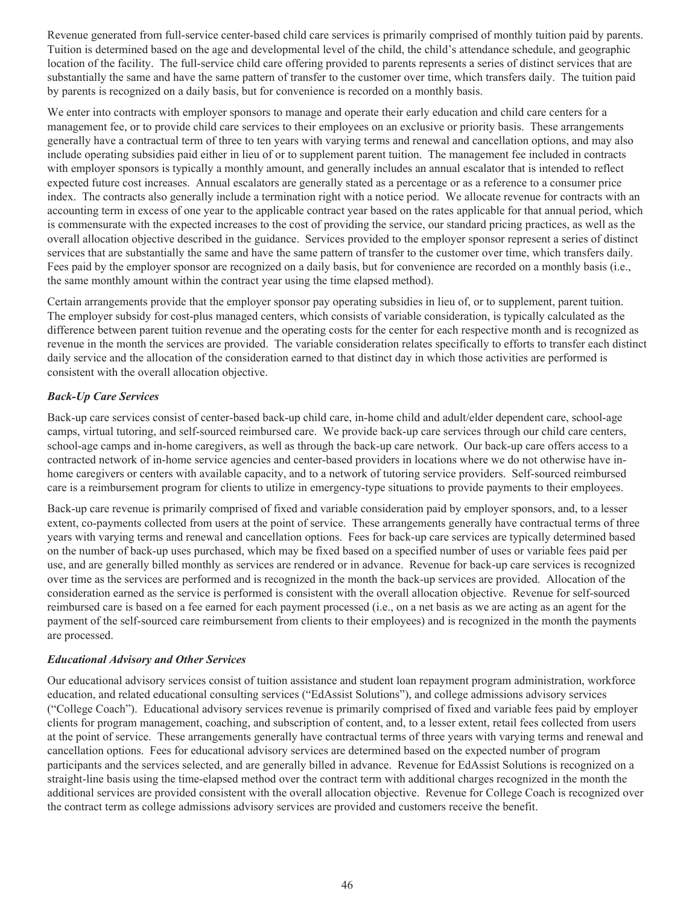Revenue generated from full-service center-based child care services is primarily comprised of monthly tuition paid by parents. Tuition is determined based on the age and developmental level of the child, the child's attendance schedule, and geographic location of the facility. The full-service child care offering provided to parents represents a series of distinct services that are substantially the same and have the same pattern of transfer to the customer over time, which transfers daily. The tuition paid by parents is recognized on a daily basis, but for convenience is recorded on a monthly basis.

We enter into contracts with employer sponsors to manage and operate their early education and child care centers for a management fee, or to provide child care services to their employees on an exclusive or priority basis. These arrangements generally have a contractual term of three to ten years with varying terms and renewal and cancellation options, and may also include operating subsidies paid either in lieu of or to supplement parent tuition. The management fee included in contracts with employer sponsors is typically a monthly amount, and generally includes an annual escalator that is intended to reflect expected future cost increases. Annual escalators are generally stated as a percentage or as a reference to a consumer price index. The contracts also generally include a termination right with a notice period. We allocate revenue for contracts with an accounting term in excess of one year to the applicable contract year based on the rates applicable for that annual period, which is commensurate with the expected increases to the cost of providing the service, our standard pricing practices, as well as the overall allocation objective described in the guidance. Services provided to the employer sponsor represent a series of distinct services that are substantially the same and have the same pattern of transfer to the customer over time, which transfers daily. Fees paid by the employer sponsor are recognized on a daily basis, but for convenience are recorded on a monthly basis (i.e., the same monthly amount within the contract year using the time elapsed method).

Certain arrangements provide that the employer sponsor pay operating subsidies in lieu of, or to supplement, parent tuition. The employer subsidy for cost-plus managed centers, which consists of variable consideration, is typically calculated as the difference between parent tuition revenue and the operating costs for the center for each respective month and is recognized as revenue in the month the services are provided. The variable consideration relates specifically to efforts to transfer each distinct daily service and the allocation of the consideration earned to that distinct day in which those activities are performed is consistent with the overall allocation objective.

## *Back-Up Care Services*

Back-up care services consist of center-based back-up child care, in-home child and adult/elder dependent care, school-age camps, virtual tutoring, and self-sourced reimbursed care. We provide back-up care services through our child care centers, school-age camps and in-home caregivers, as well as through the back-up care network. Our back-up care offers access to a contracted network of in-home service agencies and center-based providers in locations where we do not otherwise have inhome caregivers or centers with available capacity, and to a network of tutoring service providers. Self-sourced reimbursed care is a reimbursement program for clients to utilize in emergency-type situations to provide payments to their employees.

Back-up care revenue is primarily comprised of fixed and variable consideration paid by employer sponsors, and, to a lesser extent, co-payments collected from users at the point of service. These arrangements generally have contractual terms of three years with varying terms and renewal and cancellation options. Fees for back-up care services are typically determined based on the number of back-up uses purchased, which may be fixed based on a specified number of uses or variable fees paid per use, and are generally billed monthly as services are rendered or in advance. Revenue for back-up care services is recognized over time as the services are performed and is recognized in the month the back-up services are provided. Allocation of the consideration earned as the service is performed is consistent with the overall allocation objective. Revenue for self-sourced reimbursed care is based on a fee earned for each payment processed (i.e., on a net basis as we are acting as an agent for the payment of the self-sourced care reimbursement from clients to their employees) and is recognized in the month the payments are processed.

## *Educational Advisory and Other Services*

Our educational advisory services consist of tuition assistance and student loan repayment program administration, workforce education, and related educational consulting services ("EdAssist Solutions"), and college admissions advisory services ("College Coach"). Educational advisory services revenue is primarily comprised of fixed and variable fees paid by employer clients for program management, coaching, and subscription of content, and, to a lesser extent, retail fees collected from users at the point of service. These arrangements generally have contractual terms of three years with varying terms and renewal and cancellation options. Fees for educational advisory services are determined based on the expected number of program participants and the services selected, and are generally billed in advance. Revenue for EdAssist Solutions is recognized on a straight-line basis using the time-elapsed method over the contract term with additional charges recognized in the month the additional services are provided consistent with the overall allocation objective. Revenue for College Coach is recognized over the contract term as college admissions advisory services are provided and customers receive the benefit.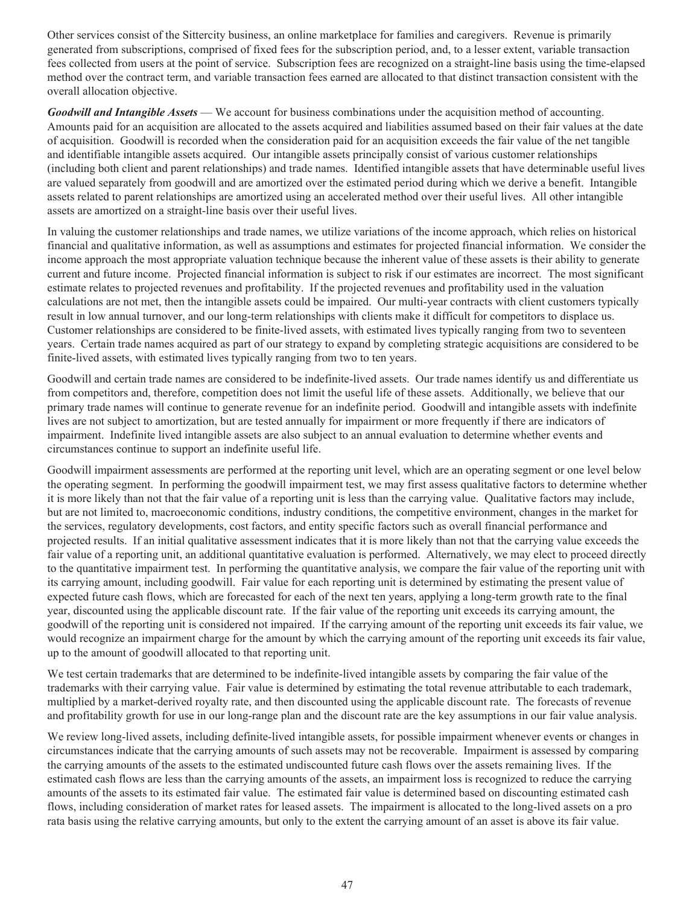Other services consist of the Sittercity business, an online marketplace for families and caregivers. Revenue is primarily generated from subscriptions, comprised of fixed fees for the subscription period, and, to a lesser extent, variable transaction fees collected from users at the point of service. Subscription fees are recognized on a straight-line basis using the time-elapsed method over the contract term, and variable transaction fees earned are allocated to that distinct transaction consistent with the overall allocation objective.

*Goodwill and Intangible Assets* — We account for business combinations under the acquisition method of accounting. Amounts paid for an acquisition are allocated to the assets acquired and liabilities assumed based on their fair values at the date of acquisition. Goodwill is recorded when the consideration paid for an acquisition exceeds the fair value of the net tangible and identifiable intangible assets acquired. Our intangible assets principally consist of various customer relationships (including both client and parent relationships) and trade names. Identified intangible assets that have determinable useful lives are valued separately from goodwill and are amortized over the estimated period during which we derive a benefit. Intangible assets related to parent relationships are amortized using an accelerated method over their useful lives. All other intangible assets are amortized on a straight-line basis over their useful lives.

In valuing the customer relationships and trade names, we utilize variations of the income approach, which relies on historical financial and qualitative information, as well as assumptions and estimates for projected financial information. We consider the income approach the most appropriate valuation technique because the inherent value of these assets is their ability to generate current and future income. Projected financial information is subject to risk if our estimates are incorrect. The most significant estimate relates to projected revenues and profitability. If the projected revenues and profitability used in the valuation calculations are not met, then the intangible assets could be impaired. Our multi-year contracts with client customers typically result in low annual turnover, and our long-term relationships with clients make it difficult for competitors to displace us. Customer relationships are considered to be finite-lived assets, with estimated lives typically ranging from two to seventeen years. Certain trade names acquired as part of our strategy to expand by completing strategic acquisitions are considered to be finite-lived assets, with estimated lives typically ranging from two to ten years.

Goodwill and certain trade names are considered to be indefinite-lived assets. Our trade names identify us and differentiate us from competitors and, therefore, competition does not limit the useful life of these assets. Additionally, we believe that our primary trade names will continue to generate revenue for an indefinite period. Goodwill and intangible assets with indefinite lives are not subject to amortization, but are tested annually for impairment or more frequently if there are indicators of impairment. Indefinite lived intangible assets are also subject to an annual evaluation to determine whether events and circumstances continue to support an indefinite useful life.

Goodwill impairment assessments are performed at the reporting unit level, which are an operating segment or one level below the operating segment. In performing the goodwill impairment test, we may first assess qualitative factors to determine whether it is more likely than not that the fair value of a reporting unit is less than the carrying value. Qualitative factors may include, but are not limited to, macroeconomic conditions, industry conditions, the competitive environment, changes in the market for the services, regulatory developments, cost factors, and entity specific factors such as overall financial performance and projected results. If an initial qualitative assessment indicates that it is more likely than not that the carrying value exceeds the fair value of a reporting unit, an additional quantitative evaluation is performed. Alternatively, we may elect to proceed directly to the quantitative impairment test. In performing the quantitative analysis, we compare the fair value of the reporting unit with its carrying amount, including goodwill. Fair value for each reporting unit is determined by estimating the present value of expected future cash flows, which are forecasted for each of the next ten years, applying a long-term growth rate to the final year, discounted using the applicable discount rate. If the fair value of the reporting unit exceeds its carrying amount, the goodwill of the reporting unit is considered not impaired. If the carrying amount of the reporting unit exceeds its fair value, we would recognize an impairment charge for the amount by which the carrying amount of the reporting unit exceeds its fair value, up to the amount of goodwill allocated to that reporting unit.

We test certain trademarks that are determined to be indefinite-lived intangible assets by comparing the fair value of the trademarks with their carrying value. Fair value is determined by estimating the total revenue attributable to each trademark, multiplied by a market-derived royalty rate, and then discounted using the applicable discount rate. The forecasts of revenue and profitability growth for use in our long-range plan and the discount rate are the key assumptions in our fair value analysis.

We review long-lived assets, including definite-lived intangible assets, for possible impairment whenever events or changes in circumstances indicate that the carrying amounts of such assets may not be recoverable. Impairment is assessed by comparing the carrying amounts of the assets to the estimated undiscounted future cash flows over the assets remaining lives. If the estimated cash flows are less than the carrying amounts of the assets, an impairment loss is recognized to reduce the carrying amounts of the assets to its estimated fair value. The estimated fair value is determined based on discounting estimated cash flows, including consideration of market rates for leased assets. The impairment is allocated to the long-lived assets on a pro rata basis using the relative carrying amounts, but only to the extent the carrying amount of an asset is above its fair value.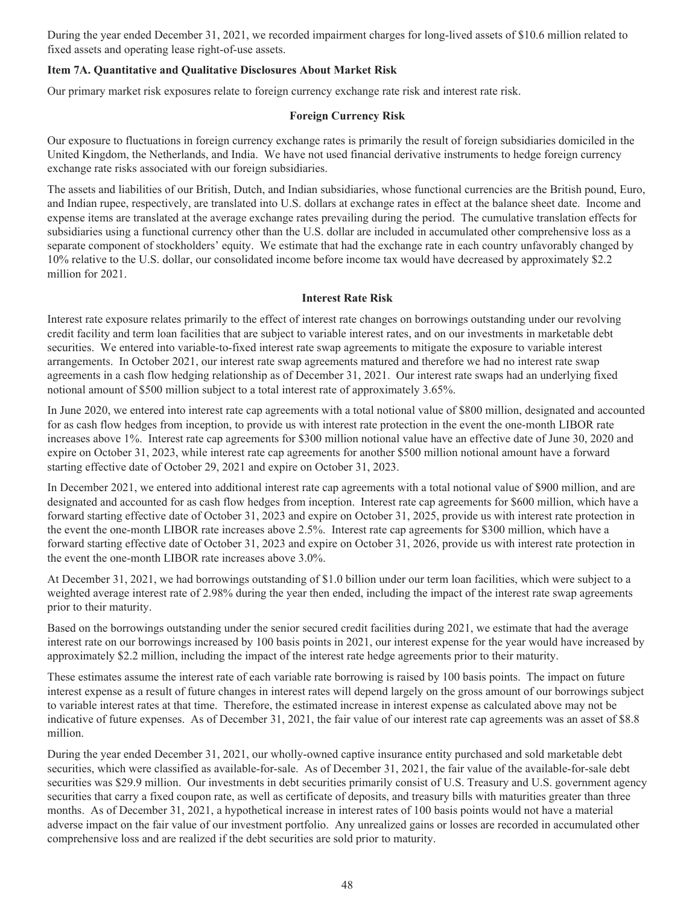During the year ended December 31, 2021, we recorded impairment charges for long-lived assets of \$10.6 million related to fixed assets and operating lease right-of-use assets.

## **Item 7A. Quantitative and Qualitative Disclosures About Market Risk**

Our primary market risk exposures relate to foreign currency exchange rate risk and interest rate risk.

## **Foreign Currency Risk**

Our exposure to fluctuations in foreign currency exchange rates is primarily the result of foreign subsidiaries domiciled in the United Kingdom, the Netherlands, and India. We have not used financial derivative instruments to hedge foreign currency exchange rate risks associated with our foreign subsidiaries.

The assets and liabilities of our British, Dutch, and Indian subsidiaries, whose functional currencies are the British pound, Euro, and Indian rupee, respectively, are translated into U.S. dollars at exchange rates in effect at the balance sheet date. Income and expense items are translated at the average exchange rates prevailing during the period. The cumulative translation effects for subsidiaries using a functional currency other than the U.S. dollar are included in accumulated other comprehensive loss as a separate component of stockholders' equity. We estimate that had the exchange rate in each country unfavorably changed by 10% relative to the U.S. dollar, our consolidated income before income tax would have decreased by approximately \$2.2 million for 2021.

## **Interest Rate Risk**

Interest rate exposure relates primarily to the effect of interest rate changes on borrowings outstanding under our revolving credit facility and term loan facilities that are subject to variable interest rates, and on our investments in marketable debt securities. We entered into variable-to-fixed interest rate swap agreements to mitigate the exposure to variable interest arrangements. In October 2021, our interest rate swap agreements matured and therefore we had no interest rate swap agreements in a cash flow hedging relationship as of December 31, 2021. Our interest rate swaps had an underlying fixed notional amount of \$500 million subject to a total interest rate of approximately 3.65%.

In June 2020, we entered into interest rate cap agreements with a total notional value of \$800 million, designated and accounted for as cash flow hedges from inception, to provide us with interest rate protection in the event the one-month LIBOR rate increases above 1%. Interest rate cap agreements for \$300 million notional value have an effective date of June 30, 2020 and expire on October 31, 2023, while interest rate cap agreements for another \$500 million notional amount have a forward starting effective date of October 29, 2021 and expire on October 31, 2023.

In December 2021, we entered into additional interest rate cap agreements with a total notional value of \$900 million, and are designated and accounted for as cash flow hedges from inception. Interest rate cap agreements for \$600 million, which have a forward starting effective date of October 31, 2023 and expire on October 31, 2025, provide us with interest rate protection in the event the one-month LIBOR rate increases above 2.5%. Interest rate cap agreements for \$300 million, which have a forward starting effective date of October 31, 2023 and expire on October 31, 2026, provide us with interest rate protection in the event the one-month LIBOR rate increases above 3.0%.

At December 31, 2021, we had borrowings outstanding of \$1.0 billion under our term loan facilities, which were subject to a weighted average interest rate of 2.98% during the year then ended, including the impact of the interest rate swap agreements prior to their maturity.

Based on the borrowings outstanding under the senior secured credit facilities during 2021, we estimate that had the average interest rate on our borrowings increased by 100 basis points in 2021, our interest expense for the year would have increased by approximately \$2.2 million, including the impact of the interest rate hedge agreements prior to their maturity.

These estimates assume the interest rate of each variable rate borrowing is raised by 100 basis points. The impact on future interest expense as a result of future changes in interest rates will depend largely on the gross amount of our borrowings subject to variable interest rates at that time. Therefore, the estimated increase in interest expense as calculated above may not be indicative of future expenses. As of December 31, 2021, the fair value of our interest rate cap agreements was an asset of \$8.8 million.

During the year ended December 31, 2021, our wholly-owned captive insurance entity purchased and sold marketable debt securities, which were classified as available-for-sale. As of December 31, 2021, the fair value of the available-for-sale debt securities was \$29.9 million. Our investments in debt securities primarily consist of U.S. Treasury and U.S. government agency securities that carry a fixed coupon rate, as well as certificate of deposits, and treasury bills with maturities greater than three months. As of December 31, 2021, a hypothetical increase in interest rates of 100 basis points would not have a material adverse impact on the fair value of our investment portfolio. Any unrealized gains or losses are recorded in accumulated other comprehensive loss and are realized if the debt securities are sold prior to maturity.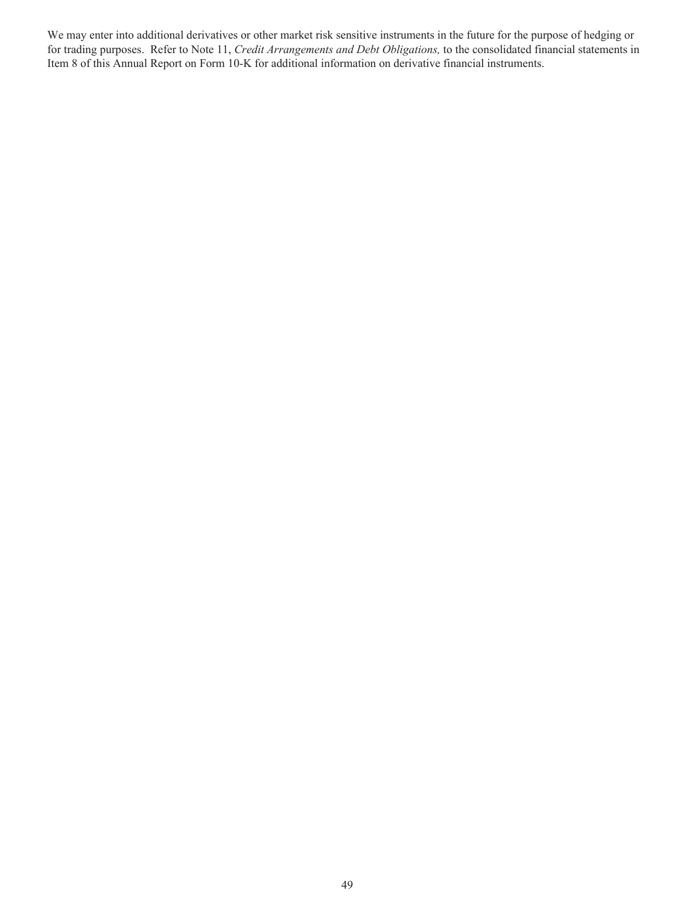We may enter into additional derivatives or other market risk sensitive instruments in the future for the purpose of hedging or for trading purposes. Refer to Note 11, *Credit Arrangements and Debt Obligations,* to the consolidated financial statements in Item 8 of this Annual Report on Form 10-K for additional information on derivative financial instruments.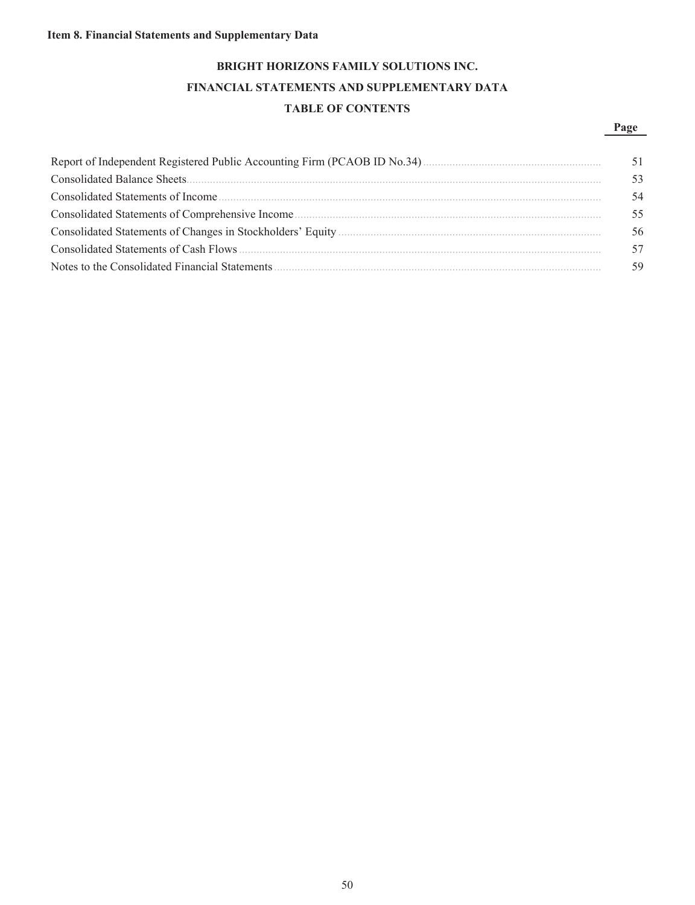## **Item 8. Financial Statements and Supplementary Data**

# **BRIGHT HORIZONS FAMILY SOLUTIONS INC. FINANCIAL STATEMENTS AND SUPPLEMENTARY DATA TABLE OF CONTENTS**

## **Page**

| 53 |
|----|
| 54 |
| 55 |
| 56 |
| 57 |
|    |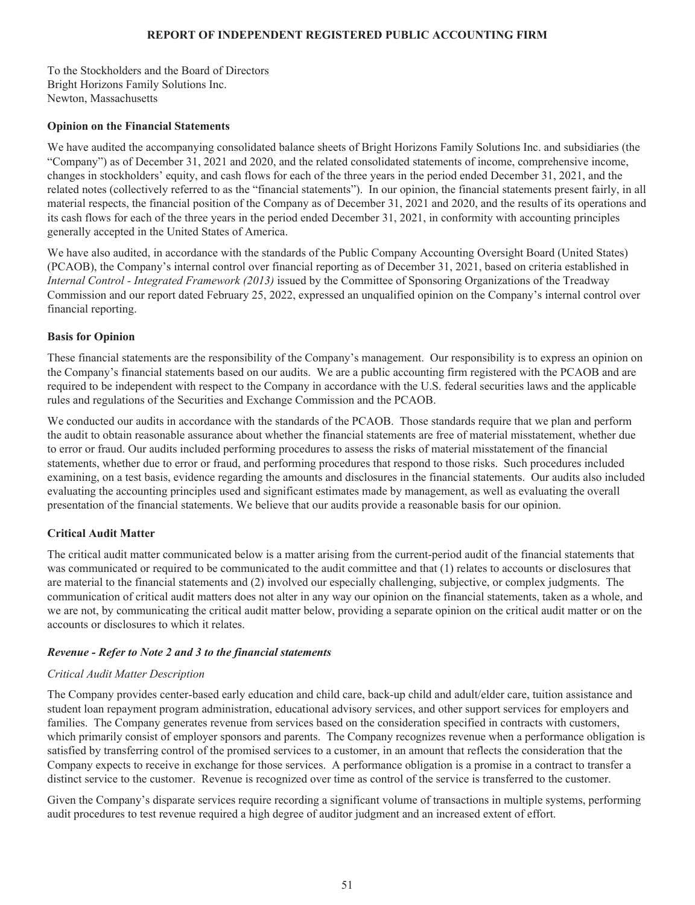## **REPORT OF INDEPENDENT REGISTERED PUBLIC ACCOUNTING FIRM**

To the Stockholders and the Board of Directors Bright Horizons Family Solutions Inc. Newton, Massachusetts

## **Opinion on the Financial Statements**

We have audited the accompanying consolidated balance sheets of Bright Horizons Family Solutions Inc. and subsidiaries (the "Company") as of December 31, 2021 and 2020, and the related consolidated statements of income, comprehensive income, changes in stockholders' equity, and cash flows for each of the three years in the period ended December 31, 2021, and the related notes (collectively referred to as the "financial statements"). In our opinion, the financial statements present fairly, in all material respects, the financial position of the Company as of December 31, 2021 and 2020, and the results of its operations and its cash flows for each of the three years in the period ended December 31, 2021, in conformity with accounting principles generally accepted in the United States of America.

We have also audited, in accordance with the standards of the Public Company Accounting Oversight Board (United States) (PCAOB), the Company's internal control over financial reporting as of December 31, 2021, based on criteria established in *Internal Control - Integrated Framework (2013)* issued by the Committee of Sponsoring Organizations of the Treadway Commission and our report dated February 25, 2022, expressed an unqualified opinion on the Company's internal control over financial reporting.

## **Basis for Opinion**

These financial statements are the responsibility of the Company's management. Our responsibility is to express an opinion on the Company's financial statements based on our audits. We are a public accounting firm registered with the PCAOB and are required to be independent with respect to the Company in accordance with the U.S. federal securities laws and the applicable rules and regulations of the Securities and Exchange Commission and the PCAOB.

We conducted our audits in accordance with the standards of the PCAOB. Those standards require that we plan and perform the audit to obtain reasonable assurance about whether the financial statements are free of material misstatement, whether due to error or fraud. Our audits included performing procedures to assess the risks of material misstatement of the financial statements, whether due to error or fraud, and performing procedures that respond to those risks. Such procedures included examining, on a test basis, evidence regarding the amounts and disclosures in the financial statements. Our audits also included evaluating the accounting principles used and significant estimates made by management, as well as evaluating the overall presentation of the financial statements. We believe that our audits provide a reasonable basis for our opinion.

## **Critical Audit Matter**

The critical audit matter communicated below is a matter arising from the current-period audit of the financial statements that was communicated or required to be communicated to the audit committee and that (1) relates to accounts or disclosures that are material to the financial statements and (2) involved our especially challenging, subjective, or complex judgments. The communication of critical audit matters does not alter in any way our opinion on the financial statements, taken as a whole, and we are not, by communicating the critical audit matter below, providing a separate opinion on the critical audit matter or on the accounts or disclosures to which it relates.

## *Revenue - Refer to Note 2 and 3 to the financial statements*

## *Critical Audit Matter Description*

The Company provides center-based early education and child care, back-up child and adult/elder care, tuition assistance and student loan repayment program administration, educational advisory services, and other support services for employers and families. The Company generates revenue from services based on the consideration specified in contracts with customers, which primarily consist of employer sponsors and parents. The Company recognizes revenue when a performance obligation is satisfied by transferring control of the promised services to a customer, in an amount that reflects the consideration that the Company expects to receive in exchange for those services. A performance obligation is a promise in a contract to transfer a distinct service to the customer. Revenue is recognized over time as control of the service is transferred to the customer.

Given the Company's disparate services require recording a significant volume of transactions in multiple systems, performing audit procedures to test revenue required a high degree of auditor judgment and an increased extent of effort.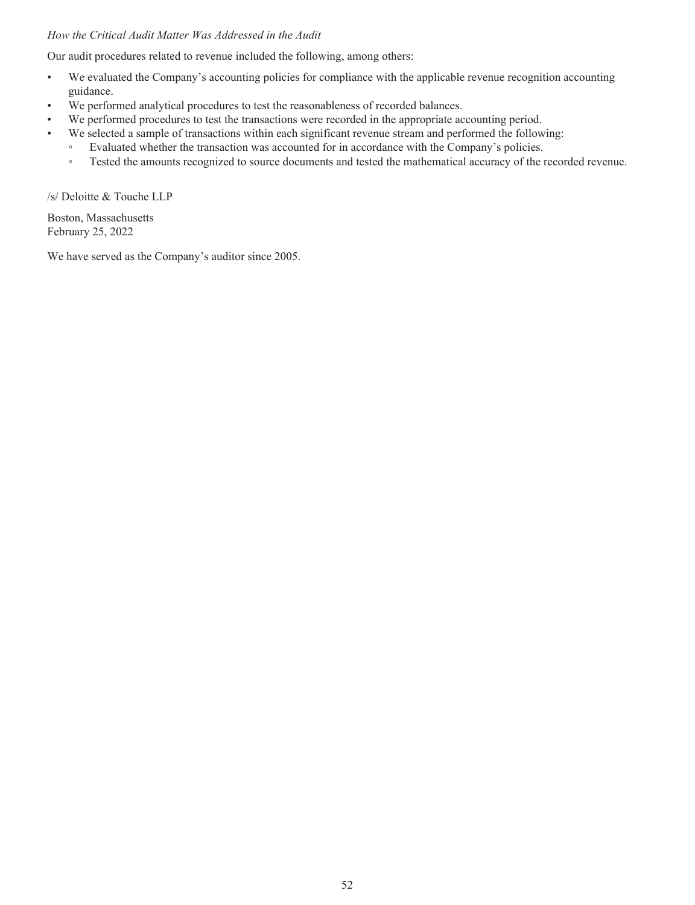## *How the Critical Audit Matter Was Addressed in the Audit*

Our audit procedures related to revenue included the following, among others:

- We evaluated the Company's accounting policies for compliance with the applicable revenue recognition accounting guidance.
- We performed analytical procedures to test the reasonableness of recorded balances.
- We performed procedures to test the transactions were recorded in the appropriate accounting period.
- We selected a sample of transactions within each significant revenue stream and performed the following:
	- Evaluated whether the transaction was accounted for in accordance with the Company's policies.
	- Tested the amounts recognized to source documents and tested the mathematical accuracy of the recorded revenue.

/s/ Deloitte & Touche LLP

Boston, Massachusetts February 25, 2022

We have served as the Company's auditor since 2005.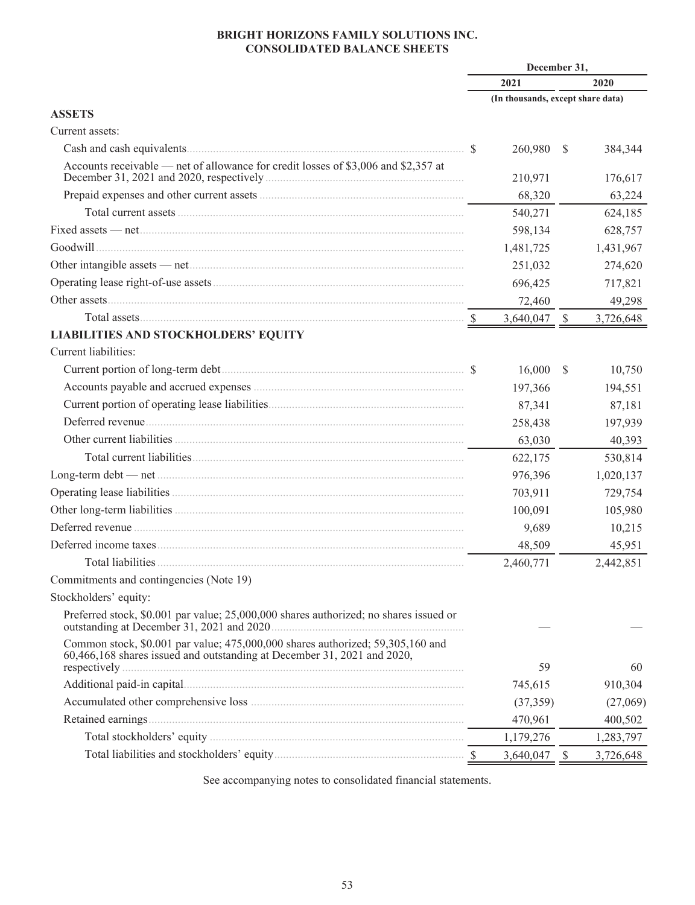## **BRIGHT HORIZONS FAMILY SOLUTIONS INC. CONSOLIDATED BALANCE SHEETS**

|                                                                                                                                                           | December 31, |           |                                                                                                                                                     |           |  |  |
|-----------------------------------------------------------------------------------------------------------------------------------------------------------|--------------|-----------|-----------------------------------------------------------------------------------------------------------------------------------------------------|-----------|--|--|
|                                                                                                                                                           |              | 2021      | 2020<br>(In thousands, except share data)<br>$\mathcal{S}$<br>384,344<br>176,617<br>63,224<br>624,185<br>628,757<br>1,431,967<br>274,620<br>717,821 |           |  |  |
|                                                                                                                                                           |              |           |                                                                                                                                                     |           |  |  |
| <b>ASSETS</b>                                                                                                                                             |              |           |                                                                                                                                                     |           |  |  |
| Current assets:                                                                                                                                           |              |           |                                                                                                                                                     |           |  |  |
|                                                                                                                                                           | <sup>S</sup> | 260,980   |                                                                                                                                                     |           |  |  |
| Accounts receivable — net of allowance for credit losses of \$3,006 and \$2,357 at                                                                        |              | 210,971   |                                                                                                                                                     |           |  |  |
|                                                                                                                                                           |              | 68,320    |                                                                                                                                                     |           |  |  |
|                                                                                                                                                           |              | 540,271   |                                                                                                                                                     |           |  |  |
|                                                                                                                                                           |              | 598,134   |                                                                                                                                                     |           |  |  |
|                                                                                                                                                           |              | 1,481,725 |                                                                                                                                                     |           |  |  |
|                                                                                                                                                           |              | 251,032   |                                                                                                                                                     |           |  |  |
|                                                                                                                                                           |              | 696,425   |                                                                                                                                                     |           |  |  |
|                                                                                                                                                           |              | 72,460    |                                                                                                                                                     | 49,298    |  |  |
| Total assets Sandwick and Sandwick Strategies and Strategies and Strategies and Strategies and Strategies and S                                           |              | 3,640,047 | $\mathbb{S}$                                                                                                                                        | 3,726,648 |  |  |
| LIABILITIES AND STOCKHOLDERS' EQUITY                                                                                                                      |              |           |                                                                                                                                                     |           |  |  |
| Current liabilities:                                                                                                                                      |              |           |                                                                                                                                                     |           |  |  |
|                                                                                                                                                           |              | 16,000    | $\mathcal{S}$                                                                                                                                       | 10,750    |  |  |
|                                                                                                                                                           |              | 197,366   |                                                                                                                                                     | 194,551   |  |  |
|                                                                                                                                                           |              | 87,341    |                                                                                                                                                     | 87,181    |  |  |
|                                                                                                                                                           |              | 258,438   |                                                                                                                                                     | 197,939   |  |  |
|                                                                                                                                                           |              | 63,030    |                                                                                                                                                     | 40,393    |  |  |
|                                                                                                                                                           |              | 622,175   |                                                                                                                                                     | 530,814   |  |  |
|                                                                                                                                                           |              | 976,396   |                                                                                                                                                     | 1,020,137 |  |  |
|                                                                                                                                                           |              | 703,911   |                                                                                                                                                     | 729,754   |  |  |
|                                                                                                                                                           |              | 100,091   |                                                                                                                                                     | 105,980   |  |  |
|                                                                                                                                                           |              | 9,689     |                                                                                                                                                     | 10,215    |  |  |
|                                                                                                                                                           |              | 48,509    |                                                                                                                                                     | 45,951    |  |  |
|                                                                                                                                                           |              | 2,460,771 |                                                                                                                                                     | 2,442,851 |  |  |
| Commitments and contingencies (Note 19)                                                                                                                   |              |           |                                                                                                                                                     |           |  |  |
| Stockholders' equity:                                                                                                                                     |              |           |                                                                                                                                                     |           |  |  |
| Preferred stock, \$0.001 par value; 25,000,000 shares authorized; no shares issued or                                                                     |              |           |                                                                                                                                                     |           |  |  |
| Common stock, \$0.001 par value; 475,000,000 shares authorized; 59,305,160 and<br>60,466,168 shares issued and outstanding at December 31, 2021 and 2020, |              | 59        |                                                                                                                                                     | 60        |  |  |
|                                                                                                                                                           |              | 745,615   |                                                                                                                                                     | 910,304   |  |  |
|                                                                                                                                                           |              | (37, 359) |                                                                                                                                                     | (27,069)  |  |  |
| Retained earnings.                                                                                                                                        |              | 470,961   |                                                                                                                                                     | 400,502   |  |  |
|                                                                                                                                                           |              |           |                                                                                                                                                     |           |  |  |
|                                                                                                                                                           |              | 1,179,276 |                                                                                                                                                     | 1,283,797 |  |  |
|                                                                                                                                                           |              | 3,640,047 | $\boldsymbol{\mathsf{S}}$                                                                                                                           | 3,726,648 |  |  |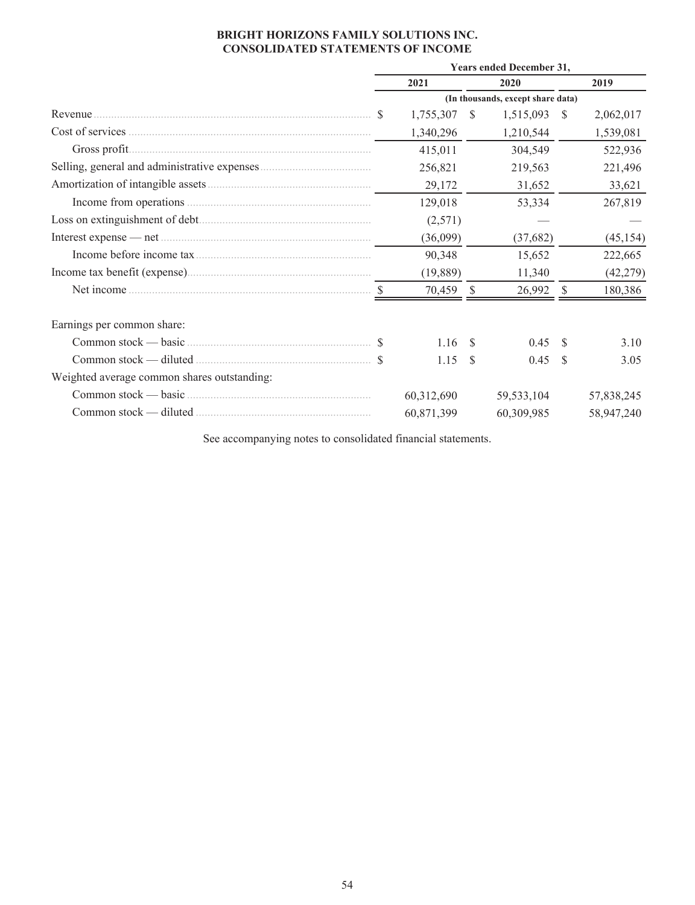## **BRIGHT HORIZONS FAMILY SOLUTIONS INC. CONSOLIDATED STATEMENTS OF INCOME**

|                                             | Years ended December 31,          |              |           |              |               |            |  |  |  |  |
|---------------------------------------------|-----------------------------------|--------------|-----------|--------------|---------------|------------|--|--|--|--|
|                                             |                                   | 2021         |           | 2020         |               | 2019       |  |  |  |  |
|                                             | (In thousands, except share data) |              |           |              |               |            |  |  |  |  |
| Revenue                                     |                                   | 1,755,307 \$ | 1,515,093 |              | - \$          | 2,062,017  |  |  |  |  |
|                                             |                                   | 1,340,296    |           | 1,210,544    |               | 1,539,081  |  |  |  |  |
|                                             |                                   | 415,011      |           | 304,549      |               | 522,936    |  |  |  |  |
|                                             |                                   | 256,821      |           | 219,563      |               | 221,496    |  |  |  |  |
|                                             |                                   | 29,172       |           | 31,652       |               | 33,621     |  |  |  |  |
|                                             |                                   | 129,018      |           | 53,334       |               | 267,819    |  |  |  |  |
|                                             |                                   | (2,571)      |           |              |               |            |  |  |  |  |
|                                             |                                   | (36,099)     |           | (37,682)     |               | (45, 154)  |  |  |  |  |
|                                             |                                   | 90,348       |           | 15,652       |               | 222,665    |  |  |  |  |
|                                             |                                   | (19,889)     |           | 11,340       |               | (42, 279)  |  |  |  |  |
|                                             |                                   | 70,459       | -S        | 26,992       | $\mathcal{S}$ | 180,386    |  |  |  |  |
| Earnings per common share:                  |                                   |              |           |              |               |            |  |  |  |  |
|                                             |                                   | 1.16S        |           | 0.45         | -S            | 3.10       |  |  |  |  |
|                                             |                                   | 1.15         | -S        | 0.45         | -S            | 3.05       |  |  |  |  |
| Weighted average common shares outstanding: |                                   |              |           |              |               |            |  |  |  |  |
|                                             |                                   | 60,312,690   |           | 59, 533, 104 |               | 57,838,245 |  |  |  |  |
|                                             |                                   | 60,871,399   |           | 60,309,985   |               | 58,947,240 |  |  |  |  |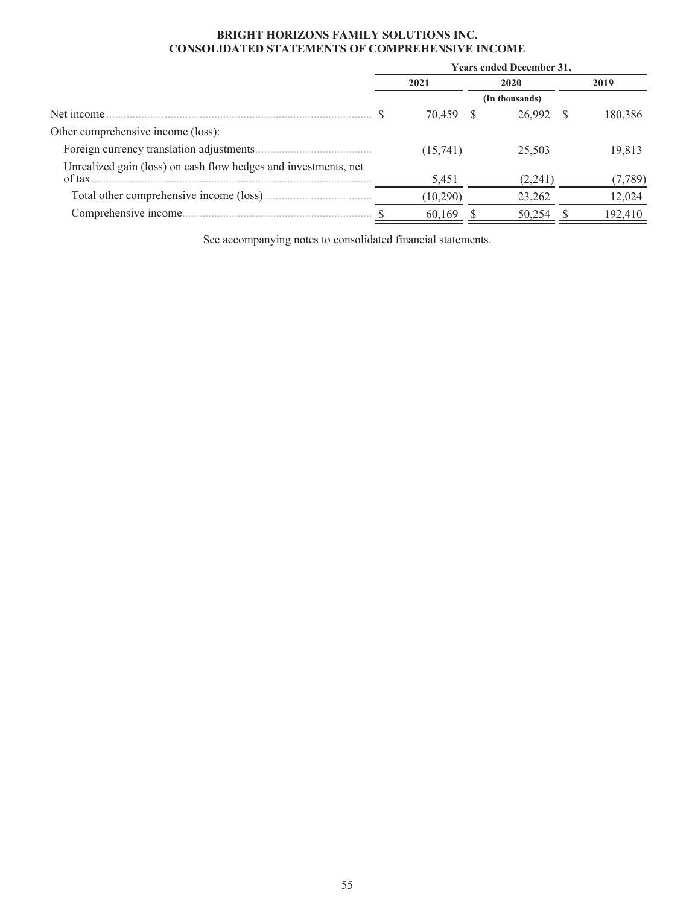## **BRIGHT HORIZONS FAMILY SOLUTIONS INC. CONSOLIDATED STATEMENTS OF COMPREHENSIVE INCOME**

|                                                                 | <b>Years ended December 31,</b> |           |  |                |      |         |  |
|-----------------------------------------------------------------|---------------------------------|-----------|--|----------------|------|---------|--|
|                                                                 |                                 | 2021      |  | 2020           | 2019 |         |  |
|                                                                 |                                 |           |  | (In thousands) |      |         |  |
| Net income.                                                     |                                 | 70,459 \$ |  | 26,992         |      | 180,386 |  |
| Other comprehensive income (loss):                              |                                 |           |  |                |      |         |  |
|                                                                 |                                 | (15,741)  |  | 25,503         |      | 19,813  |  |
| Unrealized gain (loss) on cash flow hedges and investments, net |                                 |           |  |                |      |         |  |
| of tax                                                          |                                 | 5,451     |  | (2,241)        |      | (7,789) |  |
|                                                                 |                                 | (10,290)  |  | 23,262         |      | 12,024  |  |
| Comprehensive income                                            |                                 | 60,169    |  | 50,254         |      | 192,410 |  |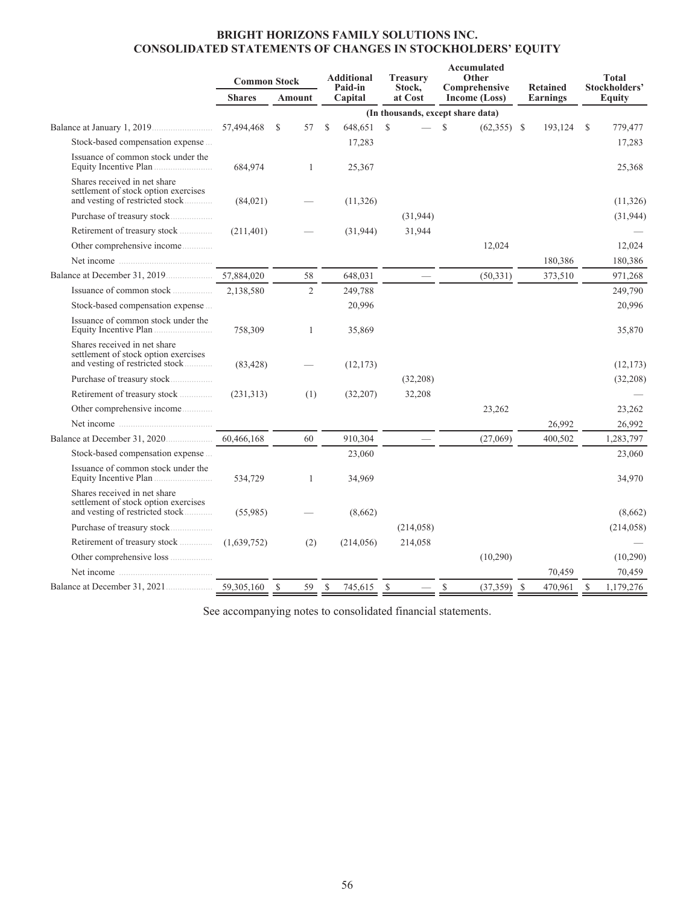## **BRIGHT HORIZONS FAMILY SOLUTIONS INC. CONSOLIDATED STATEMENTS OF CHANGES IN STOCKHOLDERS' EQUITY**

|                                                                                                         | <b>Common Stock</b> |        |              |               | <b>Additional</b><br>Paid-in | Accumulated<br>Other<br><b>Treasury</b><br>Stock, |            | Comprehensive |                                   |    |          | <b>Retained</b> |            |  |  |  |  | <b>Total</b><br>Stockholders' |
|---------------------------------------------------------------------------------------------------------|---------------------|--------|--------------|---------------|------------------------------|---------------------------------------------------|------------|---------------|-----------------------------------|----|----------|-----------------|------------|--|--|--|--|-------------------------------|
|                                                                                                         | <b>Shares</b>       | Amount |              |               | Capital                      |                                                   | at Cost    | Income (Loss) |                                   |    | Earnings |                 | Equity     |  |  |  |  |                               |
|                                                                                                         |                     |        |              |               |                              |                                                   |            |               | (In thousands, except share data) |    |          |                 |            |  |  |  |  |                               |
|                                                                                                         | 57,494,468          | S      | 57           | <sup>\$</sup> | 648,651                      | $\mathbb{S}$                                      |            | $\mathbf S$   | $(62,355)$ \$                     |    | 193,124  | S               | 779,477    |  |  |  |  |                               |
| Stock-based compensation expense                                                                        |                     |        |              |               | 17,283                       |                                                   |            |               |                                   |    |          |                 | 17,283     |  |  |  |  |                               |
| Issuance of common stock under the                                                                      | 684,974             |        | $\mathbf{1}$ |               | 25,367                       |                                                   |            |               |                                   |    |          |                 | 25,368     |  |  |  |  |                               |
| Shares received in net share<br>settlement of stock option exercises<br>and vesting of restricted stock | (84,021)            |        |              |               | (11,326)                     |                                                   |            |               |                                   |    |          |                 | (11,326)   |  |  |  |  |                               |
|                                                                                                         |                     |        |              |               |                              |                                                   | (31, 944)  |               |                                   |    |          |                 | (31, 944)  |  |  |  |  |                               |
| Retirement of treasury stock                                                                            | (211, 401)          |        |              |               | (31, 944)                    |                                                   | 31,944     |               |                                   |    |          |                 |            |  |  |  |  |                               |
| Other comprehensive income                                                                              |                     |        |              |               |                              |                                                   |            |               | 12,024                            |    |          |                 | 12,024     |  |  |  |  |                               |
| Net income                                                                                              |                     |        |              |               |                              |                                                   |            |               |                                   |    | 180,386  |                 | 180,386    |  |  |  |  |                               |
|                                                                                                         | 57,884,020          |        | 58           |               | 648,031                      |                                                   |            |               | (50, 331)                         |    | 373,510  |                 | 971,268    |  |  |  |  |                               |
| Issuance of common stock                                                                                | 2,138,580           |        | 2            |               | 249,788                      |                                                   |            |               |                                   |    |          |                 | 249,790    |  |  |  |  |                               |
| Stock-based compensation expense                                                                        |                     |        |              |               | 20,996                       |                                                   |            |               |                                   |    |          |                 | 20,996     |  |  |  |  |                               |
| Issuance of common stock under the                                                                      | 758,309             |        | $\mathbf{1}$ |               | 35,869                       |                                                   |            |               |                                   |    |          |                 | 35,870     |  |  |  |  |                               |
| Shares received in net share<br>settlement of stock option exercises<br>and vesting of restricted stock | (83, 428)           |        |              |               | (12, 173)                    |                                                   |            |               |                                   |    |          |                 | (12, 173)  |  |  |  |  |                               |
| Purchase of treasury stock                                                                              |                     |        |              |               |                              |                                                   | (32, 208)  |               |                                   |    |          |                 | (32,208)   |  |  |  |  |                               |
| Retirement of treasury stock                                                                            | (231,313)           |        | (1)          |               | (32,207)                     |                                                   | 32,208     |               |                                   |    |          |                 |            |  |  |  |  |                               |
| Other comprehensive income                                                                              |                     |        |              |               |                              |                                                   |            |               | 23,262                            |    |          |                 | 23,262     |  |  |  |  |                               |
|                                                                                                         |                     |        |              |               |                              |                                                   |            |               |                                   |    | 26,992   |                 | 26,992     |  |  |  |  |                               |
|                                                                                                         | 60.466.168          |        | 60           |               | 910,304                      |                                                   |            |               | (27,069)                          |    | 400,502  |                 | 1,283,797  |  |  |  |  |                               |
| Stock-based compensation expense                                                                        |                     |        |              |               | 23,060                       |                                                   |            |               |                                   |    |          |                 | 23,060     |  |  |  |  |                               |
| Issuance of common stock under the<br>Equity Incentive Plan                                             | 534.729             |        | 1            |               | 34,969                       |                                                   |            |               |                                   |    |          |                 | 34,970     |  |  |  |  |                               |
| Shares received in net share<br>settlement of stock option exercises<br>and vesting of restricted stock | (55,985)            |        |              |               | (8,662)                      |                                                   |            |               |                                   |    |          |                 | (8,662)    |  |  |  |  |                               |
|                                                                                                         |                     |        |              |               |                              |                                                   | (214, 058) |               |                                   |    |          |                 | (214, 058) |  |  |  |  |                               |
| Retirement of treasury stock                                                                            | (1,639,752)         |        | (2)          |               | (214, 056)                   |                                                   | 214,058    |               |                                   |    |          |                 |            |  |  |  |  |                               |
| Other comprehensive loss                                                                                |                     |        |              |               |                              |                                                   |            |               | (10,290)                          |    |          |                 | (10,290)   |  |  |  |  |                               |
| Net income                                                                                              |                     |        |              |               |                              |                                                   |            |               |                                   |    | 70,459   |                 | 70,459     |  |  |  |  |                               |
|                                                                                                         |                     | S      | 59           | S             | 745,615                      | \$                                                |            | <sup>\$</sup> | (37, 359)                         | -S | 470,961  | S               | 1,179,276  |  |  |  |  |                               |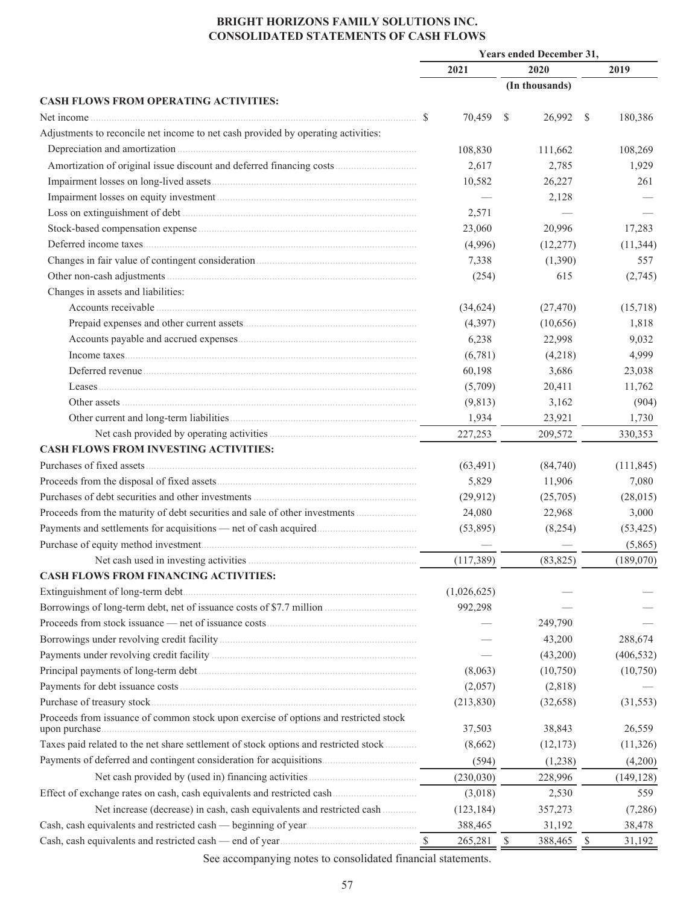## **BRIGHT HORIZONS FAMILY SOLUTIONS INC. CONSOLIDATED STATEMENTS OF CASH FLOWS**

|                                                                                                        |             | <b>Years ended December 31,</b> |                |               |            |  |
|--------------------------------------------------------------------------------------------------------|-------------|---------------------------------|----------------|---------------|------------|--|
|                                                                                                        | 2021        |                                 | 2020           |               | 2019       |  |
|                                                                                                        |             |                                 | (In thousands) |               |            |  |
| <b>CASH FLOWS FROM OPERATING ACTIVITIES:</b>                                                           |             |                                 |                |               |            |  |
|                                                                                                        | 70,459      | -S                              | 26,992 \$      |               | 180,386    |  |
| Adjustments to reconcile net income to net cash provided by operating activities:                      |             |                                 |                |               |            |  |
|                                                                                                        | 108,830     |                                 | 111,662        |               | 108,269    |  |
| Amortization of original issue discount and deferred financing costs                                   | 2,617       |                                 | 2,785          |               | 1,929      |  |
|                                                                                                        | 10,582      |                                 | 26,227         |               | 261        |  |
|                                                                                                        |             |                                 | 2,128          |               |            |  |
|                                                                                                        | 2,571       |                                 |                |               |            |  |
|                                                                                                        | 23,060      |                                 | 20,996         |               | 17,283     |  |
|                                                                                                        | (4,996)     |                                 | (12, 277)      |               | (11, 344)  |  |
|                                                                                                        | 7,338       |                                 | (1,390)        |               | 557        |  |
|                                                                                                        | (254)       |                                 | 615            |               | (2,745)    |  |
| Changes in assets and liabilities:                                                                     |             |                                 |                |               |            |  |
|                                                                                                        | (34, 624)   |                                 | (27, 470)      |               | (15,718)   |  |
|                                                                                                        | (4, 397)    |                                 | (10, 656)      |               | 1,818      |  |
|                                                                                                        | 6,238       |                                 | 22,998         |               | 9,032      |  |
|                                                                                                        | (6,781)     |                                 | (4,218)        |               | 4,999      |  |
|                                                                                                        | 60,198      |                                 | 3,686          |               | 23,038     |  |
|                                                                                                        | (5,709)     |                                 | 20,411         |               | 11,762     |  |
|                                                                                                        | (9,813)     |                                 | 3,162          |               | (904)      |  |
|                                                                                                        | 1,934       |                                 | 23,921         |               | 1,730      |  |
|                                                                                                        | 227,253     |                                 |                |               |            |  |
| <b>CASH FLOWS FROM INVESTING ACTIVITIES:</b>                                                           |             |                                 | 209,572        |               | 330,353    |  |
|                                                                                                        |             |                                 |                |               |            |  |
|                                                                                                        | (63, 491)   |                                 | (84,740)       |               | (111, 845) |  |
|                                                                                                        | 5,829       |                                 | 11,906         |               | 7,080      |  |
|                                                                                                        | (29,912)    |                                 | (25,705)       |               | (28, 015)  |  |
| Proceeds from the maturity of debt securities and sale of other investments                            | 24,080      |                                 | 22,968         |               | 3,000      |  |
|                                                                                                        | (53,895)    |                                 | (8,254)        |               | (53, 425)  |  |
|                                                                                                        |             |                                 |                |               | (5,865)    |  |
|                                                                                                        | (117, 389)  |                                 | (83, 825)      |               | (189,070)  |  |
| <b>CASH FLOWS FROM FINANCING ACTIVITIES:</b>                                                           |             |                                 |                |               |            |  |
|                                                                                                        | (1,026,625) |                                 |                |               |            |  |
|                                                                                                        | 992,298     |                                 |                |               |            |  |
|                                                                                                        |             |                                 | 249,790        |               |            |  |
|                                                                                                        |             |                                 | 43,200         |               | 288,674    |  |
|                                                                                                        |             |                                 | (43,200)       |               | (406, 532) |  |
|                                                                                                        | (8,063)     |                                 | (10,750)       |               | (10,750)   |  |
|                                                                                                        | (2,057)     |                                 | (2,818)        |               |            |  |
|                                                                                                        | (213, 830)  |                                 | (32,658)       |               | (31, 553)  |  |
| Proceeds from issuance of common stock upon exercise of options and restricted stock<br>upon purchase. | 37,503      |                                 | 38,843         |               | 26,559     |  |
| Taxes paid related to the net share settlement of stock options and restricted stock                   | (8,662)     |                                 | (12, 173)      |               | (11,326)   |  |
| Payments of deferred and contingent consideration for acquisitions                                     | (594)       |                                 | (1,238)        |               | (4,200)    |  |
|                                                                                                        | (230, 030)  |                                 | 228,996        |               | (149, 128) |  |
|                                                                                                        | (3,018)     |                                 | 2,530          |               | 559        |  |
| Net increase (decrease) in cash, cash equivalents and restricted cash                                  | (123, 184)  |                                 | 357,273        |               | (7,286)    |  |
|                                                                                                        | 388,465     |                                 | 31,192         |               | 38,478     |  |
|                                                                                                        | 265,281     | -S                              | 388,465        | $\mathcal{S}$ | 31,192     |  |
|                                                                                                        |             |                                 |                |               |            |  |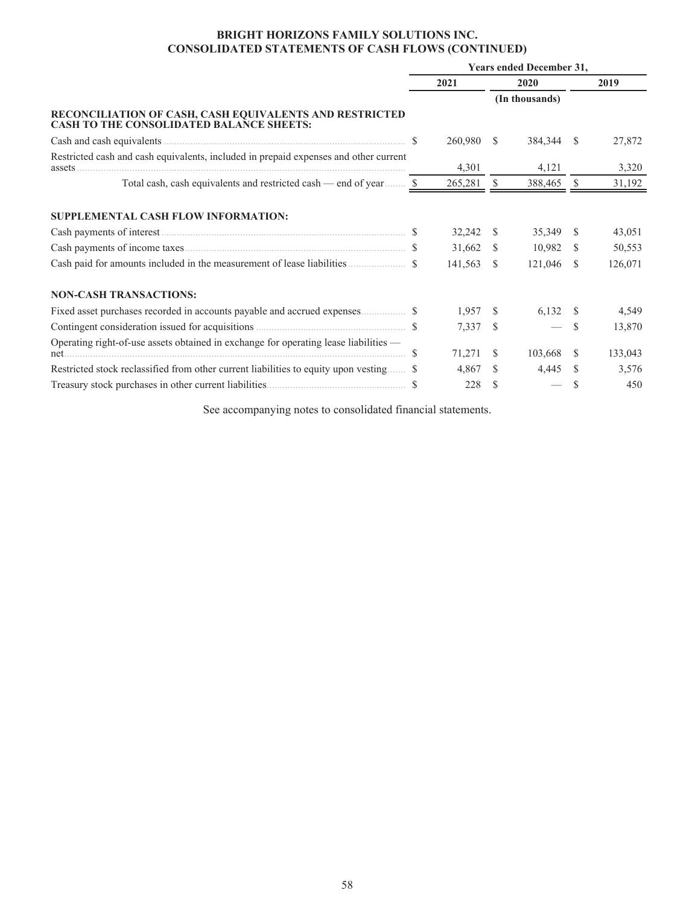## **BRIGHT HORIZONS FAMILY SOLUTIONS INC. CONSOLIDATED STATEMENTS OF CASH FLOWS (CONTINUED)**

|                                                                                                            | <b>Years ended December 31,</b> |            |               |                |              |         |  |
|------------------------------------------------------------------------------------------------------------|---------------------------------|------------|---------------|----------------|--------------|---------|--|
|                                                                                                            | 2021                            |            |               | 2020           |              | 2019    |  |
|                                                                                                            |                                 |            |               | (In thousands) |              |         |  |
| RECONCILIATION OF CASH, CASH EQUIVALENTS AND RESTRICTED<br><b>CASH TO THE CONSOLIDATED BALANCE SHEETS:</b> |                                 |            |               |                |              |         |  |
|                                                                                                            |                                 | 260,980 \$ |               | 384,344        | <sup>S</sup> | 27,872  |  |
| Restricted cash and cash equivalents, included in prepaid expenses and other current<br>assets.            |                                 | 4,301      |               | 4,121          |              | 3,320   |  |
| Total cash, cash equivalents and restricted cash — end of year  \$                                         |                                 | 265,281    | -S            | 388,465        | - \$         | 31,192  |  |
| SUPPLEMENTAL CASH FLOW INFORMATION:                                                                        |                                 |            |               |                |              |         |  |
|                                                                                                            |                                 | 32,242     | - \$          | 35,349         | -S           | 43,051  |  |
|                                                                                                            |                                 | 31,662     | - \$          | 10,982         | - \$         | 50,553  |  |
|                                                                                                            |                                 | 141,563    | - S           | 121,046        | -S           | 126,071 |  |
| <b>NON-CASH TRANSACTIONS:</b>                                                                              |                                 |            |               |                |              |         |  |
|                                                                                                            |                                 | 1,957      | -S            | 6,132          | <sup>S</sup> | 4,549   |  |
|                                                                                                            |                                 | 7,337      | <b>S</b>      |                | <sup>S</sup> | 13,870  |  |
| Operating right-of-use assets obtained in exchange for operating lease liabilities —                       |                                 | 71,271     | <sup>\$</sup> | 103,668 \$     |              | 133,043 |  |
| Restricted stock reclassified from other current liabilities to equity upon vesting \$                     |                                 | 4,867      | S.            | 4,445          | <sup>S</sup> | 3,576   |  |
|                                                                                                            |                                 | 228        |               |                | \$.          | 450     |  |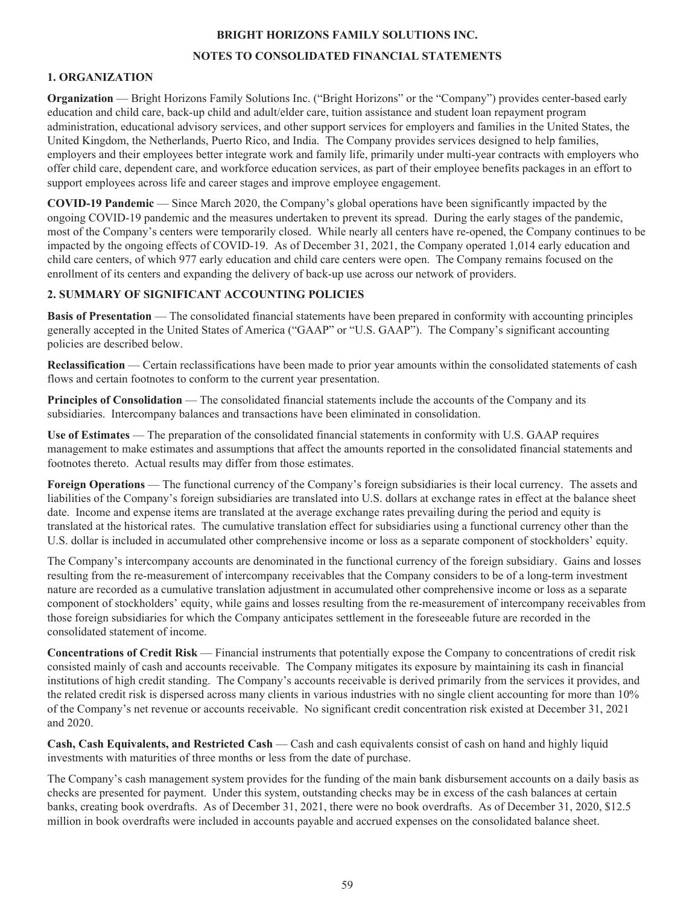## **BRIGHT HORIZONS FAMILY SOLUTIONS INC.**

## **NOTES TO CONSOLIDATED FINANCIAL STATEMENTS**

## **1. ORGANIZATION**

**Organization** — Bright Horizons Family Solutions Inc. ("Bright Horizons" or the "Company") provides center-based early education and child care, back-up child and adult/elder care, tuition assistance and student loan repayment program administration, educational advisory services, and other support services for employers and families in the United States, the United Kingdom, the Netherlands, Puerto Rico, and India. The Company provides services designed to help families, employers and their employees better integrate work and family life, primarily under multi-year contracts with employers who offer child care, dependent care, and workforce education services, as part of their employee benefits packages in an effort to support employees across life and career stages and improve employee engagement.

**COVID-19 Pandemic** — Since March 2020, the Company's global operations have been significantly impacted by the ongoing COVID-19 pandemic and the measures undertaken to prevent its spread. During the early stages of the pandemic, most of the Company's centers were temporarily closed. While nearly all centers have re-opened, the Company continues to be impacted by the ongoing effects of COVID-19. As of December 31, 2021, the Company operated 1,014 early education and child care centers, of which 977 early education and child care centers were open. The Company remains focused on the enrollment of its centers and expanding the delivery of back-up use across our network of providers.

## **2. SUMMARY OF SIGNIFICANT ACCOUNTING POLICIES**

**Basis of Presentation** — The consolidated financial statements have been prepared in conformity with accounting principles generally accepted in the United States of America ("GAAP" or "U.S. GAAP"). The Company's significant accounting policies are described below.

**Reclassification** — Certain reclassifications have been made to prior year amounts within the consolidated statements of cash flows and certain footnotes to conform to the current year presentation.

**Principles of Consolidation** — The consolidated financial statements include the accounts of the Company and its subsidiaries. Intercompany balances and transactions have been eliminated in consolidation.

**Use of Estimates** — The preparation of the consolidated financial statements in conformity with U.S. GAAP requires management to make estimates and assumptions that affect the amounts reported in the consolidated financial statements and footnotes thereto. Actual results may differ from those estimates.

**Foreign Operations** — The functional currency of the Company's foreign subsidiaries is their local currency. The assets and liabilities of the Company's foreign subsidiaries are translated into U.S. dollars at exchange rates in effect at the balance sheet date. Income and expense items are translated at the average exchange rates prevailing during the period and equity is translated at the historical rates. The cumulative translation effect for subsidiaries using a functional currency other than the U.S. dollar is included in accumulated other comprehensive income or loss as a separate component of stockholders' equity.

The Company's intercompany accounts are denominated in the functional currency of the foreign subsidiary. Gains and losses resulting from the re-measurement of intercompany receivables that the Company considers to be of a long-term investment nature are recorded as a cumulative translation adjustment in accumulated other comprehensive income or loss as a separate component of stockholders' equity, while gains and losses resulting from the re-measurement of intercompany receivables from those foreign subsidiaries for which the Company anticipates settlement in the foreseeable future are recorded in the consolidated statement of income.

**Concentrations of Credit Risk** — Financial instruments that potentially expose the Company to concentrations of credit risk consisted mainly of cash and accounts receivable. The Company mitigates its exposure by maintaining its cash in financial institutions of high credit standing. The Company's accounts receivable is derived primarily from the services it provides, and the related credit risk is dispersed across many clients in various industries with no single client accounting for more than 10% of the Company's net revenue or accounts receivable. No significant credit concentration risk existed at December 31, 2021 and 2020.

**Cash, Cash Equivalents, and Restricted Cash** — Cash and cash equivalents consist of cash on hand and highly liquid investments with maturities of three months or less from the date of purchase.

The Company's cash management system provides for the funding of the main bank disbursement accounts on a daily basis as checks are presented for payment. Under this system, outstanding checks may be in excess of the cash balances at certain banks, creating book overdrafts. As of December 31, 2021, there were no book overdrafts. As of December 31, 2020, \$12.5 million in book overdrafts were included in accounts payable and accrued expenses on the consolidated balance sheet.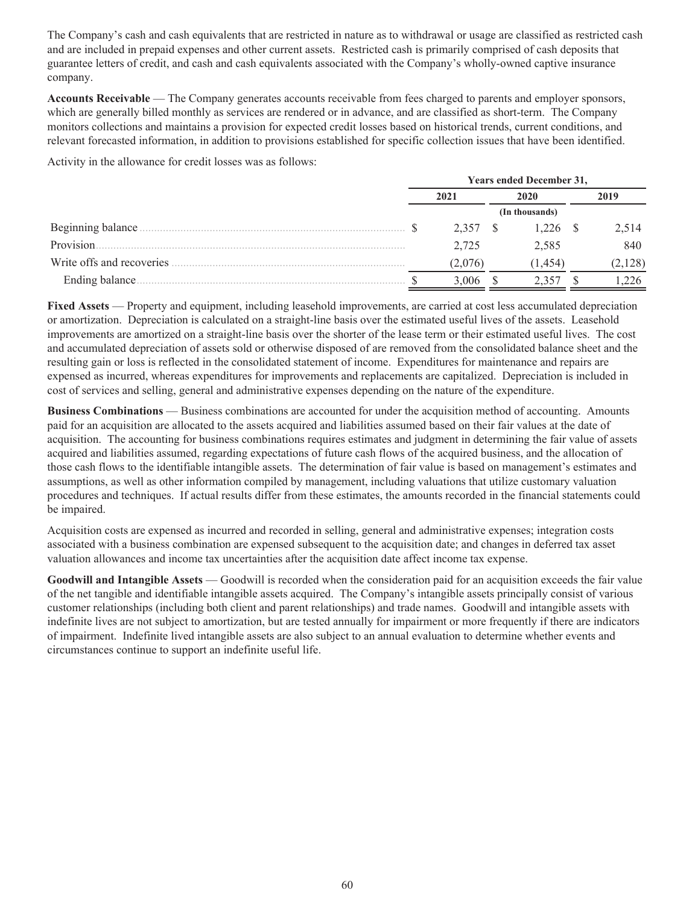The Company's cash and cash equivalents that are restricted in nature as to withdrawal or usage are classified as restricted cash and are included in prepaid expenses and other current assets. Restricted cash is primarily comprised of cash deposits that guarantee letters of credit, and cash and cash equivalents associated with the Company's wholly-owned captive insurance company.

**Accounts Receivable** — The Company generates accounts receivable from fees charged to parents and employer sponsors, which are generally billed monthly as services are rendered or in advance, and are classified as short-term. The Company monitors collections and maintains a provision for expected credit losses based on historical trends, current conditions, and relevant forecasted information, in addition to provisions established for specific collection issues that have been identified.

Activity in the allowance for credit losses was as follows:

|                           | <b>Years ended December 31,</b> |         |      |                |  |         |  |  |  |
|---------------------------|---------------------------------|---------|------|----------------|--|---------|--|--|--|
|                           | 2021                            |         | 2020 |                |  | 2019    |  |  |  |
|                           |                                 |         |      | (In thousands) |  |         |  |  |  |
| Beginning balance         |                                 | 2.357   |      | 1.226 \$       |  | 2.514   |  |  |  |
| Provision.                |                                 | 2.725   |      | 2,585          |  | 840     |  |  |  |
| Write offs and recoveries |                                 | (2.076) |      | (1,454)        |  | (2,128) |  |  |  |
| Ending balance            |                                 | 3.006   |      |                |  | 226     |  |  |  |

**Fixed Assets** — Property and equipment, including leasehold improvements, are carried at cost less accumulated depreciation or amortization. Depreciation is calculated on a straight-line basis over the estimated useful lives of the assets. Leasehold improvements are amortized on a straight-line basis over the shorter of the lease term or their estimated useful lives. The cost and accumulated depreciation of assets sold or otherwise disposed of are removed from the consolidated balance sheet and the resulting gain or loss is reflected in the consolidated statement of income. Expenditures for maintenance and repairs are expensed as incurred, whereas expenditures for improvements and replacements are capitalized. Depreciation is included in cost of services and selling, general and administrative expenses depending on the nature of the expenditure.

**Business Combinations** — Business combinations are accounted for under the acquisition method of accounting. Amounts paid for an acquisition are allocated to the assets acquired and liabilities assumed based on their fair values at the date of acquisition. The accounting for business combinations requires estimates and judgment in determining the fair value of assets acquired and liabilities assumed, regarding expectations of future cash flows of the acquired business, and the allocation of those cash flows to the identifiable intangible assets. The determination of fair value is based on management's estimates and assumptions, as well as other information compiled by management, including valuations that utilize customary valuation procedures and techniques. If actual results differ from these estimates, the amounts recorded in the financial statements could be impaired.

Acquisition costs are expensed as incurred and recorded in selling, general and administrative expenses; integration costs associated with a business combination are expensed subsequent to the acquisition date; and changes in deferred tax asset valuation allowances and income tax uncertainties after the acquisition date affect income tax expense.

**Goodwill and Intangible Assets** — Goodwill is recorded when the consideration paid for an acquisition exceeds the fair value of the net tangible and identifiable intangible assets acquired. The Company's intangible assets principally consist of various customer relationships (including both client and parent relationships) and trade names. Goodwill and intangible assets with indefinite lives are not subject to amortization, but are tested annually for impairment or more frequently if there are indicators of impairment. Indefinite lived intangible assets are also subject to an annual evaluation to determine whether events and circumstances continue to support an indefinite useful life.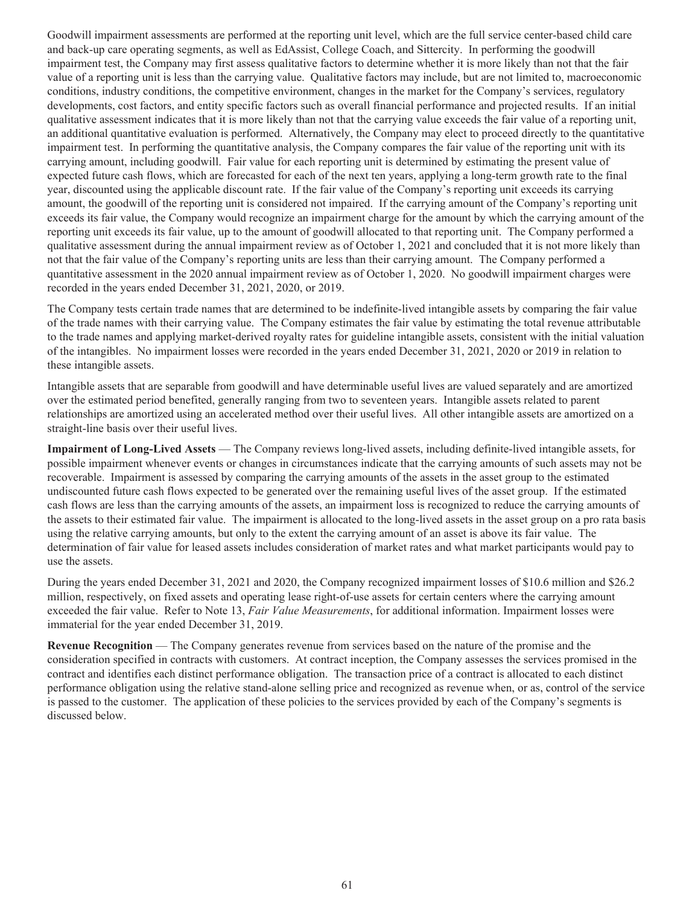Goodwill impairment assessments are performed at the reporting unit level, which are the full service center-based child care and back-up care operating segments, as well as EdAssist, College Coach, and Sittercity. In performing the goodwill impairment test, the Company may first assess qualitative factors to determine whether it is more likely than not that the fair value of a reporting unit is less than the carrying value. Qualitative factors may include, but are not limited to, macroeconomic conditions, industry conditions, the competitive environment, changes in the market for the Company's services, regulatory developments, cost factors, and entity specific factors such as overall financial performance and projected results. If an initial qualitative assessment indicates that it is more likely than not that the carrying value exceeds the fair value of a reporting unit, an additional quantitative evaluation is performed. Alternatively, the Company may elect to proceed directly to the quantitative impairment test. In performing the quantitative analysis, the Company compares the fair value of the reporting unit with its carrying amount, including goodwill. Fair value for each reporting unit is determined by estimating the present value of expected future cash flows, which are forecasted for each of the next ten years, applying a long-term growth rate to the final year, discounted using the applicable discount rate. If the fair value of the Company's reporting unit exceeds its carrying amount, the goodwill of the reporting unit is considered not impaired. If the carrying amount of the Company's reporting unit exceeds its fair value, the Company would recognize an impairment charge for the amount by which the carrying amount of the reporting unit exceeds its fair value, up to the amount of goodwill allocated to that reporting unit. The Company performed a qualitative assessment during the annual impairment review as of October 1, 2021 and concluded that it is not more likely than not that the fair value of the Company's reporting units are less than their carrying amount. The Company performed a quantitative assessment in the 2020 annual impairment review as of October 1, 2020. No goodwill impairment charges were recorded in the years ended December 31, 2021, 2020, or 2019.

The Company tests certain trade names that are determined to be indefinite-lived intangible assets by comparing the fair value of the trade names with their carrying value. The Company estimates the fair value by estimating the total revenue attributable to the trade names and applying market-derived royalty rates for guideline intangible assets, consistent with the initial valuation of the intangibles. No impairment losses were recorded in the years ended December 31, 2021, 2020 or 2019 in relation to these intangible assets.

Intangible assets that are separable from goodwill and have determinable useful lives are valued separately and are amortized over the estimated period benefited, generally ranging from two to seventeen years. Intangible assets related to parent relationships are amortized using an accelerated method over their useful lives. All other intangible assets are amortized on a straight-line basis over their useful lives.

**Impairment of Long-Lived Assets** — The Company reviews long-lived assets, including definite-lived intangible assets, for possible impairment whenever events or changes in circumstances indicate that the carrying amounts of such assets may not be recoverable. Impairment is assessed by comparing the carrying amounts of the assets in the asset group to the estimated undiscounted future cash flows expected to be generated over the remaining useful lives of the asset group. If the estimated cash flows are less than the carrying amounts of the assets, an impairment loss is recognized to reduce the carrying amounts of the assets to their estimated fair value. The impairment is allocated to the long-lived assets in the asset group on a pro rata basis using the relative carrying amounts, but only to the extent the carrying amount of an asset is above its fair value. The determination of fair value for leased assets includes consideration of market rates and what market participants would pay to use the assets.

During the years ended December 31, 2021 and 2020, the Company recognized impairment losses of \$10.6 million and \$26.2 million, respectively, on fixed assets and operating lease right-of-use assets for certain centers where the carrying amount exceeded the fair value. Refer to Note 13, *Fair Value Measurements*, for additional information. Impairment losses were immaterial for the year ended December 31, 2019.

**Revenue Recognition** — The Company generates revenue from services based on the nature of the promise and the consideration specified in contracts with customers. At contract inception, the Company assesses the services promised in the contract and identifies each distinct performance obligation. The transaction price of a contract is allocated to each distinct performance obligation using the relative stand-alone selling price and recognized as revenue when, or as, control of the service is passed to the customer. The application of these policies to the services provided by each of the Company's segments is discussed below.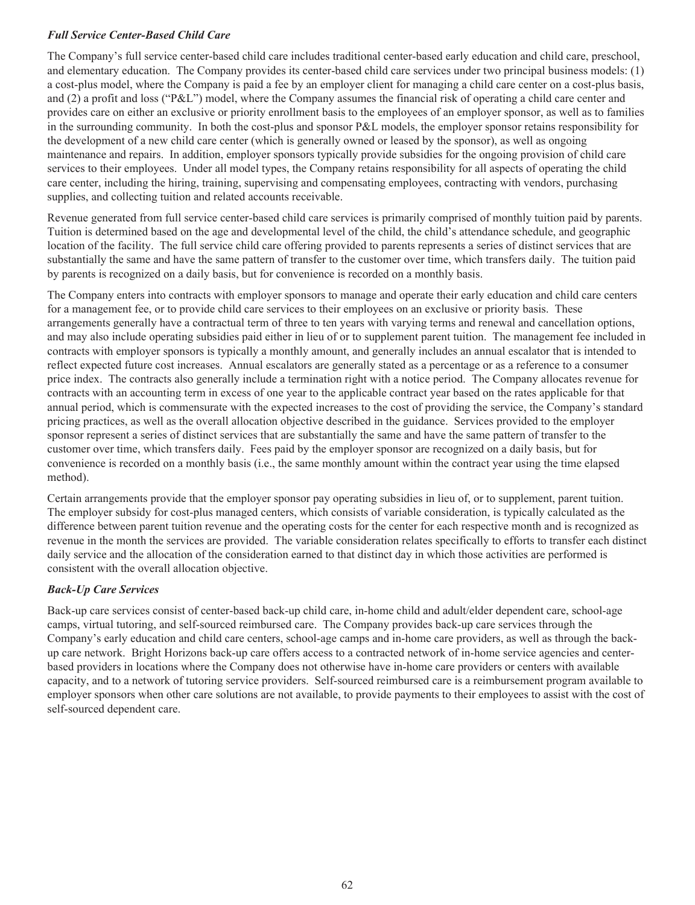## *Full Service Center-Based Child Care*

The Company's full service center-based child care includes traditional center-based early education and child care, preschool, and elementary education. The Company provides its center-based child care services under two principal business models: (1) a cost-plus model, where the Company is paid a fee by an employer client for managing a child care center on a cost-plus basis, and (2) a profit and loss ("P&L") model, where the Company assumes the financial risk of operating a child care center and provides care on either an exclusive or priority enrollment basis to the employees of an employer sponsor, as well as to families in the surrounding community. In both the cost-plus and sponsor P&L models, the employer sponsor retains responsibility for the development of a new child care center (which is generally owned or leased by the sponsor), as well as ongoing maintenance and repairs. In addition, employer sponsors typically provide subsidies for the ongoing provision of child care services to their employees. Under all model types, the Company retains responsibility for all aspects of operating the child care center, including the hiring, training, supervising and compensating employees, contracting with vendors, purchasing supplies, and collecting tuition and related accounts receivable.

Revenue generated from full service center-based child care services is primarily comprised of monthly tuition paid by parents. Tuition is determined based on the age and developmental level of the child, the child's attendance schedule, and geographic location of the facility. The full service child care offering provided to parents represents a series of distinct services that are substantially the same and have the same pattern of transfer to the customer over time, which transfers daily. The tuition paid by parents is recognized on a daily basis, but for convenience is recorded on a monthly basis.

The Company enters into contracts with employer sponsors to manage and operate their early education and child care centers for a management fee, or to provide child care services to their employees on an exclusive or priority basis. These arrangements generally have a contractual term of three to ten years with varying terms and renewal and cancellation options, and may also include operating subsidies paid either in lieu of or to supplement parent tuition. The management fee included in contracts with employer sponsors is typically a monthly amount, and generally includes an annual escalator that is intended to reflect expected future cost increases. Annual escalators are generally stated as a percentage or as a reference to a consumer price index. The contracts also generally include a termination right with a notice period. The Company allocates revenue for contracts with an accounting term in excess of one year to the applicable contract year based on the rates applicable for that annual period, which is commensurate with the expected increases to the cost of providing the service, the Company's standard pricing practices, as well as the overall allocation objective described in the guidance. Services provided to the employer sponsor represent a series of distinct services that are substantially the same and have the same pattern of transfer to the customer over time, which transfers daily. Fees paid by the employer sponsor are recognized on a daily basis, but for convenience is recorded on a monthly basis (i.e., the same monthly amount within the contract year using the time elapsed method).

Certain arrangements provide that the employer sponsor pay operating subsidies in lieu of, or to supplement, parent tuition. The employer subsidy for cost-plus managed centers, which consists of variable consideration, is typically calculated as the difference between parent tuition revenue and the operating costs for the center for each respective month and is recognized as revenue in the month the services are provided. The variable consideration relates specifically to efforts to transfer each distinct daily service and the allocation of the consideration earned to that distinct day in which those activities are performed is consistent with the overall allocation objective.

## *Back-Up Care Services*

Back-up care services consist of center-based back-up child care, in-home child and adult/elder dependent care, school-age camps, virtual tutoring, and self-sourced reimbursed care. The Company provides back-up care services through the Company's early education and child care centers, school-age camps and in-home care providers, as well as through the backup care network. Bright Horizons back-up care offers access to a contracted network of in-home service agencies and centerbased providers in locations where the Company does not otherwise have in-home care providers or centers with available capacity, and to a network of tutoring service providers. Self-sourced reimbursed care is a reimbursement program available to employer sponsors when other care solutions are not available, to provide payments to their employees to assist with the cost of self-sourced dependent care.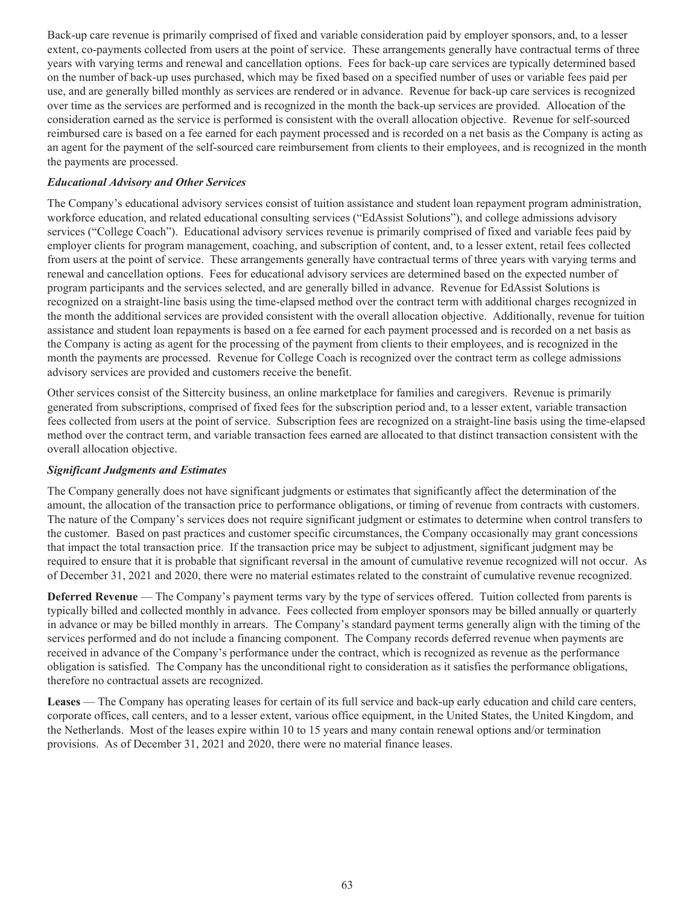Back-up care revenue is primarily comprised of fixed and variable consideration paid by employer sponsors, and, to a lesser extent, co-payments collected from users at the point of service. These arrangements generally have contractual terms of three years with varying terms and renewal and cancellation options. Fees for back-up care services are typically determined based on the number of back-up uses purchased, which may be fixed based on a specified number of uses or variable fees paid per use, and are generally billed monthly as services are rendered or in advance. Revenue for back-up care services is recognized over time as the services are performed and is recognized in the month the back-up services are provided. Allocation of the consideration earned as the service is performed is consistent with the overall allocation objective. Revenue for self-sourced reimbursed care is based on a fee earned for each payment processed and is recorded on a net basis as the Company is acting as an agent for the payment of the self-sourced care reimbursement from clients to their employees, and is recognized in the month the payments are processed.

## *Educational Advisory and Other Services*

The Company's educational advisory services consist of tuition assistance and student loan repayment program administration, workforce education, and related educational consulting services ("EdAssist Solutions"), and college admissions advisory services ("College Coach"). Educational advisory services revenue is primarily comprised of fixed and variable fees paid by employer clients for program management, coaching, and subscription of content, and, to a lesser extent, retail fees collected from users at the point of service. These arrangements generally have contractual terms of three years with varying terms and renewal and cancellation options. Fees for educational advisory services are determined based on the expected number of program participants and the services selected, and are generally billed in advance. Revenue for EdAssist Solutions is recognized on a straight-line basis using the time-elapsed method over the contract term with additional charges recognized in the month the additional services are provided consistent with the overall allocation objective. Additionally, revenue for tuition assistance and student loan repayments is based on a fee earned for each payment processed and is recorded on a net basis as the Company is acting as agent for the processing of the payment from clients to their employees, and is recognized in the month the payments are processed. Revenue for College Coach is recognized over the contract term as college admissions advisory services are provided and customers receive the benefit.

Other services consist of the Sittercity business, an online marketplace for families and caregivers. Revenue is primarily generated from subscriptions, comprised of fixed fees for the subscription period and, to a lesser extent, variable transaction fees collected from users at the point of service. Subscription fees are recognized on a straight-line basis using the time-elapsed method over the contract term, and variable transaction fees earned are allocated to that distinct transaction consistent with the overall allocation objective.

## *Significant Judgments and Estimates*

The Company generally does not have significant judgments or estimates that significantly affect the determination of the amount, the allocation of the transaction price to performance obligations, or timing of revenue from contracts with customers. The nature of the Company's services does not require significant judgment or estimates to determine when control transfers to the customer. Based on past practices and customer specific circumstances, the Company occasionally may grant concessions that impact the total transaction price. If the transaction price may be subject to adjustment, significant judgment may be required to ensure that it is probable that significant reversal in the amount of cumulative revenue recognized will not occur. As of December 31, 2021 and 2020, there were no material estimates related to the constraint of cumulative revenue recognized.

**Deferred Revenue** — The Company's payment terms vary by the type of services offered. Tuition collected from parents is typically billed and collected monthly in advance. Fees collected from employer sponsors may be billed annually or quarterly in advance or may be billed monthly in arrears. The Company's standard payment terms generally align with the timing of the services performed and do not include a financing component. The Company records deferred revenue when payments are received in advance of the Company's performance under the contract, which is recognized as revenue as the performance obligation is satisfied. The Company has the unconditional right to consideration as it satisfies the performance obligations, therefore no contractual assets are recognized.

**Leases** — The Company has operating leases for certain of its full service and back-up early education and child care centers, corporate offices, call centers, and to a lesser extent, various office equipment, in the United States, the United Kingdom, and the Netherlands. Most of the leases expire within 10 to 15 years and many contain renewal options and/or termination provisions. As of December 31, 2021 and 2020, there were no material finance leases.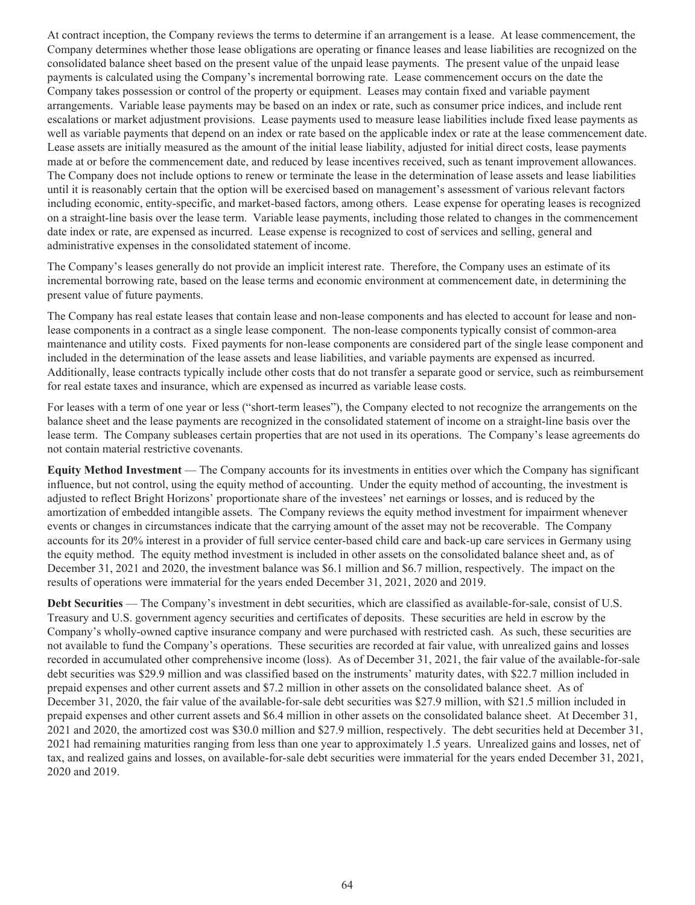At contract inception, the Company reviews the terms to determine if an arrangement is a lease. At lease commencement, the Company determines whether those lease obligations are operating or finance leases and lease liabilities are recognized on the consolidated balance sheet based on the present value of the unpaid lease payments. The present value of the unpaid lease payments is calculated using the Company's incremental borrowing rate. Lease commencement occurs on the date the Company takes possession or control of the property or equipment. Leases may contain fixed and variable payment arrangements. Variable lease payments may be based on an index or rate, such as consumer price indices, and include rent escalations or market adjustment provisions. Lease payments used to measure lease liabilities include fixed lease payments as well as variable payments that depend on an index or rate based on the applicable index or rate at the lease commencement date. Lease assets are initially measured as the amount of the initial lease liability, adjusted for initial direct costs, lease payments made at or before the commencement date, and reduced by lease incentives received, such as tenant improvement allowances. The Company does not include options to renew or terminate the lease in the determination of lease assets and lease liabilities until it is reasonably certain that the option will be exercised based on management's assessment of various relevant factors including economic, entity-specific, and market-based factors, among others. Lease expense for operating leases is recognized on a straight-line basis over the lease term. Variable lease payments, including those related to changes in the commencement date index or rate, are expensed as incurred. Lease expense is recognized to cost of services and selling, general and administrative expenses in the consolidated statement of income.

The Company's leases generally do not provide an implicit interest rate. Therefore, the Company uses an estimate of its incremental borrowing rate, based on the lease terms and economic environment at commencement date, in determining the present value of future payments.

The Company has real estate leases that contain lease and non-lease components and has elected to account for lease and nonlease components in a contract as a single lease component. The non-lease components typically consist of common-area maintenance and utility costs. Fixed payments for non-lease components are considered part of the single lease component and included in the determination of the lease assets and lease liabilities, and variable payments are expensed as incurred. Additionally, lease contracts typically include other costs that do not transfer a separate good or service, such as reimbursement for real estate taxes and insurance, which are expensed as incurred as variable lease costs.

For leases with a term of one year or less ("short-term leases"), the Company elected to not recognize the arrangements on the balance sheet and the lease payments are recognized in the consolidated statement of income on a straight-line basis over the lease term. The Company subleases certain properties that are not used in its operations. The Company's lease agreements do not contain material restrictive covenants.

**Equity Method Investment** — The Company accounts for its investments in entities over which the Company has significant influence, but not control, using the equity method of accounting. Under the equity method of accounting, the investment is adjusted to reflect Bright Horizons' proportionate share of the investees' net earnings or losses, and is reduced by the amortization of embedded intangible assets. The Company reviews the equity method investment for impairment whenever events or changes in circumstances indicate that the carrying amount of the asset may not be recoverable. The Company accounts for its 20% interest in a provider of full service center-based child care and back-up care services in Germany using the equity method. The equity method investment is included in other assets on the consolidated balance sheet and, as of December 31, 2021 and 2020, the investment balance was \$6.1 million and \$6.7 million, respectively. The impact on the results of operations were immaterial for the years ended December 31, 2021, 2020 and 2019.

**Debt Securities** — The Company's investment in debt securities, which are classified as available-for-sale, consist of U.S. Treasury and U.S. government agency securities and certificates of deposits. These securities are held in escrow by the Company's wholly-owned captive insurance company and were purchased with restricted cash. As such, these securities are not available to fund the Company's operations. These securities are recorded at fair value, with unrealized gains and losses recorded in accumulated other comprehensive income (loss). As of December 31, 2021, the fair value of the available-for-sale debt securities was \$29.9 million and was classified based on the instruments' maturity dates, with \$22.7 million included in prepaid expenses and other current assets and \$7.2 million in other assets on the consolidated balance sheet. As of December 31, 2020, the fair value of the available-for-sale debt securities was \$27.9 million, with \$21.5 million included in prepaid expenses and other current assets and \$6.4 million in other assets on the consolidated balance sheet. At December 31, 2021 and 2020, the amortized cost was \$30.0 million and \$27.9 million, respectively. The debt securities held at December 31, 2021 had remaining maturities ranging from less than one year to approximately 1.5 years. Unrealized gains and losses, net of tax, and realized gains and losses, on available-for-sale debt securities were immaterial for the years ended December 31, 2021, 2020 and 2019.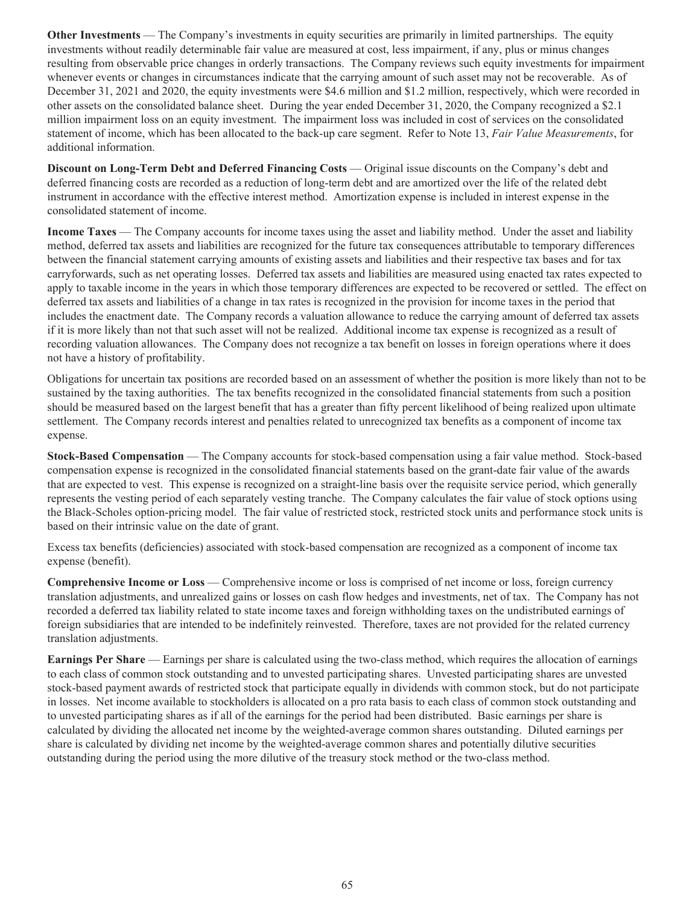**Other Investments** — The Company's investments in equity securities are primarily in limited partnerships. The equity investments without readily determinable fair value are measured at cost, less impairment, if any, plus or minus changes resulting from observable price changes in orderly transactions. The Company reviews such equity investments for impairment whenever events or changes in circumstances indicate that the carrying amount of such asset may not be recoverable. As of December 31, 2021 and 2020, the equity investments were \$4.6 million and \$1.2 million, respectively, which were recorded in other assets on the consolidated balance sheet. During the year ended December 31, 2020, the Company recognized a \$2.1 million impairment loss on an equity investment. The impairment loss was included in cost of services on the consolidated statement of income, which has been allocated to the back-up care segment. Refer to Note 13, *Fair Value Measurements*, for additional information.

**Discount on Long-Term Debt and Deferred Financing Costs** — Original issue discounts on the Company's debt and deferred financing costs are recorded as a reduction of long-term debt and are amortized over the life of the related debt instrument in accordance with the effective interest method. Amortization expense is included in interest expense in the consolidated statement of income.

**Income Taxes** — The Company accounts for income taxes using the asset and liability method. Under the asset and liability method, deferred tax assets and liabilities are recognized for the future tax consequences attributable to temporary differences between the financial statement carrying amounts of existing assets and liabilities and their respective tax bases and for tax carryforwards, such as net operating losses. Deferred tax assets and liabilities are measured using enacted tax rates expected to apply to taxable income in the years in which those temporary differences are expected to be recovered or settled. The effect on deferred tax assets and liabilities of a change in tax rates is recognized in the provision for income taxes in the period that includes the enactment date. The Company records a valuation allowance to reduce the carrying amount of deferred tax assets if it is more likely than not that such asset will not be realized. Additional income tax expense is recognized as a result of recording valuation allowances. The Company does not recognize a tax benefit on losses in foreign operations where it does not have a history of profitability.

Obligations for uncertain tax positions are recorded based on an assessment of whether the position is more likely than not to be sustained by the taxing authorities. The tax benefits recognized in the consolidated financial statements from such a position should be measured based on the largest benefit that has a greater than fifty percent likelihood of being realized upon ultimate settlement. The Company records interest and penalties related to unrecognized tax benefits as a component of income tax expense.

**Stock-Based Compensation** — The Company accounts for stock-based compensation using a fair value method. Stock-based compensation expense is recognized in the consolidated financial statements based on the grant-date fair value of the awards that are expected to vest. This expense is recognized on a straight-line basis over the requisite service period, which generally represents the vesting period of each separately vesting tranche. The Company calculates the fair value of stock options using the Black-Scholes option-pricing model. The fair value of restricted stock, restricted stock units and performance stock units is based on their intrinsic value on the date of grant.

Excess tax benefits (deficiencies) associated with stock-based compensation are recognized as a component of income tax expense (benefit).

**Comprehensive Income or Loss** — Comprehensive income or loss is comprised of net income or loss, foreign currency translation adjustments, and unrealized gains or losses on cash flow hedges and investments, net of tax. The Company has not recorded a deferred tax liability related to state income taxes and foreign withholding taxes on the undistributed earnings of foreign subsidiaries that are intended to be indefinitely reinvested. Therefore, taxes are not provided for the related currency translation adjustments.

**Earnings Per Share** — Earnings per share is calculated using the two-class method, which requires the allocation of earnings to each class of common stock outstanding and to unvested participating shares. Unvested participating shares are unvested stock-based payment awards of restricted stock that participate equally in dividends with common stock, but do not participate in losses. Net income available to stockholders is allocated on a pro rata basis to each class of common stock outstanding and to unvested participating shares as if all of the earnings for the period had been distributed. Basic earnings per share is calculated by dividing the allocated net income by the weighted-average common shares outstanding. Diluted earnings per share is calculated by dividing net income by the weighted-average common shares and potentially dilutive securities outstanding during the period using the more dilutive of the treasury stock method or the two-class method.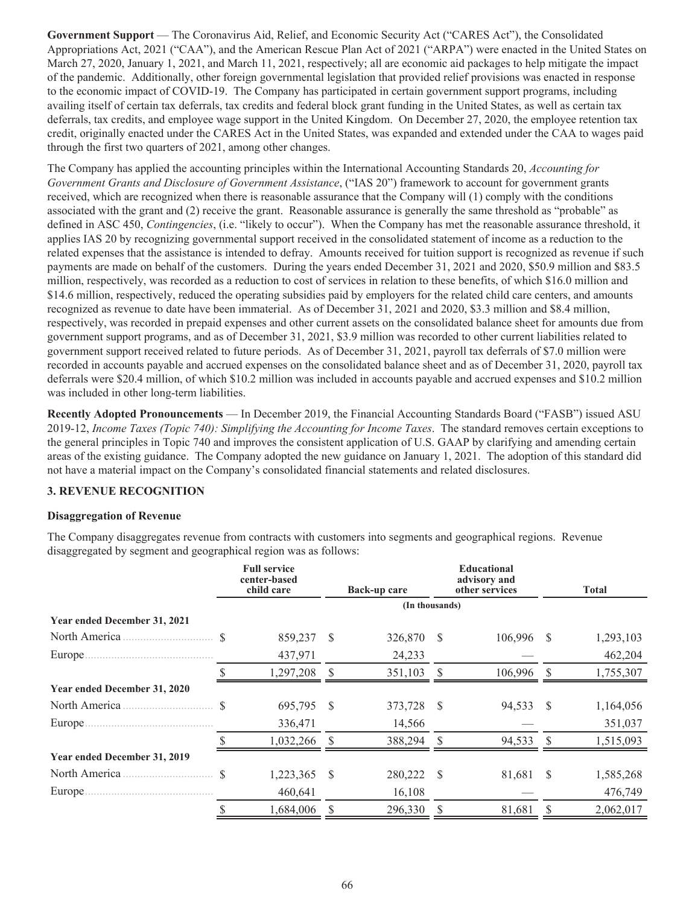**Government Support** — The Coronavirus Aid, Relief, and Economic Security Act ("CARES Act"), the Consolidated Appropriations Act, 2021 ("CAA"), and the American Rescue Plan Act of 2021 ("ARPA") were enacted in the United States on March 27, 2020, January 1, 2021, and March 11, 2021, respectively; all are economic aid packages to help mitigate the impact of the pandemic. Additionally, other foreign governmental legislation that provided relief provisions was enacted in response to the economic impact of COVID-19. The Company has participated in certain government support programs, including availing itself of certain tax deferrals, tax credits and federal block grant funding in the United States, as well as certain tax deferrals, tax credits, and employee wage support in the United Kingdom. On December 27, 2020, the employee retention tax credit, originally enacted under the CARES Act in the United States, was expanded and extended under the CAA to wages paid through the first two quarters of 2021, among other changes.

The Company has applied the accounting principles within the International Accounting Standards 20, *Accounting for Government Grants and Disclosure of Government Assistance*, ("IAS 20") framework to account for government grants received, which are recognized when there is reasonable assurance that the Company will (1) comply with the conditions associated with the grant and (2) receive the grant. Reasonable assurance is generally the same threshold as "probable" as defined in ASC 450, *Contingencies*, (i.e. "likely to occur"). When the Company has met the reasonable assurance threshold, it applies IAS 20 by recognizing governmental support received in the consolidated statement of income as a reduction to the related expenses that the assistance is intended to defray. Amounts received for tuition support is recognized as revenue if such payments are made on behalf of the customers. During the years ended December 31, 2021 and 2020, \$50.9 million and \$83.5 million, respectively, was recorded as a reduction to cost of services in relation to these benefits, of which \$16.0 million and \$14.6 million, respectively, reduced the operating subsidies paid by employers for the related child care centers, and amounts recognized as revenue to date have been immaterial. As of December 31, 2021 and 2020, \$3.3 million and \$8.4 million, respectively, was recorded in prepaid expenses and other current assets on the consolidated balance sheet for amounts due from government support programs, and as of December 31, 2021, \$3.9 million was recorded to other current liabilities related to government support received related to future periods. As of December 31, 2021, payroll tax deferrals of \$7.0 million were recorded in accounts payable and accrued expenses on the consolidated balance sheet and as of December 31, 2020, payroll tax deferrals were \$20.4 million, of which \$10.2 million was included in accounts payable and accrued expenses and \$10.2 million was included in other long-term liabilities.

**Recently Adopted Pronouncements** — In December 2019, the Financial Accounting Standards Board ("FASB") issued ASU 2019-12, *Income Taxes (Topic 740): Simplifying the Accounting for Income Taxes*. The standard removes certain exceptions to the general principles in Topic 740 and improves the consistent application of U.S. GAAP by clarifying and amending certain areas of the existing guidance. The Company adopted the new guidance on January 1, 2021. The adoption of this standard did not have a material impact on the Company's consolidated financial statements and related disclosures.

## **3. REVENUE RECOGNITION**

## **Disaggregation of Revenue**

The Company disaggregates revenue from contracts with customers into segments and geographical regions. Revenue disaggregated by segment and geographical region was as follows:

|                              | <b>Full service</b><br>center-based<br>child care |   | Back-up care   |              | <b>Educational</b><br>advisory and<br>other services |          | <b>Total</b> |
|------------------------------|---------------------------------------------------|---|----------------|--------------|------------------------------------------------------|----------|--------------|
|                              |                                                   |   | (In thousands) |              |                                                      |          |              |
| Year ended December 31, 2021 |                                                   |   |                |              |                                                      |          |              |
| North America                | 859,237                                           | S | 326,870        | <sup>S</sup> | 106,996                                              | <b>S</b> | 1,293,103    |
| Europe.                      | 437,971                                           |   | 24,233         |              |                                                      |          | 462,204      |
|                              | 1,297,208                                         |   | 351,103        |              | 106,996                                              |          | 1,755,307    |
| Year ended December 31, 2020 |                                                   |   |                |              |                                                      |          |              |
| North America                | 695,795                                           | S | 373,728        | -S           | 94,533                                               | S.       | 1,164,056    |
| Europe                       | 336,471                                           |   | 14,566         |              |                                                      |          | 351,037      |
|                              | 1,032,266                                         |   | 388,294        |              | 94,533                                               |          | 1,515,093    |
| Year ended December 31, 2019 |                                                   |   |                |              |                                                      |          |              |
| North America                | 1,223,365                                         | S | 280,222        | - \$         | 81,681                                               | S        | 1,585,268    |
| Europe.                      | 460,641                                           |   | 16,108         |              |                                                      |          | 476,749      |
|                              | 1,684,006                                         | S | 296,330        |              | 81,681                                               |          | 2,062,017    |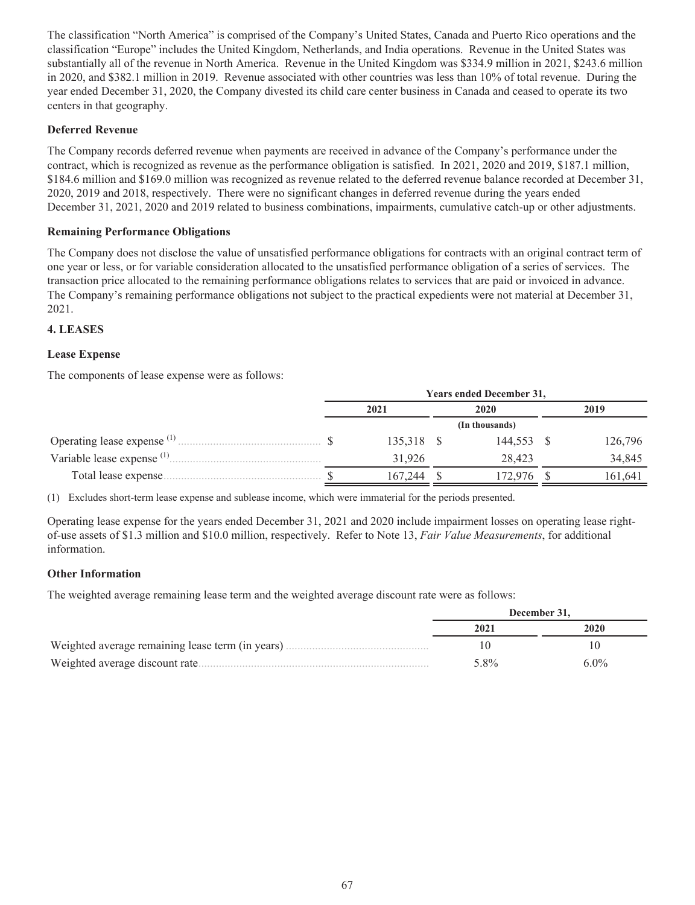The classification "North America" is comprised of the Company's United States, Canada and Puerto Rico operations and the classification "Europe" includes the United Kingdom, Netherlands, and India operations. Revenue in the United States was substantially all of the revenue in North America. Revenue in the United Kingdom was \$334.9 million in 2021, \$243.6 million in 2020, and \$382.1 million in 2019. Revenue associated with other countries was less than 10% of total revenue. During the year ended December 31, 2020, the Company divested its child care center business in Canada and ceased to operate its two centers in that geography.

## **Deferred Revenue**

The Company records deferred revenue when payments are received in advance of the Company's performance under the contract, which is recognized as revenue as the performance obligation is satisfied. In 2021, 2020 and 2019, \$187.1 million, \$184.6 million and \$169.0 million was recognized as revenue related to the deferred revenue balance recorded at December 31, 2020, 2019 and 2018, respectively. There were no significant changes in deferred revenue during the years ended December 31, 2021, 2020 and 2019 related to business combinations, impairments, cumulative catch-up or other adjustments.

## **Remaining Performance Obligations**

The Company does not disclose the value of unsatisfied performance obligations for contracts with an original contract term of one year or less, or for variable consideration allocated to the unsatisfied performance obligation of a series of services. The transaction price allocated to the remaining performance obligations relates to services that are paid or invoiced in advance. The Company's remaining performance obligations not subject to the practical expedients were not material at December 31, 2021.

## **4. LEASES**

## **Lease Expense**

The components of lease expense were as follows:

|                                          | <b>Years ended December 31,</b> |            |  |                |  |         |  |  |  |
|------------------------------------------|---------------------------------|------------|--|----------------|--|---------|--|--|--|
|                                          | 2021                            |            |  | 2020           |  | 2019    |  |  |  |
|                                          |                                 |            |  | (In thousands) |  |         |  |  |  |
| Operating lease expense <sup>(1)</sup> . |                                 | 135,318 \$ |  | 144.553        |  | 126,796 |  |  |  |
| Variable lease expense <sup>(1)</sup>    |                                 | 31.926     |  | 28.423         |  | 34,845  |  |  |  |
| Total lease expense.                     |                                 | 167.244    |  | 72.976         |  | 161.641 |  |  |  |

(1) Excludes short-term lease expense and sublease income, which were immaterial for the periods presented.

Operating lease expense for the years ended December 31, 2021 and 2020 include impairment losses on operating lease rightof-use assets of \$1.3 million and \$10.0 million, respectively. Refer to Note 13, *Fair Value Measurements*, for additional information.

## **Other Information**

The weighted average remaining lease term and the weighted average discount rate were as follows:

|                                                   | December 31. |         |  |  |  |
|---------------------------------------------------|--------------|---------|--|--|--|
|                                                   | 2021         | 2020    |  |  |  |
| Weighted average remaining lease term (in years). |              |         |  |  |  |
| Weighted average discount rate                    | 5.8%         | $6.0\%$ |  |  |  |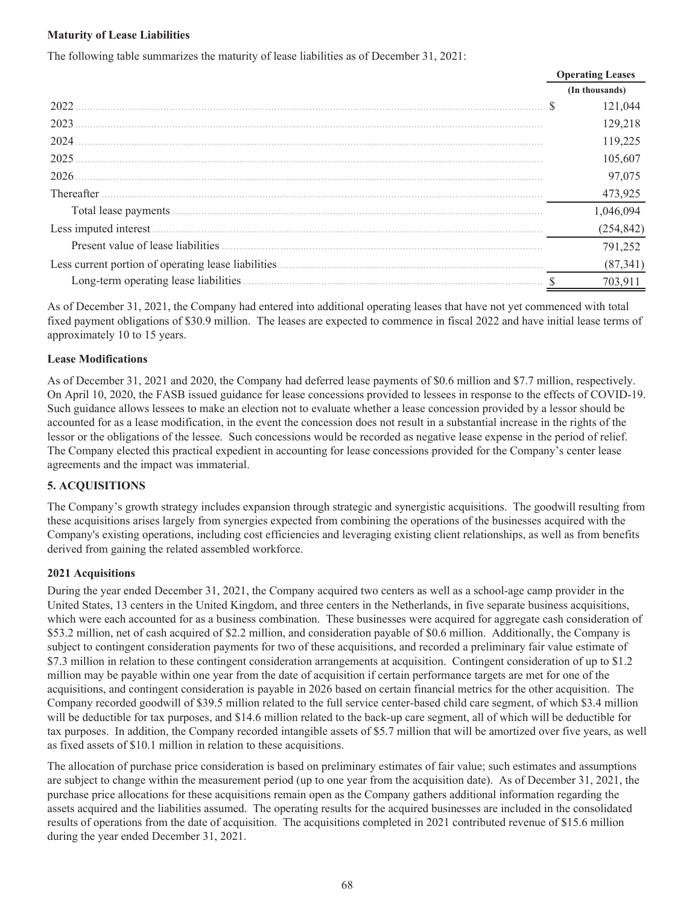## **Maturity of Lease Liabilities**

|                   | <b>Operating Leases</b> |
|-------------------|-------------------------|
|                   | (In thousands)          |
| 2022              | 121.044                 |
| 2023              | 129,218                 |
| 2024              | 119,225                 |
| 2025              | 105,607                 |
| 2026              | 97,075                  |
| <b>Thereafter</b> | 473,925                 |
|                   |                         |
|                   | (254,842)               |
|                   | 791,252                 |
|                   | (87, 341)               |
|                   |                         |

The following table summarizes the maturity of lease liabilities as of December 31, 2021:

As of December 31, 2021, the Company had entered into additional operating leases that have not yet commenced with total fixed payment obligations of \$30.9 million. The leases are expected to commence in fiscal 2022 and have initial lease terms of approximately 10 to 15 years.

## **Lease Modifications**

As of December 31, 2021 and 2020, the Company had deferred lease payments of \$0.6 million and \$7.7 million, respectively. On April 10, 2020, the FASB issued guidance for lease concessions provided to lessees in response to the effects of COVID-19. Such guidance allows lessees to make an election not to evaluate whether a lease concession provided by a lessor should be accounted for as a lease modification, in the event the concession does not result in a substantial increase in the rights of the lessor or the obligations of the lessee. Such concessions would be recorded as negative lease expense in the period of relief. The Company elected this practical expedient in accounting for lease concessions provided for the Company's center lease agreements and the impact was immaterial.

## **5. ACQUISITIONS**

The Company's growth strategy includes expansion through strategic and synergistic acquisitions. The goodwill resulting from these acquisitions arises largely from synergies expected from combining the operations of the businesses acquired with the Company's existing operations, including cost efficiencies and leveraging existing client relationships, as well as from benefits derived from gaining the related assembled workforce.

## **2021 Acquisitions**

During the year ended December 31, 2021, the Company acquired two centers as well as a school-age camp provider in the United States, 13 centers in the United Kingdom, and three centers in the Netherlands, in five separate business acquisitions, which were each accounted for as a business combination. These businesses were acquired for aggregate cash consideration of \$53.2 million, net of cash acquired of \$2.2 million, and consideration payable of \$0.6 million. Additionally, the Company is subject to contingent consideration payments for two of these acquisitions, and recorded a preliminary fair value estimate of \$7.3 million in relation to these contingent consideration arrangements at acquisition. Contingent consideration of up to \$1.2 million may be payable within one year from the date of acquisition if certain performance targets are met for one of the acquisitions, and contingent consideration is payable in 2026 based on certain financial metrics for the other acquisition. The Company recorded goodwill of \$39.5 million related to the full service center-based child care segment, of which \$3.4 million will be deductible for tax purposes, and \$14.6 million related to the back-up care segment, all of which will be deductible for tax purposes. In addition, the Company recorded intangible assets of \$5.7 million that will be amortized over five years, as well as fixed assets of \$10.1 million in relation to these acquisitions.

The allocation of purchase price consideration is based on preliminary estimates of fair value; such estimates and assumptions are subject to change within the measurement period (up to one year from the acquisition date). As of December 31, 2021, the purchase price allocations for these acquisitions remain open as the Company gathers additional information regarding the assets acquired and the liabilities assumed. The operating results for the acquired businesses are included in the consolidated results of operations from the date of acquisition. The acquisitions completed in 2021 contributed revenue of \$15.6 million during the year ended December 31, 2021.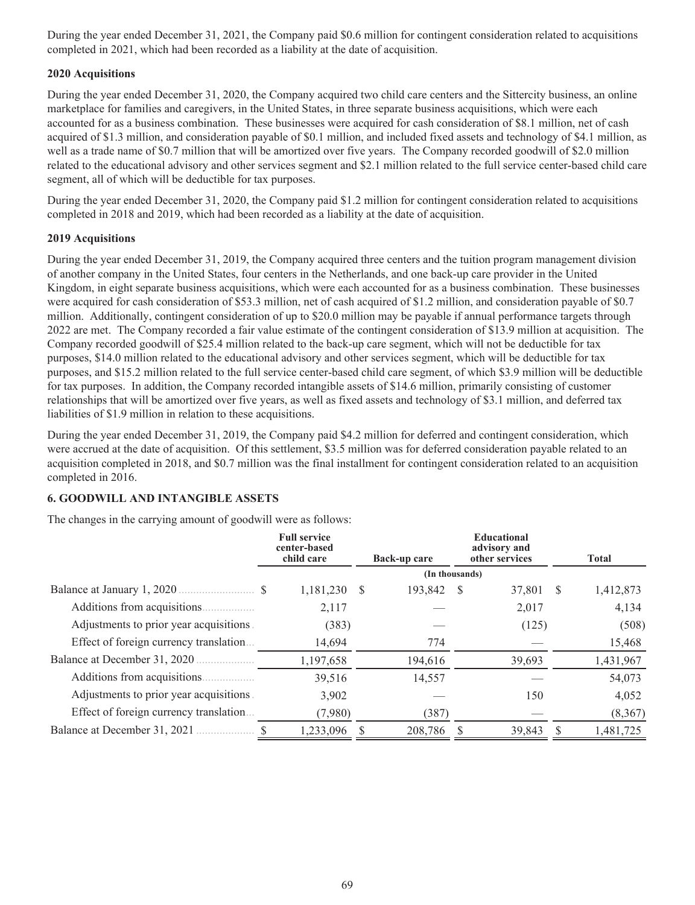During the year ended December 31, 2021, the Company paid \$0.6 million for contingent consideration related to acquisitions completed in 2021, which had been recorded as a liability at the date of acquisition.

## **2020 Acquisitions**

During the year ended December 31, 2020, the Company acquired two child care centers and the Sittercity business, an online marketplace for families and caregivers, in the United States, in three separate business acquisitions, which were each accounted for as a business combination. These businesses were acquired for cash consideration of \$8.1 million, net of cash acquired of \$1.3 million, and consideration payable of \$0.1 million, and included fixed assets and technology of \$4.1 million, as well as a trade name of \$0.7 million that will be amortized over five years. The Company recorded goodwill of \$2.0 million related to the educational advisory and other services segment and \$2.1 million related to the full service center-based child care segment, all of which will be deductible for tax purposes.

During the year ended December 31, 2020, the Company paid \$1.2 million for contingent consideration related to acquisitions completed in 2018 and 2019, which had been recorded as a liability at the date of acquisition.

## **2019 Acquisitions**

During the year ended December 31, 2019, the Company acquired three centers and the tuition program management division of another company in the United States, four centers in the Netherlands, and one back-up care provider in the United Kingdom, in eight separate business acquisitions, which were each accounted for as a business combination. These businesses were acquired for cash consideration of \$53.3 million, net of cash acquired of \$1.2 million, and consideration payable of \$0.7 million. Additionally, contingent consideration of up to \$20.0 million may be payable if annual performance targets through 2022 are met. The Company recorded a fair value estimate of the contingent consideration of \$13.9 million at acquisition. The Company recorded goodwill of \$25.4 million related to the back-up care segment, which will not be deductible for tax purposes, \$14.0 million related to the educational advisory and other services segment, which will be deductible for tax purposes, and \$15.2 million related to the full service center-based child care segment, of which \$3.9 million will be deductible for tax purposes. In addition, the Company recorded intangible assets of \$14.6 million, primarily consisting of customer relationships that will be amortized over five years, as well as fixed assets and technology of \$3.1 million, and deferred tax liabilities of \$1.9 million in relation to these acquisitions.

During the year ended December 31, 2019, the Company paid \$4.2 million for deferred and contingent consideration, which were accrued at the date of acquisition. Of this settlement, \$3.5 million was for deferred consideration payable related to an acquisition completed in 2018, and \$0.7 million was the final installment for contingent consideration related to an acquisition completed in 2016.

## **6. GOODWILL AND INTANGIBLE ASSETS**

The changes in the carrying amount of goodwill were as follows:

|                                         | <b>Full service</b><br>center-based<br>child care |   | Back-up care   |    | <b>Educational</b><br>advisory and<br>other services |     | <b>Total</b> |
|-----------------------------------------|---------------------------------------------------|---|----------------|----|------------------------------------------------------|-----|--------------|
|                                         |                                                   |   | (In thousands) |    |                                                      |     |              |
|                                         | 1,181,230                                         | S | 193,842        | -S | 37,801                                               | - S | 1,412,873    |
|                                         | 2,117                                             |   |                |    | 2,017                                                |     | 4,134        |
| Adjustments to prior year acquisitions. | (383)                                             |   |                |    | (125)                                                |     | (508)        |
| Effect of foreign currency translation  | 14,694                                            |   | 774            |    |                                                      |     | 15,468       |
| Balance at December 31, 2020.           | 1,197,658                                         |   | 194,616        |    | 39,693                                               |     | 1,431,967    |
|                                         | 39,516                                            |   | 14,557         |    |                                                      |     | 54,073       |
| Adjustments to prior year acquisitions. | 3,902                                             |   |                |    | 150                                                  |     | 4,052        |
| Effect of foreign currency translation  | (7,980)                                           |   | (387)          |    |                                                      |     | (8,367)      |
| Balance at December 31, 2021            | 1,233,096                                         |   | 208,786        |    | 39,843                                               |     | 1,481,725    |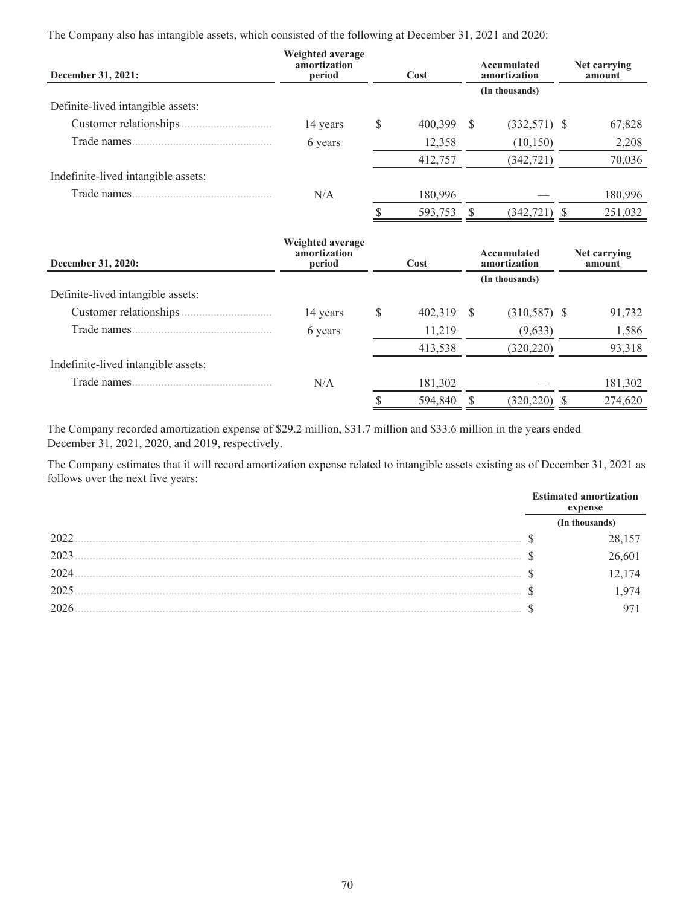The Company also has intangible assets, which consisted of the following at December 31, 2021 and 2020:

| December 31, 2021:                  | Weighted average<br>amortization<br>period<br>Cost |   |         | Accumulated<br>amortization | Net carrying<br>amount |  |         |
|-------------------------------------|----------------------------------------------------|---|---------|-----------------------------|------------------------|--|---------|
|                                     |                                                    |   |         |                             | (In thousands)         |  |         |
| Definite-lived intangible assets:   |                                                    |   |         |                             |                        |  |         |
| Customer relationships              | 14 years                                           | S | 400,399 | - S                         | $(332,571)$ \$         |  | 67,828  |
| Trade names.                        | 6 years                                            |   | 12,358  |                             | (10, 150)              |  | 2,208   |
|                                     |                                                    |   | 412,757 |                             | (342, 721)             |  | 70,036  |
| Indefinite-lived intangible assets: |                                                    |   |         |                             |                        |  |         |
| Trade names.                        | N/A                                                |   | 180,996 |                             |                        |  | 180,996 |
|                                     |                                                    |   | 593,753 |                             | (342, 721)             |  | 251,032 |

| December 31, 2020:                  | Weighted average<br>amortization<br>period | Cost |            |  |                |         |  |  |  | Accumulated<br>amortization |  |  |  | Net carrying<br>amount |
|-------------------------------------|--------------------------------------------|------|------------|--|----------------|---------|--|--|--|-----------------------------|--|--|--|------------------------|
|                                     |                                            |      |            |  | (In thousands) |         |  |  |  |                             |  |  |  |                        |
| Definite-lived intangible assets:   |                                            |      |            |  |                |         |  |  |  |                             |  |  |  |                        |
| Customer relationships              | 14 years                                   | S    | 402,319 \$ |  | $(310,587)$ \$ | 91,732  |  |  |  |                             |  |  |  |                        |
| Trade names.                        | 6 years                                    |      | 11,219     |  | (9,633)        | 1,586   |  |  |  |                             |  |  |  |                        |
|                                     |                                            |      | 413,538    |  | (320, 220)     | 93,318  |  |  |  |                             |  |  |  |                        |
| Indefinite-lived intangible assets: |                                            |      |            |  |                |         |  |  |  |                             |  |  |  |                        |
| Trade names.                        | N/A                                        |      | 181,302    |  |                | 181,302 |  |  |  |                             |  |  |  |                        |
|                                     |                                            |      | 594,840    |  | (320, 220)     | 274,620 |  |  |  |                             |  |  |  |                        |
|                                     |                                            |      |            |  |                |         |  |  |  |                             |  |  |  |                        |

The Company recorded amortization expense of \$29.2 million, \$31.7 million and \$33.6 million in the years ended December 31, 2021, 2020, and 2019, respectively.

The Company estimates that it will record amortization expense related to intangible assets existing as of December 31, 2021 as follows over the next five years:

|      | <b>Estimated amortization</b><br>expense |
|------|------------------------------------------|
|      |                                          |
| 2022 |                                          |
| 2023 | ,601                                     |
| 2024 | 174                                      |
| 2025 | 974                                      |
| 2026 |                                          |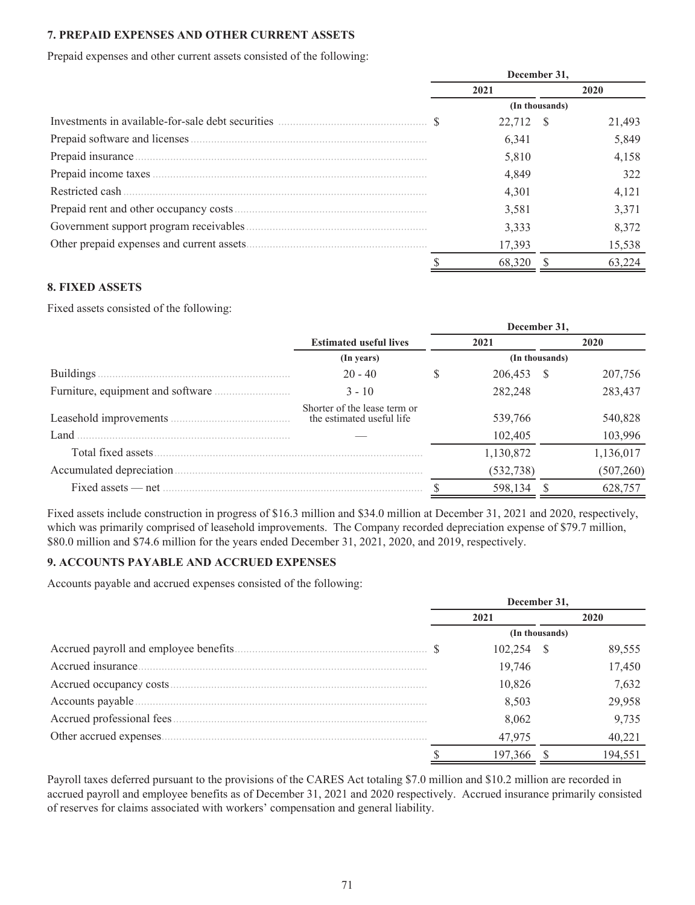## **7. PREPAID EXPENSES AND OTHER CURRENT ASSETS**

Prepaid expenses and other current assets consisted of the following:

|  | December 31. |                |  |        |  |
|--|--------------|----------------|--|--------|--|
|  |              | 2021           |  | 2020   |  |
|  |              | (In thousands) |  |        |  |
|  |              | 22.712 \$      |  | 21,493 |  |
|  |              | 6,341          |  | 5,849  |  |
|  |              | 5,810          |  | 4,158  |  |
|  |              | 4,849          |  | 322    |  |
|  |              | 4,301          |  | 4,121  |  |
|  |              | 3,581          |  | 3,371  |  |
|  |              | 3,333          |  | 8,372  |  |
|  |              | 17,393         |  | 15,538 |  |
|  |              | 68.320         |  |        |  |

## **8. FIXED ASSETS**

Fixed assets consisted of the following:

|                           |                                                           |   | December 31,   |            |
|---------------------------|-----------------------------------------------------------|---|----------------|------------|
|                           | <b>Estimated useful lives</b>                             |   | 2021           | 2020       |
|                           | (In years)                                                |   | (In thousands) |            |
| <b>Buildings</b>          | $20 - 40$                                                 | S | 206,453 \$     | 207,756    |
|                           | $3 - 10$                                                  |   | 282,248        | 283,437    |
| Leasehold improvements    | Shorter of the lease term or<br>the estimated useful life |   | 539,766        | 540,828    |
| Land                      |                                                           |   | 102,405        | 103,996    |
| Total fixed assets.       |                                                           |   | 1,130,872      | 1,136,017  |
| Accumulated depreciation. |                                                           |   | (532, 738)     | (507, 260) |
| Fixed assets — net        |                                                           |   | 598,134        | 628,757    |

Fixed assets include construction in progress of \$16.3 million and \$34.0 million at December 31, 2021 and 2020, respectively, which was primarily comprised of leasehold improvements. The Company recorded depreciation expense of \$79.7 million, \$80.0 million and \$74.6 million for the years ended December 31, 2021, 2020, and 2019, respectively.

## **9. ACCOUNTS PAYABLE AND ACCRUED EXPENSES**

Accounts payable and accrued expenses consisted of the following:

|  | December 31,   |  |         |  |
|--|----------------|--|---------|--|
|  | 2021           |  | 2020    |  |
|  | (In thousands) |  |         |  |
|  | $102,254$ \$   |  | 89,555  |  |
|  | 19,746         |  | 17,450  |  |
|  | 10,826         |  | 7,632   |  |
|  | 8,503          |  | 29,958  |  |
|  | 8,062          |  | 9,735   |  |
|  | 47,975         |  | 40,221  |  |
|  | 197.366        |  | 194,551 |  |

Payroll taxes deferred pursuant to the provisions of the CARES Act totaling \$7.0 million and \$10.2 million are recorded in accrued payroll and employee benefits as of December 31, 2021 and 2020 respectively. Accrued insurance primarily consisted of reserves for claims associated with workers' compensation and general liability.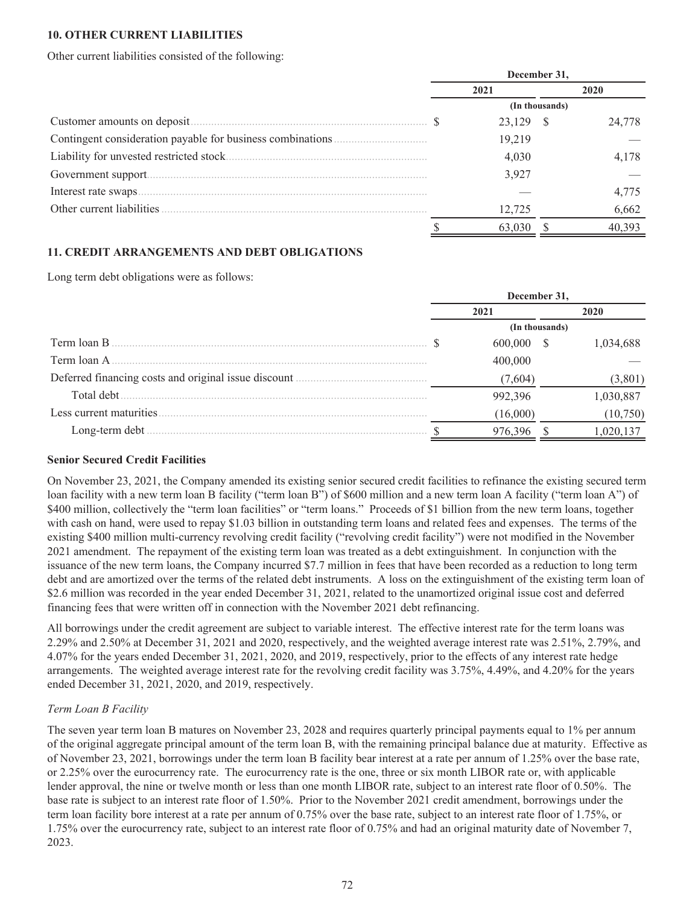### **10. OTHER CURRENT LIABILITIES**

Other current liabilities consisted of the following:

|                           | December 31, |           |                |        |  |
|---------------------------|--------------|-----------|----------------|--------|--|
|                           |              | 2021      |                | 2020   |  |
|                           |              |           | (In thousands) |        |  |
|                           |              | 23,129 \$ |                | 24,778 |  |
|                           |              | 19,219    |                |        |  |
|                           |              | 4,030     |                | 4.178  |  |
| Government support        |              | 3,927     |                |        |  |
| Interest rate swaps.      |              |           |                | 4,775  |  |
| Other current liabilities |              | 12.725    |                | 6,662  |  |
|                           |              | 63,030    |                |        |  |

### **11. CREDIT ARRANGEMENTS AND DEBT OBLIGATIONS**

Long term debt obligations were as follows:

|                                                                                                                      | December 31, |                |     |           |  |  |
|----------------------------------------------------------------------------------------------------------------------|--------------|----------------|-----|-----------|--|--|
|                                                                                                                      | 2021         |                |     | 2020      |  |  |
|                                                                                                                      |              | (In thousands) |     |           |  |  |
| Term loan B                                                                                                          |              | 600,000        | `ZS | 1,034,688 |  |  |
| Term loan A                                                                                                          |              | 400,000        |     |           |  |  |
| Deferred financing costs and original issue discount <i>manufactured</i> financing costs and original issue discount |              | (7,604)        |     | (3,801)   |  |  |
| Total debt.                                                                                                          |              | 992,396        |     | 1,030,887 |  |  |
| Less current maturities.                                                                                             |              | (16,000)       |     | (10,750)  |  |  |
| Long-term debt.                                                                                                      |              | 976,396        |     | 1,020,137 |  |  |

# **Senior Secured Credit Facilities**

On November 23, 2021, the Company amended its existing senior secured credit facilities to refinance the existing secured term loan facility with a new term loan B facility ("term loan B") of \$600 million and a new term loan A facility ("term loan A") of \$400 million, collectively the "term loan facilities" or "term loans." Proceeds of \$1 billion from the new term loans, together with cash on hand, were used to repay \$1.03 billion in outstanding term loans and related fees and expenses. The terms of the existing \$400 million multi-currency revolving credit facility ("revolving credit facility") were not modified in the November 2021 amendment. The repayment of the existing term loan was treated as a debt extinguishment. In conjunction with the issuance of the new term loans, the Company incurred \$7.7 million in fees that have been recorded as a reduction to long term debt and are amortized over the terms of the related debt instruments. A loss on the extinguishment of the existing term loan of \$2.6 million was recorded in the year ended December 31, 2021, related to the unamortized original issue cost and deferred financing fees that were written off in connection with the November 2021 debt refinancing.

All borrowings under the credit agreement are subject to variable interest. The effective interest rate for the term loans was 2.29% and 2.50% at December 31, 2021 and 2020, respectively, and the weighted average interest rate was 2.51%, 2.79%, and 4.07% for the years ended December 31, 2021, 2020, and 2019, respectively, prior to the effects of any interest rate hedge arrangements. The weighted average interest rate for the revolving credit facility was 3.75%, 4.49%, and 4.20% for the years ended December 31, 2021, 2020, and 2019, respectively.

#### *Term Loan B Facility*

The seven year term loan B matures on November 23, 2028 and requires quarterly principal payments equal to 1% per annum of the original aggregate principal amount of the term loan B, with the remaining principal balance due at maturity. Effective as of November 23, 2021, borrowings under the term loan B facility bear interest at a rate per annum of 1.25% over the base rate, or 2.25% over the eurocurrency rate. The eurocurrency rate is the one, three or six month LIBOR rate or, with applicable lender approval, the nine or twelve month or less than one month LIBOR rate, subject to an interest rate floor of 0.50%. The base rate is subject to an interest rate floor of 1.50%. Prior to the November 2021 credit amendment, borrowings under the term loan facility bore interest at a rate per annum of 0.75% over the base rate, subject to an interest rate floor of 1.75%, or 1.75% over the eurocurrency rate, subject to an interest rate floor of 0.75% and had an original maturity date of November 7, 2023.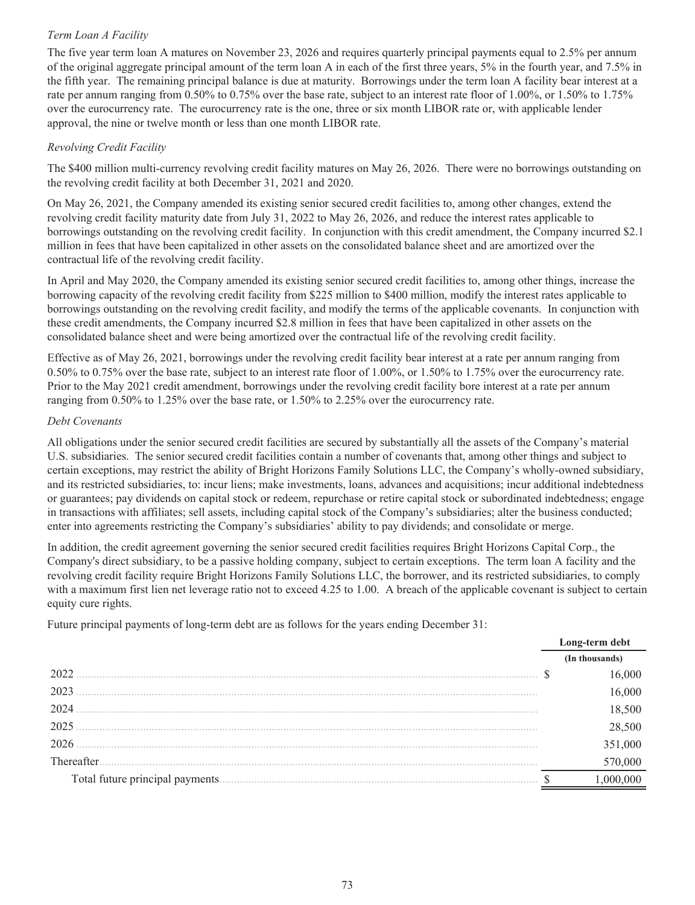# *Term Loan A Facility*

The five year term loan A matures on November 23, 2026 and requires quarterly principal payments equal to 2.5% per annum of the original aggregate principal amount of the term loan A in each of the first three years, 5% in the fourth year, and 7.5% in the fifth year. The remaining principal balance is due at maturity. Borrowings under the term loan A facility bear interest at a rate per annum ranging from 0.50% to 0.75% over the base rate, subject to an interest rate floor of 1.00%, or 1.50% to 1.75% over the eurocurrency rate. The eurocurrency rate is the one, three or six month LIBOR rate or, with applicable lender approval, the nine or twelve month or less than one month LIBOR rate.

# *Revolving Credit Facility*

The \$400 million multi-currency revolving credit facility matures on May 26, 2026. There were no borrowings outstanding on the revolving credit facility at both December 31, 2021 and 2020.

On May 26, 2021, the Company amended its existing senior secured credit facilities to, among other changes, extend the revolving credit facility maturity date from July 31, 2022 to May 26, 2026, and reduce the interest rates applicable to borrowings outstanding on the revolving credit facility. In conjunction with this credit amendment, the Company incurred \$2.1 million in fees that have been capitalized in other assets on the consolidated balance sheet and are amortized over the contractual life of the revolving credit facility.

In April and May 2020, the Company amended its existing senior secured credit facilities to, among other things, increase the borrowing capacity of the revolving credit facility from \$225 million to \$400 million, modify the interest rates applicable to borrowings outstanding on the revolving credit facility, and modify the terms of the applicable covenants. In conjunction with these credit amendments, the Company incurred \$2.8 million in fees that have been capitalized in other assets on the consolidated balance sheet and were being amortized over the contractual life of the revolving credit facility.

Effective as of May 26, 2021, borrowings under the revolving credit facility bear interest at a rate per annum ranging from 0.50% to 0.75% over the base rate, subject to an interest rate floor of 1.00%, or 1.50% to 1.75% over the eurocurrency rate. Prior to the May 2021 credit amendment, borrowings under the revolving credit facility bore interest at a rate per annum ranging from 0.50% to 1.25% over the base rate, or 1.50% to 2.25% over the eurocurrency rate.

### *Debt Covenants*

All obligations under the senior secured credit facilities are secured by substantially all the assets of the Company's material U.S. subsidiaries. The senior secured credit facilities contain a number of covenants that, among other things and subject to certain exceptions, may restrict the ability of Bright Horizons Family Solutions LLC, the Company's wholly-owned subsidiary, and its restricted subsidiaries, to: incur liens; make investments, loans, advances and acquisitions; incur additional indebtedness or guarantees; pay dividends on capital stock or redeem, repurchase or retire capital stock or subordinated indebtedness; engage in transactions with affiliates; sell assets, including capital stock of the Company's subsidiaries; alter the business conducted; enter into agreements restricting the Company's subsidiaries' ability to pay dividends; and consolidate or merge.

In addition, the credit agreement governing the senior secured credit facilities requires Bright Horizons Capital Corp., the Company's direct subsidiary, to be a passive holding company, subject to certain exceptions. The term loan A facility and the revolving credit facility require Bright Horizons Family Solutions LLC, the borrower, and its restricted subsidiaries, to comply with a maximum first lien net leverage ratio not to exceed 4.25 to 1.00. A breach of the applicable covenant is subject to certain equity cure rights.

Future principal payments of long-term debt are as follows for the years ending December 31:

|            | Long-term debt |
|------------|----------------|
|            | (In thousands) |
| 2022       |                |
| 2023       |                |
| 2024       | 18,500         |
| 2025       |                |
| 2026       | 1,000          |
| Thereafter |                |
|            |                |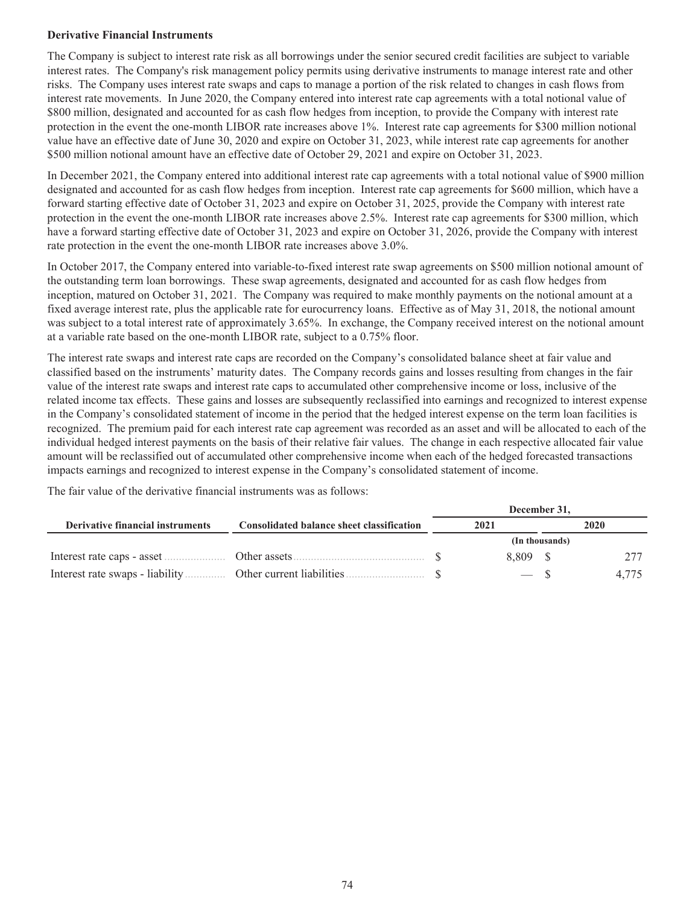### **Derivative Financial Instruments**

The Company is subject to interest rate risk as all borrowings under the senior secured credit facilities are subject to variable interest rates. The Company's risk management policy permits using derivative instruments to manage interest rate and other risks. The Company uses interest rate swaps and caps to manage a portion of the risk related to changes in cash flows from interest rate movements. In June 2020, the Company entered into interest rate cap agreements with a total notional value of \$800 million, designated and accounted for as cash flow hedges from inception, to provide the Company with interest rate protection in the event the one-month LIBOR rate increases above 1%. Interest rate cap agreements for \$300 million notional value have an effective date of June 30, 2020 and expire on October 31, 2023, while interest rate cap agreements for another \$500 million notional amount have an effective date of October 29, 2021 and expire on October 31, 2023.

In December 2021, the Company entered into additional interest rate cap agreements with a total notional value of \$900 million designated and accounted for as cash flow hedges from inception. Interest rate cap agreements for \$600 million, which have a forward starting effective date of October 31, 2023 and expire on October 31, 2025, provide the Company with interest rate protection in the event the one-month LIBOR rate increases above 2.5%. Interest rate cap agreements for \$300 million, which have a forward starting effective date of October 31, 2023 and expire on October 31, 2026, provide the Company with interest rate protection in the event the one-month LIBOR rate increases above 3.0%.

In October 2017, the Company entered into variable-to-fixed interest rate swap agreements on \$500 million notional amount of the outstanding term loan borrowings. These swap agreements, designated and accounted for as cash flow hedges from inception, matured on October 31, 2021. The Company was required to make monthly payments on the notional amount at a fixed average interest rate, plus the applicable rate for eurocurrency loans. Effective as of May 31, 2018, the notional amount was subject to a total interest rate of approximately 3.65%. In exchange, the Company received interest on the notional amount at a variable rate based on the one-month LIBOR rate, subject to a 0.75% floor.

The interest rate swaps and interest rate caps are recorded on the Company's consolidated balance sheet at fair value and classified based on the instruments' maturity dates. The Company records gains and losses resulting from changes in the fair value of the interest rate swaps and interest rate caps to accumulated other comprehensive income or loss, inclusive of the related income tax effects. These gains and losses are subsequently reclassified into earnings and recognized to interest expense in the Company's consolidated statement of income in the period that the hedged interest expense on the term loan facilities is recognized. The premium paid for each interest rate cap agreement was recorded as an asset and will be allocated to each of the individual hedged interest payments on the basis of their relative fair values. The change in each respective allocated fair value amount will be reclassified out of accumulated other comprehensive income when each of the hedged forecasted transactions impacts earnings and recognized to interest expense in the Company's consolidated statement of income.

The fair value of the derivative financial instruments was as follows:

|                                         |                                                  | December 31, |                |  |       |  |  |
|-----------------------------------------|--------------------------------------------------|--------------|----------------|--|-------|--|--|
| <b>Derivative financial instruments</b> | <b>Consolidated balance sheet classification</b> |              | 2021           |  | 2020  |  |  |
|                                         |                                                  |              | (In thousands) |  |       |  |  |
| Interest rate caps - asset              |                                                  |              | 8.809 \$       |  |       |  |  |
| Interest rate swaps - liability.        |                                                  |              |                |  | 4.775 |  |  |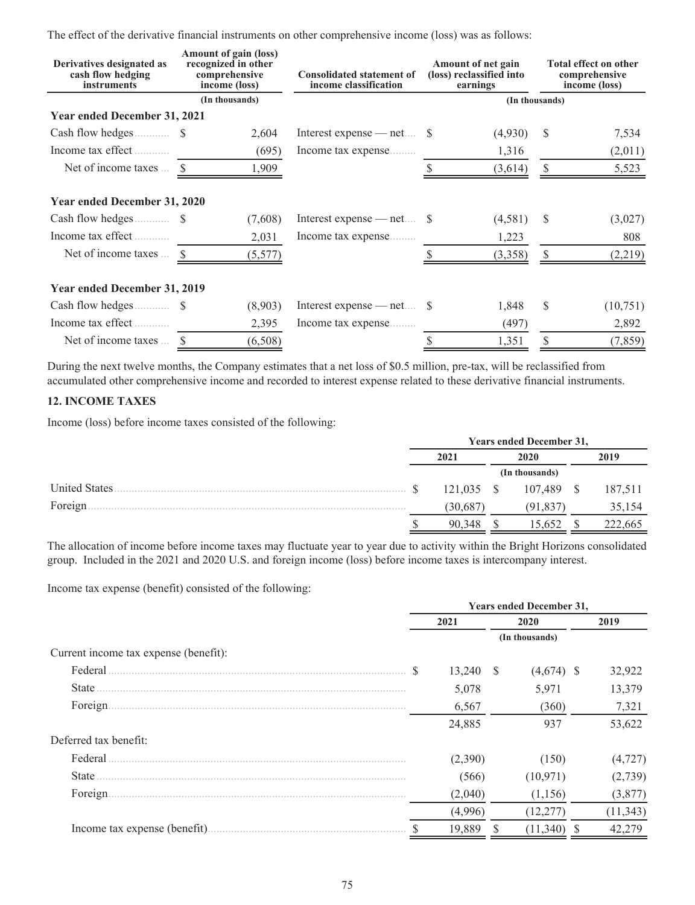The effect of the derivative financial instruments on other comprehensive income (loss) was as follows:

| Derivatives designated as<br>cash flow hedging<br><i>instruments</i> | Amount of gain (loss)<br>recognized in other<br>comprehensive<br>income (loss) | <b>Consolidated statement of</b><br>income classification | Amount of net gain<br>(loss) reclassified into<br>earnings | Total effect on other<br>comprehensive<br>income (loss) |
|----------------------------------------------------------------------|--------------------------------------------------------------------------------|-----------------------------------------------------------|------------------------------------------------------------|---------------------------------------------------------|
|                                                                      | (In thousands)                                                                 |                                                           |                                                            | (In thousands)                                          |
| <b>Year ended December 31, 2021</b>                                  |                                                                                |                                                           |                                                            |                                                         |
|                                                                      | 2,604                                                                          | Interest expense — net $\$                                | (4,930)                                                    | <sup>\$</sup><br>7,534                                  |
| Income tax effect                                                    | (695)                                                                          | Income tax expense                                        | 1,316                                                      | (2,011)                                                 |
| Net of income taxes  \$                                              | 1,909                                                                          |                                                           | (3,614)                                                    | \$<br>5,523                                             |
| Year ended December 31, 2020                                         |                                                                                |                                                           |                                                            |                                                         |
|                                                                      | (7,608)                                                                        | Interest expense — net $\$                                | (4,581)                                                    | -S<br>(3,027)                                           |
| Income tax effect                                                    | 2,031                                                                          | Income tax expense                                        | 1,223                                                      | 808                                                     |
| Net of income taxes $\ldots$ \$                                      | (5,577)                                                                        |                                                           | (3,358)                                                    | \$<br>(2,219)                                           |
| Year ended December 31, 2019                                         |                                                                                |                                                           |                                                            |                                                         |
|                                                                      | (8,903)                                                                        | Interest expense — net $\$                                | 1,848                                                      | S<br>(10,751)                                           |
| Income tax effect                                                    | 2,395                                                                          | Income tax expense                                        | (497)                                                      | 2,892                                                   |
| Net of income taxes  \$                                              | (6,508)                                                                        |                                                           | 1,351                                                      | \$<br>(7, 859)                                          |

During the next twelve months, the Company estimates that a net loss of \$0.5 million, pre-tax, will be reclassified from accumulated other comprehensive income and recorded to interest expense related to these derivative financial instruments.

# **12. INCOME TAXES**

Income (loss) before income taxes consisted of the following:

|               | <b>Years ended December 31,</b> |            |  |                |      |         |  |      |
|---------------|---------------------------------|------------|--|----------------|------|---------|--|------|
|               | 2021                            |            |  |                | 2020 |         |  | 2019 |
|               |                                 |            |  | (In thousands) |      |         |  |      |
| United States |                                 | 121,035 \$ |  | 107,489        |      | 187,511 |  |      |
| Foreign.      |                                 | 30,687     |  | (91.837        |      | 35,154  |  |      |
|               |                                 | 90.348     |  | 15.652         |      | 222,665 |  |      |

The allocation of income before income taxes may fluctuate year to year due to activity within the Bright Horizons consolidated group. Included in the 2021 and 2020 U.S. and foreign income (loss) before income taxes is intercompany interest.

Income tax expense (benefit) consisted of the following:

|                                       |  | <b>Years ended December 31,</b> |  |                |  |           |      |  |
|---------------------------------------|--|---------------------------------|--|----------------|--|-----------|------|--|
|                                       |  | 2021                            |  | 2020           |  |           | 2019 |  |
|                                       |  |                                 |  | (In thousands) |  |           |      |  |
| Current income tax expense (benefit): |  |                                 |  |                |  |           |      |  |
| Federal                               |  | $13,240$ \$                     |  | $(4,674)$ \$   |  | 32,922    |      |  |
| State                                 |  | 5,078                           |  | 5,971          |  | 13,379    |      |  |
| Foreign.                              |  | 6,567                           |  | (360)          |  | 7,321     |      |  |
|                                       |  | 24,885                          |  | 937            |  | 53,622    |      |  |
| Deferred tax benefit:                 |  |                                 |  |                |  |           |      |  |
| Federal                               |  | (2,390)                         |  | (150)          |  | (4, 727)  |      |  |
| State                                 |  | (566)                           |  | (10, 971)      |  | (2,739)   |      |  |
| Foreign.                              |  | (2,040)                         |  | (1,156)        |  | (3, 877)  |      |  |
|                                       |  | (4,996)                         |  | (12, 277)      |  | (11, 343) |      |  |
|                                       |  | 19,889                          |  | (11, 340)      |  | 42,279    |      |  |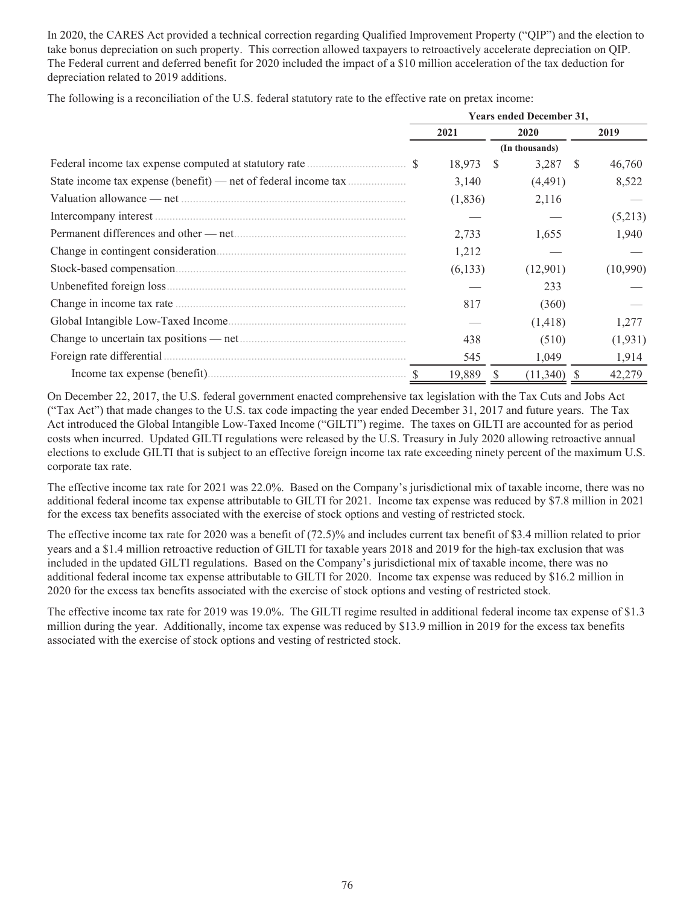In 2020, the CARES Act provided a technical correction regarding Qualified Improvement Property ("QIP") and the election to take bonus depreciation on such property. This correction allowed taxpayers to retroactively accelerate depreciation on QIP. The Federal current and deferred benefit for 2020 included the impact of a \$10 million acceleration of the tax deduction for depreciation related to 2019 additions.

The following is a reconciliation of the U.S. federal statutory rate to the effective rate on pretax income:

|                                                                             | <b>Years ended December 31,</b> |          |      |                |              |          |
|-----------------------------------------------------------------------------|---------------------------------|----------|------|----------------|--------------|----------|
|                                                                             | 2021                            |          | 2020 |                |              | 2019     |
|                                                                             |                                 |          |      | (In thousands) |              |          |
| Federal income tax expense computed at statutory rate <i>manufacture</i> \$ |                                 | 18,973   | - S  | 3,287          | <sup>S</sup> | 46,760   |
| State income tax expense (benefit) — net of federal income tax              |                                 | 3,140    |      | (4,491)        |              | 8,522    |
|                                                                             |                                 | (1, 836) |      | 2,116          |              |          |
|                                                                             |                                 |          |      |                |              | (5,213)  |
|                                                                             |                                 | 2,733    |      | 1,655          |              | 1,940    |
|                                                                             |                                 | 1,212    |      |                |              |          |
|                                                                             |                                 | (6,133)  |      | (12,901)       |              | (10,990) |
|                                                                             |                                 |          |      | 233            |              |          |
|                                                                             |                                 | 817      |      | (360)          |              |          |
|                                                                             |                                 |          |      | (1,418)        |              | 1,277    |
|                                                                             |                                 | 438      |      | (510)          |              | (1, 931) |
| Foreign rate differential.                                                  |                                 | 545      |      | 1,049          |              | 1,914    |
|                                                                             |                                 | 19,889   |      | (11,340)       |              | 42,279   |

On December 22, 2017, the U.S. federal government enacted comprehensive tax legislation with the Tax Cuts and Jobs Act ("Tax Act") that made changes to the U.S. tax code impacting the year ended December 31, 2017 and future years. The Tax Act introduced the Global Intangible Low-Taxed Income ("GILTI") regime. The taxes on GILTI are accounted for as period costs when incurred. Updated GILTI regulations were released by the U.S. Treasury in July 2020 allowing retroactive annual elections to exclude GILTI that is subject to an effective foreign income tax rate exceeding ninety percent of the maximum U.S. corporate tax rate.

The effective income tax rate for 2021 was 22.0%. Based on the Company's jurisdictional mix of taxable income, there was no additional federal income tax expense attributable to GILTI for 2021. Income tax expense was reduced by \$7.8 million in 2021 for the excess tax benefits associated with the exercise of stock options and vesting of restricted stock.

The effective income tax rate for 2020 was a benefit of (72.5)% and includes current tax benefit of \$3.4 million related to prior years and a \$1.4 million retroactive reduction of GILTI for taxable years 2018 and 2019 for the high-tax exclusion that was included in the updated GILTI regulations. Based on the Company's jurisdictional mix of taxable income, there was no additional federal income tax expense attributable to GILTI for 2020. Income tax expense was reduced by \$16.2 million in 2020 for the excess tax benefits associated with the exercise of stock options and vesting of restricted stock*.*

The effective income tax rate for 2019 was 19.0%. The GILTI regime resulted in additional federal income tax expense of \$1.3 million during the year. Additionally, income tax expense was reduced by \$13.9 million in 2019 for the excess tax benefits associated with the exercise of stock options and vesting of restricted stock.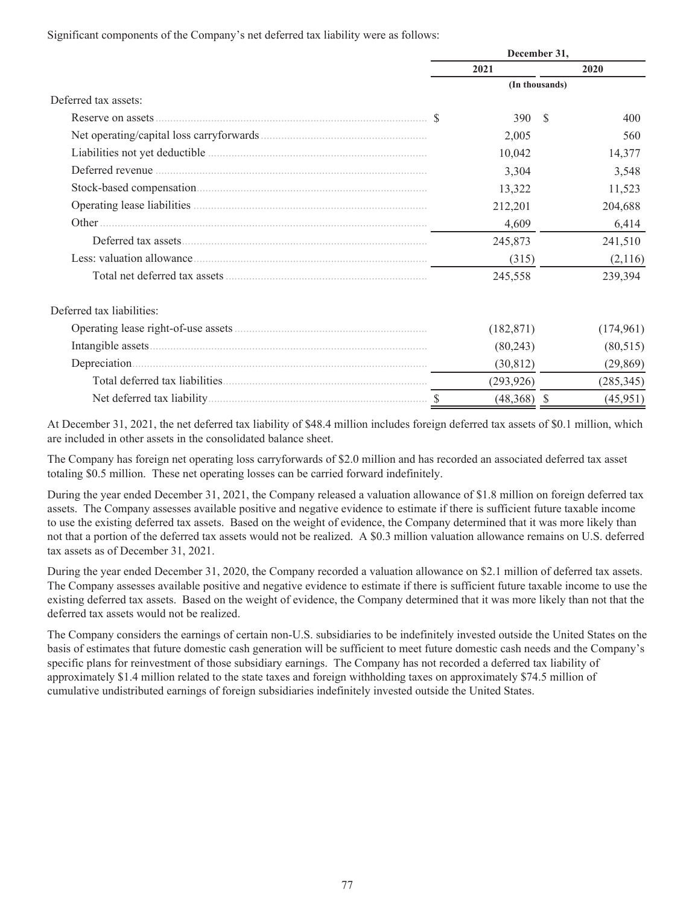Significant components of the Company's net deferred tax liability were as follows:

|                           | December 31, |                |           |  |  |
|---------------------------|--------------|----------------|-----------|--|--|
|                           | 2021         |                | 2020      |  |  |
|                           |              | (In thousands) |           |  |  |
| Deferred tax assets:      |              |                |           |  |  |
|                           | 390          | <sup>\$</sup>  | 400       |  |  |
|                           | 2,005        |                | 560       |  |  |
|                           | 10,042       |                | 14,377    |  |  |
|                           | 3,304        |                | 3,548     |  |  |
|                           | 13,322       |                | 11,523    |  |  |
|                           | 212,201      |                | 204,688   |  |  |
| Other.                    | 4,609        |                | 6,414     |  |  |
|                           | 245,873      |                | 241,510   |  |  |
|                           | (315)        |                | (2,116)   |  |  |
|                           | 245,558      |                | 239,394   |  |  |
| Deferred tax liabilities: |              |                |           |  |  |
|                           | (182, 871)   |                | (174,961) |  |  |
|                           | (80, 243)    |                | (80, 515) |  |  |
|                           | (30, 812)    |                | (29, 869) |  |  |

At December 31, 2021, the net deferred tax liability of \$48.4 million includes foreign deferred tax assets of \$0.1 million, which are included in other assets in the consolidated balance sheet.

Total deferred tax liabilities...................................................................... (293,926) (285,345) Net deferred tax liability........................................................................... \$ (48,368) \$ (45,951)

The Company has foreign net operating loss carryforwards of \$2.0 million and has recorded an associated deferred tax asset totaling \$0.5 million. These net operating losses can be carried forward indefinitely.

During the year ended December 31, 2021, the Company released a valuation allowance of \$1.8 million on foreign deferred tax assets. The Company assesses available positive and negative evidence to estimate if there is sufficient future taxable income to use the existing deferred tax assets. Based on the weight of evidence, the Company determined that it was more likely than not that a portion of the deferred tax assets would not be realized. A \$0.3 million valuation allowance remains on U.S. deferred tax assets as of December 31, 2021.

During the year ended December 31, 2020, the Company recorded a valuation allowance on \$2.1 million of deferred tax assets. The Company assesses available positive and negative evidence to estimate if there is sufficient future taxable income to use the existing deferred tax assets. Based on the weight of evidence, the Company determined that it was more likely than not that the deferred tax assets would not be realized.

The Company considers the earnings of certain non-U.S. subsidiaries to be indefinitely invested outside the United States on the basis of estimates that future domestic cash generation will be sufficient to meet future domestic cash needs and the Company's specific plans for reinvestment of those subsidiary earnings. The Company has not recorded a deferred tax liability of approximately \$1.4 million related to the state taxes and foreign withholding taxes on approximately \$74.5 million of cumulative undistributed earnings of foreign subsidiaries indefinitely invested outside the United States.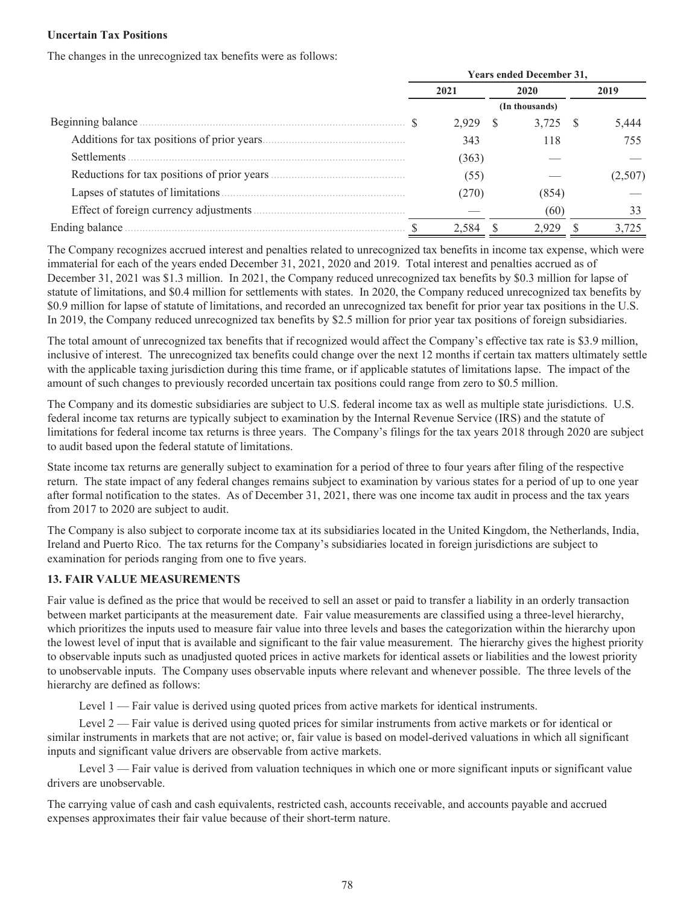#### **Uncertain Tax Positions**

The changes in the unrecognized tax benefits were as follows:

|                   | <b>Years ended December 31,</b> |       |     |                |      |       |  |
|-------------------|---------------------------------|-------|-----|----------------|------|-------|--|
|                   |                                 | 2021  |     | 2020           |      | 2019  |  |
|                   |                                 |       |     | (In thousands) |      |       |  |
| Beginning balance |                                 | 2.929 | - S | 3,725          | - \$ | 5,444 |  |
|                   |                                 | 343   |     | 118            |      | 755   |  |
| Settlements       |                                 | (363) |     |                |      |       |  |
|                   |                                 | (55)  |     |                |      |       |  |
|                   |                                 | 270   |     | (854           |      |       |  |
|                   |                                 |       |     | (60)           |      |       |  |
| Ending balance    |                                 | 2,584 |     | 2.929          |      |       |  |

The Company recognizes accrued interest and penalties related to unrecognized tax benefits in income tax expense, which were immaterial for each of the years ended December 31, 2021, 2020 and 2019. Total interest and penalties accrued as of December 31, 2021 was \$1.3 million. In 2021, the Company reduced unrecognized tax benefits by \$0.3 million for lapse of statute of limitations, and \$0.4 million for settlements with states. In 2020, the Company reduced unrecognized tax benefits by \$0.9 million for lapse of statute of limitations, and recorded an unrecognized tax benefit for prior year tax positions in the U.S. In 2019, the Company reduced unrecognized tax benefits by \$2.5 million for prior year tax positions of foreign subsidiaries.

The total amount of unrecognized tax benefits that if recognized would affect the Company's effective tax rate is \$3.9 million, inclusive of interest. The unrecognized tax benefits could change over the next 12 months if certain tax matters ultimately settle with the applicable taxing jurisdiction during this time frame, or if applicable statutes of limitations lapse. The impact of the amount of such changes to previously recorded uncertain tax positions could range from zero to \$0.5 million.

The Company and its domestic subsidiaries are subject to U.S. federal income tax as well as multiple state jurisdictions. U.S. federal income tax returns are typically subject to examination by the Internal Revenue Service (IRS) and the statute of limitations for federal income tax returns is three years. The Company's filings for the tax years 2018 through 2020 are subject to audit based upon the federal statute of limitations.

State income tax returns are generally subject to examination for a period of three to four years after filing of the respective return. The state impact of any federal changes remains subject to examination by various states for a period of up to one year after formal notification to the states. As of December 31, 2021, there was one income tax audit in process and the tax years from 2017 to 2020 are subject to audit.

The Company is also subject to corporate income tax at its subsidiaries located in the United Kingdom, the Netherlands, India, Ireland and Puerto Rico. The tax returns for the Company's subsidiaries located in foreign jurisdictions are subject to examination for periods ranging from one to five years.

# **13. FAIR VALUE MEASUREMENTS**

Fair value is defined as the price that would be received to sell an asset or paid to transfer a liability in an orderly transaction between market participants at the measurement date. Fair value measurements are classified using a three-level hierarchy, which prioritizes the inputs used to measure fair value into three levels and bases the categorization within the hierarchy upon the lowest level of input that is available and significant to the fair value measurement. The hierarchy gives the highest priority to observable inputs such as unadjusted quoted prices in active markets for identical assets or liabilities and the lowest priority to unobservable inputs. The Company uses observable inputs where relevant and whenever possible. The three levels of the hierarchy are defined as follows:

Level 1 — Fair value is derived using quoted prices from active markets for identical instruments.

Level 2 — Fair value is derived using quoted prices for similar instruments from active markets or for identical or similar instruments in markets that are not active; or, fair value is based on model-derived valuations in which all significant inputs and significant value drivers are observable from active markets.

Level 3 — Fair value is derived from valuation techniques in which one or more significant inputs or significant value drivers are unobservable.

The carrying value of cash and cash equivalents, restricted cash, accounts receivable, and accounts payable and accrued expenses approximates their fair value because of their short-term nature.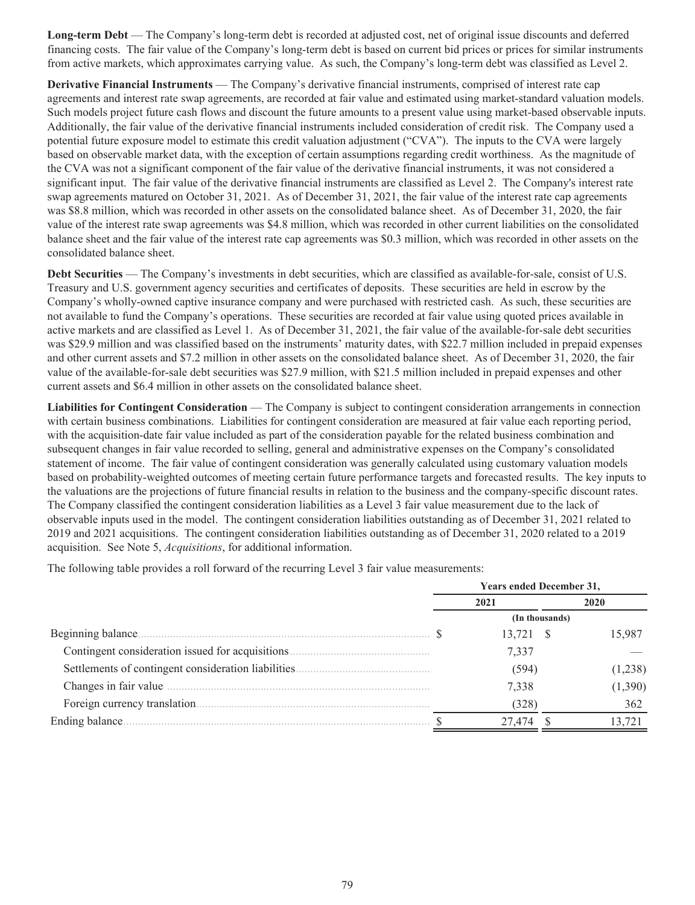**Long-term Debt** — The Company's long-term debt is recorded at adjusted cost, net of original issue discounts and deferred financing costs. The fair value of the Company's long-term debt is based on current bid prices or prices for similar instruments from active markets, which approximates carrying value. As such, the Company's long-term debt was classified as Level 2.

**Derivative Financial Instruments** — The Company's derivative financial instruments, comprised of interest rate cap agreements and interest rate swap agreements, are recorded at fair value and estimated using market-standard valuation models. Such models project future cash flows and discount the future amounts to a present value using market-based observable inputs. Additionally, the fair value of the derivative financial instruments included consideration of credit risk. The Company used a potential future exposure model to estimate this credit valuation adjustment ("CVA"). The inputs to the CVA were largely based on observable market data, with the exception of certain assumptions regarding credit worthiness. As the magnitude of the CVA was not a significant component of the fair value of the derivative financial instruments, it was not considered a significant input. The fair value of the derivative financial instruments are classified as Level 2. The Company's interest rate swap agreements matured on October 31, 2021. As of December 31, 2021, the fair value of the interest rate cap agreements was \$8.8 million, which was recorded in other assets on the consolidated balance sheet. As of December 31, 2020, the fair value of the interest rate swap agreements was \$4.8 million, which was recorded in other current liabilities on the consolidated balance sheet and the fair value of the interest rate cap agreements was \$0.3 million, which was recorded in other assets on the consolidated balance sheet.

**Debt Securities** — The Company's investments in debt securities, which are classified as available-for-sale, consist of U.S. Treasury and U.S. government agency securities and certificates of deposits. These securities are held in escrow by the Company's wholly-owned captive insurance company and were purchased with restricted cash. As such, these securities are not available to fund the Company's operations. These securities are recorded at fair value using quoted prices available in active markets and are classified as Level 1. As of December 31, 2021, the fair value of the available-for-sale debt securities was \$29.9 million and was classified based on the instruments' maturity dates, with \$22.7 million included in prepaid expenses and other current assets and \$7.2 million in other assets on the consolidated balance sheet. As of December 31, 2020, the fair value of the available-for-sale debt securities was \$27.9 million, with \$21.5 million included in prepaid expenses and other current assets and \$6.4 million in other assets on the consolidated balance sheet.

**Liabilities for Contingent Consideration** — The Company is subject to contingent consideration arrangements in connection with certain business combinations. Liabilities for contingent consideration are measured at fair value each reporting period, with the acquisition-date fair value included as part of the consideration payable for the related business combination and subsequent changes in fair value recorded to selling, general and administrative expenses on the Company's consolidated statement of income. The fair value of contingent consideration was generally calculated using customary valuation models based on probability-weighted outcomes of meeting certain future performance targets and forecasted results. The key inputs to the valuations are the projections of future financial results in relation to the business and the company-specific discount rates. The Company classified the contingent consideration liabilities as a Level 3 fair value measurement due to the lack of observable inputs used in the model. The contingent consideration liabilities outstanding as of December 31, 2021 related to 2019 and 2021 acquisitions. The contingent consideration liabilities outstanding as of December 31, 2020 related to a 2019 acquisition. See Note 5, *Acquisitions*, for additional information.

The following table provides a roll forward of the recurring Level 3 fair value measurements:

|                 |      | <b>Years ended December 31,</b> |  |         |  |  |
|-----------------|------|---------------------------------|--|---------|--|--|
|                 | 2021 |                                 |  | 2020    |  |  |
|                 |      | (In thousands)                  |  |         |  |  |
|                 |      | 13,721 \$                       |  | 15.987  |  |  |
|                 |      | 7,337                           |  |         |  |  |
|                 |      | (594)                           |  | (1,238) |  |  |
|                 |      | 7,338                           |  | (1,390) |  |  |
|                 |      | (328)                           |  | 362     |  |  |
| Ending balance. |      |                                 |  |         |  |  |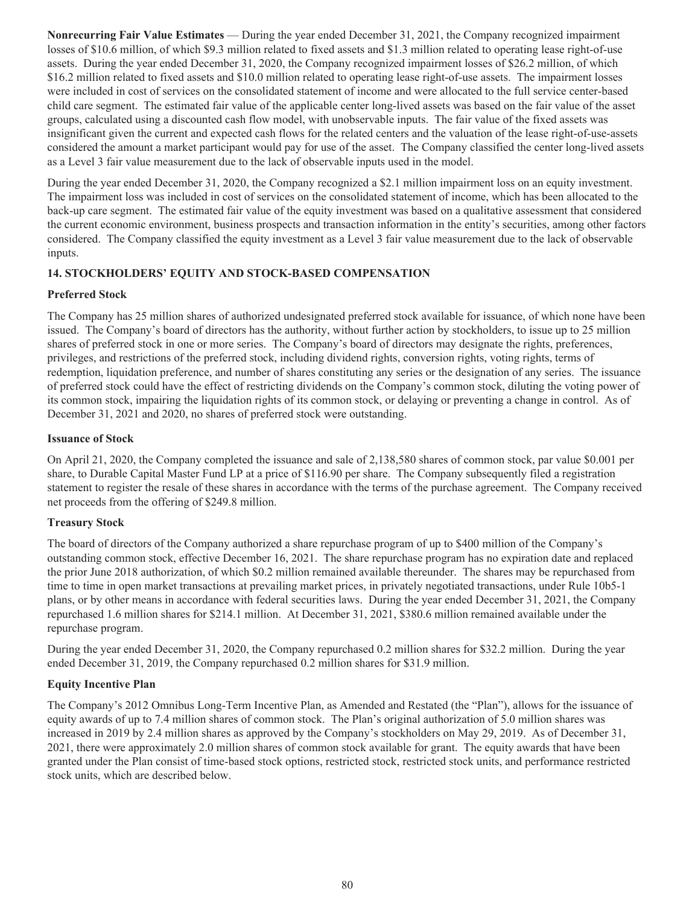**Nonrecurring Fair Value Estimates** — During the year ended December 31, 2021, the Company recognized impairment losses of \$10.6 million, of which \$9.3 million related to fixed assets and \$1.3 million related to operating lease right-of-use assets. During the year ended December 31, 2020, the Company recognized impairment losses of \$26.2 million, of which \$16.2 million related to fixed assets and \$10.0 million related to operating lease right-of-use assets. The impairment losses were included in cost of services on the consolidated statement of income and were allocated to the full service center-based child care segment. The estimated fair value of the applicable center long-lived assets was based on the fair value of the asset groups, calculated using a discounted cash flow model, with unobservable inputs. The fair value of the fixed assets was insignificant given the current and expected cash flows for the related centers and the valuation of the lease right-of-use-assets considered the amount a market participant would pay for use of the asset. The Company classified the center long-lived assets as a Level 3 fair value measurement due to the lack of observable inputs used in the model.

During the year ended December 31, 2020, the Company recognized a \$2.1 million impairment loss on an equity investment. The impairment loss was included in cost of services on the consolidated statement of income, which has been allocated to the back-up care segment. The estimated fair value of the equity investment was based on a qualitative assessment that considered the current economic environment, business prospects and transaction information in the entity's securities, among other factors considered. The Company classified the equity investment as a Level 3 fair value measurement due to the lack of observable inputs.

# **14. STOCKHOLDERS' EQUITY AND STOCK-BASED COMPENSATION**

### **Preferred Stock**

The Company has 25 million shares of authorized undesignated preferred stock available for issuance, of which none have been issued. The Company's board of directors has the authority, without further action by stockholders, to issue up to 25 million shares of preferred stock in one or more series. The Company's board of directors may designate the rights, preferences, privileges, and restrictions of the preferred stock, including dividend rights, conversion rights, voting rights, terms of redemption, liquidation preference, and number of shares constituting any series or the designation of any series. The issuance of preferred stock could have the effect of restricting dividends on the Company's common stock, diluting the voting power of its common stock, impairing the liquidation rights of its common stock, or delaying or preventing a change in control. As of December 31, 2021 and 2020, no shares of preferred stock were outstanding.

#### **Issuance of Stock**

On April 21, 2020, the Company completed the issuance and sale of 2,138,580 shares of common stock, par value \$0.001 per share, to Durable Capital Master Fund LP at a price of \$116.90 per share. The Company subsequently filed a registration statement to register the resale of these shares in accordance with the terms of the purchase agreement. The Company received net proceeds from the offering of \$249.8 million.

#### **Treasury Stock**

The board of directors of the Company authorized a share repurchase program of up to \$400 million of the Company's outstanding common stock, effective December 16, 2021. The share repurchase program has no expiration date and replaced the prior June 2018 authorization, of which \$0.2 million remained available thereunder. The shares may be repurchased from time to time in open market transactions at prevailing market prices, in privately negotiated transactions, under Rule 10b5-1 plans, or by other means in accordance with federal securities laws. During the year ended December 31, 2021, the Company repurchased 1.6 million shares for \$214.1 million. At December 31, 2021, \$380.6 million remained available under the repurchase program.

During the year ended December 31, 2020, the Company repurchased 0.2 million shares for \$32.2 million. During the year ended December 31, 2019, the Company repurchased 0.2 million shares for \$31.9 million.

# **Equity Incentive Plan**

The Company's 2012 Omnibus Long-Term Incentive Plan, as Amended and Restated (the "Plan"), allows for the issuance of equity awards of up to 7.4 million shares of common stock. The Plan's original authorization of 5.0 million shares was increased in 2019 by 2.4 million shares as approved by the Company's stockholders on May 29, 2019. As of December 31, 2021, there were approximately 2.0 million shares of common stock available for grant. The equity awards that have been granted under the Plan consist of time-based stock options, restricted stock, restricted stock units, and performance restricted stock units, which are described below.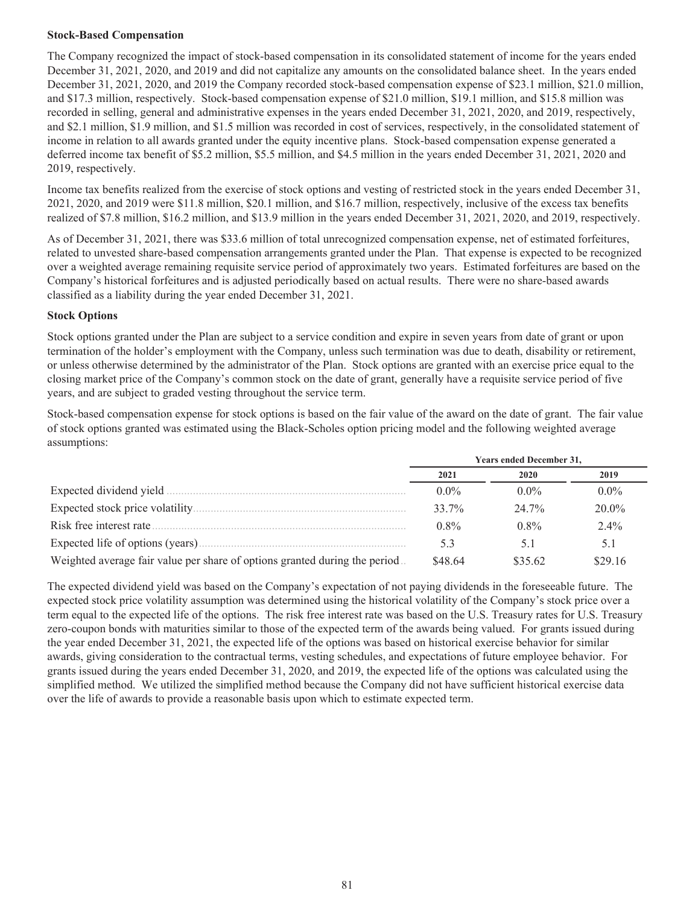### **Stock-Based Compensation**

The Company recognized the impact of stock-based compensation in its consolidated statement of income for the years ended December 31, 2021, 2020, and 2019 and did not capitalize any amounts on the consolidated balance sheet. In the years ended December 31, 2021, 2020, and 2019 the Company recorded stock-based compensation expense of \$23.1 million, \$21.0 million, and \$17.3 million, respectively. Stock-based compensation expense of \$21.0 million, \$19.1 million, and \$15.8 million was recorded in selling, general and administrative expenses in the years ended December 31, 2021, 2020, and 2019, respectively, and \$2.1 million, \$1.9 million, and \$1.5 million was recorded in cost of services, respectively, in the consolidated statement of income in relation to all awards granted under the equity incentive plans. Stock-based compensation expense generated a deferred income tax benefit of \$5.2 million, \$5.5 million, and \$4.5 million in the years ended December 31, 2021, 2020 and 2019, respectively.

Income tax benefits realized from the exercise of stock options and vesting of restricted stock in the years ended December 31, 2021, 2020, and 2019 were \$11.8 million, \$20.1 million, and \$16.7 million, respectively, inclusive of the excess tax benefits realized of \$7.8 million, \$16.2 million, and \$13.9 million in the years ended December 31, 2021, 2020, and 2019, respectively.

As of December 31, 2021, there was \$33.6 million of total unrecognized compensation expense, net of estimated forfeitures, related to unvested share-based compensation arrangements granted under the Plan. That expense is expected to be recognized over a weighted average remaining requisite service period of approximately two years. Estimated forfeitures are based on the Company's historical forfeitures and is adjusted periodically based on actual results. There were no share-based awards classified as a liability during the year ended December 31, 2021.

### **Stock Options**

Stock options granted under the Plan are subject to a service condition and expire in seven years from date of grant or upon termination of the holder's employment with the Company, unless such termination was due to death, disability or retirement, or unless otherwise determined by the administrator of the Plan. Stock options are granted with an exercise price equal to the closing market price of the Company's common stock on the date of grant, generally have a requisite service period of five years, and are subject to graded vesting throughout the service term.

Stock-based compensation expense for stock options is based on the fair value of the award on the date of grant. The fair value of stock options granted was estimated using the Black-Scholes option pricing model and the following weighted average assumptions:

|                                                                            | <b>Years ended December 31,</b> |         |          |  |  |
|----------------------------------------------------------------------------|---------------------------------|---------|----------|--|--|
|                                                                            | 2021                            | 2020    | 2019     |  |  |
|                                                                            | $0.0\%$                         | $0.0\%$ | $0.0\%$  |  |  |
|                                                                            | $33.7\%$                        | 24 7%   | $20.0\%$ |  |  |
|                                                                            | $0.8\%$                         | $0.8\%$ | $2.4\%$  |  |  |
|                                                                            | 53                              |         | 5.1      |  |  |
| Weighted average fair value per share of options granted during the period | \$48.64                         | \$35.62 | \$29.16  |  |  |

The expected dividend yield was based on the Company's expectation of not paying dividends in the foreseeable future. The expected stock price volatility assumption was determined using the historical volatility of the Company's stock price over a term equal to the expected life of the options. The risk free interest rate was based on the U.S. Treasury rates for U.S. Treasury zero-coupon bonds with maturities similar to those of the expected term of the awards being valued. For grants issued during the year ended December 31, 2021, the expected life of the options was based on historical exercise behavior for similar awards, giving consideration to the contractual terms, vesting schedules, and expectations of future employee behavior. For grants issued during the years ended December 31, 2020, and 2019, the expected life of the options was calculated using the simplified method. We utilized the simplified method because the Company did not have sufficient historical exercise data over the life of awards to provide a reasonable basis upon which to estimate expected term.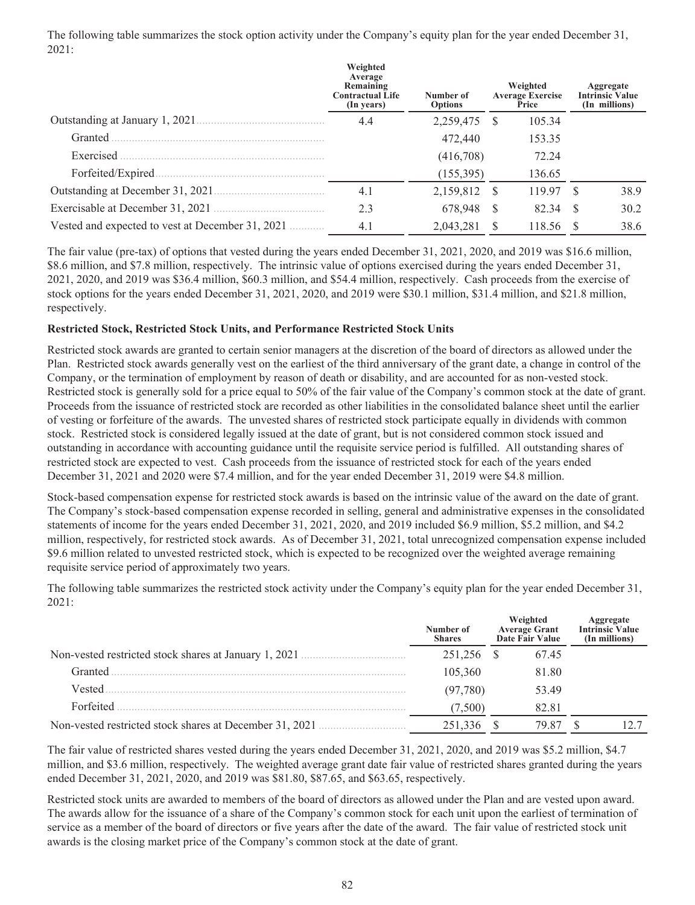The following table summarizes the stock option activity under the Company's equity plan for the year ended December 31, 2021:

|                                                  | Weighted<br>Average<br>Remaining<br><b>Contractual Life</b><br>(In years) | Number of<br><b>Options</b> |     | Weighted<br><b>Average Exercise</b><br>Price |      | Aggregate<br><b>Intrinsic Value</b><br>(In millions) |
|--------------------------------------------------|---------------------------------------------------------------------------|-----------------------------|-----|----------------------------------------------|------|------------------------------------------------------|
| Outstanding at January 1, 2021.                  | 4.4                                                                       | 2,259,475                   | - S | 105.34                                       |      |                                                      |
| Granted                                          |                                                                           | 472,440                     |     | 153.35                                       |      |                                                      |
| Exercised                                        |                                                                           | (416,708)                   |     | 72.24                                        |      |                                                      |
| Forfeited/Expired                                |                                                                           | (155, 395)                  |     | 136.65                                       |      |                                                      |
|                                                  | 4.1                                                                       | 2,159,812                   | - S | 119 97                                       |      | 38.9                                                 |
|                                                  | 2.3                                                                       | 678.948                     | -S  | 82.34                                        | - \$ | 30.2                                                 |
| Vested and expected to vest at December 31, 2021 | 4.1                                                                       | 2.043.281                   | -S  | 118.56                                       |      | 38.6                                                 |

The fair value (pre-tax) of options that vested during the years ended December 31, 2021, 2020, and 2019 was \$16.6 million, \$8.6 million, and \$7.8 million, respectively. The intrinsic value of options exercised during the years ended December 31, 2021, 2020, and 2019 was \$36.4 million, \$60.3 million, and \$54.4 million, respectively. Cash proceeds from the exercise of stock options for the years ended December 31, 2021, 2020, and 2019 were \$30.1 million, \$31.4 million, and \$21.8 million, respectively.

#### **Restricted Stock, Restricted Stock Units, and Performance Restricted Stock Units**

Restricted stock awards are granted to certain senior managers at the discretion of the board of directors as allowed under the Plan. Restricted stock awards generally vest on the earliest of the third anniversary of the grant date, a change in control of the Company, or the termination of employment by reason of death or disability, and are accounted for as non-vested stock. Restricted stock is generally sold for a price equal to 50% of the fair value of the Company's common stock at the date of grant. Proceeds from the issuance of restricted stock are recorded as other liabilities in the consolidated balance sheet until the earlier of vesting or forfeiture of the awards. The unvested shares of restricted stock participate equally in dividends with common stock. Restricted stock is considered legally issued at the date of grant, but is not considered common stock issued and outstanding in accordance with accounting guidance until the requisite service period is fulfilled. All outstanding shares of restricted stock are expected to vest. Cash proceeds from the issuance of restricted stock for each of the years ended December 31, 2021 and 2020 were \$7.4 million, and for the year ended December 31, 2019 were \$4.8 million.

Stock-based compensation expense for restricted stock awards is based on the intrinsic value of the award on the date of grant. The Company's stock-based compensation expense recorded in selling, general and administrative expenses in the consolidated statements of income for the years ended December 31, 2021, 2020, and 2019 included \$6.9 million, \$5.2 million, and \$4.2 million, respectively, for restricted stock awards. As of December 31, 2021, total unrecognized compensation expense included \$9.6 million related to unvested restricted stock, which is expected to be recognized over the weighted average remaining requisite service period of approximately two years.

The following table summarizes the restricted stock activity under the Company's equity plan for the year ended December 31, 2021:

|                                                         | Number of<br><b>Shares</b> | Weighted<br>Average Grant<br>Date Fair Value | <b>Aggregate</b><br>Intrinsic Value<br>(In millions) |
|---------------------------------------------------------|----------------------------|----------------------------------------------|------------------------------------------------------|
| Non-vested restricted stock shares at January 1, 2021.  | 251,256 \$                 | 67.45                                        |                                                      |
| Granted                                                 | 105.360                    | 81.80                                        |                                                      |
| Vested                                                  | (97, 780)                  | 53.49                                        |                                                      |
| Forfeited                                               | (7.500)                    | 82.81                                        |                                                      |
| Non-vested restricted stock shares at December 31, 2021 | 251 336                    | 79.87                                        |                                                      |

The fair value of restricted shares vested during the years ended December 31, 2021, 2020, and 2019 was \$5.2 million, \$4.7 million, and \$3.6 million, respectively. The weighted average grant date fair value of restricted shares granted during the years ended December 31, 2021, 2020, and 2019 was \$81.80, \$87.65, and \$63.65, respectively.

Restricted stock units are awarded to members of the board of directors as allowed under the Plan and are vested upon award. The awards allow for the issuance of a share of the Company's common stock for each unit upon the earliest of termination of service as a member of the board of directors or five years after the date of the award. The fair value of restricted stock unit awards is the closing market price of the Company's common stock at the date of grant.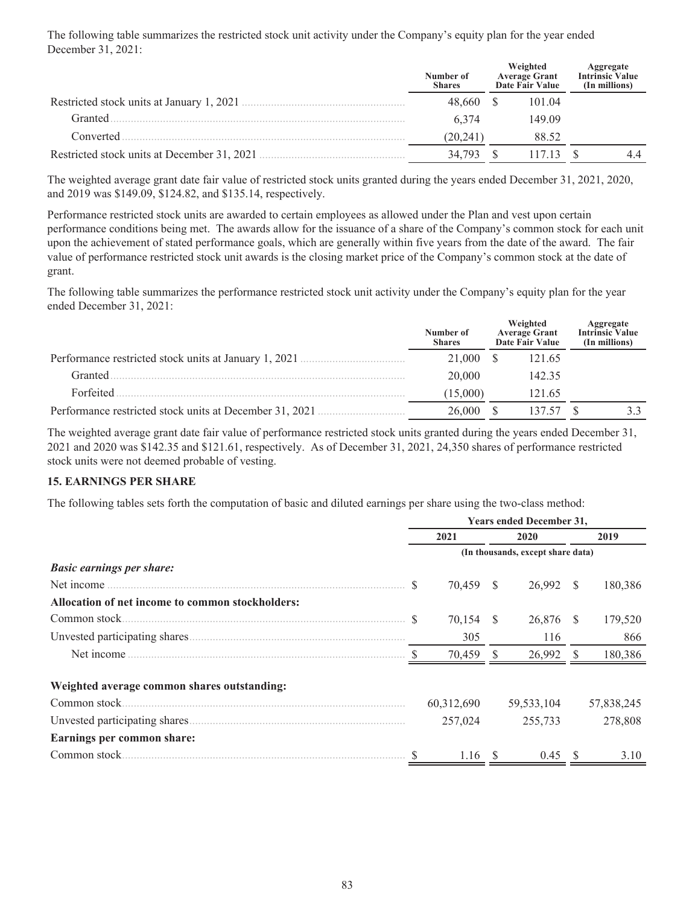The following table summarizes the restricted stock unit activity under the Company's equity plan for the year ended December 31, 2021:

|                                             | Number of<br><b>Shares</b> | Weighted<br>Average Grant<br>Date Fair Value | <b>Aggregate</b><br>Intrinsic Value<br>(In millions) |
|---------------------------------------------|----------------------------|----------------------------------------------|------------------------------------------------------|
| Restricted stock units at January 1, 2021   | 48.660                     | 101.04                                       |                                                      |
| Granted                                     | 6 3 7 4                    | 149.09                                       |                                                      |
| Converted                                   | (20.241)                   | 88.52                                        |                                                      |
| Restricted stock units at December 31, 2021 | 34.793                     | 1713                                         | 4.4                                                  |

The weighted average grant date fair value of restricted stock units granted during the years ended December 31, 2021, 2020, and 2019 was \$149.09, \$124.82, and \$135.14, respectively.

Performance restricted stock units are awarded to certain employees as allowed under the Plan and vest upon certain performance conditions being met. The awards allow for the issuance of a share of the Company's common stock for each unit upon the achievement of stated performance goals, which are generally within five years from the date of the award. The fair value of performance restricted stock unit awards is the closing market price of the Company's common stock at the date of grant.

The following table summarizes the performance restricted stock unit activity under the Company's equity plan for the year ended December 31, 2021:

|                                                         | Number of<br><b>Shares</b> | Weighted<br><b>Average Grant</b><br>Date Fair Value | <b>Aggregate</b><br>Intrinsic Value<br>(In millions) |
|---------------------------------------------------------|----------------------------|-----------------------------------------------------|------------------------------------------------------|
| Performance restricted stock units at January 1, 2021   | 21,000                     | 121.65                                              |                                                      |
| Granted                                                 | 20,000                     | 142.35                                              |                                                      |
| Forfeited                                               | (15,000)                   | 121.65                                              |                                                      |
| Performance restricted stock units at December 31, 2021 | 26 000                     | 137.57                                              |                                                      |

The weighted average grant date fair value of performance restricted stock units granted during the years ended December 31, 2021 and 2020 was \$142.35 and \$121.61, respectively. As of December 31, 2021, 24,350 shares of performance restricted stock units were not deemed probable of vesting.

#### **15. EARNINGS PER SHARE**

The following tables sets forth the computation of basic and diluted earnings per share using the two-class method:

|                                                  | Years ended December 31, |            |      |                                   |     |            |
|--------------------------------------------------|--------------------------|------------|------|-----------------------------------|-----|------------|
|                                                  | 2021                     |            |      | 2020                              |     | 2019       |
|                                                  |                          |            |      | (In thousands, except share data) |     |            |
| <b>Basic earnings per share:</b>                 |                          |            |      |                                   |     |            |
| Net income                                       |                          | 70.459 \$  |      | 26.992 \$                         |     | 180,386    |
| Allocation of net income to common stockholders: |                          |            |      |                                   |     |            |
| Common stock                                     |                          | 70,154     | - \$ | 26,876                            | - S | 179,520    |
|                                                  |                          | 305        |      | 116                               |     | 866        |
|                                                  |                          | 70,459 \$  |      | 26,992 \$                         |     | 180,386    |
| Weighted average common shares outstanding:      |                          |            |      |                                   |     |            |
|                                                  |                          | 60,312,690 |      | 59,533,104                        |     | 57,838,245 |
|                                                  |                          | 257,024    |      | 255,733                           |     | 278,808    |
| Earnings per common share:                       |                          |            |      |                                   |     |            |
| Common stock                                     |                          | 1.16       |      | 0.45                              | S   | 3.10       |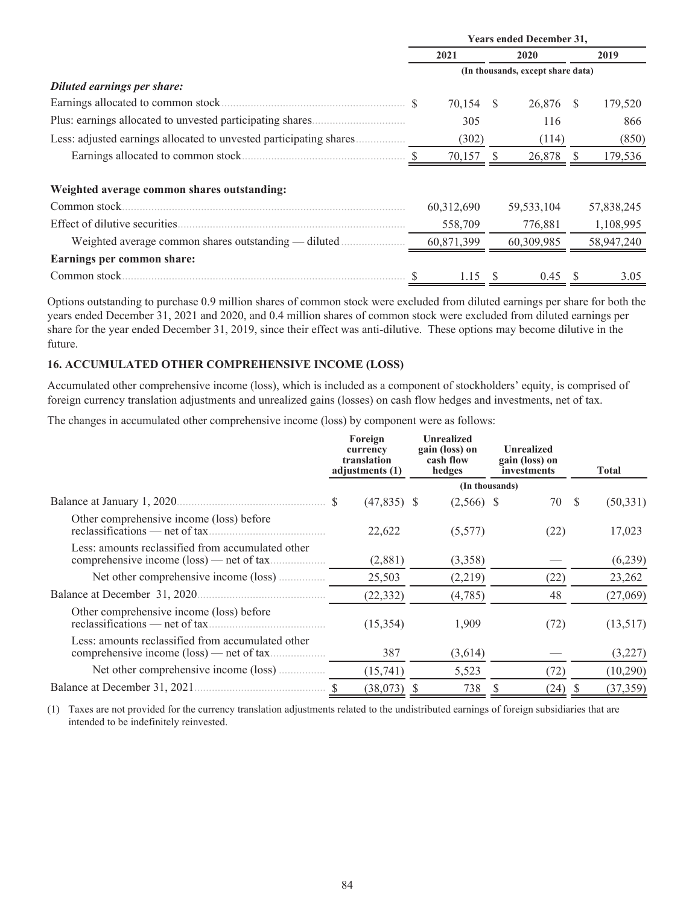|                                                                     | <b>Years ended December 31,</b> |            |                                   |              |   |            |  |
|---------------------------------------------------------------------|---------------------------------|------------|-----------------------------------|--------------|---|------------|--|
|                                                                     |                                 | 2021       |                                   | 2020         |   | 2019       |  |
|                                                                     |                                 |            | (In thousands, except share data) |              |   |            |  |
| Diluted earnings per share:                                         |                                 |            |                                   |              |   |            |  |
|                                                                     |                                 | 70,154 \$  |                                   | 26,876 \$    |   | 179,520    |  |
|                                                                     |                                 | 305        |                                   | 116          |   | 866        |  |
| Less: adjusted earnings allocated to unvested participating shares. |                                 | (302)      |                                   | (114)        |   | (850)      |  |
|                                                                     |                                 | 70,157     |                                   | 26,878       |   | 179,536    |  |
| Weighted average common shares outstanding:                         |                                 |            |                                   |              |   |            |  |
| Common stock.                                                       |                                 | 60,312,690 |                                   | 59, 533, 104 |   | 57,838,245 |  |
| Effect of dilutive securities.                                      |                                 | 558,709    |                                   | 776,881      |   | 1,108,995  |  |
| Weighted average common shares outstanding — diluted                |                                 | 60,871,399 |                                   | 60,309,985   |   | 58,947,240 |  |
| Earnings per common share:                                          |                                 |            |                                   |              |   |            |  |
|                                                                     |                                 | 1.15S      |                                   | 0.45         | S | 3.05       |  |

Options outstanding to purchase 0.9 million shares of common stock were excluded from diluted earnings per share for both the years ended December 31, 2021 and 2020, and 0.4 million shares of common stock were excluded from diluted earnings per share for the year ended December 31, 2019, since their effect was anti-dilutive. These options may become dilutive in the future.

### **16. ACCUMULATED OTHER COMPREHENSIVE INCOME (LOSS)**

Accumulated other comprehensive income (loss), which is included as a component of stockholders' equity, is comprised of foreign currency translation adjustments and unrealized gains (losses) on cash flow hedges and investments, net of tax.

The changes in accumulated other comprehensive income (loss) by component were as follows:

|                                                                                                         | Foreign<br>currency<br>translation<br>adjustments (1) | <b>Unrealized</b><br>gain (loss) on<br>cash flow<br>hedges | <b>Unrealized</b><br>gain (loss) on<br>investments | <b>Total</b> |
|---------------------------------------------------------------------------------------------------------|-------------------------------------------------------|------------------------------------------------------------|----------------------------------------------------|--------------|
|                                                                                                         |                                                       |                                                            | (In thousands)                                     |              |
|                                                                                                         | $(47,835)$ \$<br><sup>\$</sup>                        | $(2,566)$ \$                                               | 70 \$                                              | (50, 331)    |
| Other comprehensive income (loss) before                                                                | 22,622                                                | (5,577)                                                    | (22)                                               | 17,023       |
| Less: amounts reclassified from accumulated other                                                       | (2,881)                                               | (3,358)                                                    |                                                    | (6,239)      |
|                                                                                                         | 25,503                                                | (2,219)                                                    | (22)                                               | 23,262       |
| Balance at December 31, 2020                                                                            | (22, 332)                                             | (4,785)                                                    | 48                                                 | (27,069)     |
| Other comprehensive income (loss) before<br>reclassifications — net of tax                              | (15, 354)                                             | 1,909                                                      | (72)                                               | (13,517)     |
| Less: amounts reclassified from accumulated other<br>comprehensive income $(\text{loss})$ — net of tax. | 387                                                   | (3,614)                                                    |                                                    | (3,227)      |
|                                                                                                         | (15,741)                                              | 5,523                                                      | (72)                                               | (10,290)     |
| Balance at December 31, 2021.                                                                           | (38, 073)                                             | 738                                                        | (24)                                               | (37, 359)    |

(1) Taxes are not provided for the currency translation adjustments related to the undistributed earnings of foreign subsidiaries that are intended to be indefinitely reinvested.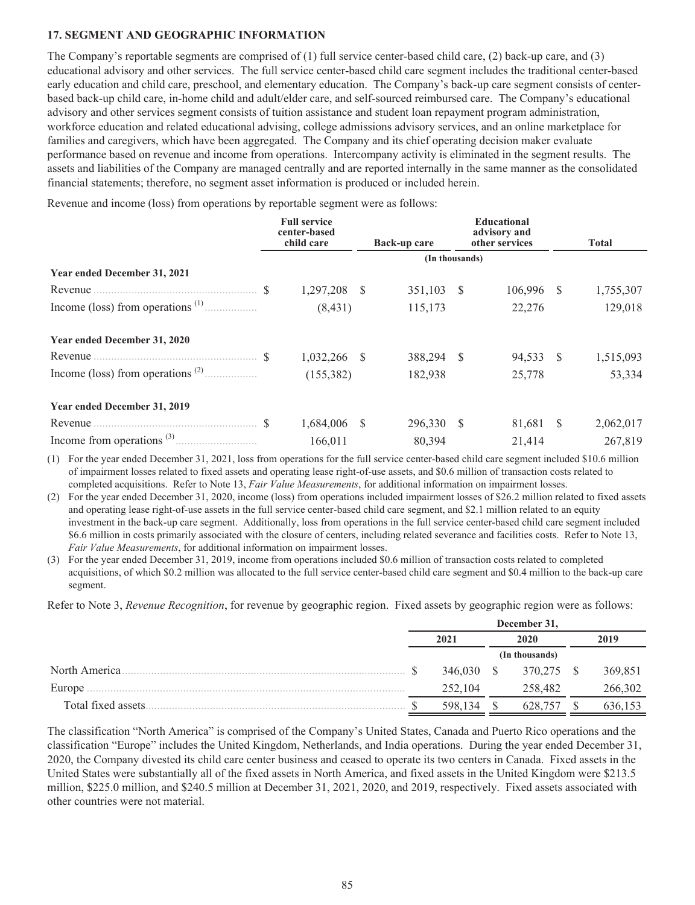# **17. SEGMENT AND GEOGRAPHIC INFORMATION**

The Company's reportable segments are comprised of (1) full service center-based child care, (2) back-up care, and (3) educational advisory and other services. The full service center-based child care segment includes the traditional center-based early education and child care, preschool, and elementary education. The Company's back-up care segment consists of centerbased back-up child care, in-home child and adult/elder care, and self-sourced reimbursed care. The Company's educational advisory and other services segment consists of tuition assistance and student loan repayment program administration, workforce education and related educational advising, college admissions advisory services, and an online marketplace for families and caregivers, which have been aggregated. The Company and its chief operating decision maker evaluate performance based on revenue and income from operations. Intercompany activity is eliminated in the segment results. The assets and liabilities of the Company are managed centrally and are reported internally in the same manner as the consolidated financial statements; therefore, no segment asset information is produced or included herein.

Revenue and income (loss) from operations by reportable segment were as follows:

|                              | <b>Full service</b><br>center-based<br>child care |              | Back-up care   |      | <b>Educational</b><br>advisory and<br>other services |              | <b>Total</b> |
|------------------------------|---------------------------------------------------|--------------|----------------|------|------------------------------------------------------|--------------|--------------|
|                              |                                                   |              | (In thousands) |      |                                                      |              |              |
| Year ended December 31, 2021 |                                                   |              |                |      |                                                      |              |              |
|                              | 1,297,208                                         | <sup>S</sup> | 351,103        | -S   | 106,996                                              | <sup>S</sup> | 1,755,307    |
|                              | (8, 431)                                          |              | 115,173        |      | 22,276                                               |              | 129,018      |
| Year ended December 31, 2020 |                                                   |              |                |      |                                                      |              |              |
|                              | 1,032,266                                         | <sup>8</sup> | 388,294        | - \$ | 94,533 \$                                            |              | 1,515,093    |
|                              | (155, 382)                                        |              | 182,938        |      | 25,778                                               |              | 53,334       |
| Year ended December 31, 2019 |                                                   |              |                |      |                                                      |              |              |
|                              | 1,684,006                                         | <sup>S</sup> | 296,330        | -S   | 81,681                                               | <sup>S</sup> | 2,062,017    |
|                              | 166,011                                           |              | 80,394         |      | 21,414                                               |              | 267,819      |

(1) For the year ended December 31, 2021, loss from operations for the full service center-based child care segment included \$10.6 million of impairment losses related to fixed assets and operating lease right-of-use assets, and \$0.6 million of transaction costs related to completed acquisitions. Refer to Note 13, *Fair Value Measurements*, for additional information on impairment losses.

(2) For the year ended December 31, 2020, income (loss) from operations included impairment losses of \$26.2 million related to fixed assets and operating lease right-of-use assets in the full service center-based child care segment, and \$2.1 million related to an equity investment in the back-up care segment. Additionally, loss from operations in the full service center-based child care segment included \$6.6 million in costs primarily associated with the closure of centers, including related severance and facilities costs. Refer to Note 13, *Fair Value Measurements*, for additional information on impairment losses.

(3) For the year ended December 31, 2019, income from operations included \$0.6 million of transaction costs related to completed acquisitions, of which \$0.2 million was allocated to the full service center-based child care segment and \$0.4 million to the back-up care segment.

Refer to Note 3, *Revenue Recognition*, for revenue by geographic region. Fixed assets by geographic region were as follows:

|                     | December 31, |            |      |                |      |         |
|---------------------|--------------|------------|------|----------------|------|---------|
|                     | 2021         |            | 2020 |                | 2019 |         |
|                     |              |            |      | (In thousands) |      |         |
| North America.      |              | 346,030 \$ |      | 370,275 \$     |      | 369,851 |
| Europe              |              | 252,104    |      | 258,482        |      | 266,302 |
| Total fixed assets. |              | 598.134    |      | 628,757        |      | 636,153 |

The classification "North America" is comprised of the Company's United States, Canada and Puerto Rico operations and the classification "Europe" includes the United Kingdom, Netherlands, and India operations. During the year ended December 31, 2020, the Company divested its child care center business and ceased to operate its two centers in Canada. Fixed assets in the United States were substantially all of the fixed assets in North America, and fixed assets in the United Kingdom were \$213.5 million, \$225.0 million, and \$240.5 million at December 31, 2021, 2020, and 2019, respectively. Fixed assets associated with other countries were not material.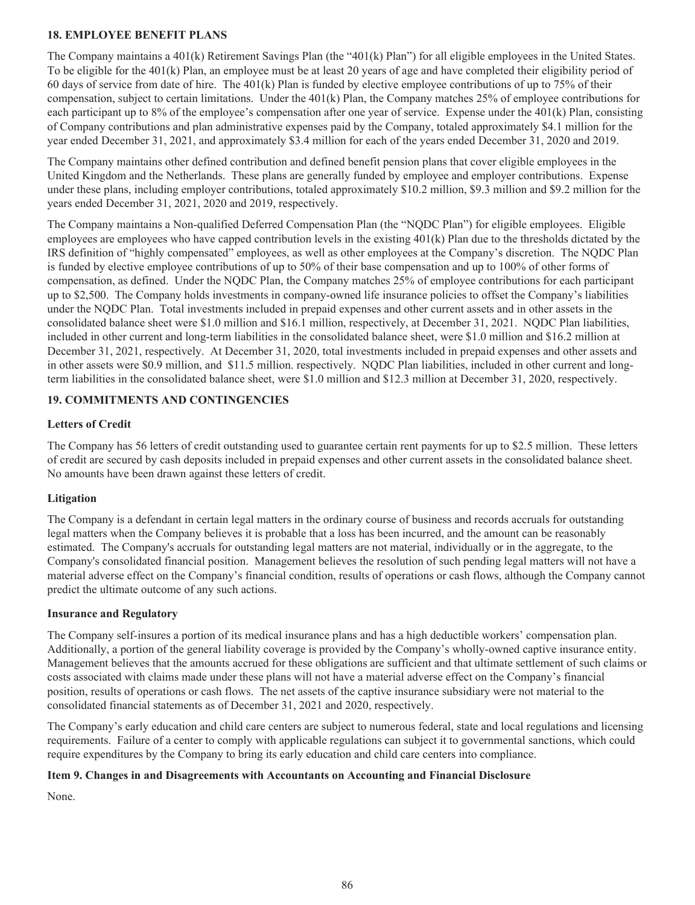### **18. EMPLOYEE BENEFIT PLANS**

The Company maintains a 401(k) Retirement Savings Plan (the "401(k) Plan") for all eligible employees in the United States. To be eligible for the 401(k) Plan, an employee must be at least 20 years of age and have completed their eligibility period of 60 days of service from date of hire. The 401(k) Plan is funded by elective employee contributions of up to 75% of their compensation, subject to certain limitations. Under the 401(k) Plan, the Company matches 25% of employee contributions for each participant up to 8% of the employee's compensation after one year of service. Expense under the 401(k) Plan, consisting of Company contributions and plan administrative expenses paid by the Company, totaled approximately \$4.1 million for the year ended December 31, 2021, and approximately \$3.4 million for each of the years ended December 31, 2020 and 2019.

The Company maintains other defined contribution and defined benefit pension plans that cover eligible employees in the United Kingdom and the Netherlands. These plans are generally funded by employee and employer contributions. Expense under these plans, including employer contributions, totaled approximately \$10.2 million, \$9.3 million and \$9.2 million for the years ended December 31, 2021, 2020 and 2019, respectively.

The Company maintains a Non-qualified Deferred Compensation Plan (the "NQDC Plan") for eligible employees. Eligible employees are employees who have capped contribution levels in the existing 401(k) Plan due to the thresholds dictated by the IRS definition of "highly compensated" employees, as well as other employees at the Company's discretion. The NQDC Plan is funded by elective employee contributions of up to 50% of their base compensation and up to 100% of other forms of compensation, as defined. Under the NQDC Plan, the Company matches 25% of employee contributions for each participant up to \$2,500. The Company holds investments in company-owned life insurance policies to offset the Company's liabilities under the NQDC Plan. Total investments included in prepaid expenses and other current assets and in other assets in the consolidated balance sheet were \$1.0 million and \$16.1 million, respectively, at December 31, 2021. NQDC Plan liabilities, included in other current and long-term liabilities in the consolidated balance sheet, were \$1.0 million and \$16.2 million at December 31, 2021, respectively. At December 31, 2020, total investments included in prepaid expenses and other assets and in other assets were \$0.9 million, and \$11.5 million. respectively. NQDC Plan liabilities, included in other current and longterm liabilities in the consolidated balance sheet, were \$1.0 million and \$12.3 million at December 31, 2020, respectively.

# **19. COMMITMENTS AND CONTINGENCIES**

# **Letters of Credit**

The Company has 56 letters of credit outstanding used to guarantee certain rent payments for up to \$2.5 million. These letters of credit are secured by cash deposits included in prepaid expenses and other current assets in the consolidated balance sheet. No amounts have been drawn against these letters of credit.

# **Litigation**

The Company is a defendant in certain legal matters in the ordinary course of business and records accruals for outstanding legal matters when the Company believes it is probable that a loss has been incurred, and the amount can be reasonably estimated. The Company's accruals for outstanding legal matters are not material, individually or in the aggregate, to the Company's consolidated financial position. Management believes the resolution of such pending legal matters will not have a material adverse effect on the Company's financial condition, results of operations or cash flows, although the Company cannot predict the ultimate outcome of any such actions.

# **Insurance and Regulatory**

The Company self-insures a portion of its medical insurance plans and has a high deductible workers' compensation plan. Additionally, a portion of the general liability coverage is provided by the Company's wholly-owned captive insurance entity. Management believes that the amounts accrued for these obligations are sufficient and that ultimate settlement of such claims or costs associated with claims made under these plans will not have a material adverse effect on the Company's financial position, results of operations or cash flows. The net assets of the captive insurance subsidiary were not material to the consolidated financial statements as of December 31, 2021 and 2020, respectively.

The Company's early education and child care centers are subject to numerous federal, state and local regulations and licensing requirements. Failure of a center to comply with applicable regulations can subject it to governmental sanctions, which could require expenditures by the Company to bring its early education and child care centers into compliance.

# **Item 9. Changes in and Disagreements with Accountants on Accounting and Financial Disclosure**

None.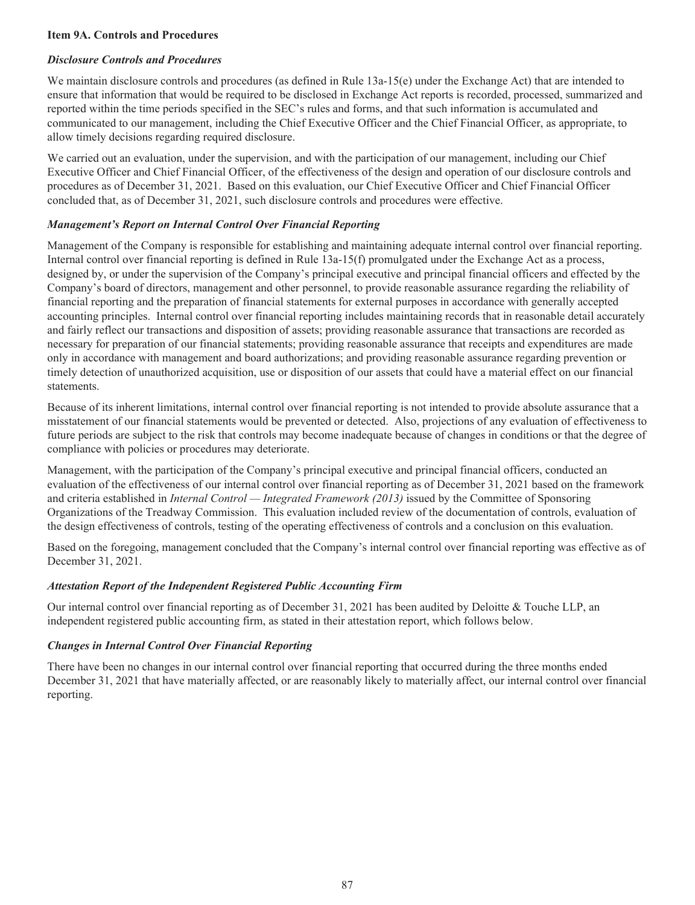### **Item 9A. Controls and Procedures**

### *Disclosure Controls and Procedures*

We maintain disclosure controls and procedures (as defined in Rule 13a-15(e) under the Exchange Act) that are intended to ensure that information that would be required to be disclosed in Exchange Act reports is recorded, processed, summarized and reported within the time periods specified in the SEC's rules and forms, and that such information is accumulated and communicated to our management, including the Chief Executive Officer and the Chief Financial Officer, as appropriate, to allow timely decisions regarding required disclosure.

We carried out an evaluation, under the supervision, and with the participation of our management, including our Chief Executive Officer and Chief Financial Officer, of the effectiveness of the design and operation of our disclosure controls and procedures as of December 31, 2021. Based on this evaluation, our Chief Executive Officer and Chief Financial Officer concluded that, as of December 31, 2021, such disclosure controls and procedures were effective.

# *Management's Report on Internal Control Over Financial Reporting*

Management of the Company is responsible for establishing and maintaining adequate internal control over financial reporting. Internal control over financial reporting is defined in Rule 13a-15(f) promulgated under the Exchange Act as a process, designed by, or under the supervision of the Company's principal executive and principal financial officers and effected by the Company's board of directors, management and other personnel, to provide reasonable assurance regarding the reliability of financial reporting and the preparation of financial statements for external purposes in accordance with generally accepted accounting principles. Internal control over financial reporting includes maintaining records that in reasonable detail accurately and fairly reflect our transactions and disposition of assets; providing reasonable assurance that transactions are recorded as necessary for preparation of our financial statements; providing reasonable assurance that receipts and expenditures are made only in accordance with management and board authorizations; and providing reasonable assurance regarding prevention or timely detection of unauthorized acquisition, use or disposition of our assets that could have a material effect on our financial statements.

Because of its inherent limitations, internal control over financial reporting is not intended to provide absolute assurance that a misstatement of our financial statements would be prevented or detected. Also, projections of any evaluation of effectiveness to future periods are subject to the risk that controls may become inadequate because of changes in conditions or that the degree of compliance with policies or procedures may deteriorate.

Management, with the participation of the Company's principal executive and principal financial officers, conducted an evaluation of the effectiveness of our internal control over financial reporting as of December 31, 2021 based on the framework and criteria established in *Internal Control — Integrated Framework (2013)* issued by the Committee of Sponsoring Organizations of the Treadway Commission. This evaluation included review of the documentation of controls, evaluation of the design effectiveness of controls, testing of the operating effectiveness of controls and a conclusion on this evaluation.

Based on the foregoing, management concluded that the Company's internal control over financial reporting was effective as of December 31, 2021.

# *Attestation Report of the Independent Registered Public Accounting Firm*

Our internal control over financial reporting as of December 31, 2021 has been audited by Deloitte & Touche LLP, an independent registered public accounting firm, as stated in their attestation report, which follows below.

#### *Changes in Internal Control Over Financial Reporting*

There have been no changes in our internal control over financial reporting that occurred during the three months ended December 31, 2021 that have materially affected, or are reasonably likely to materially affect, our internal control over financial reporting.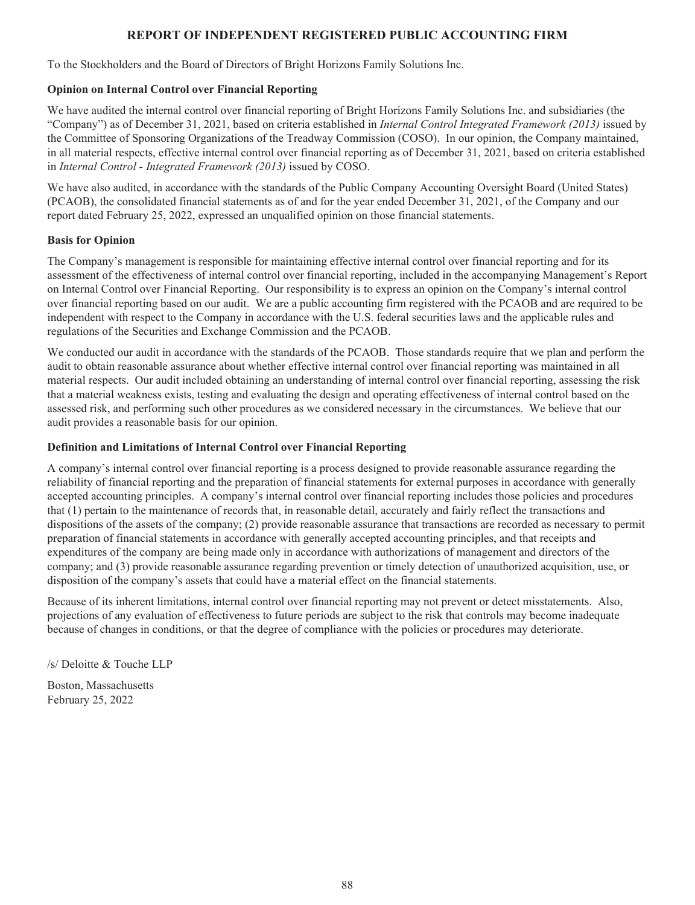# **REPORT OF INDEPENDENT REGISTERED PUBLIC ACCOUNTING FIRM**

To the Stockholders and the Board of Directors of Bright Horizons Family Solutions Inc.

# **Opinion on Internal Control over Financial Reporting**

We have audited the internal control over financial reporting of Bright Horizons Family Solutions Inc. and subsidiaries (the "Company") as of December 31, 2021, based on criteria established in *Internal Control Integrated Framework (2013)* issued by the Committee of Sponsoring Organizations of the Treadway Commission (COSO). In our opinion, the Company maintained, in all material respects, effective internal control over financial reporting as of December 31, 2021, based on criteria established in *Internal Control* - *Integrated Framework (2013)* issued by COSO.

We have also audited, in accordance with the standards of the Public Company Accounting Oversight Board (United States) (PCAOB), the consolidated financial statements as of and for the year ended December 31, 2021, of the Company and our report dated February 25, 2022, expressed an unqualified opinion on those financial statements.

### **Basis for Opinion**

The Company's management is responsible for maintaining effective internal control over financial reporting and for its assessment of the effectiveness of internal control over financial reporting, included in the accompanying Management's Report on Internal Control over Financial Reporting. Our responsibility is to express an opinion on the Company's internal control over financial reporting based on our audit. We are a public accounting firm registered with the PCAOB and are required to be independent with respect to the Company in accordance with the U.S. federal securities laws and the applicable rules and regulations of the Securities and Exchange Commission and the PCAOB.

We conducted our audit in accordance with the standards of the PCAOB. Those standards require that we plan and perform the audit to obtain reasonable assurance about whether effective internal control over financial reporting was maintained in all material respects. Our audit included obtaining an understanding of internal control over financial reporting, assessing the risk that a material weakness exists, testing and evaluating the design and operating effectiveness of internal control based on the assessed risk, and performing such other procedures as we considered necessary in the circumstances. We believe that our audit provides a reasonable basis for our opinion.

# **Definition and Limitations of Internal Control over Financial Reporting**

A company's internal control over financial reporting is a process designed to provide reasonable assurance regarding the reliability of financial reporting and the preparation of financial statements for external purposes in accordance with generally accepted accounting principles. A company's internal control over financial reporting includes those policies and procedures that (1) pertain to the maintenance of records that, in reasonable detail, accurately and fairly reflect the transactions and dispositions of the assets of the company; (2) provide reasonable assurance that transactions are recorded as necessary to permit preparation of financial statements in accordance with generally accepted accounting principles, and that receipts and expenditures of the company are being made only in accordance with authorizations of management and directors of the company; and (3) provide reasonable assurance regarding prevention or timely detection of unauthorized acquisition, use, or disposition of the company's assets that could have a material effect on the financial statements.

Because of its inherent limitations, internal control over financial reporting may not prevent or detect misstatements. Also, projections of any evaluation of effectiveness to future periods are subject to the risk that controls may become inadequate because of changes in conditions, or that the degree of compliance with the policies or procedures may deteriorate.

/s/ Deloitte & Touche LLP

Boston, Massachusetts February 25, 2022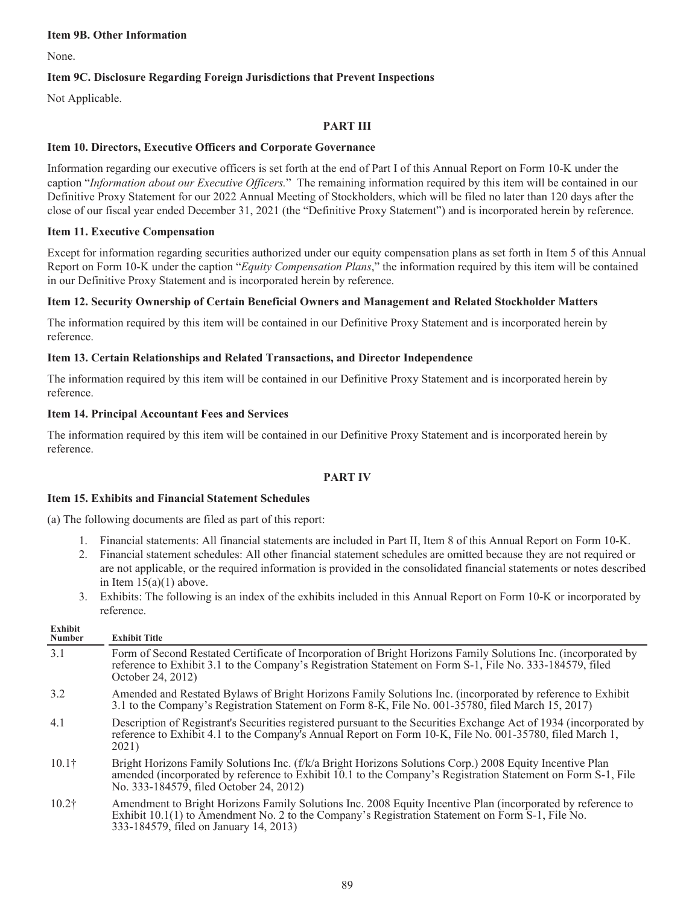#### **Item 9B. Other Information**

None.

# **Item 9C. Disclosure Regarding Foreign Jurisdictions that Prevent Inspections**

Not Applicable.

### **PART III**

### **Item 10. Directors, Executive Officers and Corporate Governance**

Information regarding our executive officers is set forth at the end of Part I of this Annual Report on Form 10-K under the caption "*Information about our Executive Officers.*" The remaining information required by this item will be contained in our Definitive Proxy Statement for our 2022 Annual Meeting of Stockholders, which will be filed no later than 120 days after the close of our fiscal year ended December 31, 2021 (the "Definitive Proxy Statement") and is incorporated herein by reference.

#### **Item 11. Executive Compensation**

Except for information regarding securities authorized under our equity compensation plans as set forth in Item 5 of this Annual Report on Form 10-K under the caption "*Equity Compensation Plans*," the information required by this item will be contained in our Definitive Proxy Statement and is incorporated herein by reference.

### **Item 12. Security Ownership of Certain Beneficial Owners and Management and Related Stockholder Matters**

The information required by this item will be contained in our Definitive Proxy Statement and is incorporated herein by reference.

### **Item 13. Certain Relationships and Related Transactions, and Director Independence**

The information required by this item will be contained in our Definitive Proxy Statement and is incorporated herein by reference.

#### **Item 14. Principal Accountant Fees and Services**

The information required by this item will be contained in our Definitive Proxy Statement and is incorporated herein by reference.

# **PART IV**

#### **Item 15. Exhibits and Financial Statement Schedules**

(a) The following documents are filed as part of this report:

- 1. Financial statements: All financial statements are included in Part II, Item 8 of this Annual Report on Form 10-K.
- 2. Financial statement schedules: All other financial statement schedules are omitted because they are not required or are not applicable, or the required information is provided in the consolidated financial statements or notes described in Item  $15(a)(1)$  above.
- 3. Exhibits: The following is an index of the exhibits included in this Annual Report on Form 10-K or incorporated by reference.

| <b>Exhibit</b><br><b>Number</b> | <b>Exhibit Title</b>                                                                                                                                                                                                                                                |
|---------------------------------|---------------------------------------------------------------------------------------------------------------------------------------------------------------------------------------------------------------------------------------------------------------------|
| 3.1                             | Form of Second Restated Certificate of Incorporation of Bright Horizons Family Solutions Inc. (incorporated by<br>reference to Exhibit 3.1 to the Company's Registration Statement on Form S-1, File No. 333-184579, filed<br>October 24, 2012)                     |
| 3.2                             | Amended and Restated Bylaws of Bright Horizons Family Solutions Inc. (incorporated by reference to Exhibit<br>3.1 to the Company's Registration Statement on Form 8-K, File No. 001-35780, filed March 15, 2017)                                                    |
| 4.1                             | Description of Registrant's Securities registered pursuant to the Securities Exchange Act of 1934 (incorporated by<br>reference to Exhibit 4.1 to the Company's Annual Report on Form 10-K, File No. 001-35780, filed March 1,<br>2021)                             |
| 10.1 <sup>†</sup>               | Bright Horizons Family Solutions Inc. (f/k/a Bright Horizons Solutions Corp.) 2008 Equity Incentive Plan<br>amended (incorporated by reference to Exhibit 10.1 to the Company's Registration Statement on Form S-1, File<br>No. 333-184579, filed October 24, 2012) |
| 10.2 <sup>†</sup>               | Amendment to Bright Horizons Family Solutions Inc. 2008 Equity Incentive Plan (incorporated by reference to<br>Exhibit $10.1(1)$ to Amendment No. 2 to the Company's Registration Statement on Form S-1, File No.<br>333-184579, filed on January 14, 2013)         |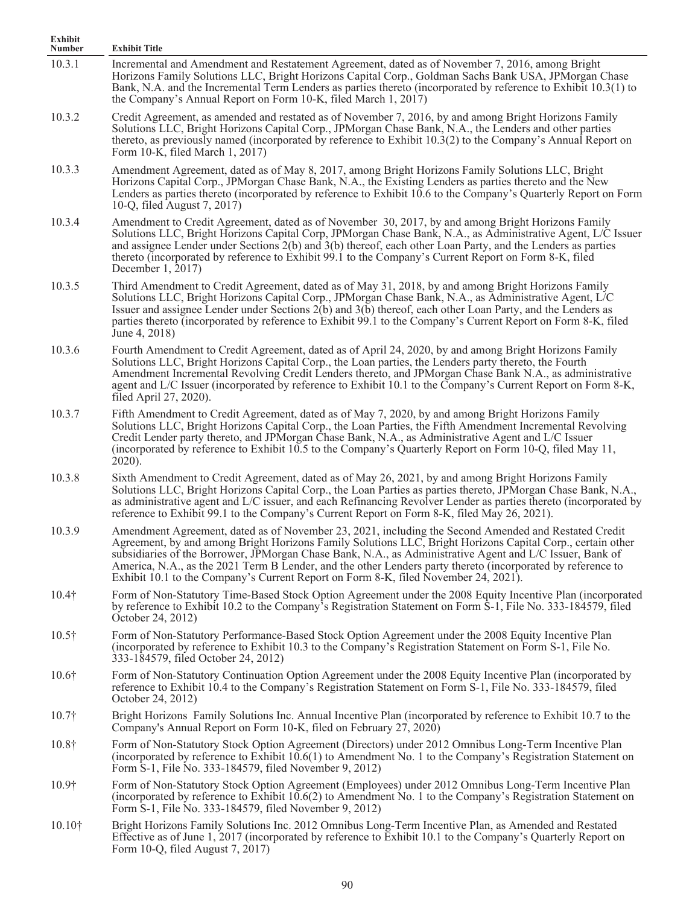| Exhibit<br>Number | <b>Exhibit Title</b>                                                                                                                                                                                                                                                                                                                                                                                                                                                                                                                 |
|-------------------|--------------------------------------------------------------------------------------------------------------------------------------------------------------------------------------------------------------------------------------------------------------------------------------------------------------------------------------------------------------------------------------------------------------------------------------------------------------------------------------------------------------------------------------|
| 10.3.1            | Incremental and Amendment and Restatement Agreement, dated as of November 7, 2016, among Bright<br>Horizons Family Solutions LLC, Bright Horizons Capital Corp., Goldman Sachs Bank USA, JPMorgan Chase<br>Bank, N.A. and the Incremental Term Lenders as parties thereto (incorporated by reference to Exhibit 10.3(1) to<br>the Company's Annual Report on Form 10-K, filed March 1, 2017)                                                                                                                                         |
| 10.3.2            | Credit Agreement, as amended and restated as of November 7, 2016, by and among Bright Horizons Family<br>Solutions LLC, Bright Horizons Capital Corp., JPMorgan Chase Bank, N.A., the Lenders and other parties<br>thereto, as previously named (incorporated by reference to Exhibit 10.3(2) to the Company's Annual Report on<br>Form 10-K, filed March 1, 2017)                                                                                                                                                                   |
| 10.3.3            | Amendment Agreement, dated as of May 8, 2017, among Bright Horizons Family Solutions LLC, Bright<br>Horizons Capital Corp., JPMorgan Chase Bank, N.A., the Existing Lenders as parties thereto and the New<br>Lenders as parties thereto (incorporated by reference to Exhibit $10.6$ to the Company's Quarterly Report on Form<br>10-Q, filed August 7, 2017)                                                                                                                                                                       |
| 10.3.4            | Amendment to Credit Agreement, dated as of November 30, 2017, by and among Bright Horizons Family<br>Solutions LLC, Bright Horizons Capital Corp, JPMorgan Chase Bank, N.A., as Administrative Agent, L/C Issuer<br>and assignee Lender under Sections 2(b) and 3(b) thereof, each other Loan Party, and the Lenders as parties<br>thereto (incorporated by reference to Exhibit 99.1 to the Company's Current Report on Form 8-K, filed<br>December $1, 2017$                                                                       |
| 10.3.5            | Third Amendment to Credit Agreement, dated as of May 31, 2018, by and among Bright Horizons Family<br>Solutions LLC, Bright Horizons Capital Corp., JPMorgan Chase Bank, N.A., as Administrative Agent, L/C<br>Issuer and assignee Lender under Sections 2(b) and 3(b) thereof, each other Loan Party, and the Lenders as<br>parties thereto (incorporated by reference to Exhibit 99.1 to the Company's Current Report on Form 8-K, filed<br>June 4, 2018)                                                                          |
| 10.3.6            | Fourth Amendment to Credit Agreement, dated as of April 24, 2020, by and among Bright Horizons Family<br>Solutions LLC, Bright Horizons Capital Corp., the Loan parties, the Lenders party thereto, the Fourth<br>Amendment Incremental Revolving Credit Lenders thereto, and JPMorgan Chase Bank N.A., as administrative<br>agent and L/C Issuer (incorporated by reference to Exhibit 10.1 to the Company's Current Report on Form 8-K,<br>filed April 27, 2020).                                                                  |
| 10.3.7            | Fifth Amendment to Credit Agreement, dated as of May 7, 2020, by and among Bright Horizons Family<br>Solutions LLC, Bright Horizons Capital Corp., the Loan Parties, the Fifth Amendment Incremental Revolving<br>Credit Lender party thereto, and JPMorgan Chase Bank, N.A., as Administrative Agent and L/C Issuer<br>(incorporated by reference to Exhibit 10.5 to the Company's Quarterly Report on Form 10-Q, filed May 11,<br>$2020$ ).                                                                                        |
| 10.3.8            | Sixth Amendment to Credit Agreement, dated as of May 26, 2021, by and among Bright Horizons Family<br>Solutions LLC, Bright Horizons Capital Corp., the Loan Parties as parties thereto, JPMorgan Chase Bank, N.A.,<br>as administrative agent and L/C issuer, and each Refinancing Revolver Lender as parties thereto (incorporated by<br>reference to Exhibit 99.1 to the Company's Current Report on Form 8-K, filed May 26, 2021).                                                                                               |
| 10.3.9            | Amendment Agreement, dated as of November 23, 2021, including the Second Amended and Restated Credit<br>Agreement, by and among Bright Horizons Family Solutions LLC, Bright Horizons Capital Corp., certain other<br>subsidiaries of the Borrower, JPMorgan Chase Bank, N.A., as Administrative Agent and L/C Issuer, Bank of<br>America, N.A., as the 2021 Term B Lender, and the other Lenders party thereto (incorporated by reference to<br>Exhibit 10.1 to the Company's Current Report on Form 8-K, filed November 24, 2021). |
| $10.4\dagger$     | Form of Non-Statutory Time-Based Stock Option Agreement under the 2008 Equity Incentive Plan (incorporated<br>by reference to Exhibit 10.2 to the Company's Registration Statement on Form S-1, File No. 333-184579, filed<br>October 24, 2012)                                                                                                                                                                                                                                                                                      |
| $10.5\dagger$     | Form of Non-Statutory Performance-Based Stock Option Agreement under the 2008 Equity Incentive Plan<br>(incorporated by reference to Exhibit 10.3 to the Company's Registration Statement on Form S-1, File No.<br>333-184579, filed October 24, 2012)                                                                                                                                                                                                                                                                               |
| $10.6\dagger$     | Form of Non-Statutory Continuation Option Agreement under the 2008 Equity Incentive Plan (incorporated by<br>reference to Exhibit 10.4 to the Company's Registration Statement on Form S-1, File No. 333-184579, filed<br>October 24, 2012)                                                                                                                                                                                                                                                                                          |
| $10.7\dagger$     | Bright Horizons Family Solutions Inc. Annual Incentive Plan (incorporated by reference to Exhibit 10.7 to the<br>Company's Annual Report on Form 10-K, filed on February 27, 2020)                                                                                                                                                                                                                                                                                                                                                   |
| $10.8\dagger$     | Form of Non-Statutory Stock Option Agreement (Directors) under 2012 Omnibus Long-Term Incentive Plan<br>(incorporated by reference to Exhibit $10.6(1)$ to Amendment No. 1 to the Company's Registration Statement on<br>Form S-1, File No. 333-184579, filed November 9, 2012)                                                                                                                                                                                                                                                      |
| 10.9†             | Form of Non-Statutory Stock Option Agreement (Employees) under 2012 Omnibus Long-Term Incentive Plan<br>(incorporated by reference to Exhibit $10.6(2)$ to Amendment No. 1 to the Company's Registration Statement on<br>Form S-1, File No. 333-184579, filed November 9, 2012)                                                                                                                                                                                                                                                      |
| $10.10\dagger$    | Bright Horizons Family Solutions Inc. 2012 Omnibus Long-Term Incentive Plan, as Amended and Restated<br>Effective as of June 1, 2017 (incorporated by reference to Exhibit 10.1 to the Company's Quarterly Report on<br>Form 10-Q, filed August 7, 2017)                                                                                                                                                                                                                                                                             |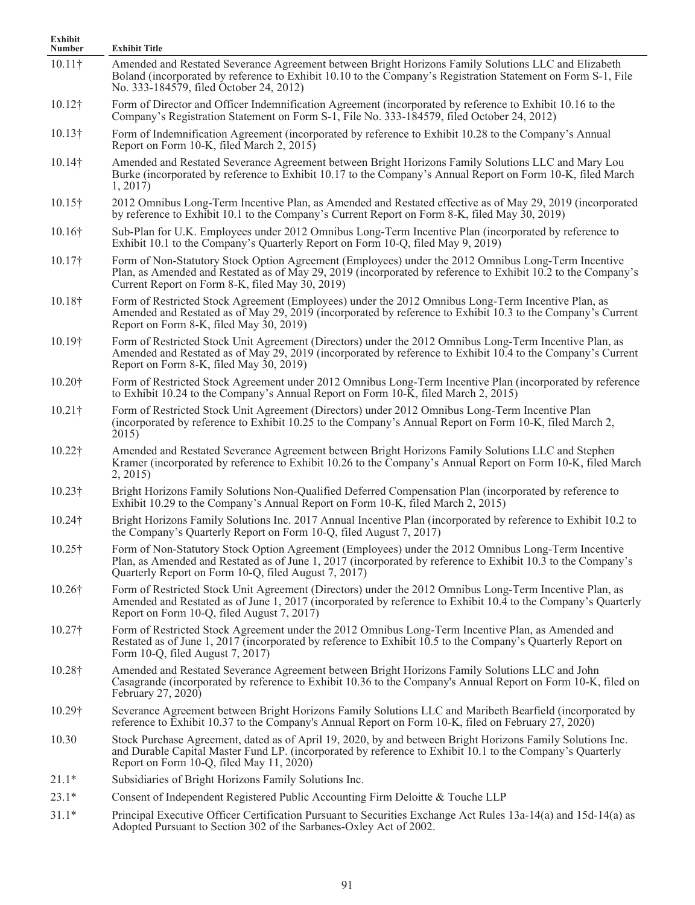| Exhibit<br><b>Number</b> | <b>Exhibit Title</b>                                                                                                                                                                                                                                                        |
|--------------------------|-----------------------------------------------------------------------------------------------------------------------------------------------------------------------------------------------------------------------------------------------------------------------------|
| $10.11\dagger$           | Amended and Restated Severance Agreement between Bright Horizons Family Solutions LLC and Elizabeth<br>Boland (incorporated by reference to Exhibit 10.10 to the Company's Registration Statement on Form S-1, File<br>No. 333-184579, filed October 24, 2012)              |
| 10.12†                   | Form of Director and Officer Indemnification Agreement (incorporated by reference to Exhibit 10.16 to the<br>Company's Registration Statement on Form S-1, File No. 333-184579, filed October 24, 2012)                                                                     |
| $10.13\dagger$           | Form of Indemnification Agreement (incorporated by reference to Exhibit 10.28 to the Company's Annual<br>Report on Form 10-K, filed March 2, 2015)                                                                                                                          |
| 10.14†                   | Amended and Restated Severance Agreement between Bright Horizons Family Solutions LLC and Mary Lou<br>Burke (incorporated by reference to Exhibit 10.17 to the Company's Annual Report on Form 10-K, filed March<br>1, 2017                                                 |
| $10.15\dagger$           | 2012 Omnibus Long-Term Incentive Plan, as Amended and Restated effective as of May 29, 2019 (incorporated<br>by reference to Exhibit 10.1 to the Company's Current Report on Form 8-K, filed May 30, 2019)                                                                  |
| $10.16\dagger$           | Sub-Plan for U.K. Employees under 2012 Omnibus Long-Term Incentive Plan (incorporated by reference to<br>Exhibit 10.1 to the Company's Quarterly Report on Form 10-Q, filed May 9, 2019)                                                                                    |
| $10.17\dagger$           | Form of Non-Statutory Stock Option Agreement (Employees) under the 2012 Omnibus Long-Term Incentive<br>Plan, as Amended and Restated as of May 29, 2019 (incorporated by reference to Exhibit 10.2 to the Company's<br>Current Report on Form 8-K, filed May 30, 2019)      |
| 10.18†                   | Form of Restricted Stock Agreement (Employees) under the 2012 Omnibus Long-Term Incentive Plan, as<br>Amended and Restated as of May 29, 2019 (incorporated by reference to Exhibit 10.3 to the Company's Current<br>Report on Form 8-K, filed May 30, 2019)                |
| 10.19†                   | Form of Restricted Stock Unit Agreement (Directors) under the 2012 Omnibus Long-Term Incentive Plan, as<br>Amended and Restated as of May 29, 2019 (incorporated by reference to Exhibit 10.4 to the Company's Current<br>Report on Form 8-K, filed May 30, 2019)           |
| 10.20†                   | Form of Restricted Stock Agreement under 2012 Omnibus Long-Term Incentive Plan (incorporated by reference<br>to Exhibit 10.24 to the Company's Annual Report on Form 10-K, filed March 2, 2015)                                                                             |
| $10.21\dagger$           | Form of Restricted Stock Unit Agreement (Directors) under 2012 Omnibus Long-Term Incentive Plan<br>(incorporated by reference to Exhibit 10.25 to the Company's Annual Report on Form 10-K, filed March 2,<br>2015)                                                         |
| 10.22†                   | Amended and Restated Severance Agreement between Bright Horizons Family Solutions LLC and Stephen<br>Kramer (incorporated by reference to Exhibit 10.26 to the Company's Annual Report on Form 10-K, filed March<br>2, 2015                                                 |
| $10.23\dagger$           | Bright Horizons Family Solutions Non-Qualified Deferred Compensation Plan (incorporated by reference to<br>Exhibit 10.29 to the Company's Annual Report on Form 10-K, filed March 2, 2015)                                                                                  |
| 10.24†                   | Bright Horizons Family Solutions Inc. 2017 Annual Incentive Plan (incorporated by reference to Exhibit 10.2 to<br>the Company's Quarterly Report on Form 10-Q, filed August 7, 2017)                                                                                        |
| $10.25\dagger$           | Form of Non-Statutory Stock Option Agreement (Employees) under the 2012 Omnibus Long-Term Incentive<br>Plan, as Amended and Restated as of June 1, 2017 (incorporated by reference to Exhibit 10.3 to the Company's<br>Quarterly Report on Form 10-Q, filed August 7, 2017) |
| 10.26†                   | Form of Restricted Stock Unit Agreement (Directors) under the 2012 Omnibus Long-Term Incentive Plan, as<br>Amended and Restated as of June 1, 2017 (incorporated by reference to Exhibit 10.4 to the Company's Quarterly<br>Report on Form 10-Q, filed August 7, 2017)      |
| 10.27†                   | Form of Restricted Stock Agreement under the 2012 Omnibus Long-Term Incentive Plan, as Amended and<br>Restated as of June 1, 2017 (incorporated by reference to Exhibit 10.5 to the Company's Quarterly Report on<br>Form 10-Q, filed August 7, 2017)                       |
| 10.28†                   | Amended and Restated Severance Agreement between Bright Horizons Family Solutions LLC and John<br>Casagrande (incorporated by reference to Exhibit 10.36 to the Company's Annual Report on Form 10-K, filed on<br>February 27, 2020)                                        |
| $10.29\dagger$           | Severance Agreement between Bright Horizons Family Solutions LLC and Maribeth Bearfield (incorporated by<br>reference to Exhibit 10.37 to the Company's Annual Report on Form 10-K, filed on February 27, 2020)                                                             |
| 10.30                    | Stock Purchase Agreement, dated as of April 19, 2020, by and between Bright Horizons Family Solutions Inc.<br>and Durable Capital Master Fund LP. (incorporated by reference to Exhibit 10.1 to the Company's Quarterly<br>Report on Form 10-Q, filed May 11, 2020)         |
| $21.1*$                  | Subsidiaries of Bright Horizons Family Solutions Inc.                                                                                                                                                                                                                       |
| $23.1*$                  | Consent of Independent Registered Public Accounting Firm Deloitte & Touche LLP                                                                                                                                                                                              |
| $31.1*$                  | Principal Executive Officer Certification Pursuant to Securities Exchange Act Rules 13a-14(a) and 15d-14(a) as<br>Adopted Pursuant to Section 302 of the Sarbanes-Oxley Act of 2002.                                                                                        |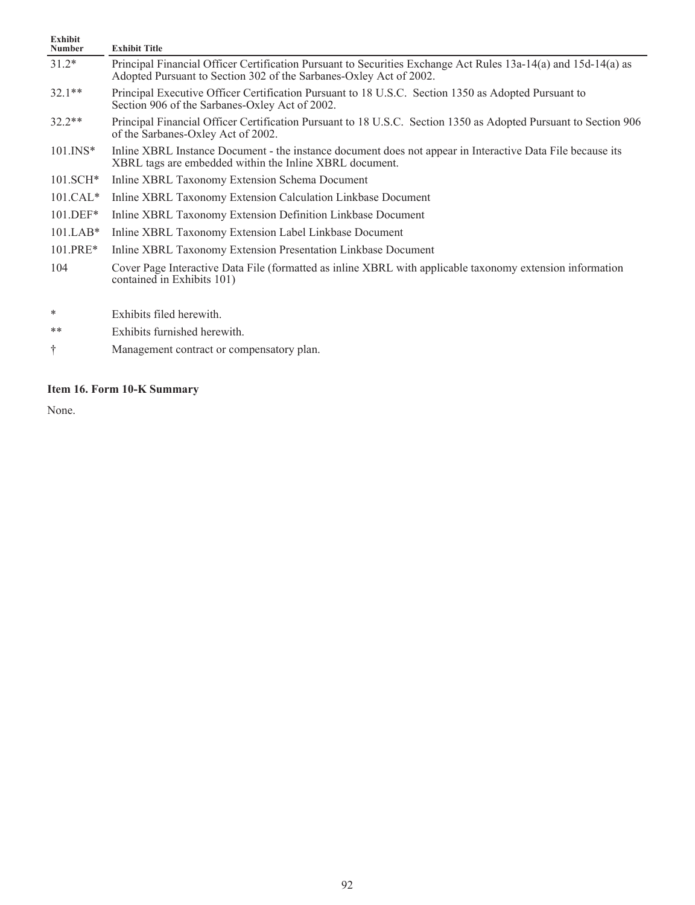| <b>Exhibit</b><br><b>Number</b> | <b>Exhibit Title</b>                                                                                                                                                                 |
|---------------------------------|--------------------------------------------------------------------------------------------------------------------------------------------------------------------------------------|
| $31.2*$                         | Principal Financial Officer Certification Pursuant to Securities Exchange Act Rules 13a-14(a) and 15d-14(a) as<br>Adopted Pursuant to Section 302 of the Sarbanes-Oxley Act of 2002. |
| $32.1**$                        | Principal Executive Officer Certification Pursuant to 18 U.S.C. Section 1350 as Adopted Pursuant to<br>Section 906 of the Sarbanes-Oxley Act of 2002.                                |
| $32.2**$                        | Principal Financial Officer Certification Pursuant to 18 U.S.C. Section 1350 as Adopted Pursuant to Section 906<br>of the Sarbanes-Oxley Act of 2002.                                |
| $101$ . INS*                    | Inline XBRL Instance Document - the instance document does not appear in Interactive Data File because its<br>XBRL tags are embedded within the Inline XBRL document.                |
| $101.SCH*$                      | Inline XBRL Taxonomy Extension Schema Document                                                                                                                                       |
| $101.CAL*$                      | Inline XBRL Taxonomy Extension Calculation Linkbase Document                                                                                                                         |
| $101.DEF*$                      | Inline XBRL Taxonomy Extension Definition Linkbase Document                                                                                                                          |
| $101.LAB*$                      | Inline XBRL Taxonomy Extension Label Linkbase Document                                                                                                                               |
| $101.PRE*$                      | Inline XBRL Taxonomy Extension Presentation Linkbase Document                                                                                                                        |
| 104                             | Cover Page Interactive Data File (formatted as inline XBRL with applicable taxonomy extension information<br>contained in Exhibits 101)                                              |
| $\ast$                          | Exhibits filed herewith.                                                                                                                                                             |

- \*\* Exhibits furnished herewith.
- † Management contract or compensatory plan.

# **Item 16. Form 10-K Summary**

None.